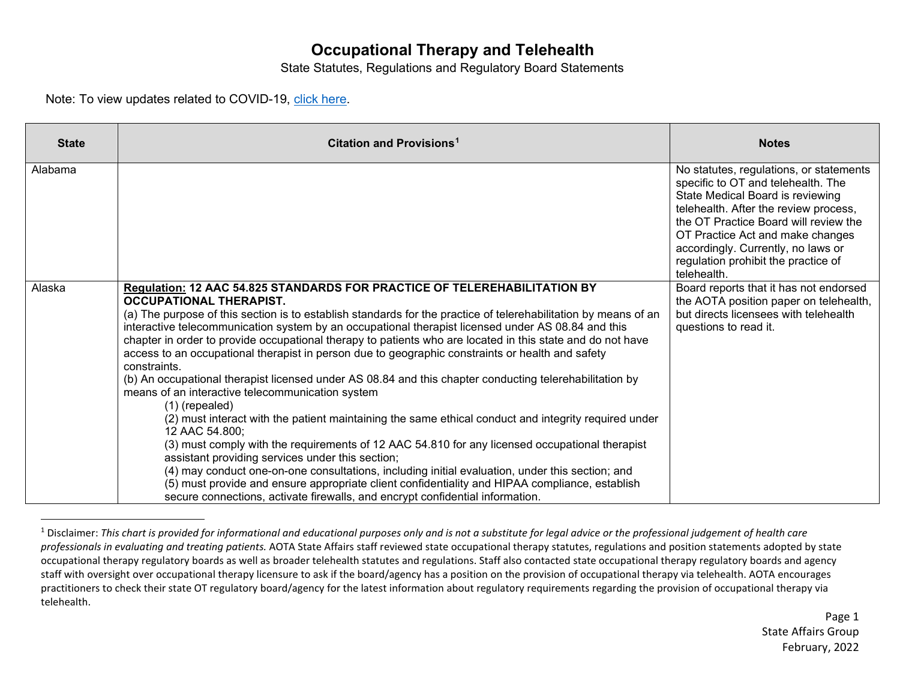## <span id="page-0-0"></span>**Occupational Therapy and Telehealth**

State Statutes, Regulations and Regulatory Board Statements

Note: To view updates related to COVID-19, [click here.](https://www.aota.org/%7E/media/Corporate/Files/Advocacy/State/telehealth/state-actions-affecting-occupational-therapy-in-response-to-covid-19.pdf)

| <b>State</b> | Citation and Provisions <sup>1</sup>                                                                                                                                                                                                                                                                                                                                                                                                                                                                                                                                                                                                                                                                                                                                                                                                                                                                                                                                                                                                                                                                                                                                                                                                                                                                                            | <b>Notes</b>                                                                                                                                                                                                                                                                                                                        |
|--------------|---------------------------------------------------------------------------------------------------------------------------------------------------------------------------------------------------------------------------------------------------------------------------------------------------------------------------------------------------------------------------------------------------------------------------------------------------------------------------------------------------------------------------------------------------------------------------------------------------------------------------------------------------------------------------------------------------------------------------------------------------------------------------------------------------------------------------------------------------------------------------------------------------------------------------------------------------------------------------------------------------------------------------------------------------------------------------------------------------------------------------------------------------------------------------------------------------------------------------------------------------------------------------------------------------------------------------------|-------------------------------------------------------------------------------------------------------------------------------------------------------------------------------------------------------------------------------------------------------------------------------------------------------------------------------------|
| Alabama      |                                                                                                                                                                                                                                                                                                                                                                                                                                                                                                                                                                                                                                                                                                                                                                                                                                                                                                                                                                                                                                                                                                                                                                                                                                                                                                                                 | No statutes, regulations, or statements<br>specific to OT and telehealth. The<br>State Medical Board is reviewing<br>telehealth. After the review process,<br>the OT Practice Board will review the<br>OT Practice Act and make changes<br>accordingly. Currently, no laws or<br>regulation prohibit the practice of<br>telehealth. |
| Alaska       | Regulation: 12 AAC 54.825 STANDARDS FOR PRACTICE OF TELEREHABILITATION BY<br><b>OCCUPATIONAL THERAPIST.</b><br>(a) The purpose of this section is to establish standards for the practice of telerehabilitation by means of an<br>interactive telecommunication system by an occupational therapist licensed under AS 08.84 and this<br>chapter in order to provide occupational therapy to patients who are located in this state and do not have<br>access to an occupational therapist in person due to geographic constraints or health and safety<br>constraints.<br>(b) An occupational therapist licensed under AS 08.84 and this chapter conducting telerehabilitation by<br>means of an interactive telecommunication system<br>$(1)$ (repealed)<br>(2) must interact with the patient maintaining the same ethical conduct and integrity required under<br>12 AAC 54.800;<br>(3) must comply with the requirements of 12 AAC 54.810 for any licensed occupational therapist<br>assistant providing services under this section;<br>(4) may conduct one-on-one consultations, including initial evaluation, under this section; and<br>(5) must provide and ensure appropriate client confidentiality and HIPAA compliance, establish<br>secure connections, activate firewalls, and encrypt confidential information. | Board reports that it has not endorsed<br>the AOTA position paper on telehealth,<br>but directs licensees with telehealth<br>questions to read it.                                                                                                                                                                                  |

<sup>&</sup>lt;sup>1</sup> Disclaimer: This chart is provided for informational and educational purposes only and is not a substitute for legal advice or the professional judgement of health care *professionals in evaluating and treating patients.* AOTA State Affairs staff reviewed state occupational therapy statutes, regulations and position statements adopted by state occupational therapy regulatory boards as well as broader telehealth statutes and regulations. Staff also contacted state occupational therapy regulatory boards and agency staff with oversight over occupational therapy licensure to ask if the board/agency has a position on the provision of occupational therapy via telehealth. AOTA encourages practitioners to check their state OT regulatory board/agency for the latest information about regulatory requirements regarding the provision of occupational therapy via telehealth.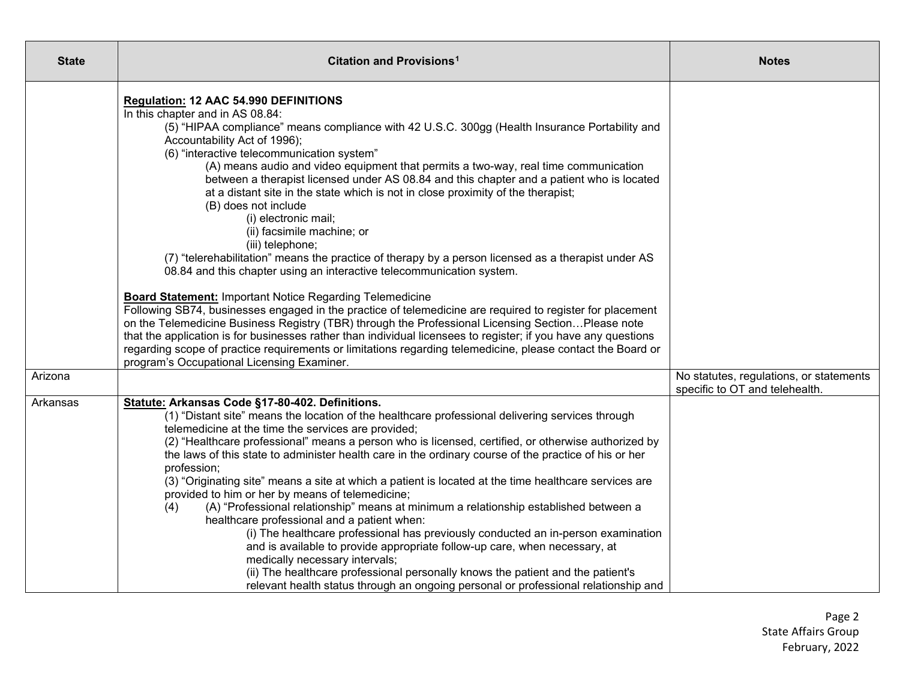| <b>State</b> | Citation and Provisions <sup>1</sup>                                                                                                                                                                                                                                                                                                                                                                                                                                                                                                                                                                                                                                                                                                                                                                                                                                                                                                                                                                                                                                                                                                                                                                                                                                                                                                                                                           | <b>Notes</b>                                                              |
|--------------|------------------------------------------------------------------------------------------------------------------------------------------------------------------------------------------------------------------------------------------------------------------------------------------------------------------------------------------------------------------------------------------------------------------------------------------------------------------------------------------------------------------------------------------------------------------------------------------------------------------------------------------------------------------------------------------------------------------------------------------------------------------------------------------------------------------------------------------------------------------------------------------------------------------------------------------------------------------------------------------------------------------------------------------------------------------------------------------------------------------------------------------------------------------------------------------------------------------------------------------------------------------------------------------------------------------------------------------------------------------------------------------------|---------------------------------------------------------------------------|
|              | <b>Regulation: 12 AAC 54.990 DEFINITIONS</b><br>In this chapter and in AS 08.84:<br>(5) "HIPAA compliance" means compliance with 42 U.S.C. 300gg (Health Insurance Portability and<br>Accountability Act of 1996);<br>(6) "interactive telecommunication system"<br>(A) means audio and video equipment that permits a two-way, real time communication<br>between a therapist licensed under AS 08.84 and this chapter and a patient who is located<br>at a distant site in the state which is not in close proximity of the therapist;<br>(B) does not include<br>(i) electronic mail;<br>(ii) facsimile machine; or<br>(iii) telephone;<br>(7) "telerehabilitation" means the practice of therapy by a person licensed as a therapist under AS<br>08.84 and this chapter using an interactive telecommunication system.<br><b>Board Statement: Important Notice Regarding Telemedicine</b><br>Following SB74, businesses engaged in the practice of telemedicine are required to register for placement<br>on the Telemedicine Business Registry (TBR) through the Professional Licensing SectionPlease note<br>that the application is for businesses rather than individual licensees to register; if you have any questions<br>regarding scope of practice requirements or limitations regarding telemedicine, please contact the Board or<br>program's Occupational Licensing Examiner. |                                                                           |
| Arizona      |                                                                                                                                                                                                                                                                                                                                                                                                                                                                                                                                                                                                                                                                                                                                                                                                                                                                                                                                                                                                                                                                                                                                                                                                                                                                                                                                                                                                | No statutes, regulations, or statements<br>specific to OT and telehealth. |
| Arkansas     | Statute: Arkansas Code §17-80-402. Definitions.<br>(1) "Distant site" means the location of the healthcare professional delivering services through<br>telemedicine at the time the services are provided;<br>(2) "Healthcare professional" means a person who is licensed, certified, or otherwise authorized by<br>the laws of this state to administer health care in the ordinary course of the practice of his or her<br>profession;<br>(3) "Originating site" means a site at which a patient is located at the time healthcare services are<br>provided to him or her by means of telemedicine;<br>(A) "Professional relationship" means at minimum a relationship established between a<br>(4)<br>healthcare professional and a patient when:<br>(i) The healthcare professional has previously conducted an in-person examination<br>and is available to provide appropriate follow-up care, when necessary, at<br>medically necessary intervals;<br>(ii) The healthcare professional personally knows the patient and the patient's<br>relevant health status through an ongoing personal or professional relationship and                                                                                                                                                                                                                                                           |                                                                           |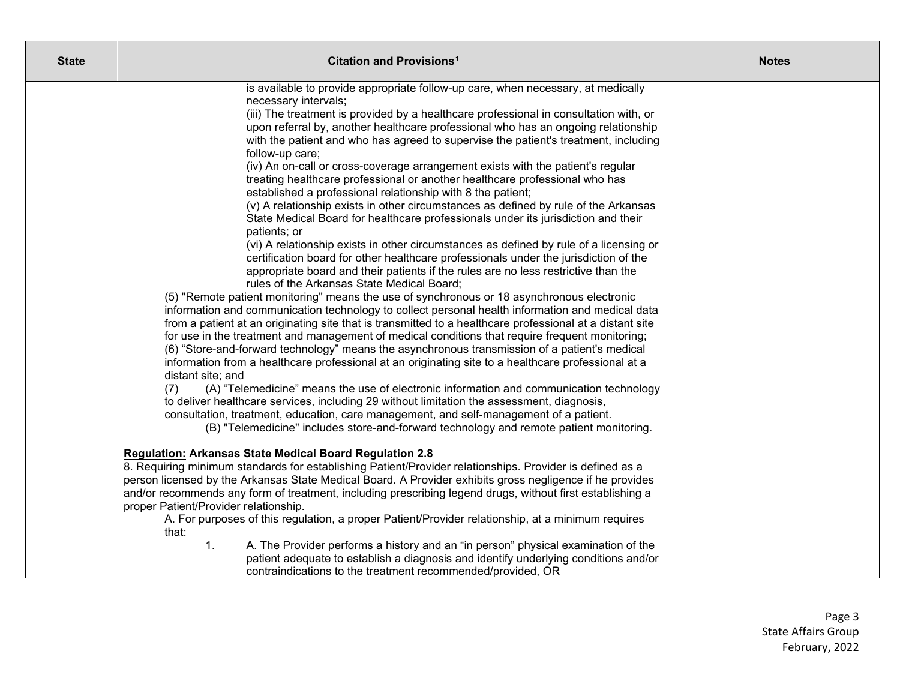| <b>State</b> | <b>Citation and Provisions<sup>1</sup></b>                                                                                                                                                                                                                                                                                                                                                                                                                                                                                                                                                                                                                                                                                                                                                                                                                                                                                                                                                                                                                                                                                                                                                                                                                                                                                                                                                                                                                                                                                                                                                                                                                                                                                                                                                                                                                                                                                                                                                                                                                                                                                                                                             | <b>Notes</b> |
|--------------|----------------------------------------------------------------------------------------------------------------------------------------------------------------------------------------------------------------------------------------------------------------------------------------------------------------------------------------------------------------------------------------------------------------------------------------------------------------------------------------------------------------------------------------------------------------------------------------------------------------------------------------------------------------------------------------------------------------------------------------------------------------------------------------------------------------------------------------------------------------------------------------------------------------------------------------------------------------------------------------------------------------------------------------------------------------------------------------------------------------------------------------------------------------------------------------------------------------------------------------------------------------------------------------------------------------------------------------------------------------------------------------------------------------------------------------------------------------------------------------------------------------------------------------------------------------------------------------------------------------------------------------------------------------------------------------------------------------------------------------------------------------------------------------------------------------------------------------------------------------------------------------------------------------------------------------------------------------------------------------------------------------------------------------------------------------------------------------------------------------------------------------------------------------------------------------|--------------|
|              | is available to provide appropriate follow-up care, when necessary, at medically<br>necessary intervals;<br>(iii) The treatment is provided by a healthcare professional in consultation with, or<br>upon referral by, another healthcare professional who has an ongoing relationship<br>with the patient and who has agreed to supervise the patient's treatment, including<br>follow-up care;<br>(iv) An on-call or cross-coverage arrangement exists with the patient's regular<br>treating healthcare professional or another healthcare professional who has<br>established a professional relationship with 8 the patient;<br>(v) A relationship exists in other circumstances as defined by rule of the Arkansas<br>State Medical Board for healthcare professionals under its jurisdiction and their<br>patients; or<br>(vi) A relationship exists in other circumstances as defined by rule of a licensing or<br>certification board for other healthcare professionals under the jurisdiction of the<br>appropriate board and their patients if the rules are no less restrictive than the<br>rules of the Arkansas State Medical Board;<br>(5) "Remote patient monitoring" means the use of synchronous or 18 asynchronous electronic<br>information and communication technology to collect personal health information and medical data<br>from a patient at an originating site that is transmitted to a healthcare professional at a distant site<br>for use in the treatment and management of medical conditions that require frequent monitoring;<br>(6) "Store-and-forward technology" means the asynchronous transmission of a patient's medical<br>information from a healthcare professional at an originating site to a healthcare professional at a<br>distant site; and<br>(A) "Telemedicine" means the use of electronic information and communication technology<br>(7)<br>to deliver healthcare services, including 29 without limitation the assessment, diagnosis,<br>consultation, treatment, education, care management, and self-management of a patient.<br>(B) "Telemedicine" includes store-and-forward technology and remote patient monitoring. |              |
|              | <b>Regulation: Arkansas State Medical Board Regulation 2.8</b><br>8. Requiring minimum standards for establishing Patient/Provider relationships. Provider is defined as a<br>person licensed by the Arkansas State Medical Board. A Provider exhibits gross negligence if he provides<br>and/or recommends any form of treatment, including prescribing legend drugs, without first establishing a<br>proper Patient/Provider relationship.<br>A. For purposes of this regulation, a proper Patient/Provider relationship, at a minimum requires<br>that:<br>A. The Provider performs a history and an "in person" physical examination of the<br>1.<br>patient adequate to establish a diagnosis and identify underlying conditions and/or<br>contraindications to the treatment recommended/provided, OR                                                                                                                                                                                                                                                                                                                                                                                                                                                                                                                                                                                                                                                                                                                                                                                                                                                                                                                                                                                                                                                                                                                                                                                                                                                                                                                                                                            |              |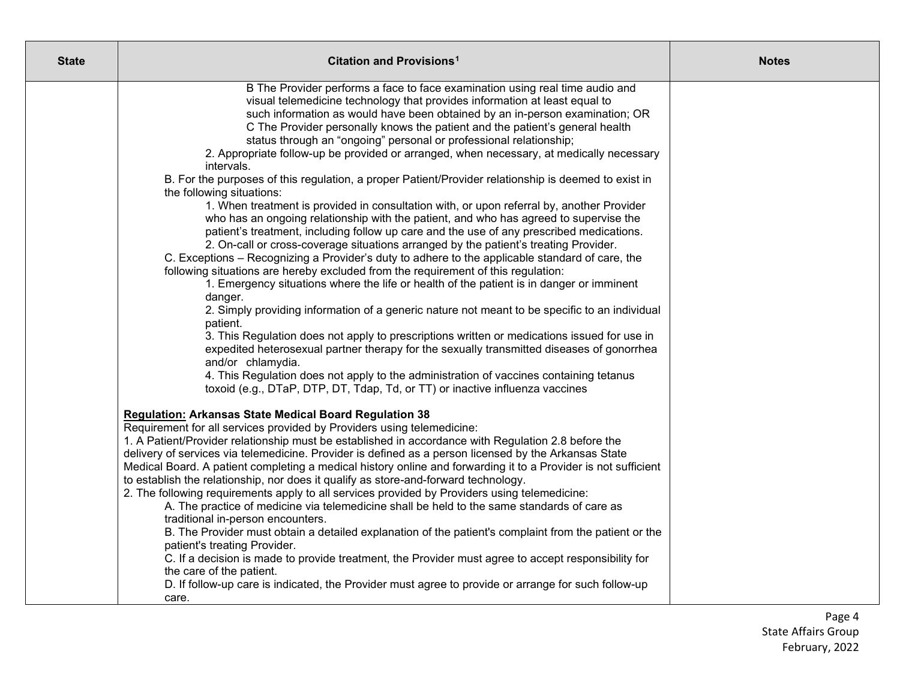| <b>State</b> | Citation and Provisions <sup>1</sup>                                                                                                | <b>Notes</b> |
|--------------|-------------------------------------------------------------------------------------------------------------------------------------|--------------|
|              | B The Provider performs a face to face examination using real time audio and                                                        |              |
|              | visual telemedicine technology that provides information at least equal to                                                          |              |
|              | such information as would have been obtained by an in-person examination; OR                                                        |              |
|              | C The Provider personally knows the patient and the patient's general health                                                        |              |
|              | status through an "ongoing" personal or professional relationship;                                                                  |              |
|              | 2. Appropriate follow-up be provided or arranged, when necessary, at medically necessary<br>intervals.                              |              |
|              | B. For the purposes of this regulation, a proper Patient/Provider relationship is deemed to exist in                                |              |
|              | the following situations:                                                                                                           |              |
|              | 1. When treatment is provided in consultation with, or upon referral by, another Provider                                           |              |
|              | who has an ongoing relationship with the patient, and who has agreed to supervise the                                               |              |
|              | patient's treatment, including follow up care and the use of any prescribed medications.                                            |              |
|              | 2. On-call or cross-coverage situations arranged by the patient's treating Provider.                                                |              |
|              | C. Exceptions – Recognizing a Provider's duty to adhere to the applicable standard of care, the                                     |              |
|              | following situations are hereby excluded from the requirement of this regulation:                                                   |              |
|              | 1. Emergency situations where the life or health of the patient is in danger or imminent                                            |              |
|              | danger.                                                                                                                             |              |
|              | 2. Simply providing information of a generic nature not meant to be specific to an individual                                       |              |
|              | patient.<br>3. This Regulation does not apply to prescriptions written or medications issued for use in                             |              |
|              | expedited heterosexual partner therapy for the sexually transmitted diseases of gonorrhea                                           |              |
|              | and/or chlamydia.                                                                                                                   |              |
|              | 4. This Regulation does not apply to the administration of vaccines containing tetanus                                              |              |
|              | toxoid (e.g., DTaP, DTP, DT, Tdap, Td, or TT) or inactive influenza vaccines                                                        |              |
|              | Regulation: Arkansas State Medical Board Regulation 38                                                                              |              |
|              | Requirement for all services provided by Providers using telemedicine:                                                              |              |
|              | 1. A Patient/Provider relationship must be established in accordance with Regulation 2.8 before the                                 |              |
|              | delivery of services via telemedicine. Provider is defined as a person licensed by the Arkansas State                               |              |
|              | Medical Board. A patient completing a medical history online and forwarding it to a Provider is not sufficient                      |              |
|              | to establish the relationship, nor does it qualify as store-and-forward technology.                                                 |              |
|              | 2. The following requirements apply to all services provided by Providers using telemedicine:                                       |              |
|              | A. The practice of medicine via telemedicine shall be held to the same standards of care as                                         |              |
|              | traditional in-person encounters.                                                                                                   |              |
|              | B. The Provider must obtain a detailed explanation of the patient's complaint from the patient or the                               |              |
|              | patient's treating Provider.<br>C. If a decision is made to provide treatment, the Provider must agree to accept responsibility for |              |
|              | the care of the patient.                                                                                                            |              |
|              | D. If follow-up care is indicated, the Provider must agree to provide or arrange for such follow-up                                 |              |
|              | care.                                                                                                                               |              |
|              |                                                                                                                                     |              |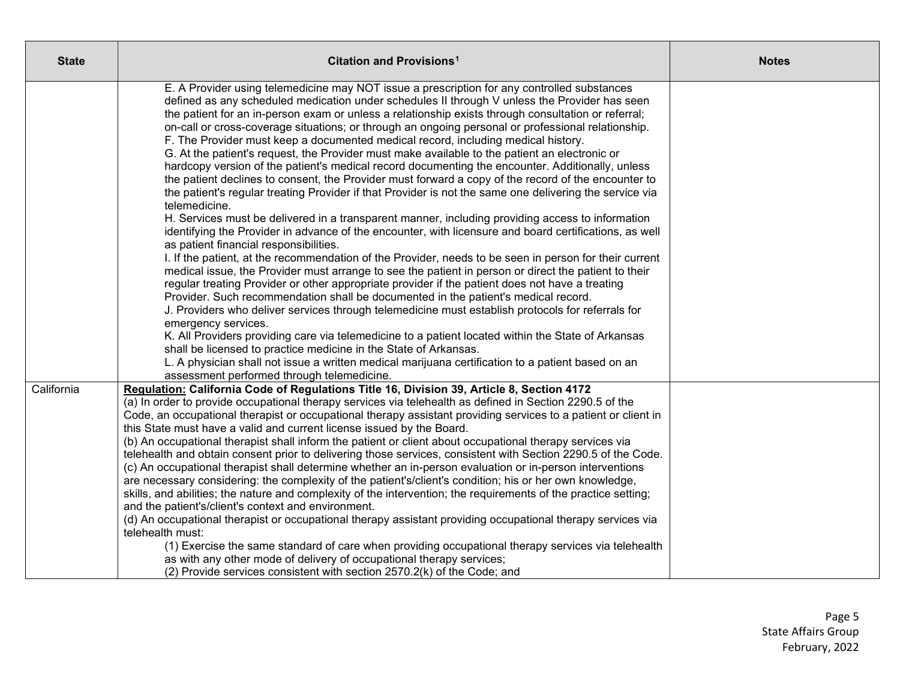| <b>State</b> | Citation and Provisions <sup>1</sup>                                                                                                                                                                                                                                                                                                                                                                                                                                                                                                                                                                                                                                                                                                                                                                                                                                                                                                                                                                                                                                                                                                                                                                                                                                                                                                                                                                                        | <b>Notes</b> |
|--------------|-----------------------------------------------------------------------------------------------------------------------------------------------------------------------------------------------------------------------------------------------------------------------------------------------------------------------------------------------------------------------------------------------------------------------------------------------------------------------------------------------------------------------------------------------------------------------------------------------------------------------------------------------------------------------------------------------------------------------------------------------------------------------------------------------------------------------------------------------------------------------------------------------------------------------------------------------------------------------------------------------------------------------------------------------------------------------------------------------------------------------------------------------------------------------------------------------------------------------------------------------------------------------------------------------------------------------------------------------------------------------------------------------------------------------------|--------------|
|              | E. A Provider using telemedicine may NOT issue a prescription for any controlled substances<br>defined as any scheduled medication under schedules II through V unless the Provider has seen<br>the patient for an in-person exam or unless a relationship exists through consultation or referral;<br>on-call or cross-coverage situations; or through an ongoing personal or professional relationship.<br>F. The Provider must keep a documented medical record, including medical history.<br>G. At the patient's request, the Provider must make available to the patient an electronic or<br>hardcopy version of the patient's medical record documenting the encounter. Additionally, unless<br>the patient declines to consent, the Provider must forward a copy of the record of the encounter to<br>the patient's regular treating Provider if that Provider is not the same one delivering the service via<br>telemedicine.<br>H. Services must be delivered in a transparent manner, including providing access to information<br>identifying the Provider in advance of the encounter, with licensure and board certifications, as well<br>as patient financial responsibilities.                                                                                                                                                                                                                              |              |
|              | I. If the patient, at the recommendation of the Provider, needs to be seen in person for their current<br>medical issue, the Provider must arrange to see the patient in person or direct the patient to their<br>regular treating Provider or other appropriate provider if the patient does not have a treating<br>Provider. Such recommendation shall be documented in the patient's medical record.<br>J. Providers who deliver services through telemedicine must establish protocols for referrals for<br>emergency services.<br>K. All Providers providing care via telemedicine to a patient located within the State of Arkansas<br>shall be licensed to practice medicine in the State of Arkansas.<br>L. A physician shall not issue a written medical marijuana certification to a patient based on an<br>assessment performed through telemedicine.                                                                                                                                                                                                                                                                                                                                                                                                                                                                                                                                                            |              |
| California   | Regulation: California Code of Regulations Title 16, Division 39, Article 8, Section 4172<br>(a) In order to provide occupational therapy services via telehealth as defined in Section 2290.5 of the<br>Code, an occupational therapist or occupational therapy assistant providing services to a patient or client in<br>this State must have a valid and current license issued by the Board.<br>(b) An occupational therapist shall inform the patient or client about occupational therapy services via<br>telehealth and obtain consent prior to delivering those services, consistent with Section 2290.5 of the Code.<br>(c) An occupational therapist shall determine whether an in-person evaluation or in-person interventions<br>are necessary considering: the complexity of the patient's/client's condition; his or her own knowledge,<br>skills, and abilities; the nature and complexity of the intervention; the requirements of the practice setting;<br>and the patient's/client's context and environment.<br>(d) An occupational therapist or occupational therapy assistant providing occupational therapy services via<br>telehealth must:<br>(1) Exercise the same standard of care when providing occupational therapy services via telehealth<br>as with any other mode of delivery of occupational therapy services;<br>(2) Provide services consistent with section 2570.2(k) of the Code; and |              |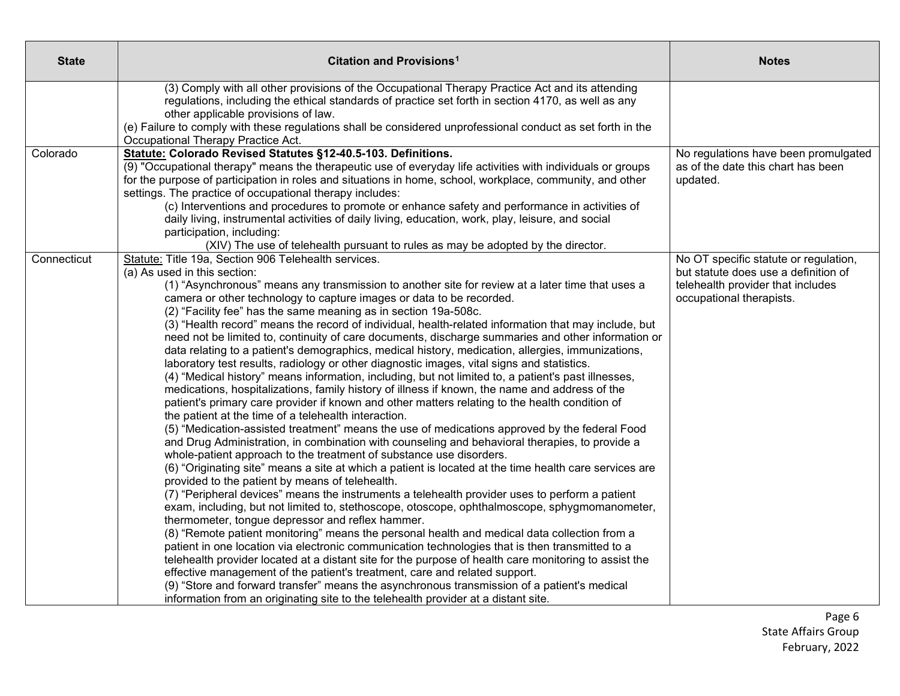| <b>State</b> | Citation and Provisions <sup>1</sup>                                                                                                                                                                                                                                                                                                                                                                                                                                                                                                                                                                                                                                                                                                                                                                                                                                                                                                                                                                                                                                                                                                                                     | <b>Notes</b>                                                                                          |
|--------------|--------------------------------------------------------------------------------------------------------------------------------------------------------------------------------------------------------------------------------------------------------------------------------------------------------------------------------------------------------------------------------------------------------------------------------------------------------------------------------------------------------------------------------------------------------------------------------------------------------------------------------------------------------------------------------------------------------------------------------------------------------------------------------------------------------------------------------------------------------------------------------------------------------------------------------------------------------------------------------------------------------------------------------------------------------------------------------------------------------------------------------------------------------------------------|-------------------------------------------------------------------------------------------------------|
|              | (3) Comply with all other provisions of the Occupational Therapy Practice Act and its attending<br>regulations, including the ethical standards of practice set forth in section 4170, as well as any                                                                                                                                                                                                                                                                                                                                                                                                                                                                                                                                                                                                                                                                                                                                                                                                                                                                                                                                                                    |                                                                                                       |
|              | other applicable provisions of law.<br>(e) Failure to comply with these regulations shall be considered unprofessional conduct as set forth in the<br>Occupational Therapy Practice Act.                                                                                                                                                                                                                                                                                                                                                                                                                                                                                                                                                                                                                                                                                                                                                                                                                                                                                                                                                                                 |                                                                                                       |
| Colorado     | Statute: Colorado Revised Statutes §12-40.5-103. Definitions.<br>(9) "Occupational therapy" means the therapeutic use of everyday life activities with individuals or groups<br>for the purpose of participation in roles and situations in home, school, workplace, community, and other                                                                                                                                                                                                                                                                                                                                                                                                                                                                                                                                                                                                                                                                                                                                                                                                                                                                                | No regulations have been promulgated<br>as of the date this chart has been<br>updated.                |
|              | settings. The practice of occupational therapy includes:<br>(c) Interventions and procedures to promote or enhance safety and performance in activities of<br>daily living, instrumental activities of daily living, education, work, play, leisure, and social<br>participation, including:                                                                                                                                                                                                                                                                                                                                                                                                                                                                                                                                                                                                                                                                                                                                                                                                                                                                             |                                                                                                       |
|              | (XIV) The use of telehealth pursuant to rules as may be adopted by the director.                                                                                                                                                                                                                                                                                                                                                                                                                                                                                                                                                                                                                                                                                                                                                                                                                                                                                                                                                                                                                                                                                         |                                                                                                       |
| Connecticut  | Statute: Title 19a, Section 906 Telehealth services.                                                                                                                                                                                                                                                                                                                                                                                                                                                                                                                                                                                                                                                                                                                                                                                                                                                                                                                                                                                                                                                                                                                     | No OT specific statute or regulation,                                                                 |
|              | (a) As used in this section:<br>(1) "Asynchronous" means any transmission to another site for review at a later time that uses a<br>camera or other technology to capture images or data to be recorded.<br>(2) "Facility fee" has the same meaning as in section 19a-508c.<br>(3) "Health record" means the record of individual, health-related information that may include, but<br>need not be limited to, continuity of care documents, discharge summaries and other information or<br>data relating to a patient's demographics, medical history, medication, allergies, immunizations,<br>laboratory test results, radiology or other diagnostic images, vital signs and statistics.<br>(4) "Medical history" means information, including, but not limited to, a patient's past illnesses,<br>medications, hospitalizations, family history of illness if known, the name and address of the<br>patient's primary care provider if known and other matters relating to the health condition of<br>the patient at the time of a telehealth interaction.<br>(5) "Medication-assisted treatment" means the use of medications approved by the federal Food         | but statute does use a definition of<br>telehealth provider that includes<br>occupational therapists. |
|              | and Drug Administration, in combination with counseling and behavioral therapies, to provide a<br>whole-patient approach to the treatment of substance use disorders.<br>(6) "Originating site" means a site at which a patient is located at the time health care services are<br>provided to the patient by means of telehealth.<br>(7) "Peripheral devices" means the instruments a telehealth provider uses to perform a patient<br>exam, including, but not limited to, stethoscope, otoscope, ophthalmoscope, sphygmomanometer,<br>thermometer, tongue depressor and reflex hammer.<br>(8) "Remote patient monitoring" means the personal health and medical data collection from a<br>patient in one location via electronic communication technologies that is then transmitted to a<br>telehealth provider located at a distant site for the purpose of health care monitoring to assist the<br>effective management of the patient's treatment, care and related support.<br>(9) "Store and forward transfer" means the asynchronous transmission of a patient's medical<br>information from an originating site to the telehealth provider at a distant site. |                                                                                                       |

Page 6 State Affairs Group February, 2022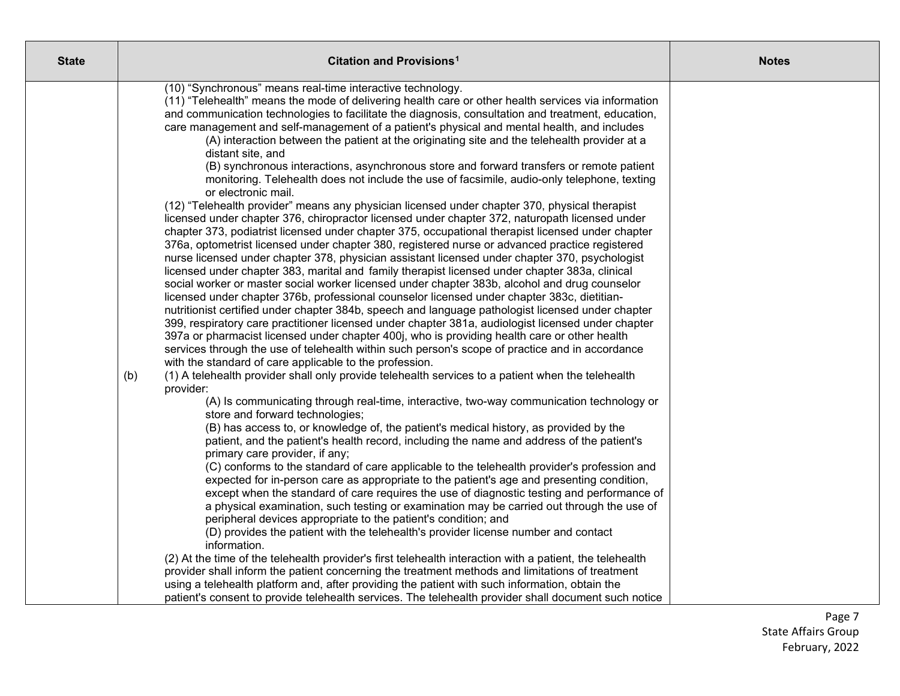| <b>State</b> | Citation and Provisions <sup>1</sup>                                                                                                                                                                                                                                                                                                                                                                                                                                                                                                                                                                                                                                                                                                                                                                                                                                                                                                                                                                                                                                                                                                                                                                                                                                                                                                                                                                                                                                                                                                                                                                                                                                                                                                                                                                                                                                                                                                                                                                                                                                                                                                                                                                                                                                                                                                                                                                                                                                                                                                                                                                                                                                                                                                                                                                                                                                                                                                                                                                                                                                                                                                                                                                                                                                                                                                                                                                                                                                         | <b>Notes</b> |
|--------------|------------------------------------------------------------------------------------------------------------------------------------------------------------------------------------------------------------------------------------------------------------------------------------------------------------------------------------------------------------------------------------------------------------------------------------------------------------------------------------------------------------------------------------------------------------------------------------------------------------------------------------------------------------------------------------------------------------------------------------------------------------------------------------------------------------------------------------------------------------------------------------------------------------------------------------------------------------------------------------------------------------------------------------------------------------------------------------------------------------------------------------------------------------------------------------------------------------------------------------------------------------------------------------------------------------------------------------------------------------------------------------------------------------------------------------------------------------------------------------------------------------------------------------------------------------------------------------------------------------------------------------------------------------------------------------------------------------------------------------------------------------------------------------------------------------------------------------------------------------------------------------------------------------------------------------------------------------------------------------------------------------------------------------------------------------------------------------------------------------------------------------------------------------------------------------------------------------------------------------------------------------------------------------------------------------------------------------------------------------------------------------------------------------------------------------------------------------------------------------------------------------------------------------------------------------------------------------------------------------------------------------------------------------------------------------------------------------------------------------------------------------------------------------------------------------------------------------------------------------------------------------------------------------------------------------------------------------------------------------------------------------------------------------------------------------------------------------------------------------------------------------------------------------------------------------------------------------------------------------------------------------------------------------------------------------------------------------------------------------------------------------------------------------------------------------------------------------------------------|--------------|
|              | (10) "Synchronous" means real-time interactive technology.<br>(11) "Telehealth" means the mode of delivering health care or other health services via information<br>and communication technologies to facilitate the diagnosis, consultation and treatment, education,<br>care management and self-management of a patient's physical and mental health, and includes<br>(A) interaction between the patient at the originating site and the telehealth provider at a<br>distant site, and<br>(B) synchronous interactions, asynchronous store and forward transfers or remote patient<br>monitoring. Telehealth does not include the use of facsimile, audio-only telephone, texting<br>or electronic mail.<br>(12) "Telehealth provider" means any physician licensed under chapter 370, physical therapist<br>licensed under chapter 376, chiropractor licensed under chapter 372, naturopath licensed under<br>chapter 373, podiatrist licensed under chapter 375, occupational therapist licensed under chapter<br>376a, optometrist licensed under chapter 380, registered nurse or advanced practice registered<br>nurse licensed under chapter 378, physician assistant licensed under chapter 370, psychologist<br>licensed under chapter 383, marital and family therapist licensed under chapter 383a, clinical<br>social worker or master social worker licensed under chapter 383b, alcohol and drug counselor<br>licensed under chapter 376b, professional counselor licensed under chapter 383c, dietitian-<br>nutritionist certified under chapter 384b, speech and language pathologist licensed under chapter<br>399, respiratory care practitioner licensed under chapter 381a, audiologist licensed under chapter<br>397a or pharmacist licensed under chapter 400j, who is providing health care or other health<br>services through the use of telehealth within such person's scope of practice and in accordance<br>with the standard of care applicable to the profession.<br>(1) A telehealth provider shall only provide telehealth services to a patient when the telehealth<br>(b)<br>provider:<br>(A) Is communicating through real-time, interactive, two-way communication technology or<br>store and forward technologies;<br>(B) has access to, or knowledge of, the patient's medical history, as provided by the<br>patient, and the patient's health record, including the name and address of the patient's<br>primary care provider, if any;<br>(C) conforms to the standard of care applicable to the telehealth provider's profession and<br>expected for in-person care as appropriate to the patient's age and presenting condition,<br>except when the standard of care requires the use of diagnostic testing and performance of<br>a physical examination, such testing or examination may be carried out through the use of<br>peripheral devices appropriate to the patient's condition; and<br>(D) provides the patient with the telehealth's provider license number and contact<br>information.<br>(2) At the time of the telehealth provider's first telehealth interaction with a patient, the telehealth<br>provider shall inform the patient concerning the treatment methods and limitations of treatment<br>using a telehealth platform and, after providing the patient with such information, obtain the<br>patient's consent to provide telehealth services. The telehealth provider shall document such notice |              |
|              |                                                                                                                                                                                                                                                                                                                                                                                                                                                                                                                                                                                                                                                                                                                                                                                                                                                                                                                                                                                                                                                                                                                                                                                                                                                                                                                                                                                                                                                                                                                                                                                                                                                                                                                                                                                                                                                                                                                                                                                                                                                                                                                                                                                                                                                                                                                                                                                                                                                                                                                                                                                                                                                                                                                                                                                                                                                                                                                                                                                                                                                                                                                                                                                                                                                                                                                                                                                                                                                                              |              |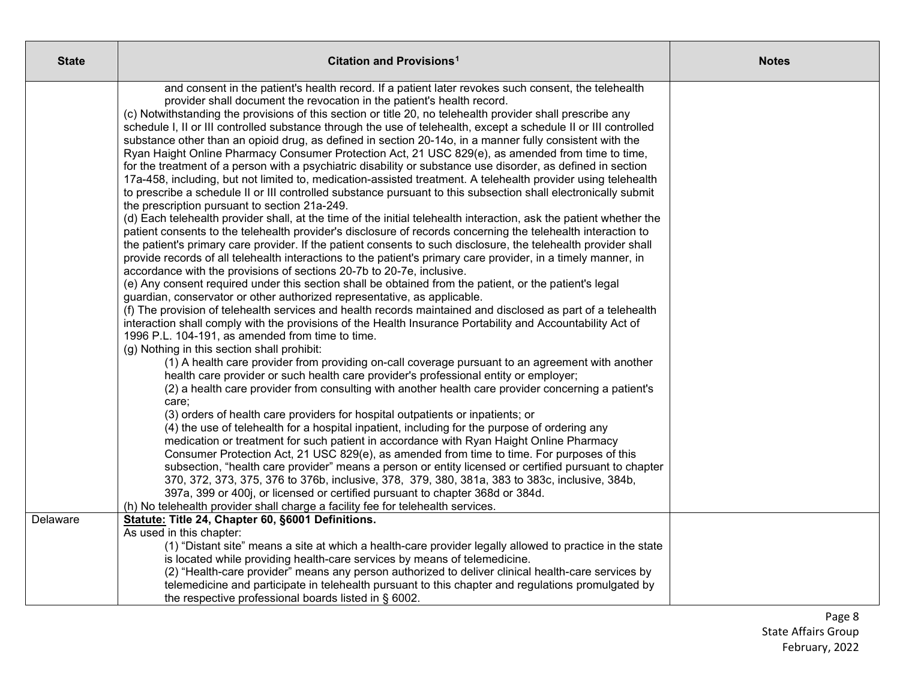| <b>State</b> | Citation and Provisions <sup>1</sup>                                                                                                                                                                                            | <b>Notes</b> |
|--------------|---------------------------------------------------------------------------------------------------------------------------------------------------------------------------------------------------------------------------------|--------------|
|              | and consent in the patient's health record. If a patient later revokes such consent, the telehealth                                                                                                                             |              |
|              | provider shall document the revocation in the patient's health record.                                                                                                                                                          |              |
|              | (c) Notwithstanding the provisions of this section or title 20, no telehealth provider shall prescribe any                                                                                                                      |              |
|              | schedule I, II or III controlled substance through the use of telehealth, except a schedule II or III controlled                                                                                                                |              |
|              | substance other than an opioid drug, as defined in section 20-14o, in a manner fully consistent with the                                                                                                                        |              |
|              | Ryan Haight Online Pharmacy Consumer Protection Act, 21 USC 829(e), as amended from time to time,                                                                                                                               |              |
|              | for the treatment of a person with a psychiatric disability or substance use disorder, as defined in section                                                                                                                    |              |
|              | 17a-458, including, but not limited to, medication-assisted treatment. A telehealth provider using telehealth<br>to prescribe a schedule II or III controlled substance pursuant to this subsection shall electronically submit |              |
|              | the prescription pursuant to section 21a-249.                                                                                                                                                                                   |              |
|              | (d) Each telehealth provider shall, at the time of the initial telehealth interaction, ask the patient whether the                                                                                                              |              |
|              | patient consents to the telehealth provider's disclosure of records concerning the telehealth interaction to                                                                                                                    |              |
|              | the patient's primary care provider. If the patient consents to such disclosure, the telehealth provider shall                                                                                                                  |              |
|              | provide records of all telehealth interactions to the patient's primary care provider, in a timely manner, in                                                                                                                   |              |
|              | accordance with the provisions of sections 20-7b to 20-7e, inclusive.                                                                                                                                                           |              |
|              | (e) Any consent required under this section shall be obtained from the patient, or the patient's legal                                                                                                                          |              |
|              | guardian, conservator or other authorized representative, as applicable.                                                                                                                                                        |              |
|              | (f) The provision of telehealth services and health records maintained and disclosed as part of a telehealth                                                                                                                    |              |
|              | interaction shall comply with the provisions of the Health Insurance Portability and Accountability Act of                                                                                                                      |              |
|              | 1996 P.L. 104-191, as amended from time to time.                                                                                                                                                                                |              |
|              | (g) Nothing in this section shall prohibit:                                                                                                                                                                                     |              |
|              | (1) A health care provider from providing on-call coverage pursuant to an agreement with another                                                                                                                                |              |
|              | health care provider or such health care provider's professional entity or employer;                                                                                                                                            |              |
|              | (2) a health care provider from consulting with another health care provider concerning a patient's                                                                                                                             |              |
|              | care;<br>(3) orders of health care providers for hospital outpatients or inpatients; or                                                                                                                                         |              |
|              | (4) the use of telehealth for a hospital inpatient, including for the purpose of ordering any                                                                                                                                   |              |
|              | medication or treatment for such patient in accordance with Ryan Haight Online Pharmacy                                                                                                                                         |              |
|              | Consumer Protection Act, 21 USC 829(e), as amended from time to time. For purposes of this                                                                                                                                      |              |
|              | subsection, "health care provider" means a person or entity licensed or certified pursuant to chapter                                                                                                                           |              |
|              | 370, 372, 373, 375, 376 to 376b, inclusive, 378, 379, 380, 381a, 383 to 383c, inclusive, 384b,                                                                                                                                  |              |
|              | 397a, 399 or 400j, or licensed or certified pursuant to chapter 368d or 384d.                                                                                                                                                   |              |
|              | (h) No telehealth provider shall charge a facility fee for telehealth services.                                                                                                                                                 |              |
| Delaware     | Statute: Title 24, Chapter 60, §6001 Definitions.                                                                                                                                                                               |              |
|              | As used in this chapter:                                                                                                                                                                                                        |              |
|              | (1) "Distant site" means a site at which a health-care provider legally allowed to practice in the state                                                                                                                        |              |
|              | is located while providing health-care services by means of telemedicine.                                                                                                                                                       |              |
|              | (2) "Health-care provider" means any person authorized to deliver clinical health-care services by                                                                                                                              |              |
|              | telemedicine and participate in telehealth pursuant to this chapter and regulations promulgated by                                                                                                                              |              |
|              | the respective professional boards listed in § 6002.                                                                                                                                                                            |              |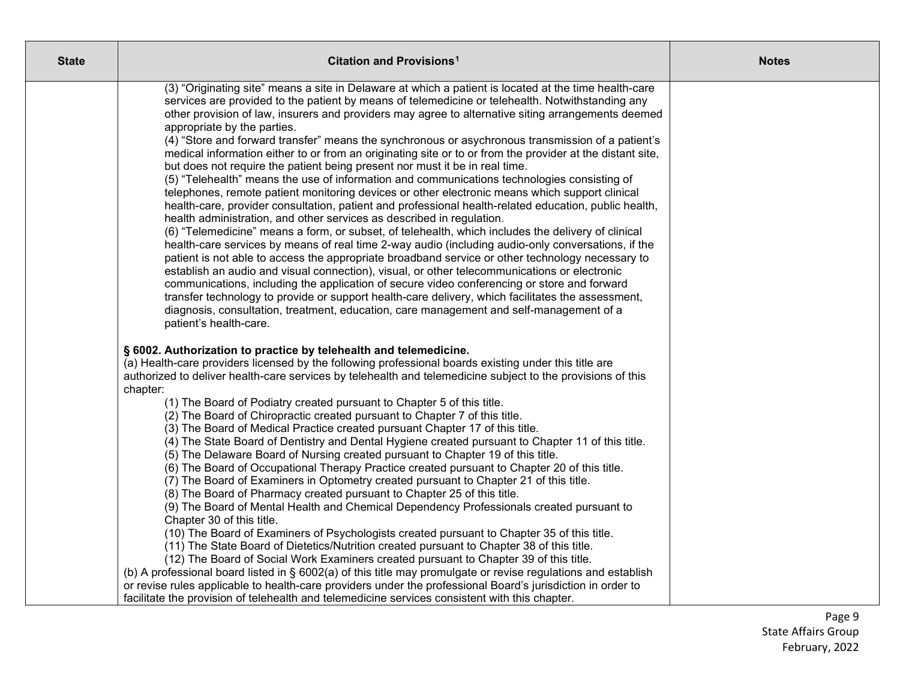| <b>State</b> | Citation and Provisions <sup>1</sup>                                                                                                                                                                                                                                                                                                                                                                                                                                                                                                                                                                                                                                                                                                                                                                                                                                                                                                                                                                                                                                                                                                                                                                                                                                                                                                                                                                                                                                                                                                                                                                                                                                                                                                                                        | <b>Notes</b> |
|--------------|-----------------------------------------------------------------------------------------------------------------------------------------------------------------------------------------------------------------------------------------------------------------------------------------------------------------------------------------------------------------------------------------------------------------------------------------------------------------------------------------------------------------------------------------------------------------------------------------------------------------------------------------------------------------------------------------------------------------------------------------------------------------------------------------------------------------------------------------------------------------------------------------------------------------------------------------------------------------------------------------------------------------------------------------------------------------------------------------------------------------------------------------------------------------------------------------------------------------------------------------------------------------------------------------------------------------------------------------------------------------------------------------------------------------------------------------------------------------------------------------------------------------------------------------------------------------------------------------------------------------------------------------------------------------------------------------------------------------------------------------------------------------------------|--------------|
|              | (3) "Originating site" means a site in Delaware at which a patient is located at the time health-care<br>services are provided to the patient by means of telemedicine or telehealth. Notwithstanding any<br>other provision of law, insurers and providers may agree to alternative siting arrangements deemed<br>appropriate by the parties.<br>(4) "Store and forward transfer" means the synchronous or asychronous transmission of a patient's<br>medical information either to or from an originating site or to or from the provider at the distant site,<br>but does not require the patient being present nor must it be in real time.<br>(5) "Telehealth" means the use of information and communications technologies consisting of<br>telephones, remote patient monitoring devices or other electronic means which support clinical<br>health-care, provider consultation, patient and professional health-related education, public health,<br>health administration, and other services as described in regulation.<br>(6) "Telemedicine" means a form, or subset, of telehealth, which includes the delivery of clinical<br>health-care services by means of real time 2-way audio (including audio-only conversations, if the<br>patient is not able to access the appropriate broadband service or other technology necessary to<br>establish an audio and visual connection), visual, or other telecommunications or electronic<br>communications, including the application of secure video conferencing or store and forward<br>transfer technology to provide or support health-care delivery, which facilitates the assessment,<br>diagnosis, consultation, treatment, education, care management and self-management of a<br>patient's health-care. |              |
|              | § 6002. Authorization to practice by telehealth and telemedicine.<br>(a) Health-care providers licensed by the following professional boards existing under this title are<br>authorized to deliver health-care services by telehealth and telemedicine subject to the provisions of this<br>chapter:<br>(1) The Board of Podiatry created pursuant to Chapter 5 of this title.<br>(2) The Board of Chiropractic created pursuant to Chapter 7 of this title.<br>(3) The Board of Medical Practice created pursuant Chapter 17 of this title.<br>(4) The State Board of Dentistry and Dental Hygiene created pursuant to Chapter 11 of this title.<br>(5) The Delaware Board of Nursing created pursuant to Chapter 19 of this title.<br>(6) The Board of Occupational Therapy Practice created pursuant to Chapter 20 of this title.<br>(7) The Board of Examiners in Optometry created pursuant to Chapter 21 of this title.<br>(8) The Board of Pharmacy created pursuant to Chapter 25 of this title.<br>(9) The Board of Mental Health and Chemical Dependency Professionals created pursuant to<br>Chapter 30 of this title.<br>(10) The Board of Examiners of Psychologists created pursuant to Chapter 35 of this title.<br>(11) The State Board of Dietetics/Nutrition created pursuant to Chapter 38 of this title.<br>(12) The Board of Social Work Examiners created pursuant to Chapter 39 of this title.<br>(b) A professional board listed in § 6002(a) of this title may promulgate or revise regulations and establish<br>or revise rules applicable to health-care providers under the professional Board's jurisdiction in order to<br>facilitate the provision of telehealth and telemedicine services consistent with this chapter.                    |              |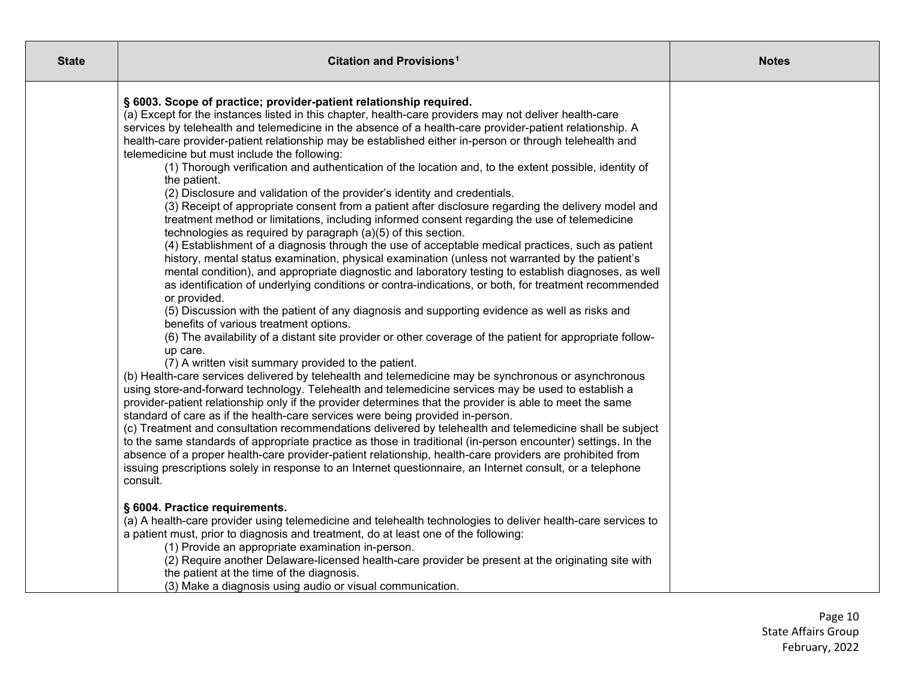| <b>State</b> | Citation and Provisions <sup>1</sup>                                                                                                                                                                                                                                                                                                                                                                                                                                                                                                                                                                                                                                                                                                                                                                                                                                                                                                                                                                                                                                                                                                                                                                                                                                                                                                                                                                                                                                                                                                                                                                                                                                                                                                                                                                                                                                                                                                                                                                                                                                                                                                                                                                                                                                                                                                                                                                                                                                                                                                                                                 | <b>Notes</b> |
|--------------|--------------------------------------------------------------------------------------------------------------------------------------------------------------------------------------------------------------------------------------------------------------------------------------------------------------------------------------------------------------------------------------------------------------------------------------------------------------------------------------------------------------------------------------------------------------------------------------------------------------------------------------------------------------------------------------------------------------------------------------------------------------------------------------------------------------------------------------------------------------------------------------------------------------------------------------------------------------------------------------------------------------------------------------------------------------------------------------------------------------------------------------------------------------------------------------------------------------------------------------------------------------------------------------------------------------------------------------------------------------------------------------------------------------------------------------------------------------------------------------------------------------------------------------------------------------------------------------------------------------------------------------------------------------------------------------------------------------------------------------------------------------------------------------------------------------------------------------------------------------------------------------------------------------------------------------------------------------------------------------------------------------------------------------------------------------------------------------------------------------------------------------------------------------------------------------------------------------------------------------------------------------------------------------------------------------------------------------------------------------------------------------------------------------------------------------------------------------------------------------------------------------------------------------------------------------------------------------|--------------|
|              | § 6003. Scope of practice; provider-patient relationship required.<br>(a) Except for the instances listed in this chapter, health-care providers may not deliver health-care<br>services by telehealth and telemedicine in the absence of a health-care provider-patient relationship. A<br>health-care provider-patient relationship may be established either in-person or through telehealth and<br>telemedicine but must include the following:<br>(1) Thorough verification and authentication of the location and, to the extent possible, identity of<br>the patient.<br>(2) Disclosure and validation of the provider's identity and credentials.<br>(3) Receipt of appropriate consent from a patient after disclosure regarding the delivery model and<br>treatment method or limitations, including informed consent regarding the use of telemedicine<br>technologies as required by paragraph (a)(5) of this section.<br>(4) Establishment of a diagnosis through the use of acceptable medical practices, such as patient<br>history, mental status examination, physical examination (unless not warranted by the patient's<br>mental condition), and appropriate diagnostic and laboratory testing to establish diagnoses, as well<br>as identification of underlying conditions or contra-indications, or both, for treatment recommended<br>or provided.<br>(5) Discussion with the patient of any diagnosis and supporting evidence as well as risks and<br>benefits of various treatment options.<br>(6) The availability of a distant site provider or other coverage of the patient for appropriate follow-<br>up care.<br>(7) A written visit summary provided to the patient.<br>(b) Health-care services delivered by telehealth and telemedicine may be synchronous or asynchronous<br>using store-and-forward technology. Telehealth and telemedicine services may be used to establish a<br>provider-patient relationship only if the provider determines that the provider is able to meet the same<br>standard of care as if the health-care services were being provided in-person.<br>(c) Treatment and consultation recommendations delivered by telehealth and telemedicine shall be subject<br>to the same standards of appropriate practice as those in traditional (in-person encounter) settings. In the<br>absence of a proper health-care provider-patient relationship, health-care providers are prohibited from<br>issuing prescriptions solely in response to an Internet questionnaire, an Internet consult, or a telephone<br>consult. |              |
|              | § 6004. Practice requirements.<br>(a) A health-care provider using telemedicine and telehealth technologies to deliver health-care services to<br>a patient must, prior to diagnosis and treatment, do at least one of the following:<br>(1) Provide an appropriate examination in-person.<br>(2) Require another Delaware-licensed health-care provider be present at the originating site with<br>the patient at the time of the diagnosis.<br>(3) Make a diagnosis using audio or visual communication.                                                                                                                                                                                                                                                                                                                                                                                                                                                                                                                                                                                                                                                                                                                                                                                                                                                                                                                                                                                                                                                                                                                                                                                                                                                                                                                                                                                                                                                                                                                                                                                                                                                                                                                                                                                                                                                                                                                                                                                                                                                                           |              |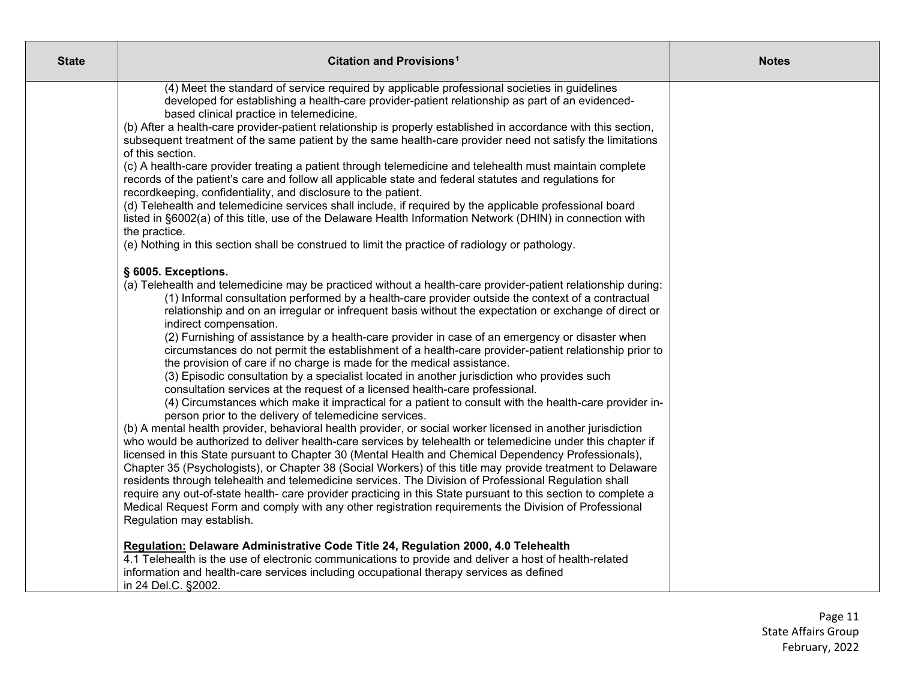| <b>State</b> | <b>Citation and Provisions<sup>1</sup></b>                                                                                                                                                                                                                                                                                                                                                                                                                                                                                                                                                                                                                                                                                                                                                                                                                                                                                                                                                                                                                                                                                                                                                                                                                                                                                                                                                                                                                                                                                                                                                                                                                                | <b>Notes</b> |
|--------------|---------------------------------------------------------------------------------------------------------------------------------------------------------------------------------------------------------------------------------------------------------------------------------------------------------------------------------------------------------------------------------------------------------------------------------------------------------------------------------------------------------------------------------------------------------------------------------------------------------------------------------------------------------------------------------------------------------------------------------------------------------------------------------------------------------------------------------------------------------------------------------------------------------------------------------------------------------------------------------------------------------------------------------------------------------------------------------------------------------------------------------------------------------------------------------------------------------------------------------------------------------------------------------------------------------------------------------------------------------------------------------------------------------------------------------------------------------------------------------------------------------------------------------------------------------------------------------------------------------------------------------------------------------------------------|--------------|
|              | (4) Meet the standard of service required by applicable professional societies in guidelines<br>developed for establishing a health-care provider-patient relationship as part of an evidenced-<br>based clinical practice in telemedicine.<br>(b) After a health-care provider-patient relationship is properly established in accordance with this section,<br>subsequent treatment of the same patient by the same health-care provider need not satisfy the limitations<br>of this section.<br>(c) A health-care provider treating a patient through telemedicine and telehealth must maintain complete<br>records of the patient's care and follow all applicable state and federal statutes and regulations for<br>recordkeeping, confidentiality, and disclosure to the patient.<br>(d) Telehealth and telemedicine services shall include, if required by the applicable professional board<br>listed in §6002(a) of this title, use of the Delaware Health Information Network (DHIN) in connection with<br>the practice.<br>(e) Nothing in this section shall be construed to limit the practice of radiology or pathology.<br>§ 6005. Exceptions.<br>(a) Telehealth and telemedicine may be practiced without a health-care provider-patient relationship during:<br>(1) Informal consultation performed by a health-care provider outside the context of a contractual<br>relationship and on an irregular or infrequent basis without the expectation or exchange of direct or<br>indirect compensation.<br>(2) Furnishing of assistance by a health-care provider in case of an emergency or disaster when                                                  |              |
|              | circumstances do not permit the establishment of a health-care provider-patient relationship prior to<br>the provision of care if no charge is made for the medical assistance.<br>(3) Episodic consultation by a specialist located in another jurisdiction who provides such<br>consultation services at the request of a licensed health-care professional.<br>(4) Circumstances which make it impractical for a patient to consult with the health-care provider in-<br>person prior to the delivery of telemedicine services.<br>(b) A mental health provider, behavioral health provider, or social worker licensed in another jurisdiction<br>who would be authorized to deliver health-care services by telehealth or telemedicine under this chapter if<br>licensed in this State pursuant to Chapter 30 (Mental Health and Chemical Dependency Professionals),<br>Chapter 35 (Psychologists), or Chapter 38 (Social Workers) of this title may provide treatment to Delaware<br>residents through telehealth and telemedicine services. The Division of Professional Regulation shall<br>require any out-of-state health- care provider practicing in this State pursuant to this section to complete a<br>Medical Request Form and comply with any other registration requirements the Division of Professional<br>Regulation may establish.<br>Regulation: Delaware Administrative Code Title 24, Regulation 2000, 4.0 Telehealth<br>4.1 Telehealth is the use of electronic communications to provide and deliver a host of health-related<br>information and health-care services including occupational therapy services as defined<br>in 24 Del.C. §2002. |              |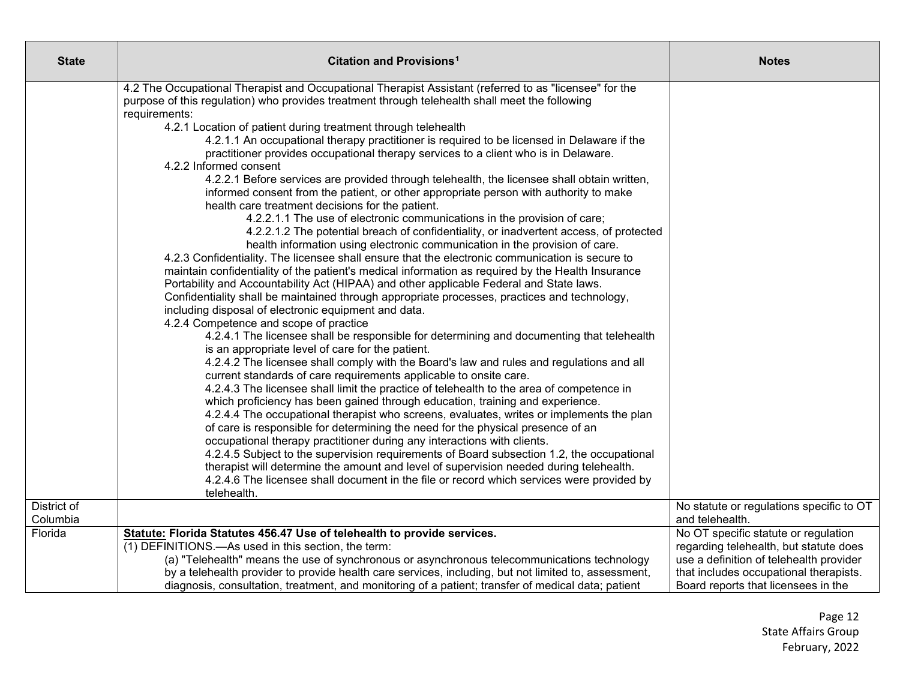| <b>State</b>        | <b>Citation and Provisions<sup>1</sup></b>                                                                                                                                                                                                                                                                                                                                                                                                                                                                                                                                                                                                                                                                                                                                                                                                                                                                                                                                                                                                                                                                                                                                                                                                                                                                                                                                                                                                                                                                                                                                                                                                                                                                                                                                                                                                                                                                                                                                                                                                                                                                                                                                                                                                                                                                                                                                                                                                                                                                                                                                  | <b>Notes</b>                                                                      |
|---------------------|-----------------------------------------------------------------------------------------------------------------------------------------------------------------------------------------------------------------------------------------------------------------------------------------------------------------------------------------------------------------------------------------------------------------------------------------------------------------------------------------------------------------------------------------------------------------------------------------------------------------------------------------------------------------------------------------------------------------------------------------------------------------------------------------------------------------------------------------------------------------------------------------------------------------------------------------------------------------------------------------------------------------------------------------------------------------------------------------------------------------------------------------------------------------------------------------------------------------------------------------------------------------------------------------------------------------------------------------------------------------------------------------------------------------------------------------------------------------------------------------------------------------------------------------------------------------------------------------------------------------------------------------------------------------------------------------------------------------------------------------------------------------------------------------------------------------------------------------------------------------------------------------------------------------------------------------------------------------------------------------------------------------------------------------------------------------------------------------------------------------------------------------------------------------------------------------------------------------------------------------------------------------------------------------------------------------------------------------------------------------------------------------------------------------------------------------------------------------------------------------------------------------------------------------------------------------------------|-----------------------------------------------------------------------------------|
|                     | 4.2 The Occupational Therapist and Occupational Therapist Assistant (referred to as "licensee" for the<br>purpose of this regulation) who provides treatment through telehealth shall meet the following<br>requirements:<br>4.2.1 Location of patient during treatment through telehealth<br>4.2.1.1 An occupational therapy practitioner is required to be licensed in Delaware if the<br>practitioner provides occupational therapy services to a client who is in Delaware.<br>4.2.2 Informed consent<br>4.2.2.1 Before services are provided through telehealth, the licensee shall obtain written,<br>informed consent from the patient, or other appropriate person with authority to make<br>health care treatment decisions for the patient.<br>4.2.2.1.1 The use of electronic communications in the provision of care;<br>4.2.2.1.2 The potential breach of confidentiality, or inadvertent access, of protected<br>health information using electronic communication in the provision of care.<br>4.2.3 Confidentiality. The licensee shall ensure that the electronic communication is secure to<br>maintain confidentiality of the patient's medical information as required by the Health Insurance<br>Portability and Accountability Act (HIPAA) and other applicable Federal and State laws.<br>Confidentiality shall be maintained through appropriate processes, practices and technology,<br>including disposal of electronic equipment and data.<br>4.2.4 Competence and scope of practice<br>4.2.4.1 The licensee shall be responsible for determining and documenting that telehealth<br>is an appropriate level of care for the patient.<br>4.2.4.2 The licensee shall comply with the Board's law and rules and regulations and all<br>current standards of care requirements applicable to onsite care.<br>4.2.4.3 The licensee shall limit the practice of telehealth to the area of competence in<br>which proficiency has been gained through education, training and experience.<br>4.2.4.4 The occupational therapist who screens, evaluates, writes or implements the plan<br>of care is responsible for determining the need for the physical presence of an<br>occupational therapy practitioner during any interactions with clients.<br>4.2.4.5 Subject to the supervision requirements of Board subsection 1.2, the occupational<br>therapist will determine the amount and level of supervision needed during telehealth.<br>4.2.4.6 The licensee shall document in the file or record which services were provided by<br>telehealth. |                                                                                   |
| District of         |                                                                                                                                                                                                                                                                                                                                                                                                                                                                                                                                                                                                                                                                                                                                                                                                                                                                                                                                                                                                                                                                                                                                                                                                                                                                                                                                                                                                                                                                                                                                                                                                                                                                                                                                                                                                                                                                                                                                                                                                                                                                                                                                                                                                                                                                                                                                                                                                                                                                                                                                                                             | No statute or regulations specific to OT                                          |
| Columbia<br>Florida | Statute: Florida Statutes 456.47 Use of telehealth to provide services.                                                                                                                                                                                                                                                                                                                                                                                                                                                                                                                                                                                                                                                                                                                                                                                                                                                                                                                                                                                                                                                                                                                                                                                                                                                                                                                                                                                                                                                                                                                                                                                                                                                                                                                                                                                                                                                                                                                                                                                                                                                                                                                                                                                                                                                                                                                                                                                                                                                                                                     | and telehealth.<br>No OT specific statute or regulation                           |
|                     | (1) DEFINITIONS.—As used in this section, the term:<br>(a) "Telehealth" means the use of synchronous or asynchronous telecommunications technology                                                                                                                                                                                                                                                                                                                                                                                                                                                                                                                                                                                                                                                                                                                                                                                                                                                                                                                                                                                                                                                                                                                                                                                                                                                                                                                                                                                                                                                                                                                                                                                                                                                                                                                                                                                                                                                                                                                                                                                                                                                                                                                                                                                                                                                                                                                                                                                                                          | regarding telehealth, but statute does<br>use a definition of telehealth provider |
|                     | by a telehealth provider to provide health care services, including, but not limited to, assessment,<br>diagnosis, consultation, treatment, and monitoring of a patient; transfer of medical data; patient                                                                                                                                                                                                                                                                                                                                                                                                                                                                                                                                                                                                                                                                                                                                                                                                                                                                                                                                                                                                                                                                                                                                                                                                                                                                                                                                                                                                                                                                                                                                                                                                                                                                                                                                                                                                                                                                                                                                                                                                                                                                                                                                                                                                                                                                                                                                                                  | that includes occupational therapists.<br>Board reports that licensees in the     |
|                     |                                                                                                                                                                                                                                                                                                                                                                                                                                                                                                                                                                                                                                                                                                                                                                                                                                                                                                                                                                                                                                                                                                                                                                                                                                                                                                                                                                                                                                                                                                                                                                                                                                                                                                                                                                                                                                                                                                                                                                                                                                                                                                                                                                                                                                                                                                                                                                                                                                                                                                                                                                             |                                                                                   |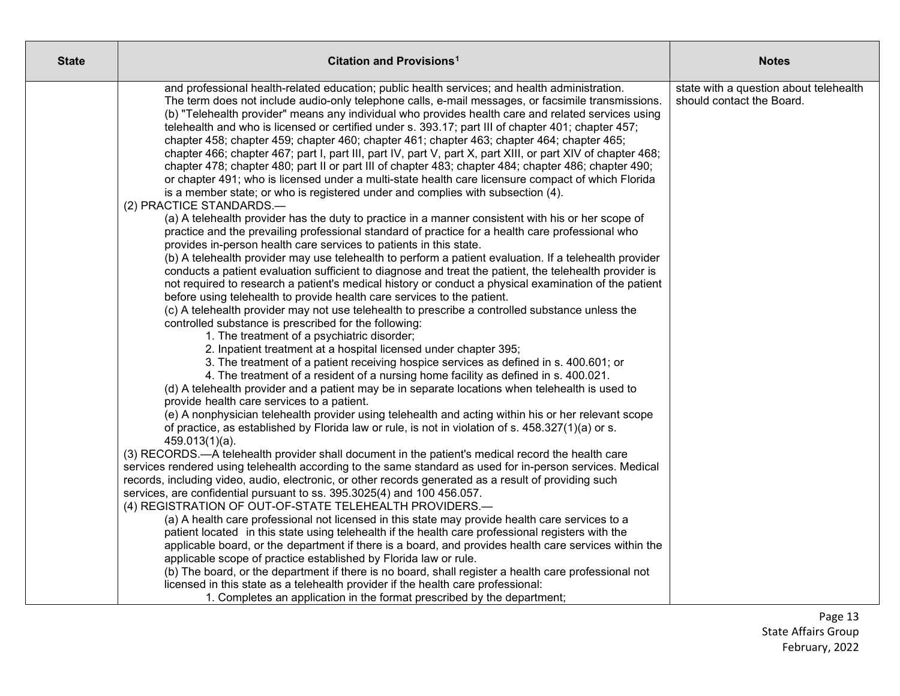| <b>State</b> | Citation and Provisions <sup>1</sup>                                                                                                                                                                                                                                                                                                                                                                                                                                                                                                                                                                                                                                                                                                                                                                                                                                                                                                                                                                                                                                                                                                                                                                                                                                                                                                                                                                                                                                                                                                                                                                                                                                                                                                                                                                                                                                                                                                                                                                                                                                                                                                                                                                                                                                                                                                                                                                                                                                                                                                                                                                                                                                                                                                                                                                                          | <b>Notes</b>                                                        |
|--------------|-------------------------------------------------------------------------------------------------------------------------------------------------------------------------------------------------------------------------------------------------------------------------------------------------------------------------------------------------------------------------------------------------------------------------------------------------------------------------------------------------------------------------------------------------------------------------------------------------------------------------------------------------------------------------------------------------------------------------------------------------------------------------------------------------------------------------------------------------------------------------------------------------------------------------------------------------------------------------------------------------------------------------------------------------------------------------------------------------------------------------------------------------------------------------------------------------------------------------------------------------------------------------------------------------------------------------------------------------------------------------------------------------------------------------------------------------------------------------------------------------------------------------------------------------------------------------------------------------------------------------------------------------------------------------------------------------------------------------------------------------------------------------------------------------------------------------------------------------------------------------------------------------------------------------------------------------------------------------------------------------------------------------------------------------------------------------------------------------------------------------------------------------------------------------------------------------------------------------------------------------------------------------------------------------------------------------------------------------------------------------------------------------------------------------------------------------------------------------------------------------------------------------------------------------------------------------------------------------------------------------------------------------------------------------------------------------------------------------------------------------------------------------------------------------------------------------------|---------------------------------------------------------------------|
|              | and professional health-related education; public health services; and health administration.<br>The term does not include audio-only telephone calls, e-mail messages, or facsimile transmissions.<br>(b) "Telehealth provider" means any individual who provides health care and related services using<br>telehealth and who is licensed or certified under s. 393.17; part III of chapter 401; chapter 457;<br>chapter 458; chapter 459; chapter 460; chapter 461; chapter 463; chapter 464; chapter 465;<br>chapter 466; chapter 467; part I, part III, part IV, part V, part X, part XIII, or part XIV of chapter 468;<br>chapter 478; chapter 480; part II or part III of chapter 483; chapter 484; chapter 486; chapter 490;<br>or chapter 491; who is licensed under a multi-state health care licensure compact of which Florida<br>is a member state; or who is registered under and complies with subsection (4).<br>(2) PRACTICE STANDARDS.-<br>(a) A telehealth provider has the duty to practice in a manner consistent with his or her scope of<br>practice and the prevailing professional standard of practice for a health care professional who<br>provides in-person health care services to patients in this state.<br>(b) A telehealth provider may use telehealth to perform a patient evaluation. If a telehealth provider<br>conducts a patient evaluation sufficient to diagnose and treat the patient, the telehealth provider is<br>not required to research a patient's medical history or conduct a physical examination of the patient<br>before using telehealth to provide health care services to the patient.<br>(c) A telehealth provider may not use telehealth to prescribe a controlled substance unless the<br>controlled substance is prescribed for the following:<br>1. The treatment of a psychiatric disorder;<br>2. Inpatient treatment at a hospital licensed under chapter 395;<br>3. The treatment of a patient receiving hospice services as defined in s. 400.601; or<br>4. The treatment of a resident of a nursing home facility as defined in s. 400.021.<br>(d) A telehealth provider and a patient may be in separate locations when telehealth is used to<br>provide health care services to a patient.<br>(e) A nonphysician telehealth provider using telehealth and acting within his or her relevant scope<br>of practice, as established by Florida law or rule, is not in violation of s. 458.327(1)(a) or s.<br>$459.013(1)(a)$ .<br>(3) RECORDS.—A telehealth provider shall document in the patient's medical record the health care<br>services rendered using telehealth according to the same standard as used for in-person services. Medical<br>records, including video, audio, electronic, or other records generated as a result of providing such | state with a question about telehealth<br>should contact the Board. |
|              | services, are confidential pursuant to ss. 395.3025(4) and 100 456.057.<br>(4) REGISTRATION OF OUT-OF-STATE TELEHEALTH PROVIDERS.-                                                                                                                                                                                                                                                                                                                                                                                                                                                                                                                                                                                                                                                                                                                                                                                                                                                                                                                                                                                                                                                                                                                                                                                                                                                                                                                                                                                                                                                                                                                                                                                                                                                                                                                                                                                                                                                                                                                                                                                                                                                                                                                                                                                                                                                                                                                                                                                                                                                                                                                                                                                                                                                                                            |                                                                     |
|              | (a) A health care professional not licensed in this state may provide health care services to a<br>patient located in this state using telehealth if the health care professional registers with the<br>applicable board, or the department if there is a board, and provides health care services within the<br>applicable scope of practice established by Florida law or rule.                                                                                                                                                                                                                                                                                                                                                                                                                                                                                                                                                                                                                                                                                                                                                                                                                                                                                                                                                                                                                                                                                                                                                                                                                                                                                                                                                                                                                                                                                                                                                                                                                                                                                                                                                                                                                                                                                                                                                                                                                                                                                                                                                                                                                                                                                                                                                                                                                                             |                                                                     |
|              | (b) The board, or the department if there is no board, shall register a health care professional not<br>licensed in this state as a telehealth provider if the health care professional:<br>1. Completes an application in the format prescribed by the department;                                                                                                                                                                                                                                                                                                                                                                                                                                                                                                                                                                                                                                                                                                                                                                                                                                                                                                                                                                                                                                                                                                                                                                                                                                                                                                                                                                                                                                                                                                                                                                                                                                                                                                                                                                                                                                                                                                                                                                                                                                                                                                                                                                                                                                                                                                                                                                                                                                                                                                                                                           |                                                                     |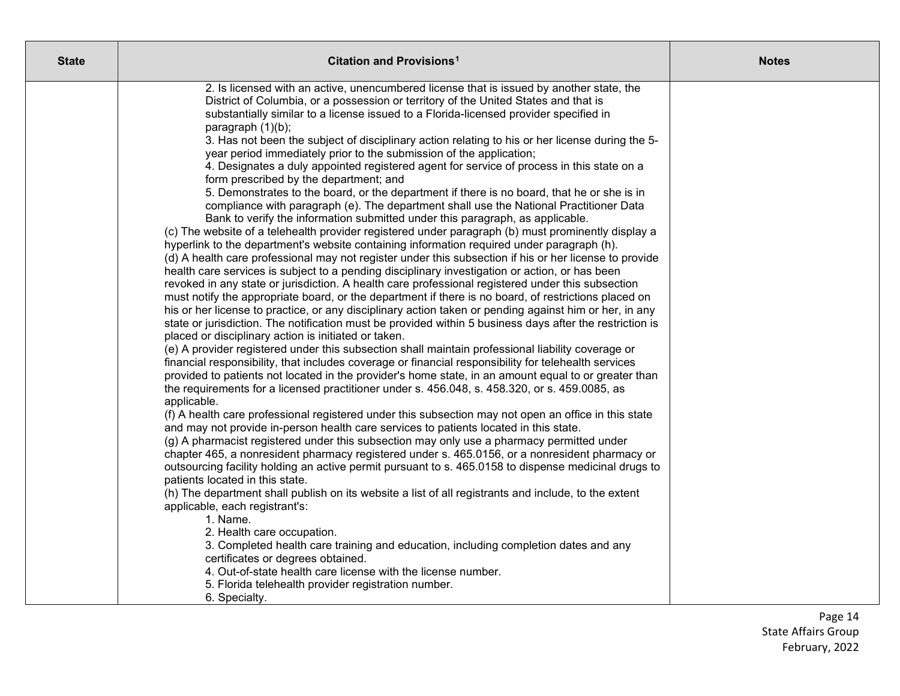| <b>State</b> | Citation and Provisions <sup>1</sup>                                                                                                                                                                                                                                                                                                                                                                                                                                                                                                                                                                                                                                                                                                                                                                                                                                                                                                                                                                                                                                                                                                                                                                                                                                                                                                                                                                                                                                                                                                                                                                                                                                                                                                                                                                                                                                                                    | <b>Notes</b> |
|--------------|---------------------------------------------------------------------------------------------------------------------------------------------------------------------------------------------------------------------------------------------------------------------------------------------------------------------------------------------------------------------------------------------------------------------------------------------------------------------------------------------------------------------------------------------------------------------------------------------------------------------------------------------------------------------------------------------------------------------------------------------------------------------------------------------------------------------------------------------------------------------------------------------------------------------------------------------------------------------------------------------------------------------------------------------------------------------------------------------------------------------------------------------------------------------------------------------------------------------------------------------------------------------------------------------------------------------------------------------------------------------------------------------------------------------------------------------------------------------------------------------------------------------------------------------------------------------------------------------------------------------------------------------------------------------------------------------------------------------------------------------------------------------------------------------------------------------------------------------------------------------------------------------------------|--------------|
|              | 2. Is licensed with an active, unencumbered license that is issued by another state, the<br>District of Columbia, or a possession or territory of the United States and that is<br>substantially similar to a license issued to a Florida-licensed provider specified in<br>paragraph (1)(b);<br>3. Has not been the subject of disciplinary action relating to his or her license during the 5-<br>year period immediately prior to the submission of the application;<br>4. Designates a duly appointed registered agent for service of process in this state on a<br>form prescribed by the department; and<br>5. Demonstrates to the board, or the department if there is no board, that he or she is in<br>compliance with paragraph (e). The department shall use the National Practitioner Data<br>Bank to verify the information submitted under this paragraph, as applicable.<br>(c) The website of a telehealth provider registered under paragraph (b) must prominently display a<br>hyperlink to the department's website containing information required under paragraph (h).<br>(d) A health care professional may not register under this subsection if his or her license to provide<br>health care services is subject to a pending disciplinary investigation or action, or has been<br>revoked in any state or jurisdiction. A health care professional registered under this subsection<br>must notify the appropriate board, or the department if there is no board, of restrictions placed on<br>his or her license to practice, or any disciplinary action taken or pending against him or her, in any<br>state or jurisdiction. The notification must be provided within 5 business days after the restriction is<br>placed or disciplinary action is initiated or taken.<br>(e) A provider registered under this subsection shall maintain professional liability coverage or |              |
|              | financial responsibility, that includes coverage or financial responsibility for telehealth services<br>provided to patients not located in the provider's home state, in an amount equal to or greater than<br>the requirements for a licensed practitioner under s. 456.048, s. 458.320, or s. 459.0085, as<br>applicable.<br>(f) A health care professional registered under this subsection may not open an office in this state<br>and may not provide in-person health care services to patients located in this state.<br>(g) A pharmacist registered under this subsection may only use a pharmacy permitted under<br>chapter 465, a nonresident pharmacy registered under s. 465.0156, or a nonresident pharmacy or<br>outsourcing facility holding an active permit pursuant to s. 465.0158 to dispense medicinal drugs to<br>patients located in this state.<br>(h) The department shall publish on its website a list of all registrants and include, to the extent<br>applicable, each registrant's:<br>1. Name.<br>2. Health care occupation.<br>3. Completed health care training and education, including completion dates and any<br>certificates or degrees obtained.<br>4. Out-of-state health care license with the license number.<br>5. Florida telehealth provider registration number.<br>6. Specialty.                                                                                                                                                                                                                                                                                                                                                                                                                                                                                                                                                                         |              |

Page 14 State Affairs Group February, 2022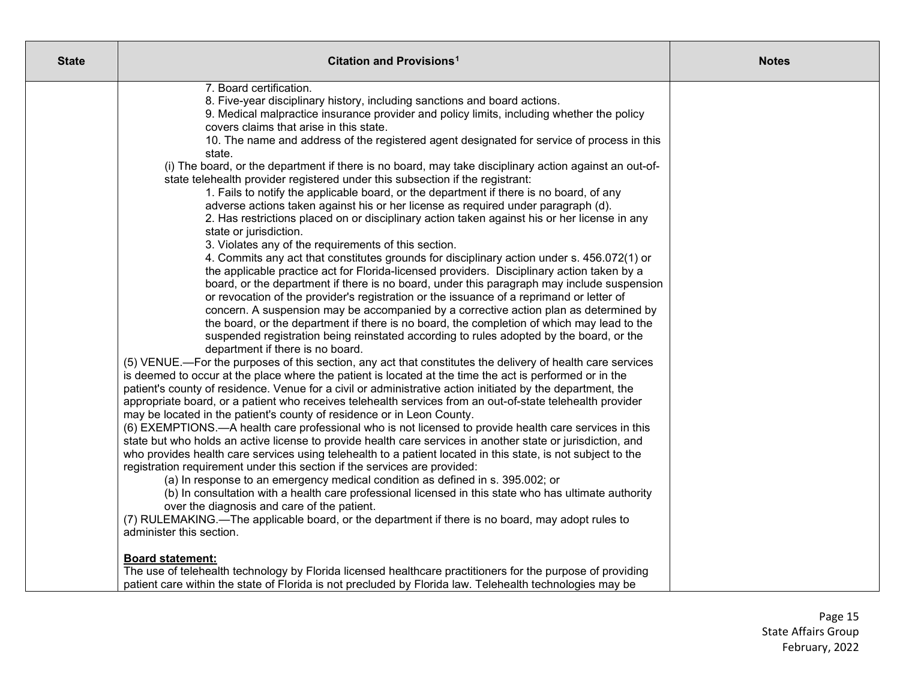| <b>State</b> | Citation and Provisions <sup>1</sup>                                                                                                                                                                                                                                                                                                                                                                                                                                                                                                                                                                                                                                                                                                                                                                                                                                                                                                                                                                                                                                                                                                                                                                                                                                                                                                                                                                                                                                                                                                                                                                                                                                                                                                                                                                                                                                                                                                                                                                                                                                                                                                                                                                                                                                                                                                                                                                                                                                                                                                                                                                                                                                                                                                                                                                                                                                                                                                                        | <b>Notes</b> |
|--------------|-------------------------------------------------------------------------------------------------------------------------------------------------------------------------------------------------------------------------------------------------------------------------------------------------------------------------------------------------------------------------------------------------------------------------------------------------------------------------------------------------------------------------------------------------------------------------------------------------------------------------------------------------------------------------------------------------------------------------------------------------------------------------------------------------------------------------------------------------------------------------------------------------------------------------------------------------------------------------------------------------------------------------------------------------------------------------------------------------------------------------------------------------------------------------------------------------------------------------------------------------------------------------------------------------------------------------------------------------------------------------------------------------------------------------------------------------------------------------------------------------------------------------------------------------------------------------------------------------------------------------------------------------------------------------------------------------------------------------------------------------------------------------------------------------------------------------------------------------------------------------------------------------------------------------------------------------------------------------------------------------------------------------------------------------------------------------------------------------------------------------------------------------------------------------------------------------------------------------------------------------------------------------------------------------------------------------------------------------------------------------------------------------------------------------------------------------------------------------------------------------------------------------------------------------------------------------------------------------------------------------------------------------------------------------------------------------------------------------------------------------------------------------------------------------------------------------------------------------------------------------------------------------------------------------------------------------------------|--------------|
|              | 7. Board certification.<br>8. Five-year disciplinary history, including sanctions and board actions.<br>9. Medical malpractice insurance provider and policy limits, including whether the policy<br>covers claims that arise in this state.<br>10. The name and address of the registered agent designated for service of process in this<br>state.<br>(i) The board, or the department if there is no board, may take disciplinary action against an out-of-<br>state telehealth provider registered under this subsection if the registrant:<br>1. Fails to notify the applicable board, or the department if there is no board, of any<br>adverse actions taken against his or her license as required under paragraph (d).<br>2. Has restrictions placed on or disciplinary action taken against his or her license in any<br>state or jurisdiction.<br>3. Violates any of the requirements of this section.<br>4. Commits any act that constitutes grounds for disciplinary action under s. 456.072(1) or<br>the applicable practice act for Florida-licensed providers. Disciplinary action taken by a<br>board, or the department if there is no board, under this paragraph may include suspension<br>or revocation of the provider's registration or the issuance of a reprimand or letter of<br>concern. A suspension may be accompanied by a corrective action plan as determined by<br>the board, or the department if there is no board, the completion of which may lead to the<br>suspended registration being reinstated according to rules adopted by the board, or the<br>department if there is no board.<br>(5) VENUE.—For the purposes of this section, any act that constitutes the delivery of health care services<br>is deemed to occur at the place where the patient is located at the time the act is performed or in the<br>patient's county of residence. Venue for a civil or administrative action initiated by the department, the<br>appropriate board, or a patient who receives telehealth services from an out-of-state telehealth provider<br>may be located in the patient's county of residence or in Leon County.<br>(6) EXEMPTIONS.—A health care professional who is not licensed to provide health care services in this<br>state but who holds an active license to provide health care services in another state or jurisdiction, and<br>who provides health care services using telehealth to a patient located in this state, is not subject to the<br>registration requirement under this section if the services are provided:<br>(a) In response to an emergency medical condition as defined in s. 395.002; or<br>(b) In consultation with a health care professional licensed in this state who has ultimate authority<br>over the diagnosis and care of the patient.<br>(7) RULEMAKING.—The applicable board, or the department if there is no board, may adopt rules to<br>administer this section. |              |
|              | <b>Board statement:</b><br>The use of telehealth technology by Florida licensed healthcare practitioners for the purpose of providing<br>patient care within the state of Florida is not precluded by Florida law. Telehealth technologies may be                                                                                                                                                                                                                                                                                                                                                                                                                                                                                                                                                                                                                                                                                                                                                                                                                                                                                                                                                                                                                                                                                                                                                                                                                                                                                                                                                                                                                                                                                                                                                                                                                                                                                                                                                                                                                                                                                                                                                                                                                                                                                                                                                                                                                                                                                                                                                                                                                                                                                                                                                                                                                                                                                                           |              |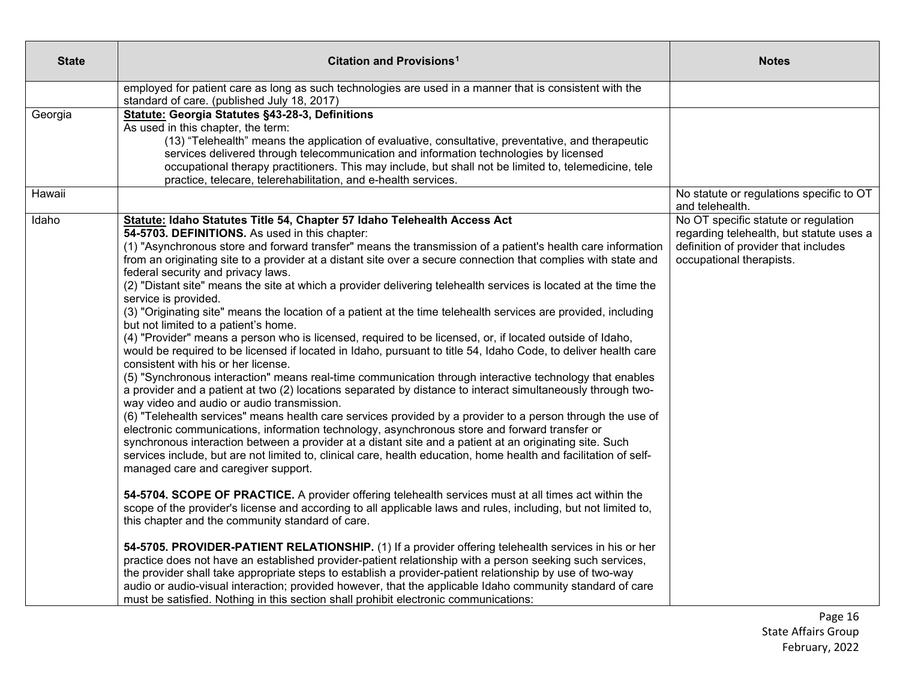| <b>State</b> | Citation and Provisions <sup>1</sup>                                                                                                                                                                                                                                                                                                                                                                                                                                                                                                                                                                                                                                                                                                                                                                                                                                                                                                                                                                                                                                                                                                                                                                                                                                                                                                                                                                                                                                                                                                                                                                                                                                                                                                                                                                                                                                                                                                                                                                                                                                                                                                                                                                                                                                                                                                                                                                                                                                                                                                                        | <b>Notes</b>                                                                                                                                         |
|--------------|-------------------------------------------------------------------------------------------------------------------------------------------------------------------------------------------------------------------------------------------------------------------------------------------------------------------------------------------------------------------------------------------------------------------------------------------------------------------------------------------------------------------------------------------------------------------------------------------------------------------------------------------------------------------------------------------------------------------------------------------------------------------------------------------------------------------------------------------------------------------------------------------------------------------------------------------------------------------------------------------------------------------------------------------------------------------------------------------------------------------------------------------------------------------------------------------------------------------------------------------------------------------------------------------------------------------------------------------------------------------------------------------------------------------------------------------------------------------------------------------------------------------------------------------------------------------------------------------------------------------------------------------------------------------------------------------------------------------------------------------------------------------------------------------------------------------------------------------------------------------------------------------------------------------------------------------------------------------------------------------------------------------------------------------------------------------------------------------------------------------------------------------------------------------------------------------------------------------------------------------------------------------------------------------------------------------------------------------------------------------------------------------------------------------------------------------------------------------------------------------------------------------------------------------------------------|------------------------------------------------------------------------------------------------------------------------------------------------------|
|              | employed for patient care as long as such technologies are used in a manner that is consistent with the<br>standard of care. (published July 18, 2017)                                                                                                                                                                                                                                                                                                                                                                                                                                                                                                                                                                                                                                                                                                                                                                                                                                                                                                                                                                                                                                                                                                                                                                                                                                                                                                                                                                                                                                                                                                                                                                                                                                                                                                                                                                                                                                                                                                                                                                                                                                                                                                                                                                                                                                                                                                                                                                                                      |                                                                                                                                                      |
| Georgia      | Statute: Georgia Statutes §43-28-3, Definitions<br>As used in this chapter, the term:<br>(13) "Telehealth" means the application of evaluative, consultative, preventative, and therapeutic<br>services delivered through telecommunication and information technologies by licensed<br>occupational therapy practitioners. This may include, but shall not be limited to, telemedicine, tele<br>practice, telecare, telerehabilitation, and e-health services.                                                                                                                                                                                                                                                                                                                                                                                                                                                                                                                                                                                                                                                                                                                                                                                                                                                                                                                                                                                                                                                                                                                                                                                                                                                                                                                                                                                                                                                                                                                                                                                                                                                                                                                                                                                                                                                                                                                                                                                                                                                                                             |                                                                                                                                                      |
| Hawaii       |                                                                                                                                                                                                                                                                                                                                                                                                                                                                                                                                                                                                                                                                                                                                                                                                                                                                                                                                                                                                                                                                                                                                                                                                                                                                                                                                                                                                                                                                                                                                                                                                                                                                                                                                                                                                                                                                                                                                                                                                                                                                                                                                                                                                                                                                                                                                                                                                                                                                                                                                                             | No statute or regulations specific to OT<br>and telehealth.                                                                                          |
| Idaho        | Statute: Idaho Statutes Title 54, Chapter 57 Idaho Telehealth Access Act<br>54-5703. DEFINITIONS. As used in this chapter:<br>(1) "Asynchronous store and forward transfer" means the transmission of a patient's health care information<br>from an originating site to a provider at a distant site over a secure connection that complies with state and<br>federal security and privacy laws.<br>(2) "Distant site" means the site at which a provider delivering telehealth services is located at the time the<br>service is provided.<br>(3) "Originating site" means the location of a patient at the time telehealth services are provided, including<br>but not limited to a patient's home.<br>(4) "Provider" means a person who is licensed, required to be licensed, or, if located outside of Idaho,<br>would be required to be licensed if located in Idaho, pursuant to title 54, Idaho Code, to deliver health care<br>consistent with his or her license.<br>(5) "Synchronous interaction" means real-time communication through interactive technology that enables<br>a provider and a patient at two (2) locations separated by distance to interact simultaneously through two-<br>way video and audio or audio transmission.<br>(6) "Telehealth services" means health care services provided by a provider to a person through the use of<br>electronic communications, information technology, asynchronous store and forward transfer or<br>synchronous interaction between a provider at a distant site and a patient at an originating site. Such<br>services include, but are not limited to, clinical care, health education, home health and facilitation of self-<br>managed care and caregiver support.<br>54-5704. SCOPE OF PRACTICE. A provider offering telehealth services must at all times act within the<br>scope of the provider's license and according to all applicable laws and rules, including, but not limited to,<br>this chapter and the community standard of care.<br>54-5705. PROVIDER-PATIENT RELATIONSHIP. (1) If a provider offering telehealth services in his or her<br>practice does not have an established provider-patient relationship with a person seeking such services,<br>the provider shall take appropriate steps to establish a provider-patient relationship by use of two-way<br>audio or audio-visual interaction; provided however, that the applicable Idaho community standard of care<br>must be satisfied. Nothing in this section shall prohibit electronic communications: | No OT specific statute or regulation<br>regarding telehealth, but statute uses a<br>definition of provider that includes<br>occupational therapists. |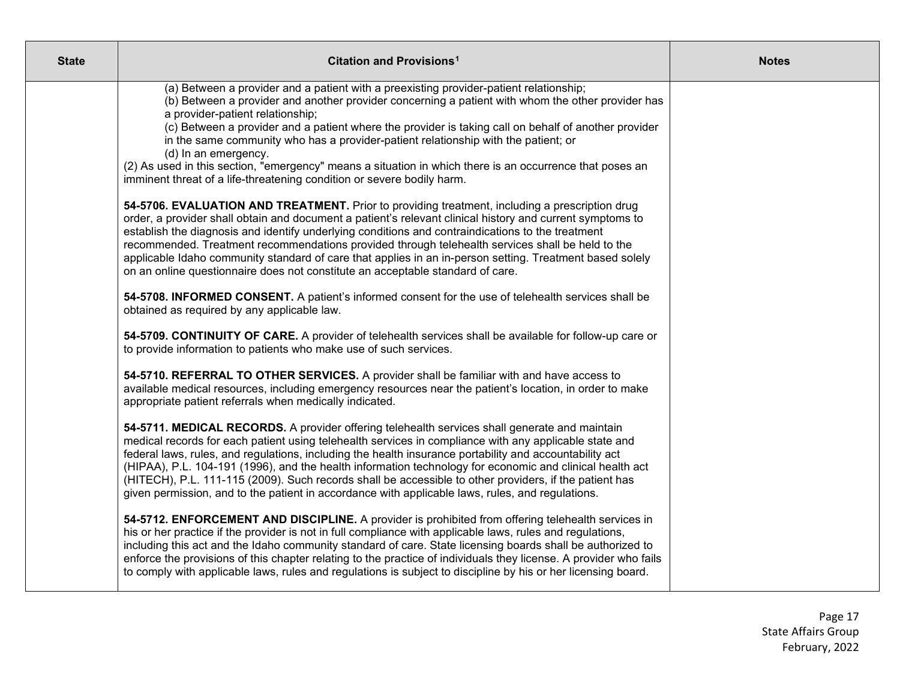| <b>State</b> | Citation and Provisions <sup>1</sup>                                                                                                                                                                                                                                                                                                                                                                                                                                                                                                                                                                                                         | <b>Notes</b> |
|--------------|----------------------------------------------------------------------------------------------------------------------------------------------------------------------------------------------------------------------------------------------------------------------------------------------------------------------------------------------------------------------------------------------------------------------------------------------------------------------------------------------------------------------------------------------------------------------------------------------------------------------------------------------|--------------|
|              | (a) Between a provider and a patient with a preexisting provider-patient relationship;<br>(b) Between a provider and another provider concerning a patient with whom the other provider has<br>a provider-patient relationship;<br>(c) Between a provider and a patient where the provider is taking call on behalf of another provider<br>in the same community who has a provider-patient relationship with the patient; or<br>(d) In an emergency.<br>(2) As used in this section, "emergency" means a situation in which there is an occurrence that poses an<br>imminent threat of a life-threatening condition or severe bodily harm.  |              |
|              | 54-5706. EVALUATION AND TREATMENT. Prior to providing treatment, including a prescription drug<br>order, a provider shall obtain and document a patient's relevant clinical history and current symptoms to<br>establish the diagnosis and identify underlying conditions and contraindications to the treatment<br>recommended. Treatment recommendations provided through telehealth services shall be held to the<br>applicable Idaho community standard of care that applies in an in-person setting. Treatment based solely<br>on an online questionnaire does not constitute an acceptable standard of care.                           |              |
|              | 54-5708. INFORMED CONSENT. A patient's informed consent for the use of telehealth services shall be<br>obtained as required by any applicable law.                                                                                                                                                                                                                                                                                                                                                                                                                                                                                           |              |
|              | 54-5709. CONTINUITY OF CARE. A provider of telehealth services shall be available for follow-up care or<br>to provide information to patients who make use of such services.                                                                                                                                                                                                                                                                                                                                                                                                                                                                 |              |
|              | 54-5710. REFERRAL TO OTHER SERVICES. A provider shall be familiar with and have access to<br>available medical resources, including emergency resources near the patient's location, in order to make<br>appropriate patient referrals when medically indicated.                                                                                                                                                                                                                                                                                                                                                                             |              |
|              | 54-5711. MEDICAL RECORDS. A provider offering telehealth services shall generate and maintain<br>medical records for each patient using telehealth services in compliance with any applicable state and<br>federal laws, rules, and regulations, including the health insurance portability and accountability act<br>(HIPAA), P.L. 104-191 (1996), and the health information technology for economic and clinical health act<br>(HITECH), P.L. 111-115 (2009). Such records shall be accessible to other providers, if the patient has<br>given permission, and to the patient in accordance with applicable laws, rules, and regulations. |              |
|              | 54-5712. ENFORCEMENT AND DISCIPLINE. A provider is prohibited from offering telehealth services in<br>his or her practice if the provider is not in full compliance with applicable laws, rules and regulations,<br>including this act and the Idaho community standard of care. State licensing boards shall be authorized to<br>enforce the provisions of this chapter relating to the practice of individuals they license. A provider who fails<br>to comply with applicable laws, rules and regulations is subject to discipline by his or her licensing board.                                                                         |              |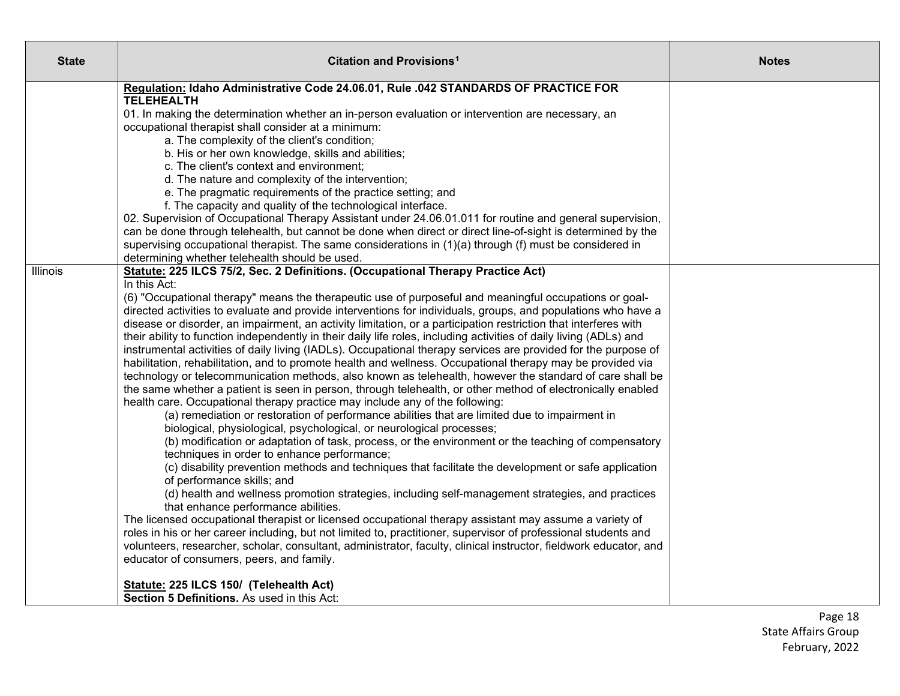| <b>State</b>    | Citation and Provisions <sup>1</sup>                                                                                                                                                                                                                                                                                                                                                                                                                                                                                                                                                                                                                                                                                                                                                                                                                                                                                                                              | <b>Notes</b> |
|-----------------|-------------------------------------------------------------------------------------------------------------------------------------------------------------------------------------------------------------------------------------------------------------------------------------------------------------------------------------------------------------------------------------------------------------------------------------------------------------------------------------------------------------------------------------------------------------------------------------------------------------------------------------------------------------------------------------------------------------------------------------------------------------------------------------------------------------------------------------------------------------------------------------------------------------------------------------------------------------------|--------------|
|                 | Regulation: Idaho Administrative Code 24.06.01, Rule .042 STANDARDS OF PRACTICE FOR<br><b>TELEHEALTH</b><br>01. In making the determination whether an in-person evaluation or intervention are necessary, an<br>occupational therapist shall consider at a minimum:<br>a. The complexity of the client's condition;<br>b. His or her own knowledge, skills and abilities;<br>c. The client's context and environment;<br>d. The nature and complexity of the intervention;<br>e. The pragmatic requirements of the practice setting; and<br>f. The capacity and quality of the technological interface.<br>02. Supervision of Occupational Therapy Assistant under 24.06.01.011 for routine and general supervision,<br>can be done through telehealth, but cannot be done when direct or direct line-of-sight is determined by the<br>supervising occupational therapist. The same considerations in (1)(a) through (f) must be considered in                   |              |
| <b>Illinois</b> | determining whether telehealth should be used.<br>Statute: 225 ILCS 75/2, Sec. 2 Definitions. (Occupational Therapy Practice Act)<br>In this Act:<br>(6) "Occupational therapy" means the therapeutic use of purposeful and meaningful occupations or goal-<br>directed activities to evaluate and provide interventions for individuals, groups, and populations who have a<br>disease or disorder, an impairment, an activity limitation, or a participation restriction that interferes with<br>their ability to function independently in their daily life roles, including activities of daily living (ADLs) and<br>instrumental activities of daily living (IADLs). Occupational therapy services are provided for the purpose of<br>habilitation, rehabilitation, and to promote health and wellness. Occupational therapy may be provided via<br>technology or telecommunication methods, also known as telehealth, however the standard of care shall be |              |
|                 | the same whether a patient is seen in person, through telehealth, or other method of electronically enabled<br>health care. Occupational therapy practice may include any of the following:<br>(a) remediation or restoration of performance abilities that are limited due to impairment in<br>biological, physiological, psychological, or neurological processes;<br>(b) modification or adaptation of task, process, or the environment or the teaching of compensatory<br>techniques in order to enhance performance;<br>(c) disability prevention methods and techniques that facilitate the development or safe application<br>of performance skills; and<br>(d) health and wellness promotion strategies, including self-management strategies, and practices                                                                                                                                                                                             |              |
|                 | that enhance performance abilities.<br>The licensed occupational therapist or licensed occupational therapy assistant may assume a variety of<br>roles in his or her career including, but not limited to, practitioner, supervisor of professional students and<br>volunteers, researcher, scholar, consultant, administrator, faculty, clinical instructor, fieldwork educator, and<br>educator of consumers, peers, and family.<br>Statute: 225 ILCS 150/ (Telehealth Act)<br>Section 5 Definitions. As used in this Act:                                                                                                                                                                                                                                                                                                                                                                                                                                      |              |

Page 18 State Affairs Group February, 2022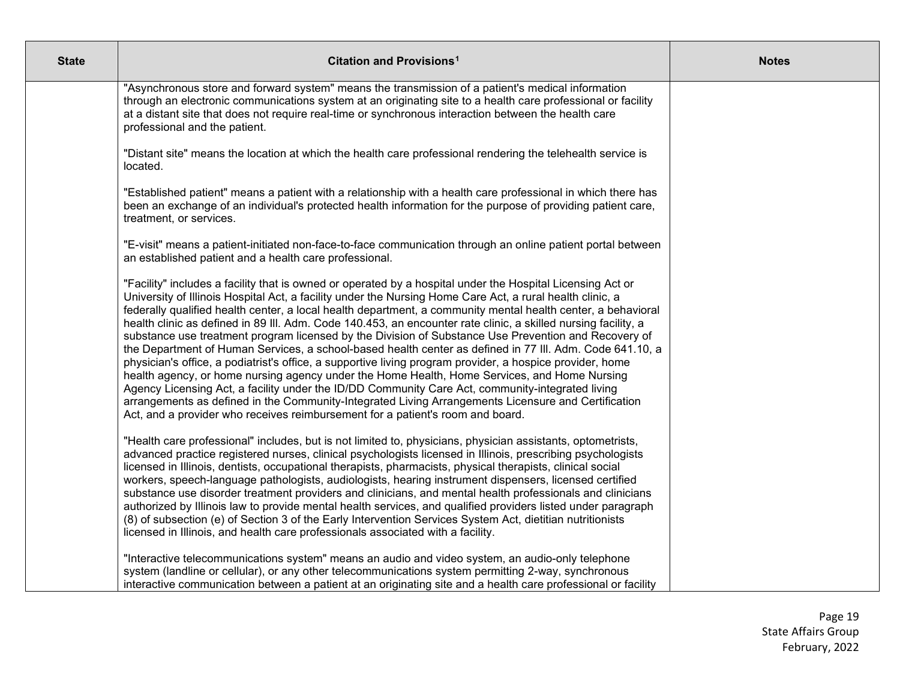| <b>State</b> | Citation and Provisions <sup>1</sup>                                                                                                                                                                                                                                                                                                                                                                                                                                                                                                                                                                                                                                                                                                                                                                                                                                                                                                                                                                                                                                                                                                                                                    | <b>Notes</b> |
|--------------|-----------------------------------------------------------------------------------------------------------------------------------------------------------------------------------------------------------------------------------------------------------------------------------------------------------------------------------------------------------------------------------------------------------------------------------------------------------------------------------------------------------------------------------------------------------------------------------------------------------------------------------------------------------------------------------------------------------------------------------------------------------------------------------------------------------------------------------------------------------------------------------------------------------------------------------------------------------------------------------------------------------------------------------------------------------------------------------------------------------------------------------------------------------------------------------------|--------------|
|              | "Asynchronous store and forward system" means the transmission of a patient's medical information<br>through an electronic communications system at an originating site to a health care professional or facility<br>at a distant site that does not require real-time or synchronous interaction between the health care<br>professional and the patient.                                                                                                                                                                                                                                                                                                                                                                                                                                                                                                                                                                                                                                                                                                                                                                                                                              |              |
|              | "Distant site" means the location at which the health care professional rendering the telehealth service is<br>located.                                                                                                                                                                                                                                                                                                                                                                                                                                                                                                                                                                                                                                                                                                                                                                                                                                                                                                                                                                                                                                                                 |              |
|              | "Established patient" means a patient with a relationship with a health care professional in which there has<br>been an exchange of an individual's protected health information for the purpose of providing patient care,<br>treatment, or services.                                                                                                                                                                                                                                                                                                                                                                                                                                                                                                                                                                                                                                                                                                                                                                                                                                                                                                                                  |              |
|              | "E-visit" means a patient-initiated non-face-to-face communication through an online patient portal between<br>an established patient and a health care professional.                                                                                                                                                                                                                                                                                                                                                                                                                                                                                                                                                                                                                                                                                                                                                                                                                                                                                                                                                                                                                   |              |
|              | "Facility" includes a facility that is owned or operated by a hospital under the Hospital Licensing Act or<br>University of Illinois Hospital Act, a facility under the Nursing Home Care Act, a rural health clinic, a<br>federally qualified health center, a local health department, a community mental health center, a behavioral<br>health clinic as defined in 89 III. Adm. Code 140.453, an encounter rate clinic, a skilled nursing facility, a<br>substance use treatment program licensed by the Division of Substance Use Prevention and Recovery of<br>the Department of Human Services, a school-based health center as defined in 77 III. Adm. Code 641.10, a<br>physician's office, a podiatrist's office, a supportive living program provider, a hospice provider, home<br>health agency, or home nursing agency under the Home Health, Home Services, and Home Nursing<br>Agency Licensing Act, a facility under the ID/DD Community Care Act, community-integrated living<br>arrangements as defined in the Community-Integrated Living Arrangements Licensure and Certification<br>Act, and a provider who receives reimbursement for a patient's room and board. |              |
|              | "Health care professional" includes, but is not limited to, physicians, physician assistants, optometrists,<br>advanced practice registered nurses, clinical psychologists licensed in Illinois, prescribing psychologists<br>licensed in Illinois, dentists, occupational therapists, pharmacists, physical therapists, clinical social<br>workers, speech-language pathologists, audiologists, hearing instrument dispensers, licensed certified<br>substance use disorder treatment providers and clinicians, and mental health professionals and clinicians<br>authorized by Illinois law to provide mental health services, and qualified providers listed under paragraph<br>(8) of subsection (e) of Section 3 of the Early Intervention Services System Act, dietitian nutritionists<br>licensed in Illinois, and health care professionals associated with a facility.                                                                                                                                                                                                                                                                                                         |              |
|              | "Interactive telecommunications system" means an audio and video system, an audio-only telephone<br>system (landline or cellular), or any other telecommunications system permitting 2-way, synchronous<br>interactive communication between a patient at an originating site and a health care professional or facility                                                                                                                                                                                                                                                                                                                                                                                                                                                                                                                                                                                                                                                                                                                                                                                                                                                                |              |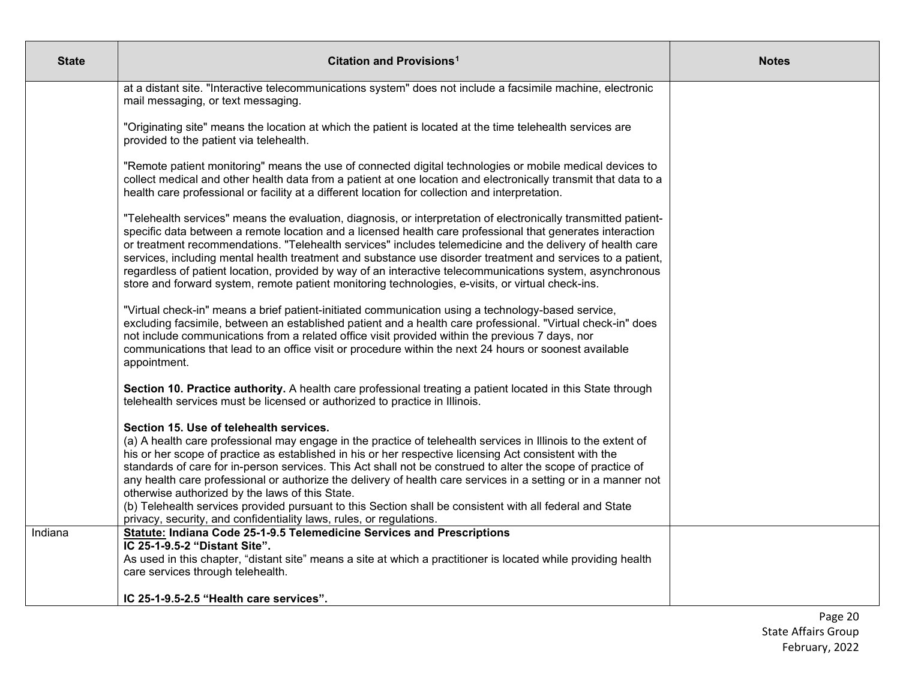| <b>State</b> | Citation and Provisions <sup>1</sup>                                                                                                                                                                                                                                                                                                                                                                                                                                                                                                                                                                                                                                                                                                      | <b>Notes</b> |
|--------------|-------------------------------------------------------------------------------------------------------------------------------------------------------------------------------------------------------------------------------------------------------------------------------------------------------------------------------------------------------------------------------------------------------------------------------------------------------------------------------------------------------------------------------------------------------------------------------------------------------------------------------------------------------------------------------------------------------------------------------------------|--------------|
|              | at a distant site. "Interactive telecommunications system" does not include a facsimile machine, electronic<br>mail messaging, or text messaging.                                                                                                                                                                                                                                                                                                                                                                                                                                                                                                                                                                                         |              |
|              | "Originating site" means the location at which the patient is located at the time telehealth services are<br>provided to the patient via telehealth.                                                                                                                                                                                                                                                                                                                                                                                                                                                                                                                                                                                      |              |
|              | "Remote patient monitoring" means the use of connected digital technologies or mobile medical devices to<br>collect medical and other health data from a patient at one location and electronically transmit that data to a<br>health care professional or facility at a different location for collection and interpretation.                                                                                                                                                                                                                                                                                                                                                                                                            |              |
|              | "Telehealth services" means the evaluation, diagnosis, or interpretation of electronically transmitted patient-<br>specific data between a remote location and a licensed health care professional that generates interaction<br>or treatment recommendations. "Telehealth services" includes telemedicine and the delivery of health care<br>services, including mental health treatment and substance use disorder treatment and services to a patient,<br>regardless of patient location, provided by way of an interactive telecommunications system, asynchronous<br>store and forward system, remote patient monitoring technologies, e-visits, or virtual check-ins.                                                               |              |
|              | "Virtual check-in" means a brief patient-initiated communication using a technology-based service,<br>excluding facsimile, between an established patient and a health care professional. "Virtual check-in" does<br>not include communications from a related office visit provided within the previous 7 days, nor<br>communications that lead to an office visit or procedure within the next 24 hours or soonest available<br>appointment.                                                                                                                                                                                                                                                                                            |              |
|              | Section 10. Practice authority. A health care professional treating a patient located in this State through<br>telehealth services must be licensed or authorized to practice in Illinois.                                                                                                                                                                                                                                                                                                                                                                                                                                                                                                                                                |              |
|              | Section 15. Use of telehealth services.<br>(a) A health care professional may engage in the practice of telehealth services in Illinois to the extent of<br>his or her scope of practice as established in his or her respective licensing Act consistent with the<br>standards of care for in-person services. This Act shall not be construed to alter the scope of practice of<br>any health care professional or authorize the delivery of health care services in a setting or in a manner not<br>otherwise authorized by the laws of this State.<br>(b) Telehealth services provided pursuant to this Section shall be consistent with all federal and State<br>privacy, security, and confidentiality laws, rules, or regulations. |              |
| Indiana      | Statute: Indiana Code 25-1-9.5 Telemedicine Services and Prescriptions<br>IC 25-1-9.5-2 "Distant Site".                                                                                                                                                                                                                                                                                                                                                                                                                                                                                                                                                                                                                                   |              |
|              | As used in this chapter, "distant site" means a site at which a practitioner is located while providing health<br>care services through telehealth.                                                                                                                                                                                                                                                                                                                                                                                                                                                                                                                                                                                       |              |
|              | IC 25-1-9.5-2.5 "Health care services".                                                                                                                                                                                                                                                                                                                                                                                                                                                                                                                                                                                                                                                                                                   |              |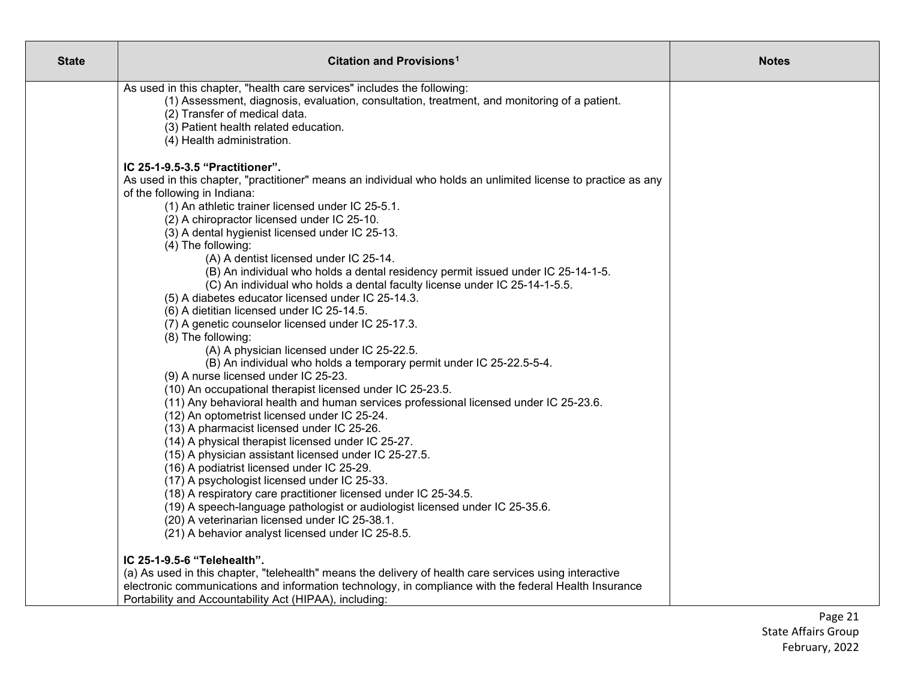| <b>State</b> | Citation and Provisions <sup>1</sup>                                                                                                                                                                                                                                                                                                                                                                                                                                                                                                                                                                                                                                                                                                                                                                                                                                                                                                                                                                                                                                                                                                                                                                                                                                                                                                                                                     | <b>Notes</b> |
|--------------|------------------------------------------------------------------------------------------------------------------------------------------------------------------------------------------------------------------------------------------------------------------------------------------------------------------------------------------------------------------------------------------------------------------------------------------------------------------------------------------------------------------------------------------------------------------------------------------------------------------------------------------------------------------------------------------------------------------------------------------------------------------------------------------------------------------------------------------------------------------------------------------------------------------------------------------------------------------------------------------------------------------------------------------------------------------------------------------------------------------------------------------------------------------------------------------------------------------------------------------------------------------------------------------------------------------------------------------------------------------------------------------|--------------|
|              | As used in this chapter, "health care services" includes the following:<br>(1) Assessment, diagnosis, evaluation, consultation, treatment, and monitoring of a patient.<br>(2) Transfer of medical data.<br>(3) Patient health related education.<br>(4) Health administration.                                                                                                                                                                                                                                                                                                                                                                                                                                                                                                                                                                                                                                                                                                                                                                                                                                                                                                                                                                                                                                                                                                          |              |
|              | IC 25-1-9.5-3.5 "Practitioner".<br>As used in this chapter, "practitioner" means an individual who holds an unlimited license to practice as any<br>of the following in Indiana:<br>(1) An athletic trainer licensed under IC 25-5.1.<br>(2) A chiropractor licensed under IC 25-10.<br>(3) A dental hygienist licensed under IC 25-13.<br>(4) The following:<br>(A) A dentist licensed under IC 25-14.<br>(B) An individual who holds a dental residency permit issued under IC 25-14-1-5.<br>(C) An individual who holds a dental faculty license under IC 25-14-1-5.5.<br>(5) A diabetes educator licensed under IC 25-14.3.<br>(6) A dietitian licensed under IC 25-14.5.<br>(7) A genetic counselor licensed under IC 25-17.3.<br>(8) The following:<br>(A) A physician licensed under IC 25-22.5.<br>(B) An individual who holds a temporary permit under IC 25-22.5-5-4.<br>(9) A nurse licensed under IC 25-23.<br>(10) An occupational therapist licensed under IC 25-23.5.<br>(11) Any behavioral health and human services professional licensed under IC 25-23.6.<br>(12) An optometrist licensed under IC 25-24.<br>(13) A pharmacist licensed under IC 25-26.<br>(14) A physical therapist licensed under IC 25-27.<br>(15) A physician assistant licensed under IC 25-27.5.<br>(16) A podiatrist licensed under IC 25-29.<br>(17) A psychologist licensed under IC 25-33. |              |
|              | (18) A respiratory care practitioner licensed under IC 25-34.5.<br>(19) A speech-language pathologist or audiologist licensed under IC 25-35.6.<br>(20) A veterinarian licensed under IC 25-38.1.<br>(21) A behavior analyst licensed under IC 25-8.5.                                                                                                                                                                                                                                                                                                                                                                                                                                                                                                                                                                                                                                                                                                                                                                                                                                                                                                                                                                                                                                                                                                                                   |              |
|              | IC 25-1-9.5-6 "Telehealth".<br>(a) As used in this chapter, "telehealth" means the delivery of health care services using interactive<br>electronic communications and information technology, in compliance with the federal Health Insurance<br>Portability and Accountability Act (HIPAA), including:                                                                                                                                                                                                                                                                                                                                                                                                                                                                                                                                                                                                                                                                                                                                                                                                                                                                                                                                                                                                                                                                                 |              |

Page 21 State Affairs Group February, 2022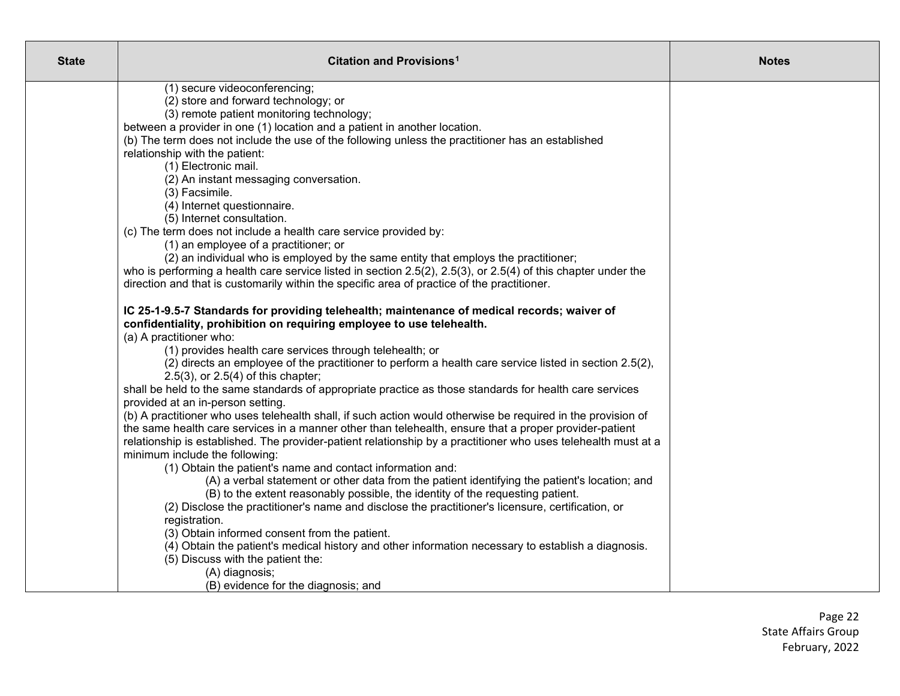| <b>State</b> | Citation and Provisions <sup>1</sup>                                                                                                                                            | <b>Notes</b> |
|--------------|---------------------------------------------------------------------------------------------------------------------------------------------------------------------------------|--------------|
|              | (1) secure videoconferencing;                                                                                                                                                   |              |
|              | (2) store and forward technology; or<br>(3) remote patient monitoring technology;                                                                                               |              |
|              | between a provider in one (1) location and a patient in another location.                                                                                                       |              |
|              | (b) The term does not include the use of the following unless the practitioner has an established                                                                               |              |
|              | relationship with the patient:                                                                                                                                                  |              |
|              | (1) Electronic mail.                                                                                                                                                            |              |
|              | (2) An instant messaging conversation.                                                                                                                                          |              |
|              | (3) Facsimile.                                                                                                                                                                  |              |
|              | (4) Internet questionnaire.                                                                                                                                                     |              |
|              | (5) Internet consultation.<br>(c) The term does not include a health care service provided by:                                                                                  |              |
|              | (1) an employee of a practitioner; or                                                                                                                                           |              |
|              | (2) an individual who is employed by the same entity that employs the practitioner;                                                                                             |              |
|              | who is performing a health care service listed in section $2.5(2)$ , $2.5(3)$ , or $2.5(4)$ of this chapter under the                                                           |              |
|              | direction and that is customarily within the specific area of practice of the practitioner.                                                                                     |              |
|              | IC 25-1-9.5-7 Standards for providing telehealth; maintenance of medical records; waiver of                                                                                     |              |
|              | confidentiality, prohibition on requiring employee to use telehealth.                                                                                                           |              |
|              | (a) A practitioner who:                                                                                                                                                         |              |
|              | (1) provides health care services through telehealth; or                                                                                                                        |              |
|              | (2) directs an employee of the practitioner to perform a health care service listed in section 2.5(2),<br>$2.5(3)$ , or $2.5(4)$ of this chapter;                               |              |
|              | shall be held to the same standards of appropriate practice as those standards for health care services                                                                         |              |
|              | provided at an in-person setting.                                                                                                                                               |              |
|              | (b) A practitioner who uses telehealth shall, if such action would otherwise be required in the provision of                                                                    |              |
|              | the same health care services in a manner other than telehealth, ensure that a proper provider-patient                                                                          |              |
|              | relationship is established. The provider-patient relationship by a practitioner who uses telehealth must at a                                                                  |              |
|              | minimum include the following:                                                                                                                                                  |              |
|              | (1) Obtain the patient's name and contact information and:                                                                                                                      |              |
|              | (A) a verbal statement or other data from the patient identifying the patient's location; and<br>(B) to the extent reasonably possible, the identity of the requesting patient. |              |
|              | (2) Disclose the practitioner's name and disclose the practitioner's licensure, certification, or                                                                               |              |
|              | registration.                                                                                                                                                                   |              |
|              | (3) Obtain informed consent from the patient.                                                                                                                                   |              |
|              | (4) Obtain the patient's medical history and other information necessary to establish a diagnosis.                                                                              |              |
|              | (5) Discuss with the patient the:                                                                                                                                               |              |
|              | (A) diagnosis;                                                                                                                                                                  |              |
|              | (B) evidence for the diagnosis; and                                                                                                                                             |              |

Page 22 State Affairs Group February, 2022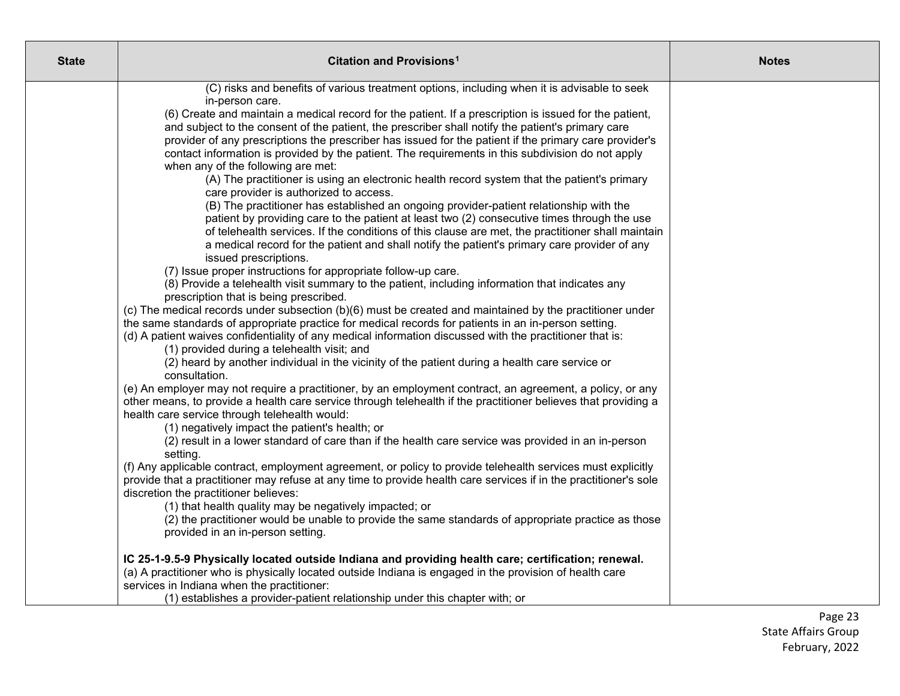| <b>State</b> | <b>Citation and Provisions<sup>1</sup></b>                                                                                                                                                                                  | <b>Notes</b> |
|--------------|-----------------------------------------------------------------------------------------------------------------------------------------------------------------------------------------------------------------------------|--------------|
|              | (C) risks and benefits of various treatment options, including when it is advisable to seek                                                                                                                                 |              |
|              | in-person care.                                                                                                                                                                                                             |              |
|              | (6) Create and maintain a medical record for the patient. If a prescription is issued for the patient,                                                                                                                      |              |
|              | and subject to the consent of the patient, the prescriber shall notify the patient's primary care<br>provider of any prescriptions the prescriber has issued for the patient if the primary care provider's                 |              |
|              | contact information is provided by the patient. The requirements in this subdivision do not apply                                                                                                                           |              |
|              | when any of the following are met:                                                                                                                                                                                          |              |
|              | (A) The practitioner is using an electronic health record system that the patient's primary                                                                                                                                 |              |
|              | care provider is authorized to access.                                                                                                                                                                                      |              |
|              | (B) The practitioner has established an ongoing provider-patient relationship with the                                                                                                                                      |              |
|              | patient by providing care to the patient at least two (2) consecutive times through the use                                                                                                                                 |              |
|              | of telehealth services. If the conditions of this clause are met, the practitioner shall maintain                                                                                                                           |              |
|              | a medical record for the patient and shall notify the patient's primary care provider of any                                                                                                                                |              |
|              | issued prescriptions.                                                                                                                                                                                                       |              |
|              | (7) Issue proper instructions for appropriate follow-up care.<br>(8) Provide a telehealth visit summary to the patient, including information that indicates any                                                            |              |
|              | prescription that is being prescribed.                                                                                                                                                                                      |              |
|              | (c) The medical records under subsection (b)(6) must be created and maintained by the practitioner under                                                                                                                    |              |
|              | the same standards of appropriate practice for medical records for patients in an in-person setting.                                                                                                                        |              |
|              | (d) A patient waives confidentiality of any medical information discussed with the practitioner that is:                                                                                                                    |              |
|              | (1) provided during a telehealth visit; and                                                                                                                                                                                 |              |
|              | (2) heard by another individual in the vicinity of the patient during a health care service or                                                                                                                              |              |
|              | consultation.                                                                                                                                                                                                               |              |
|              | (e) An employer may not require a practitioner, by an employment contract, an agreement, a policy, or any<br>other means, to provide a health care service through telehealth if the practitioner believes that providing a |              |
|              | health care service through telehealth would:                                                                                                                                                                               |              |
|              | (1) negatively impact the patient's health; or                                                                                                                                                                              |              |
|              | (2) result in a lower standard of care than if the health care service was provided in an in-person                                                                                                                         |              |
|              | setting.                                                                                                                                                                                                                    |              |
|              | (f) Any applicable contract, employment agreement, or policy to provide telehealth services must explicitly                                                                                                                 |              |
|              | provide that a practitioner may refuse at any time to provide health care services if in the practitioner's sole                                                                                                            |              |
|              | discretion the practitioner believes:                                                                                                                                                                                       |              |
|              | (1) that health quality may be negatively impacted; or                                                                                                                                                                      |              |
|              | (2) the practitioner would be unable to provide the same standards of appropriate practice as those<br>provided in an in-person setting.                                                                                    |              |
|              |                                                                                                                                                                                                                             |              |
|              | IC 25-1-9.5-9 Physically located outside Indiana and providing health care; certification; renewal.                                                                                                                         |              |
|              | (a) A practitioner who is physically located outside Indiana is engaged in the provision of health care                                                                                                                     |              |
|              | services in Indiana when the practitioner:                                                                                                                                                                                  |              |
|              | (1) establishes a provider-patient relationship under this chapter with; or                                                                                                                                                 |              |

Page 23 State Affairs Group February, 2022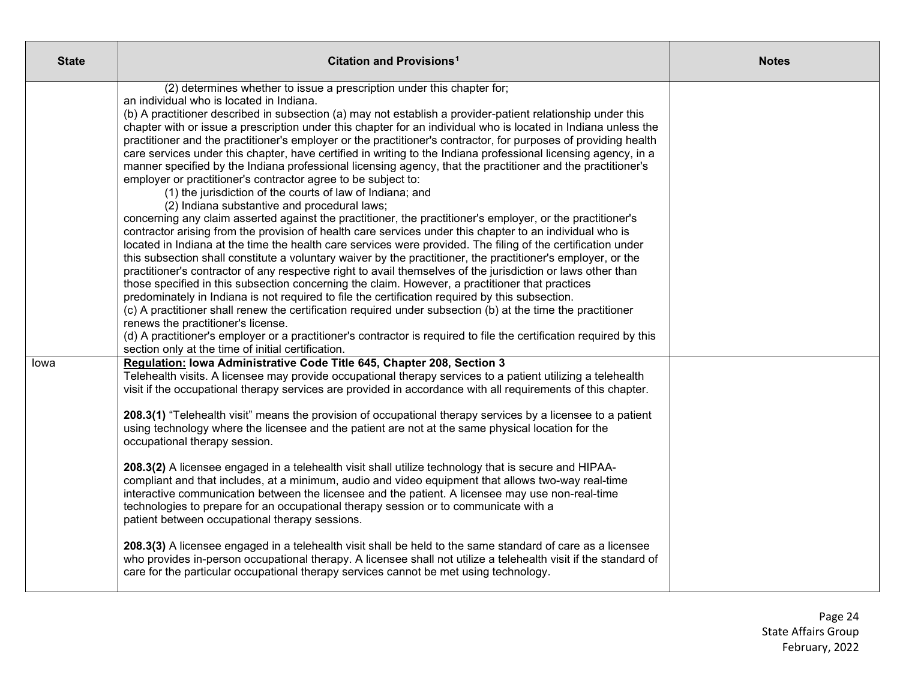| <b>State</b> | Citation and Provisions <sup>1</sup>                                                                                                                                                                                                                                                                                                                                                                                                                                                                                                                                                                                                                                                                                                                                                                                                                                                                                                                                                                                                                                                                                                                                                                                                                                                                                                                                                                                                                                                                                                                                                                                                                                                                                                                                                                                                                                                                                                                                                                    | <b>Notes</b> |
|--------------|---------------------------------------------------------------------------------------------------------------------------------------------------------------------------------------------------------------------------------------------------------------------------------------------------------------------------------------------------------------------------------------------------------------------------------------------------------------------------------------------------------------------------------------------------------------------------------------------------------------------------------------------------------------------------------------------------------------------------------------------------------------------------------------------------------------------------------------------------------------------------------------------------------------------------------------------------------------------------------------------------------------------------------------------------------------------------------------------------------------------------------------------------------------------------------------------------------------------------------------------------------------------------------------------------------------------------------------------------------------------------------------------------------------------------------------------------------------------------------------------------------------------------------------------------------------------------------------------------------------------------------------------------------------------------------------------------------------------------------------------------------------------------------------------------------------------------------------------------------------------------------------------------------------------------------------------------------------------------------------------------------|--------------|
|              | (2) determines whether to issue a prescription under this chapter for;<br>an individual who is located in Indiana.<br>(b) A practitioner described in subsection (a) may not establish a provider-patient relationship under this<br>chapter with or issue a prescription under this chapter for an individual who is located in Indiana unless the<br>practitioner and the practitioner's employer or the practitioner's contractor, for purposes of providing health<br>care services under this chapter, have certified in writing to the Indiana professional licensing agency, in a<br>manner specified by the Indiana professional licensing agency, that the practitioner and the practitioner's<br>employer or practitioner's contractor agree to be subject to:<br>(1) the jurisdiction of the courts of law of Indiana; and<br>(2) Indiana substantive and procedural laws;<br>concerning any claim asserted against the practitioner, the practitioner's employer, or the practitioner's<br>contractor arising from the provision of health care services under this chapter to an individual who is<br>located in Indiana at the time the health care services were provided. The filing of the certification under<br>this subsection shall constitute a voluntary waiver by the practitioner, the practitioner's employer, or the<br>practitioner's contractor of any respective right to avail themselves of the jurisdiction or laws other than<br>those specified in this subsection concerning the claim. However, a practitioner that practices<br>predominately in Indiana is not required to file the certification required by this subsection.<br>(c) A practitioner shall renew the certification required under subsection (b) at the time the practitioner<br>renews the practitioner's license.<br>(d) A practitioner's employer or a practitioner's contractor is required to file the certification required by this<br>section only at the time of initial certification. |              |
| lowa         | Regulation: Iowa Administrative Code Title 645, Chapter 208, Section 3<br>Telehealth visits. A licensee may provide occupational therapy services to a patient utilizing a telehealth<br>visit if the occupational therapy services are provided in accordance with all requirements of this chapter.<br>208.3(1) "Telehealth visit" means the provision of occupational therapy services by a licensee to a patient<br>using technology where the licensee and the patient are not at the same physical location for the<br>occupational therapy session.<br>208.3(2) A licensee engaged in a telehealth visit shall utilize technology that is secure and HIPAA-<br>compliant and that includes, at a minimum, audio and video equipment that allows two-way real-time<br>interactive communication between the licensee and the patient. A licensee may use non-real-time<br>technologies to prepare for an occupational therapy session or to communicate with a<br>patient between occupational therapy sessions.<br>208.3(3) A licensee engaged in a telehealth visit shall be held to the same standard of care as a licensee<br>who provides in-person occupational therapy. A licensee shall not utilize a telehealth visit if the standard of<br>care for the particular occupational therapy services cannot be met using technology.                                                                                                                                                                                                                                                                                                                                                                                                                                                                                                                                                                                                                                                        |              |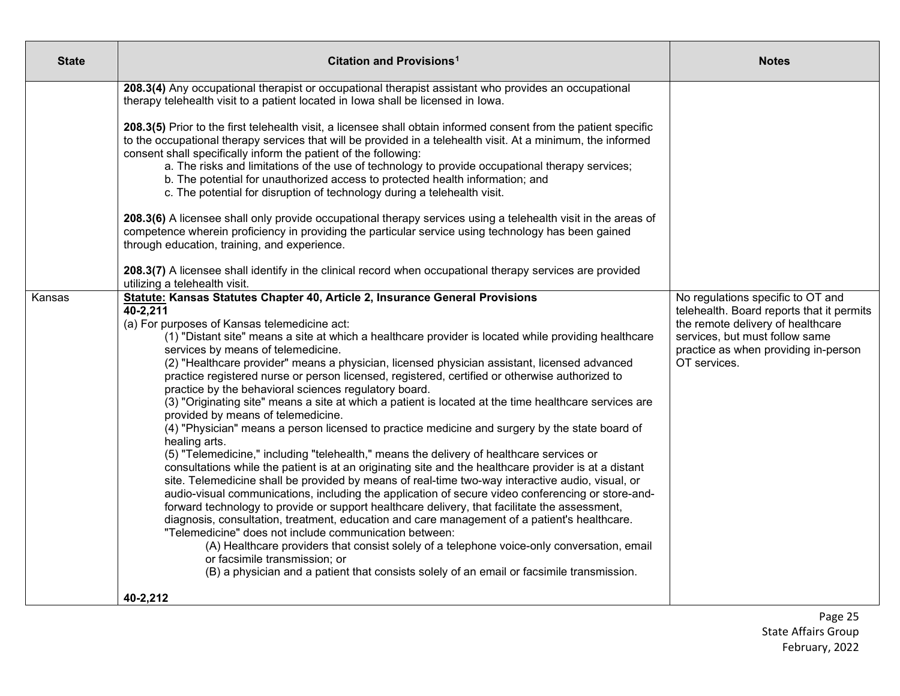| <b>State</b> | Citation and Provisions <sup>1</sup>                                                                                                                                                                                                                                                                                                                                                                                                                                                                                                                                                                                                                                                                                                                                                                                                                                                                                                                                                                                                                                                                                                                                                                                                                                                                                                                                                                                                                                                                                                                                                                                                                                                                                     | <b>Notes</b>                                                                                                                                                                                                  |
|--------------|--------------------------------------------------------------------------------------------------------------------------------------------------------------------------------------------------------------------------------------------------------------------------------------------------------------------------------------------------------------------------------------------------------------------------------------------------------------------------------------------------------------------------------------------------------------------------------------------------------------------------------------------------------------------------------------------------------------------------------------------------------------------------------------------------------------------------------------------------------------------------------------------------------------------------------------------------------------------------------------------------------------------------------------------------------------------------------------------------------------------------------------------------------------------------------------------------------------------------------------------------------------------------------------------------------------------------------------------------------------------------------------------------------------------------------------------------------------------------------------------------------------------------------------------------------------------------------------------------------------------------------------------------------------------------------------------------------------------------|---------------------------------------------------------------------------------------------------------------------------------------------------------------------------------------------------------------|
|              | 208.3(4) Any occupational therapist or occupational therapist assistant who provides an occupational<br>therapy telehealth visit to a patient located in lowa shall be licensed in lowa.<br>208.3(5) Prior to the first telehealth visit, a licensee shall obtain informed consent from the patient specific<br>to the occupational therapy services that will be provided in a telehealth visit. At a minimum, the informed<br>consent shall specifically inform the patient of the following:<br>a. The risks and limitations of the use of technology to provide occupational therapy services;<br>b. The potential for unauthorized access to protected health information; and<br>c. The potential for disruption of technology during a telehealth visit.<br>208.3(6) A licensee shall only provide occupational therapy services using a telehealth visit in the areas of<br>competence wherein proficiency in providing the particular service using technology has been gained<br>through education, training, and experience.<br>208.3(7) A licensee shall identify in the clinical record when occupational therapy services are provided<br>utilizing a telehealth visit.                                                                                                                                                                                                                                                                                                                                                                                                                                                                                                                                    |                                                                                                                                                                                                               |
| Kansas       | Statute: Kansas Statutes Chapter 40, Article 2, Insurance General Provisions<br>40-2,211<br>(a) For purposes of Kansas telemedicine act:<br>(1) "Distant site" means a site at which a healthcare provider is located while providing healthcare<br>services by means of telemedicine.<br>(2) "Healthcare provider" means a physician, licensed physician assistant, licensed advanced<br>practice registered nurse or person licensed, registered, certified or otherwise authorized to<br>practice by the behavioral sciences regulatory board.<br>(3) "Originating site" means a site at which a patient is located at the time healthcare services are<br>provided by means of telemedicine.<br>(4) "Physician" means a person licensed to practice medicine and surgery by the state board of<br>healing arts.<br>(5) "Telemedicine," including "telehealth," means the delivery of healthcare services or<br>consultations while the patient is at an originating site and the healthcare provider is at a distant<br>site. Telemedicine shall be provided by means of real-time two-way interactive audio, visual, or<br>audio-visual communications, including the application of secure video conferencing or store-and-<br>forward technology to provide or support healthcare delivery, that facilitate the assessment,<br>diagnosis, consultation, treatment, education and care management of a patient's healthcare.<br>"Telemedicine" does not include communication between:<br>(A) Healthcare providers that consist solely of a telephone voice-only conversation, email<br>or facsimile transmission; or<br>(B) a physician and a patient that consists solely of an email or facsimile transmission. | No regulations specific to OT and<br>telehealth. Board reports that it permits<br>the remote delivery of healthcare<br>services, but must follow same<br>practice as when providing in-person<br>OT services. |
|              | 40-2,212                                                                                                                                                                                                                                                                                                                                                                                                                                                                                                                                                                                                                                                                                                                                                                                                                                                                                                                                                                                                                                                                                                                                                                                                                                                                                                                                                                                                                                                                                                                                                                                                                                                                                                                 |                                                                                                                                                                                                               |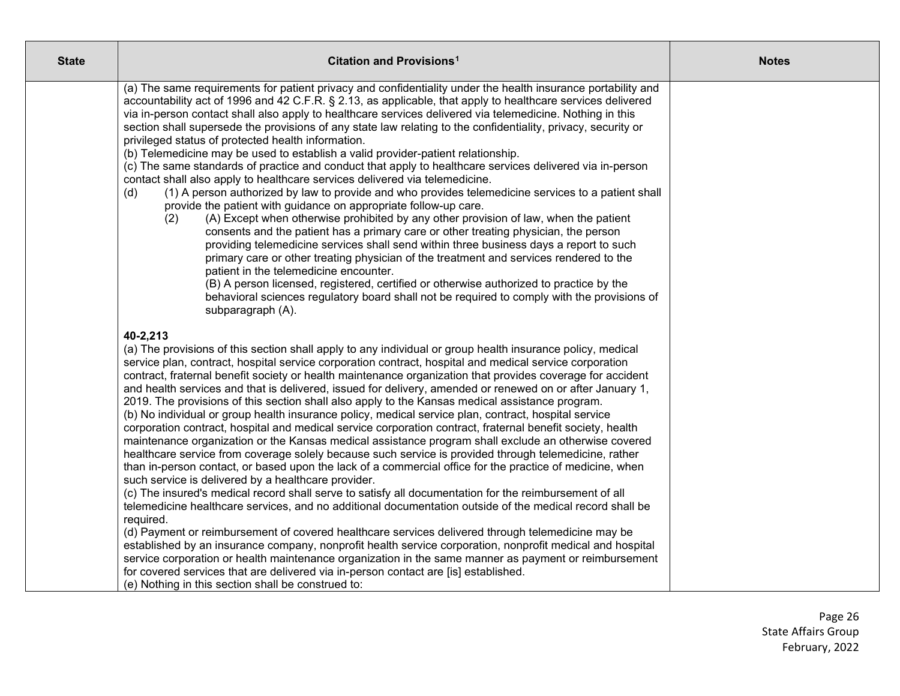| <b>State</b> | Citation and Provisions <sup>1</sup>                                                                                                                                                                                                                                                                                                                                                                                                                                                                                                                                                                                                                                                                                                                                                                                                                                                                                                                                                                                                                                                                                                                                                                                                                                                                                                                                                                                                                                                                                                                                                                                                                                                                                                                                                                                                                                                 | <b>Notes</b> |
|--------------|--------------------------------------------------------------------------------------------------------------------------------------------------------------------------------------------------------------------------------------------------------------------------------------------------------------------------------------------------------------------------------------------------------------------------------------------------------------------------------------------------------------------------------------------------------------------------------------------------------------------------------------------------------------------------------------------------------------------------------------------------------------------------------------------------------------------------------------------------------------------------------------------------------------------------------------------------------------------------------------------------------------------------------------------------------------------------------------------------------------------------------------------------------------------------------------------------------------------------------------------------------------------------------------------------------------------------------------------------------------------------------------------------------------------------------------------------------------------------------------------------------------------------------------------------------------------------------------------------------------------------------------------------------------------------------------------------------------------------------------------------------------------------------------------------------------------------------------------------------------------------------------|--------------|
|              | (a) The same requirements for patient privacy and confidentiality under the health insurance portability and<br>accountability act of 1996 and 42 C.F.R. § 2.13, as applicable, that apply to healthcare services delivered<br>via in-person contact shall also apply to healthcare services delivered via telemedicine. Nothing in this<br>section shall supersede the provisions of any state law relating to the confidentiality, privacy, security or<br>privileged status of protected health information.<br>(b) Telemedicine may be used to establish a valid provider-patient relationship.<br>(c) The same standards of practice and conduct that apply to healthcare services delivered via in-person<br>contact shall also apply to healthcare services delivered via telemedicine.<br>(1) A person authorized by law to provide and who provides telemedicine services to a patient shall<br>(d)<br>provide the patient with guidance on appropriate follow-up care.<br>(A) Except when otherwise prohibited by any other provision of law, when the patient<br>(2)<br>consents and the patient has a primary care or other treating physician, the person<br>providing telemedicine services shall send within three business days a report to such<br>primary care or other treating physician of the treatment and services rendered to the<br>patient in the telemedicine encounter.<br>(B) A person licensed, registered, certified or otherwise authorized to practice by the<br>behavioral sciences regulatory board shall not be required to comply with the provisions of<br>subparagraph (A).                                                                                                                                                                                                                                                                  |              |
|              | 40-2,213<br>(a) The provisions of this section shall apply to any individual or group health insurance policy, medical<br>service plan, contract, hospital service corporation contract, hospital and medical service corporation<br>contract, fraternal benefit society or health maintenance organization that provides coverage for accident<br>and health services and that is delivered, issued for delivery, amended or renewed on or after January 1,<br>2019. The provisions of this section shall also apply to the Kansas medical assistance program.<br>(b) No individual or group health insurance policy, medical service plan, contract, hospital service<br>corporation contract, hospital and medical service corporation contract, fraternal benefit society, health<br>maintenance organization or the Kansas medical assistance program shall exclude an otherwise covered<br>healthcare service from coverage solely because such service is provided through telemedicine, rather<br>than in-person contact, or based upon the lack of a commercial office for the practice of medicine, when<br>such service is delivered by a healthcare provider.<br>(c) The insured's medical record shall serve to satisfy all documentation for the reimbursement of all<br>telemedicine healthcare services, and no additional documentation outside of the medical record shall be<br>required.<br>(d) Payment or reimbursement of covered healthcare services delivered through telemedicine may be<br>established by an insurance company, nonprofit health service corporation, nonprofit medical and hospital<br>service corporation or health maintenance organization in the same manner as payment or reimbursement<br>for covered services that are delivered via in-person contact are [is] established.<br>(e) Nothing in this section shall be construed to: |              |

Page 26 State Affairs Group February, 2022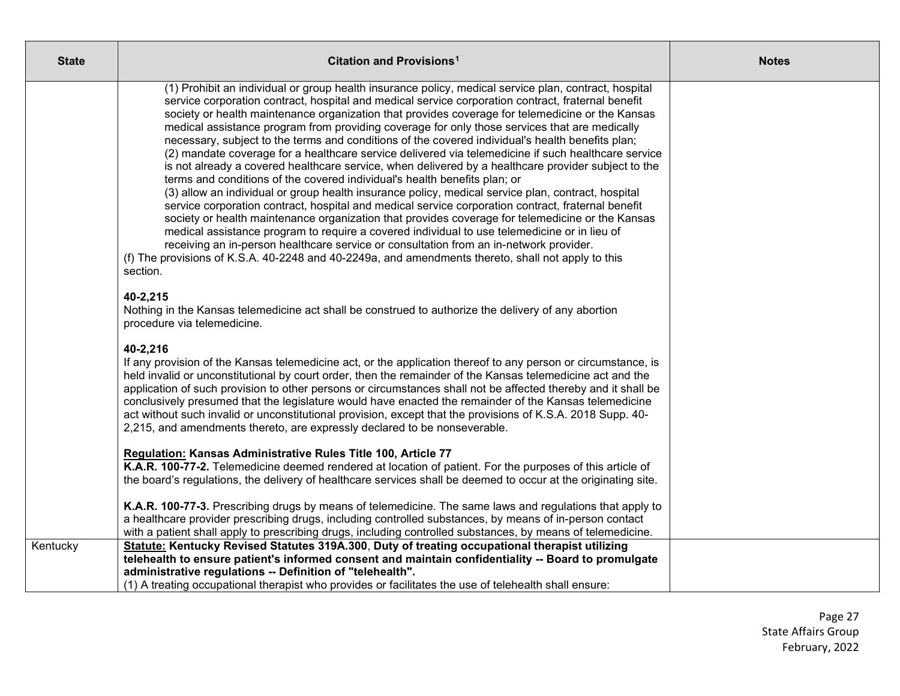| <b>State</b> | Citation and Provisions <sup>1</sup>                                                                                                                                                                                                                                                                                                                                                                                                                                                                                                                                                                                                                                                                                                                                                                                                                                                                                                                                                                                                                                                                                                                                                                                                                                                                                                                                                                                                        | <b>Notes</b> |
|--------------|---------------------------------------------------------------------------------------------------------------------------------------------------------------------------------------------------------------------------------------------------------------------------------------------------------------------------------------------------------------------------------------------------------------------------------------------------------------------------------------------------------------------------------------------------------------------------------------------------------------------------------------------------------------------------------------------------------------------------------------------------------------------------------------------------------------------------------------------------------------------------------------------------------------------------------------------------------------------------------------------------------------------------------------------------------------------------------------------------------------------------------------------------------------------------------------------------------------------------------------------------------------------------------------------------------------------------------------------------------------------------------------------------------------------------------------------|--------------|
|              | (1) Prohibit an individual or group health insurance policy, medical service plan, contract, hospital<br>service corporation contract, hospital and medical service corporation contract, fraternal benefit<br>society or health maintenance organization that provides coverage for telemedicine or the Kansas<br>medical assistance program from providing coverage for only those services that are medically<br>necessary, subject to the terms and conditions of the covered individual's health benefits plan;<br>(2) mandate coverage for a healthcare service delivered via telemedicine if such healthcare service<br>is not already a covered healthcare service, when delivered by a healthcare provider subject to the<br>terms and conditions of the covered individual's health benefits plan; or<br>(3) allow an individual or group health insurance policy, medical service plan, contract, hospital<br>service corporation contract, hospital and medical service corporation contract, fraternal benefit<br>society or health maintenance organization that provides coverage for telemedicine or the Kansas<br>medical assistance program to require a covered individual to use telemedicine or in lieu of<br>receiving an in-person healthcare service or consultation from an in-network provider.<br>(f) The provisions of K.S.A. 40-2248 and 40-2249a, and amendments thereto, shall not apply to this<br>section. |              |
|              | 40-2,215<br>Nothing in the Kansas telemedicine act shall be construed to authorize the delivery of any abortion<br>procedure via telemedicine.                                                                                                                                                                                                                                                                                                                                                                                                                                                                                                                                                                                                                                                                                                                                                                                                                                                                                                                                                                                                                                                                                                                                                                                                                                                                                              |              |
|              | 40-2,216<br>If any provision of the Kansas telemedicine act, or the application thereof to any person or circumstance, is<br>held invalid or unconstitutional by court order, then the remainder of the Kansas telemedicine act and the<br>application of such provision to other persons or circumstances shall not be affected thereby and it shall be<br>conclusively presumed that the legislature would have enacted the remainder of the Kansas telemedicine<br>act without such invalid or unconstitutional provision, except that the provisions of K.S.A. 2018 Supp. 40-<br>2,215, and amendments thereto, are expressly declared to be nonseverable.                                                                                                                                                                                                                                                                                                                                                                                                                                                                                                                                                                                                                                                                                                                                                                              |              |
|              | Regulation: Kansas Administrative Rules Title 100, Article 77<br>K.A.R. 100-77-2. Telemedicine deemed rendered at location of patient. For the purposes of this article of<br>the board's regulations, the delivery of healthcare services shall be deemed to occur at the originating site.                                                                                                                                                                                                                                                                                                                                                                                                                                                                                                                                                                                                                                                                                                                                                                                                                                                                                                                                                                                                                                                                                                                                                |              |
|              | K.A.R. 100-77-3. Prescribing drugs by means of telemedicine. The same laws and regulations that apply to<br>a healthcare provider prescribing drugs, including controlled substances, by means of in-person contact<br>with a patient shall apply to prescribing drugs, including controlled substances, by means of telemedicine.                                                                                                                                                                                                                                                                                                                                                                                                                                                                                                                                                                                                                                                                                                                                                                                                                                                                                                                                                                                                                                                                                                          |              |
| Kentucky     | Statute: Kentucky Revised Statutes 319A.300, Duty of treating occupational therapist utilizing<br>telehealth to ensure patient's informed consent and maintain confidentiality -- Board to promulgate<br>administrative regulations -- Definition of "telehealth".<br>(1) A treating occupational therapist who provides or facilitates the use of telehealth shall ensure:                                                                                                                                                                                                                                                                                                                                                                                                                                                                                                                                                                                                                                                                                                                                                                                                                                                                                                                                                                                                                                                                 |              |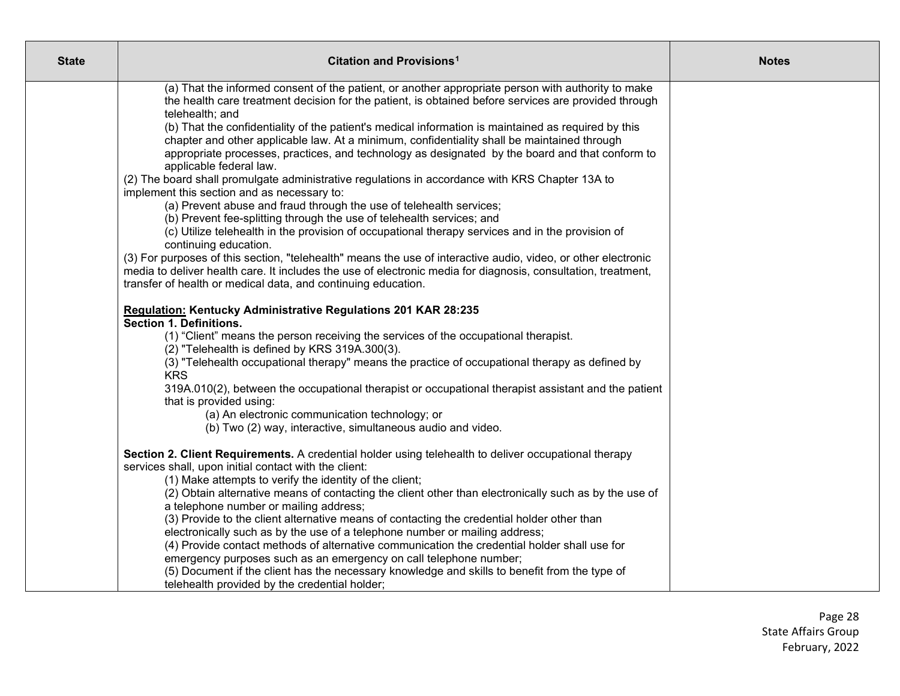| <b>State</b> | Citation and Provisions <sup>1</sup>                                                                                                                                                           | <b>Notes</b> |
|--------------|------------------------------------------------------------------------------------------------------------------------------------------------------------------------------------------------|--------------|
|              | (a) That the informed consent of the patient, or another appropriate person with authority to make                                                                                             |              |
|              | the health care treatment decision for the patient, is obtained before services are provided through                                                                                           |              |
|              | telehealth; and                                                                                                                                                                                |              |
|              | (b) That the confidentiality of the patient's medical information is maintained as required by this                                                                                            |              |
|              | chapter and other applicable law. At a minimum, confidentiality shall be maintained through<br>appropriate processes, practices, and technology as designated by the board and that conform to |              |
|              | applicable federal law.                                                                                                                                                                        |              |
|              | (2) The board shall promulgate administrative regulations in accordance with KRS Chapter 13A to                                                                                                |              |
|              | implement this section and as necessary to:                                                                                                                                                    |              |
|              | (a) Prevent abuse and fraud through the use of telehealth services;                                                                                                                            |              |
|              | (b) Prevent fee-splitting through the use of telehealth services; and                                                                                                                          |              |
|              | (c) Utilize telehealth in the provision of occupational therapy services and in the provision of                                                                                               |              |
|              | continuing education.                                                                                                                                                                          |              |
|              | (3) For purposes of this section, "telehealth" means the use of interactive audio, video, or other electronic                                                                                  |              |
|              | media to deliver health care. It includes the use of electronic media for diagnosis, consultation, treatment,<br>transfer of health or medical data, and continuing education.                 |              |
|              |                                                                                                                                                                                                |              |
|              | Regulation: Kentucky Administrative Regulations 201 KAR 28:235                                                                                                                                 |              |
|              | <b>Section 1. Definitions.</b>                                                                                                                                                                 |              |
|              | (1) "Client" means the person receiving the services of the occupational therapist.                                                                                                            |              |
|              | (2) "Telehealth is defined by KRS 319A.300(3).                                                                                                                                                 |              |
|              | (3) "Telehealth occupational therapy" means the practice of occupational therapy as defined by<br><b>KRS</b>                                                                                   |              |
|              | 319A.010(2), between the occupational therapist or occupational therapist assistant and the patient                                                                                            |              |
|              | that is provided using:                                                                                                                                                                        |              |
|              | (a) An electronic communication technology; or                                                                                                                                                 |              |
|              | (b) Two (2) way, interactive, simultaneous audio and video.                                                                                                                                    |              |
|              | Section 2. Client Requirements. A credential holder using telehealth to deliver occupational therapy                                                                                           |              |
|              | services shall, upon initial contact with the client:                                                                                                                                          |              |
|              | (1) Make attempts to verify the identity of the client;                                                                                                                                        |              |
|              | (2) Obtain alternative means of contacting the client other than electronically such as by the use of                                                                                          |              |
|              | a telephone number or mailing address;                                                                                                                                                         |              |
|              | (3) Provide to the client alternative means of contacting the credential holder other than                                                                                                     |              |
|              | electronically such as by the use of a telephone number or mailing address;                                                                                                                    |              |
|              | (4) Provide contact methods of alternative communication the credential holder shall use for<br>emergency purposes such as an emergency on call telephone number;                              |              |
|              | (5) Document if the client has the necessary knowledge and skills to benefit from the type of                                                                                                  |              |
|              | telehealth provided by the credential holder;                                                                                                                                                  |              |
|              |                                                                                                                                                                                                |              |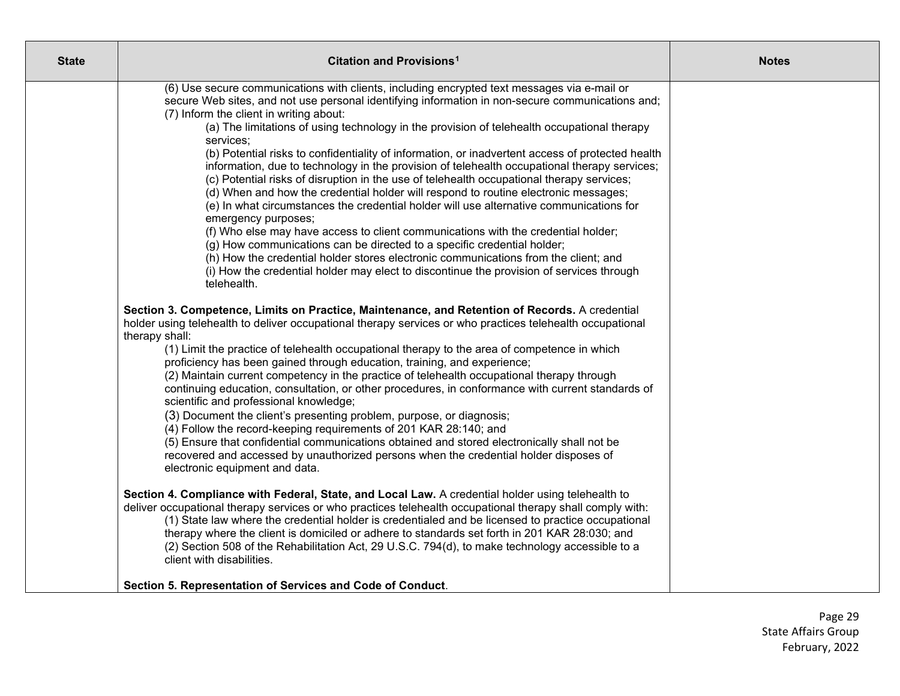| <b>State</b> | Citation and Provisions <sup>1</sup>                                                                                                                                                                                                                                                                                                                                                                                                                                                                                                                                                                                                                                                                                                                                                                                                                                                                                                                                                                                                                                                                                                                                                                                                                                                                                                                                                                                                                                                                                                                                                                                                                                                                                                                                                                                                                                                                                                                                                                                                                                                                                                     | <b>Notes</b> |
|--------------|------------------------------------------------------------------------------------------------------------------------------------------------------------------------------------------------------------------------------------------------------------------------------------------------------------------------------------------------------------------------------------------------------------------------------------------------------------------------------------------------------------------------------------------------------------------------------------------------------------------------------------------------------------------------------------------------------------------------------------------------------------------------------------------------------------------------------------------------------------------------------------------------------------------------------------------------------------------------------------------------------------------------------------------------------------------------------------------------------------------------------------------------------------------------------------------------------------------------------------------------------------------------------------------------------------------------------------------------------------------------------------------------------------------------------------------------------------------------------------------------------------------------------------------------------------------------------------------------------------------------------------------------------------------------------------------------------------------------------------------------------------------------------------------------------------------------------------------------------------------------------------------------------------------------------------------------------------------------------------------------------------------------------------------------------------------------------------------------------------------------------------------|--------------|
|              | (6) Use secure communications with clients, including encrypted text messages via e-mail or<br>secure Web sites, and not use personal identifying information in non-secure communications and;<br>(7) Inform the client in writing about:<br>(a) The limitations of using technology in the provision of telehealth occupational therapy<br>services:<br>(b) Potential risks to confidentiality of information, or inadvertent access of protected health<br>information, due to technology in the provision of telehealth occupational therapy services;<br>(c) Potential risks of disruption in the use of telehealth occupational therapy services;<br>(d) When and how the credential holder will respond to routine electronic messages;<br>(e) In what circumstances the credential holder will use alternative communications for<br>emergency purposes;<br>(f) Who else may have access to client communications with the credential holder;<br>(g) How communications can be directed to a specific credential holder;<br>(h) How the credential holder stores electronic communications from the client; and<br>(i) How the credential holder may elect to discontinue the provision of services through<br>telehealth.<br>Section 3. Competence, Limits on Practice, Maintenance, and Retention of Records. A credential<br>holder using telehealth to deliver occupational therapy services or who practices telehealth occupational<br>therapy shall:<br>(1) Limit the practice of telehealth occupational therapy to the area of competence in which<br>proficiency has been gained through education, training, and experience;<br>(2) Maintain current competency in the practice of telehealth occupational therapy through<br>continuing education, consultation, or other procedures, in conformance with current standards of<br>scientific and professional knowledge;<br>(3) Document the client's presenting problem, purpose, or diagnosis;<br>(4) Follow the record-keeping requirements of 201 KAR 28:140; and<br>(5) Ensure that confidential communications obtained and stored electronically shall not be |              |
|              | recovered and accessed by unauthorized persons when the credential holder disposes of<br>electronic equipment and data.                                                                                                                                                                                                                                                                                                                                                                                                                                                                                                                                                                                                                                                                                                                                                                                                                                                                                                                                                                                                                                                                                                                                                                                                                                                                                                                                                                                                                                                                                                                                                                                                                                                                                                                                                                                                                                                                                                                                                                                                                  |              |
|              | Section 4. Compliance with Federal, State, and Local Law. A credential holder using telehealth to<br>deliver occupational therapy services or who practices telehealth occupational therapy shall comply with:<br>(1) State law where the credential holder is credentialed and be licensed to practice occupational<br>therapy where the client is domiciled or adhere to standards set forth in 201 KAR 28:030; and<br>(2) Section 508 of the Rehabilitation Act, 29 U.S.C. 794(d), to make technology accessible to a<br>client with disabilities.                                                                                                                                                                                                                                                                                                                                                                                                                                                                                                                                                                                                                                                                                                                                                                                                                                                                                                                                                                                                                                                                                                                                                                                                                                                                                                                                                                                                                                                                                                                                                                                    |              |
|              | Section 5. Representation of Services and Code of Conduct.                                                                                                                                                                                                                                                                                                                                                                                                                                                                                                                                                                                                                                                                                                                                                                                                                                                                                                                                                                                                                                                                                                                                                                                                                                                                                                                                                                                                                                                                                                                                                                                                                                                                                                                                                                                                                                                                                                                                                                                                                                                                               |              |

Page 29 State Affairs Group February, 2022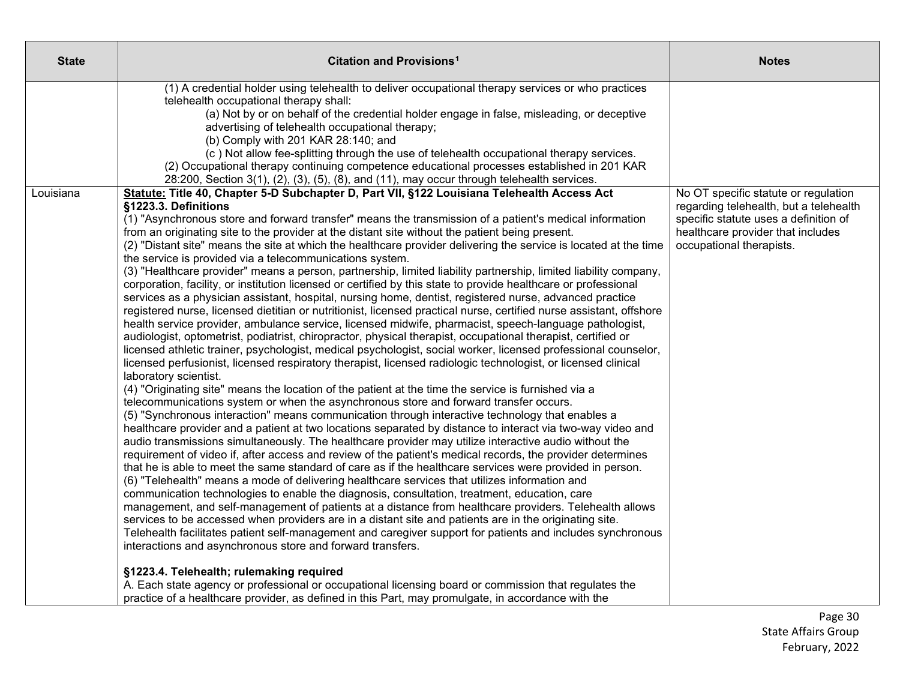| <b>State</b> | Citation and Provisions <sup>1</sup>                                                                                                                                                                                                                                                                                                                                                                                                                                                                                                                                                                                                                                                                                                                                                                                                                                                                                                                                                                                                                                                                                                                                                                                                                                                                                                                                                                                                                                                                                                                                                                                                                                                                                                                                                                                                                                                                                                                                                                                                                                                                                                                                                                                                                                                                                                                                                                                                                                                                                                                                                                                                                                                                                                                                                                                                                                              | <b>Notes</b>                                                                                                                                                                             |
|--------------|-----------------------------------------------------------------------------------------------------------------------------------------------------------------------------------------------------------------------------------------------------------------------------------------------------------------------------------------------------------------------------------------------------------------------------------------------------------------------------------------------------------------------------------------------------------------------------------------------------------------------------------------------------------------------------------------------------------------------------------------------------------------------------------------------------------------------------------------------------------------------------------------------------------------------------------------------------------------------------------------------------------------------------------------------------------------------------------------------------------------------------------------------------------------------------------------------------------------------------------------------------------------------------------------------------------------------------------------------------------------------------------------------------------------------------------------------------------------------------------------------------------------------------------------------------------------------------------------------------------------------------------------------------------------------------------------------------------------------------------------------------------------------------------------------------------------------------------------------------------------------------------------------------------------------------------------------------------------------------------------------------------------------------------------------------------------------------------------------------------------------------------------------------------------------------------------------------------------------------------------------------------------------------------------------------------------------------------------------------------------------------------------------------------------------------------------------------------------------------------------------------------------------------------------------------------------------------------------------------------------------------------------------------------------------------------------------------------------------------------------------------------------------------------------------------------------------------------------------------------------------------------|------------------------------------------------------------------------------------------------------------------------------------------------------------------------------------------|
|              | (1) A credential holder using telehealth to deliver occupational therapy services or who practices<br>telehealth occupational therapy shall:<br>(a) Not by or on behalf of the credential holder engage in false, misleading, or deceptive<br>advertising of telehealth occupational therapy;<br>(b) Comply with 201 KAR 28:140; and<br>(c) Not allow fee-splitting through the use of telehealth occupational therapy services.<br>(2) Occupational therapy continuing competence educational processes established in 201 KAR<br>$28:200$ , Section $3(1)$ , $(2)$ , $(3)$ , $(5)$ , $(8)$ , and $(11)$ , may occur through telehealth services.                                                                                                                                                                                                                                                                                                                                                                                                                                                                                                                                                                                                                                                                                                                                                                                                                                                                                                                                                                                                                                                                                                                                                                                                                                                                                                                                                                                                                                                                                                                                                                                                                                                                                                                                                                                                                                                                                                                                                                                                                                                                                                                                                                                                                                |                                                                                                                                                                                          |
| Louisiana    | Statute: Title 40, Chapter 5-D Subchapter D, Part VII, §122 Louisiana Telehealth Access Act<br>§1223.3. Definitions<br>(1) "Asynchronous store and forward transfer" means the transmission of a patient's medical information<br>from an originating site to the provider at the distant site without the patient being present.<br>(2) "Distant site" means the site at which the healthcare provider delivering the service is located at the time<br>the service is provided via a telecommunications system.<br>(3) "Healthcare provider" means a person, partnership, limited liability partnership, limited liability company,<br>corporation, facility, or institution licensed or certified by this state to provide healthcare or professional<br>services as a physician assistant, hospital, nursing home, dentist, registered nurse, advanced practice<br>registered nurse, licensed dietitian or nutritionist, licensed practical nurse, certified nurse assistant, offshore<br>health service provider, ambulance service, licensed midwife, pharmacist, speech-language pathologist,<br>audiologist, optometrist, podiatrist, chiropractor, physical therapist, occupational therapist, certified or<br>licensed athletic trainer, psychologist, medical psychologist, social worker, licensed professional counselor,<br>licensed perfusionist, licensed respiratory therapist, licensed radiologic technologist, or licensed clinical<br>laboratory scientist.<br>(4) "Originating site" means the location of the patient at the time the service is furnished via a<br>telecommunications system or when the asynchronous store and forward transfer occurs.<br>(5) "Synchronous interaction" means communication through interactive technology that enables a<br>healthcare provider and a patient at two locations separated by distance to interact via two-way video and<br>audio transmissions simultaneously. The healthcare provider may utilize interactive audio without the<br>requirement of video if, after access and review of the patient's medical records, the provider determines<br>that he is able to meet the same standard of care as if the healthcare services were provided in person.<br>(6) "Telehealth" means a mode of delivering healthcare services that utilizes information and<br>communication technologies to enable the diagnosis, consultation, treatment, education, care<br>management, and self-management of patients at a distance from healthcare providers. Telehealth allows<br>services to be accessed when providers are in a distant site and patients are in the originating site.<br>Telehealth facilitates patient self-management and caregiver support for patients and includes synchronous<br>interactions and asynchronous store and forward transfers.<br>§1223.4. Telehealth; rulemaking required | No OT specific statute or regulation<br>regarding telehealth, but a telehealth<br>specific statute uses a definition of<br>healthcare provider that includes<br>occupational therapists. |
|              | A. Each state agency or professional or occupational licensing board or commission that regulates the<br>practice of a healthcare provider, as defined in this Part, may promulgate, in accordance with the                                                                                                                                                                                                                                                                                                                                                                                                                                                                                                                                                                                                                                                                                                                                                                                                                                                                                                                                                                                                                                                                                                                                                                                                                                                                                                                                                                                                                                                                                                                                                                                                                                                                                                                                                                                                                                                                                                                                                                                                                                                                                                                                                                                                                                                                                                                                                                                                                                                                                                                                                                                                                                                                       |                                                                                                                                                                                          |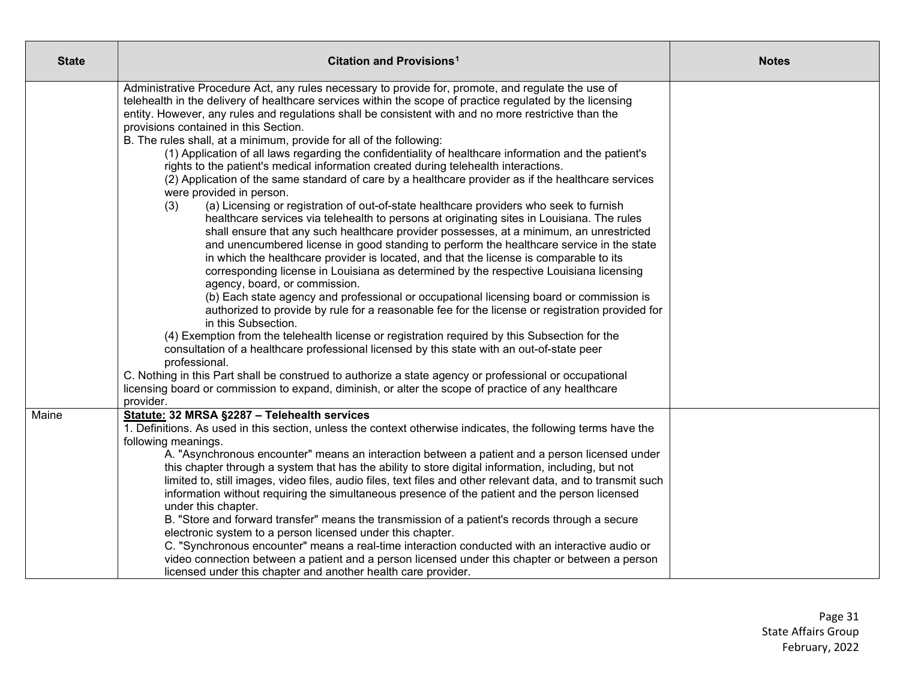| <b>State</b> | Citation and Provisions <sup>1</sup>                                                                                                                                                                                                                                                                                                                                                                                                                                                                                                                                                                                                                                                                                                                                                                                                                                                                                                                                                                                                                                                                                                                                                                                                                                                                                                                                                                                                                                                                                                                                                                                                                                                                                                                                                                                                                                                                                                                                                                                                                     | <b>Notes</b> |
|--------------|----------------------------------------------------------------------------------------------------------------------------------------------------------------------------------------------------------------------------------------------------------------------------------------------------------------------------------------------------------------------------------------------------------------------------------------------------------------------------------------------------------------------------------------------------------------------------------------------------------------------------------------------------------------------------------------------------------------------------------------------------------------------------------------------------------------------------------------------------------------------------------------------------------------------------------------------------------------------------------------------------------------------------------------------------------------------------------------------------------------------------------------------------------------------------------------------------------------------------------------------------------------------------------------------------------------------------------------------------------------------------------------------------------------------------------------------------------------------------------------------------------------------------------------------------------------------------------------------------------------------------------------------------------------------------------------------------------------------------------------------------------------------------------------------------------------------------------------------------------------------------------------------------------------------------------------------------------------------------------------------------------------------------------------------------------|--------------|
|              | Administrative Procedure Act, any rules necessary to provide for, promote, and regulate the use of<br>telehealth in the delivery of healthcare services within the scope of practice regulated by the licensing<br>entity. However, any rules and regulations shall be consistent with and no more restrictive than the<br>provisions contained in this Section.<br>B. The rules shall, at a minimum, provide for all of the following:<br>(1) Application of all laws regarding the confidentiality of healthcare information and the patient's<br>rights to the patient's medical information created during telehealth interactions.<br>(2) Application of the same standard of care by a healthcare provider as if the healthcare services<br>were provided in person.<br>(a) Licensing or registration of out-of-state healthcare providers who seek to furnish<br>(3)<br>healthcare services via telehealth to persons at originating sites in Louisiana. The rules<br>shall ensure that any such healthcare provider possesses, at a minimum, an unrestricted<br>and unencumbered license in good standing to perform the healthcare service in the state<br>in which the healthcare provider is located, and that the license is comparable to its<br>corresponding license in Louisiana as determined by the respective Louisiana licensing<br>agency, board, or commission.<br>(b) Each state agency and professional or occupational licensing board or commission is<br>authorized to provide by rule for a reasonable fee for the license or registration provided for<br>in this Subsection.<br>(4) Exemption from the telehealth license or registration required by this Subsection for the<br>consultation of a healthcare professional licensed by this state with an out-of-state peer<br>professional.<br>C. Nothing in this Part shall be construed to authorize a state agency or professional or occupational<br>licensing board or commission to expand, diminish, or alter the scope of practice of any healthcare<br>provider. |              |
| Maine        | Statute: 32 MRSA §2287 - Telehealth services<br>1. Definitions. As used in this section, unless the context otherwise indicates, the following terms have the<br>following meanings.<br>A. "Asynchronous encounter" means an interaction between a patient and a person licensed under<br>this chapter through a system that has the ability to store digital information, including, but not<br>limited to, still images, video files, audio files, text files and other relevant data, and to transmit such<br>information without requiring the simultaneous presence of the patient and the person licensed<br>under this chapter.<br>B. "Store and forward transfer" means the transmission of a patient's records through a secure<br>electronic system to a person licensed under this chapter.<br>C. "Synchronous encounter" means a real-time interaction conducted with an interactive audio or<br>video connection between a patient and a person licensed under this chapter or between a person<br>licensed under this chapter and another health care provider.                                                                                                                                                                                                                                                                                                                                                                                                                                                                                                                                                                                                                                                                                                                                                                                                                                                                                                                                                                            |              |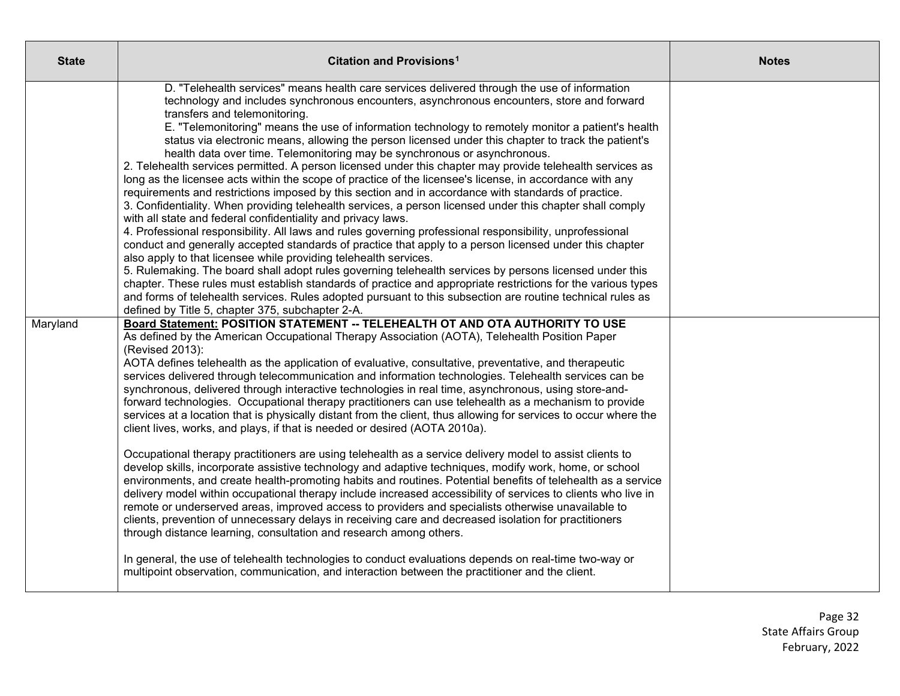| <b>State</b> | Citation and Provisions <sup>1</sup>                                                                                                                                                                                                                                                                                                                                                                                                                                                                                                                                                                                                                                                                                                                                                                                                                                                                                                                                                                                                                                                                                                                                                                                                                                                                                                                                                                                                                                                                                                                                                                                                                                                                                                                                                           | <b>Notes</b> |
|--------------|------------------------------------------------------------------------------------------------------------------------------------------------------------------------------------------------------------------------------------------------------------------------------------------------------------------------------------------------------------------------------------------------------------------------------------------------------------------------------------------------------------------------------------------------------------------------------------------------------------------------------------------------------------------------------------------------------------------------------------------------------------------------------------------------------------------------------------------------------------------------------------------------------------------------------------------------------------------------------------------------------------------------------------------------------------------------------------------------------------------------------------------------------------------------------------------------------------------------------------------------------------------------------------------------------------------------------------------------------------------------------------------------------------------------------------------------------------------------------------------------------------------------------------------------------------------------------------------------------------------------------------------------------------------------------------------------------------------------------------------------------------------------------------------------|--------------|
|              | D. "Telehealth services" means health care services delivered through the use of information<br>technology and includes synchronous encounters, asynchronous encounters, store and forward<br>transfers and telemonitoring.<br>E. "Telemonitoring" means the use of information technology to remotely monitor a patient's health<br>status via electronic means, allowing the person licensed under this chapter to track the patient's<br>health data over time. Telemonitoring may be synchronous or asynchronous.<br>2. Telehealth services permitted. A person licensed under this chapter may provide telehealth services as<br>long as the licensee acts within the scope of practice of the licensee's license, in accordance with any<br>requirements and restrictions imposed by this section and in accordance with standards of practice.<br>3. Confidentiality. When providing telehealth services, a person licensed under this chapter shall comply<br>with all state and federal confidentiality and privacy laws.<br>4. Professional responsibility. All laws and rules governing professional responsibility, unprofessional<br>conduct and generally accepted standards of practice that apply to a person licensed under this chapter<br>also apply to that licensee while providing telehealth services.<br>5. Rulemaking. The board shall adopt rules governing telehealth services by persons licensed under this<br>chapter. These rules must establish standards of practice and appropriate restrictions for the various types<br>and forms of telehealth services. Rules adopted pursuant to this subsection are routine technical rules as<br>defined by Title 5, chapter 375, subchapter 2-A.                                                                     |              |
| Maryland     | Board Statement: POSITION STATEMENT -- TELEHEALTH OT AND OTA AUTHORITY TO USE<br>As defined by the American Occupational Therapy Association (AOTA), Telehealth Position Paper<br>(Revised 2013):<br>AOTA defines telehealth as the application of evaluative, consultative, preventative, and therapeutic<br>services delivered through telecommunication and information technologies. Telehealth services can be<br>synchronous, delivered through interactive technologies in real time, asynchronous, using store-and-<br>forward technologies. Occupational therapy practitioners can use telehealth as a mechanism to provide<br>services at a location that is physically distant from the client, thus allowing for services to occur where the<br>client lives, works, and plays, if that is needed or desired (AOTA 2010a).<br>Occupational therapy practitioners are using telehealth as a service delivery model to assist clients to<br>develop skills, incorporate assistive technology and adaptive techniques, modify work, home, or school<br>environments, and create health-promoting habits and routines. Potential benefits of telehealth as a service<br>delivery model within occupational therapy include increased accessibility of services to clients who live in<br>remote or underserved areas, improved access to providers and specialists otherwise unavailable to<br>clients, prevention of unnecessary delays in receiving care and decreased isolation for practitioners<br>through distance learning, consultation and research among others.<br>In general, the use of telehealth technologies to conduct evaluations depends on real-time two-way or<br>multipoint observation, communication, and interaction between the practitioner and the client. |              |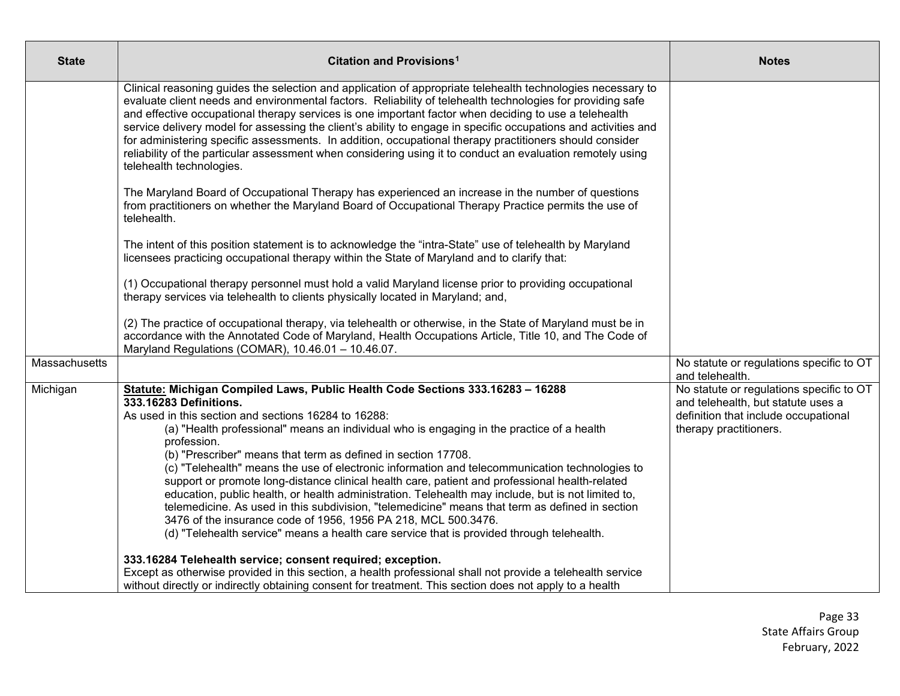| State         | Citation and Provisions <sup>1</sup>                                                                                                                                                                                                                                                                                                                                                                                                                                                                                                                                                                                                                                                                                                                                                                                                                                                                                      | <b>Notes</b>                                                                                                                                     |
|---------------|---------------------------------------------------------------------------------------------------------------------------------------------------------------------------------------------------------------------------------------------------------------------------------------------------------------------------------------------------------------------------------------------------------------------------------------------------------------------------------------------------------------------------------------------------------------------------------------------------------------------------------------------------------------------------------------------------------------------------------------------------------------------------------------------------------------------------------------------------------------------------------------------------------------------------|--------------------------------------------------------------------------------------------------------------------------------------------------|
|               | Clinical reasoning guides the selection and application of appropriate telehealth technologies necessary to<br>evaluate client needs and environmental factors. Reliability of telehealth technologies for providing safe<br>and effective occupational therapy services is one important factor when deciding to use a telehealth<br>service delivery model for assessing the client's ability to engage in specific occupations and activities and<br>for administering specific assessments. In addition, occupational therapy practitioners should consider<br>reliability of the particular assessment when considering using it to conduct an evaluation remotely using<br>telehealth technologies.                                                                                                                                                                                                                 |                                                                                                                                                  |
|               | The Maryland Board of Occupational Therapy has experienced an increase in the number of questions<br>from practitioners on whether the Maryland Board of Occupational Therapy Practice permits the use of<br>telehealth.                                                                                                                                                                                                                                                                                                                                                                                                                                                                                                                                                                                                                                                                                                  |                                                                                                                                                  |
|               | The intent of this position statement is to acknowledge the "intra-State" use of telehealth by Maryland<br>licensees practicing occupational therapy within the State of Maryland and to clarify that:                                                                                                                                                                                                                                                                                                                                                                                                                                                                                                                                                                                                                                                                                                                    |                                                                                                                                                  |
|               | (1) Occupational therapy personnel must hold a valid Maryland license prior to providing occupational<br>therapy services via telehealth to clients physically located in Maryland; and,                                                                                                                                                                                                                                                                                                                                                                                                                                                                                                                                                                                                                                                                                                                                  |                                                                                                                                                  |
|               | (2) The practice of occupational therapy, via telehealth or otherwise, in the State of Maryland must be in<br>accordance with the Annotated Code of Maryland, Health Occupations Article, Title 10, and The Code of<br>Maryland Regulations (COMAR), 10.46.01 - 10.46.07.                                                                                                                                                                                                                                                                                                                                                                                                                                                                                                                                                                                                                                                 |                                                                                                                                                  |
| Massachusetts |                                                                                                                                                                                                                                                                                                                                                                                                                                                                                                                                                                                                                                                                                                                                                                                                                                                                                                                           | No statute or regulations specific to OT<br>and telehealth.                                                                                      |
| Michigan      | Statute: Michigan Compiled Laws, Public Health Code Sections 333.16283 - 16288<br>333.16283 Definitions.<br>As used in this section and sections 16284 to 16288:<br>(a) "Health professional" means an individual who is engaging in the practice of a health<br>profession.<br>(b) "Prescriber" means that term as defined in section 17708.<br>(c) "Telehealth" means the use of electronic information and telecommunication technologies to<br>support or promote long-distance clinical health care, patient and professional health-related<br>education, public health, or health administration. Telehealth may include, but is not limited to,<br>telemedicine. As used in this subdivision, "telemedicine" means that term as defined in section<br>3476 of the insurance code of 1956, 1956 PA 218, MCL 500.3476.<br>(d) "Telehealth service" means a health care service that is provided through telehealth. | No statute or regulations specific to OT<br>and telehealth, but statute uses a<br>definition that include occupational<br>therapy practitioners. |
|               | 333.16284 Telehealth service; consent required; exception.<br>Except as otherwise provided in this section, a health professional shall not provide a telehealth service<br>without directly or indirectly obtaining consent for treatment. This section does not apply to a health                                                                                                                                                                                                                                                                                                                                                                                                                                                                                                                                                                                                                                       |                                                                                                                                                  |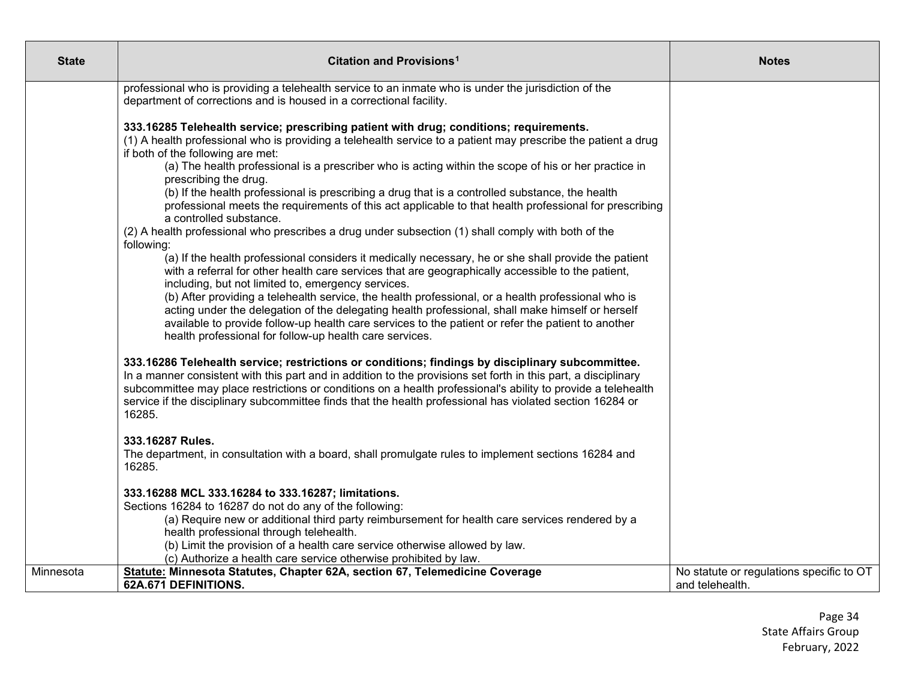| <b>State</b> | Citation and Provisions <sup>1</sup>                                                                                                                                                                                                                                                                                                                                                                                                                                                                                                                                                                                                                                                                                                                                                                                                                                                                                                                                                                                                                                                                                                                                                                                                                                                                                                                                                    | <b>Notes</b>                                                |
|--------------|-----------------------------------------------------------------------------------------------------------------------------------------------------------------------------------------------------------------------------------------------------------------------------------------------------------------------------------------------------------------------------------------------------------------------------------------------------------------------------------------------------------------------------------------------------------------------------------------------------------------------------------------------------------------------------------------------------------------------------------------------------------------------------------------------------------------------------------------------------------------------------------------------------------------------------------------------------------------------------------------------------------------------------------------------------------------------------------------------------------------------------------------------------------------------------------------------------------------------------------------------------------------------------------------------------------------------------------------------------------------------------------------|-------------------------------------------------------------|
|              | professional who is providing a telehealth service to an inmate who is under the jurisdiction of the<br>department of corrections and is housed in a correctional facility.                                                                                                                                                                                                                                                                                                                                                                                                                                                                                                                                                                                                                                                                                                                                                                                                                                                                                                                                                                                                                                                                                                                                                                                                             |                                                             |
|              | 333.16285 Telehealth service; prescribing patient with drug; conditions; requirements.<br>(1) A health professional who is providing a telehealth service to a patient may prescribe the patient a drug<br>if both of the following are met:<br>(a) The health professional is a prescriber who is acting within the scope of his or her practice in<br>prescribing the drug.<br>(b) If the health professional is prescribing a drug that is a controlled substance, the health<br>professional meets the requirements of this act applicable to that health professional for prescribing<br>a controlled substance.<br>(2) A health professional who prescribes a drug under subsection (1) shall comply with both of the<br>following:<br>(a) If the health professional considers it medically necessary, he or she shall provide the patient<br>with a referral for other health care services that are geographically accessible to the patient,<br>including, but not limited to, emergency services.<br>(b) After providing a telehealth service, the health professional, or a health professional who is<br>acting under the delegation of the delegating health professional, shall make himself or herself<br>available to provide follow-up health care services to the patient or refer the patient to another<br>health professional for follow-up health care services. |                                                             |
|              | 333.16286 Telehealth service; restrictions or conditions; findings by disciplinary subcommittee.<br>In a manner consistent with this part and in addition to the provisions set forth in this part, a disciplinary<br>subcommittee may place restrictions or conditions on a health professional's ability to provide a telehealth<br>service if the disciplinary subcommittee finds that the health professional has violated section 16284 or<br>16285.                                                                                                                                                                                                                                                                                                                                                                                                                                                                                                                                                                                                                                                                                                                                                                                                                                                                                                                               |                                                             |
|              | 333.16287 Rules.<br>The department, in consultation with a board, shall promulgate rules to implement sections 16284 and<br>16285.                                                                                                                                                                                                                                                                                                                                                                                                                                                                                                                                                                                                                                                                                                                                                                                                                                                                                                                                                                                                                                                                                                                                                                                                                                                      |                                                             |
|              | 333.16288 MCL 333.16284 to 333.16287; limitations.<br>Sections 16284 to 16287 do not do any of the following:<br>(a) Require new or additional third party reimbursement for health care services rendered by a<br>health professional through telehealth.<br>(b) Limit the provision of a health care service otherwise allowed by law.<br>(c) Authorize a health care service otherwise prohibited by law.                                                                                                                                                                                                                                                                                                                                                                                                                                                                                                                                                                                                                                                                                                                                                                                                                                                                                                                                                                            |                                                             |
| Minnesota    | Statute: Minnesota Statutes, Chapter 62A, section 67, Telemedicine Coverage<br>62A.671 DEFINITIONS.                                                                                                                                                                                                                                                                                                                                                                                                                                                                                                                                                                                                                                                                                                                                                                                                                                                                                                                                                                                                                                                                                                                                                                                                                                                                                     | No statute or regulations specific to OT<br>and telehealth. |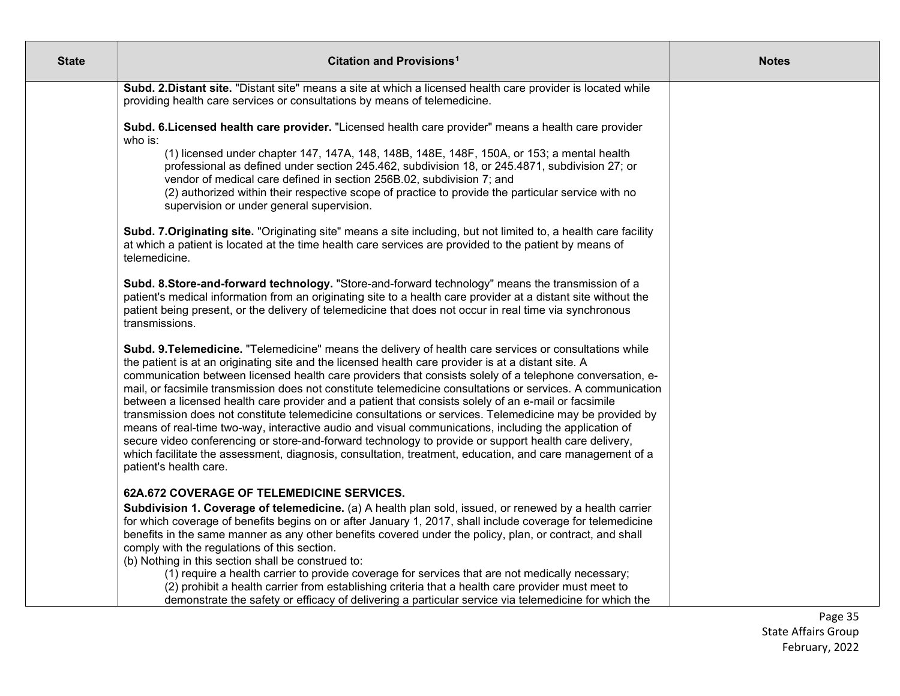| <b>State</b> | Citation and Provisions <sup>1</sup>                                                                                                                                                                                                                                                                                                                                                                                                                                                                                                                                                                                                                                                                                                                                                                                                                                                                                                                                                                                   | <b>Notes</b> |
|--------------|------------------------------------------------------------------------------------------------------------------------------------------------------------------------------------------------------------------------------------------------------------------------------------------------------------------------------------------------------------------------------------------------------------------------------------------------------------------------------------------------------------------------------------------------------------------------------------------------------------------------------------------------------------------------------------------------------------------------------------------------------------------------------------------------------------------------------------------------------------------------------------------------------------------------------------------------------------------------------------------------------------------------|--------------|
|              | Subd. 2. Distant site. "Distant site" means a site at which a licensed health care provider is located while<br>providing health care services or consultations by means of telemedicine.                                                                                                                                                                                                                                                                                                                                                                                                                                                                                                                                                                                                                                                                                                                                                                                                                              |              |
|              | Subd. 6. Licensed health care provider. "Licensed health care provider" means a health care provider<br>who is:                                                                                                                                                                                                                                                                                                                                                                                                                                                                                                                                                                                                                                                                                                                                                                                                                                                                                                        |              |
|              | (1) licensed under chapter 147, 147A, 148, 148B, 148E, 148F, 150A, or 153; a mental health<br>professional as defined under section 245.462, subdivision 18, or 245.4871, subdivision 27; or<br>vendor of medical care defined in section 256B.02, subdivision 7; and<br>(2) authorized within their respective scope of practice to provide the particular service with no<br>supervision or under general supervision.                                                                                                                                                                                                                                                                                                                                                                                                                                                                                                                                                                                               |              |
|              | Subd. 7. Originating site. "Originating site" means a site including, but not limited to, a health care facility<br>at which a patient is located at the time health care services are provided to the patient by means of<br>telemedicine.                                                                                                                                                                                                                                                                                                                                                                                                                                                                                                                                                                                                                                                                                                                                                                            |              |
|              | Subd. 8.Store-and-forward technology. "Store-and-forward technology" means the transmission of a<br>patient's medical information from an originating site to a health care provider at a distant site without the<br>patient being present, or the delivery of telemedicine that does not occur in real time via synchronous<br>transmissions.                                                                                                                                                                                                                                                                                                                                                                                                                                                                                                                                                                                                                                                                        |              |
|              | Subd. 9. Telemedicine. "Telemedicine" means the delivery of health care services or consultations while<br>the patient is at an originating site and the licensed health care provider is at a distant site. A<br>communication between licensed health care providers that consists solely of a telephone conversation, e-<br>mail, or facsimile transmission does not constitute telemedicine consultations or services. A communication<br>between a licensed health care provider and a patient that consists solely of an e-mail or facsimile<br>transmission does not constitute telemedicine consultations or services. Telemedicine may be provided by<br>means of real-time two-way, interactive audio and visual communications, including the application of<br>secure video conferencing or store-and-forward technology to provide or support health care delivery,<br>which facilitate the assessment, diagnosis, consultation, treatment, education, and care management of a<br>patient's health care. |              |
|              | 62A.672 COVERAGE OF TELEMEDICINE SERVICES.                                                                                                                                                                                                                                                                                                                                                                                                                                                                                                                                                                                                                                                                                                                                                                                                                                                                                                                                                                             |              |
|              | Subdivision 1. Coverage of telemedicine. (a) A health plan sold, issued, or renewed by a health carrier<br>for which coverage of benefits begins on or after January 1, 2017, shall include coverage for telemedicine<br>benefits in the same manner as any other benefits covered under the policy, plan, or contract, and shall<br>comply with the regulations of this section.<br>(b) Nothing in this section shall be construed to:                                                                                                                                                                                                                                                                                                                                                                                                                                                                                                                                                                                |              |
|              | (1) require a health carrier to provide coverage for services that are not medically necessary;<br>(2) prohibit a health carrier from establishing criteria that a health care provider must meet to<br>demonstrate the safety or efficacy of delivering a particular service via telemedicine for which the                                                                                                                                                                                                                                                                                                                                                                                                                                                                                                                                                                                                                                                                                                           |              |

Page 35 State Affairs Group February, 2022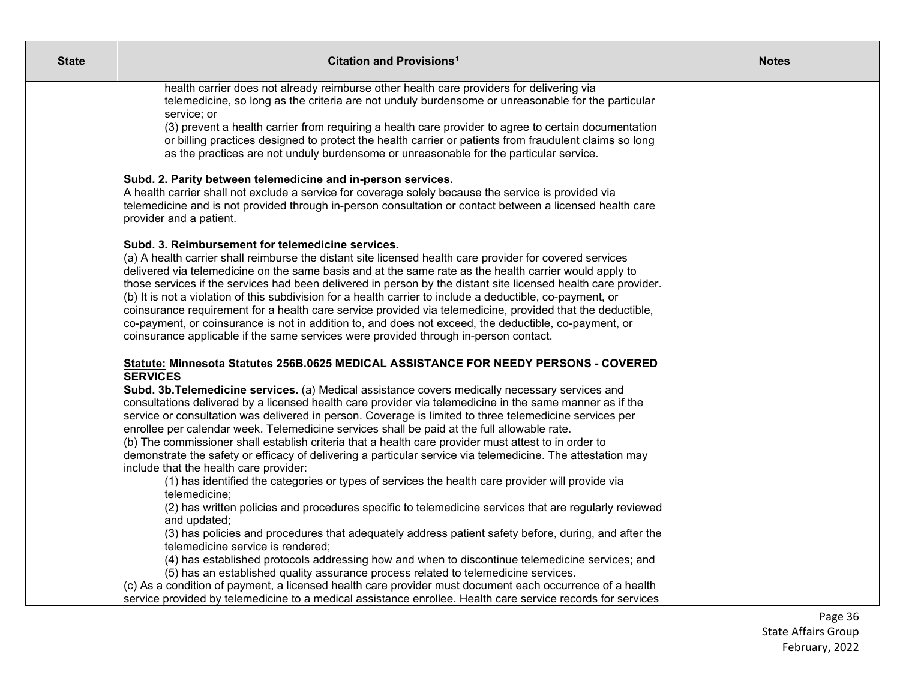| <b>State</b> | Citation and Provisions <sup>1</sup>                                                                                                                                                                                                                                                                                                                                                                                                                                                                                                                                                                                                                                                                                                                                                                                   | <b>Notes</b> |
|--------------|------------------------------------------------------------------------------------------------------------------------------------------------------------------------------------------------------------------------------------------------------------------------------------------------------------------------------------------------------------------------------------------------------------------------------------------------------------------------------------------------------------------------------------------------------------------------------------------------------------------------------------------------------------------------------------------------------------------------------------------------------------------------------------------------------------------------|--------------|
|              | health carrier does not already reimburse other health care providers for delivering via<br>telemedicine, so long as the criteria are not unduly burdensome or unreasonable for the particular<br>service; or<br>(3) prevent a health carrier from requiring a health care provider to agree to certain documentation<br>or billing practices designed to protect the health carrier or patients from fraudulent claims so long<br>as the practices are not unduly burdensome or unreasonable for the particular service.                                                                                                                                                                                                                                                                                              |              |
|              | Subd. 2. Parity between telemedicine and in-person services.<br>A health carrier shall not exclude a service for coverage solely because the service is provided via<br>telemedicine and is not provided through in-person consultation or contact between a licensed health care<br>provider and a patient.                                                                                                                                                                                                                                                                                                                                                                                                                                                                                                           |              |
|              | Subd. 3. Reimbursement for telemedicine services.<br>(a) A health carrier shall reimburse the distant site licensed health care provider for covered services<br>delivered via telemedicine on the same basis and at the same rate as the health carrier would apply to<br>those services if the services had been delivered in person by the distant site licensed health care provider.<br>(b) It is not a violation of this subdivision for a health carrier to include a deductible, co-payment, or<br>coinsurance requirement for a health care service provided via telemedicine, provided that the deductible,<br>co-payment, or coinsurance is not in addition to, and does not exceed, the deductible, co-payment, or<br>coinsurance applicable if the same services were provided through in-person contact. |              |
|              | Statute: Minnesota Statutes 256B.0625 MEDICAL ASSISTANCE FOR NEEDY PERSONS - COVERED<br><b>SERVICES</b>                                                                                                                                                                                                                                                                                                                                                                                                                                                                                                                                                                                                                                                                                                                |              |
|              | Subd. 3b. Telemedicine services. (a) Medical assistance covers medically necessary services and<br>consultations delivered by a licensed health care provider via telemedicine in the same manner as if the<br>service or consultation was delivered in person. Coverage is limited to three telemedicine services per<br>enrollee per calendar week. Telemedicine services shall be paid at the full allowable rate.<br>(b) The commissioner shall establish criteria that a health care provider must attest to in order to<br>demonstrate the safety or efficacy of delivering a particular service via telemedicine. The attestation may                                                                                                                                                                           |              |
|              | include that the health care provider:<br>(1) has identified the categories or types of services the health care provider will provide via<br>telemedicine;                                                                                                                                                                                                                                                                                                                                                                                                                                                                                                                                                                                                                                                            |              |
|              | (2) has written policies and procedures specific to telemedicine services that are regularly reviewed<br>and updated;                                                                                                                                                                                                                                                                                                                                                                                                                                                                                                                                                                                                                                                                                                  |              |
|              | (3) has policies and procedures that adequately address patient safety before, during, and after the<br>telemedicine service is rendered;<br>(4) has established protocols addressing how and when to discontinue telemedicine services; and                                                                                                                                                                                                                                                                                                                                                                                                                                                                                                                                                                           |              |
|              | (5) has an established quality assurance process related to telemedicine services.<br>(c) As a condition of payment, a licensed health care provider must document each occurrence of a health                                                                                                                                                                                                                                                                                                                                                                                                                                                                                                                                                                                                                         |              |
|              | service provided by telemedicine to a medical assistance enrollee. Health care service records for services                                                                                                                                                                                                                                                                                                                                                                                                                                                                                                                                                                                                                                                                                                            |              |

Page 36 State Affairs Group February, 2022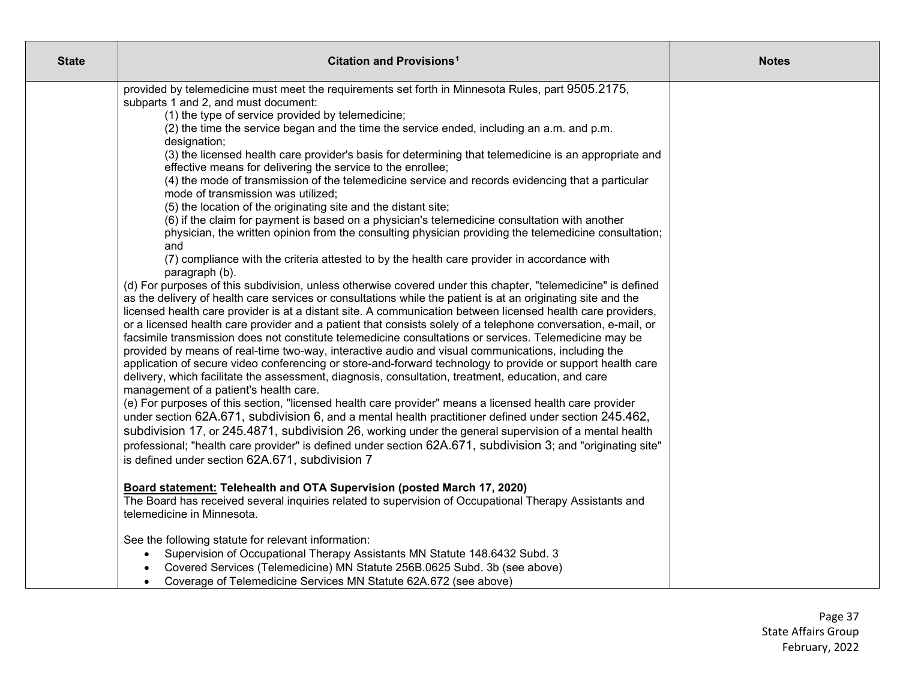| <b>State</b> | Citation and Provisions <sup>1</sup>                                                                                                                                                                                                                                                                                                                                                                                                                                                                                                                                                                                                                                                                                                                                                                                                                                                                                                                                                                                                                                                                                                                                                                                                                                                                                                                                                                                                                                                                                                                                                                                                                                                                                                                                                                                                                                                                                                                                                                                                                                                                                                                                                                                                                                                                                                                                                                                                                                             | <b>Notes</b> |
|--------------|----------------------------------------------------------------------------------------------------------------------------------------------------------------------------------------------------------------------------------------------------------------------------------------------------------------------------------------------------------------------------------------------------------------------------------------------------------------------------------------------------------------------------------------------------------------------------------------------------------------------------------------------------------------------------------------------------------------------------------------------------------------------------------------------------------------------------------------------------------------------------------------------------------------------------------------------------------------------------------------------------------------------------------------------------------------------------------------------------------------------------------------------------------------------------------------------------------------------------------------------------------------------------------------------------------------------------------------------------------------------------------------------------------------------------------------------------------------------------------------------------------------------------------------------------------------------------------------------------------------------------------------------------------------------------------------------------------------------------------------------------------------------------------------------------------------------------------------------------------------------------------------------------------------------------------------------------------------------------------------------------------------------------------------------------------------------------------------------------------------------------------------------------------------------------------------------------------------------------------------------------------------------------------------------------------------------------------------------------------------------------------------------------------------------------------------------------------------------------------|--------------|
|              | provided by telemedicine must meet the requirements set forth in Minnesota Rules, part 9505.2175,<br>subparts 1 and 2, and must document:<br>(1) the type of service provided by telemedicine;<br>(2) the time the service began and the time the service ended, including an a.m. and p.m.<br>designation;<br>(3) the licensed health care provider's basis for determining that telemedicine is an appropriate and<br>effective means for delivering the service to the enrollee;<br>(4) the mode of transmission of the telemedicine service and records evidencing that a particular<br>mode of transmission was utilized;<br>(5) the location of the originating site and the distant site;<br>(6) if the claim for payment is based on a physician's telemedicine consultation with another<br>physician, the written opinion from the consulting physician providing the telemedicine consultation;<br>and<br>(7) compliance with the criteria attested to by the health care provider in accordance with<br>paragraph (b).<br>(d) For purposes of this subdivision, unless otherwise covered under this chapter, "telemedicine" is defined<br>as the delivery of health care services or consultations while the patient is at an originating site and the<br>licensed health care provider is at a distant site. A communication between licensed health care providers,<br>or a licensed health care provider and a patient that consists solely of a telephone conversation, e-mail, or<br>facsimile transmission does not constitute telemedicine consultations or services. Telemedicine may be<br>provided by means of real-time two-way, interactive audio and visual communications, including the<br>application of secure video conferencing or store-and-forward technology to provide or support health care<br>delivery, which facilitate the assessment, diagnosis, consultation, treatment, education, and care<br>management of a patient's health care.<br>(e) For purposes of this section, "licensed health care provider" means a licensed health care provider<br>under section 62A.671, subdivision 6, and a mental health practitioner defined under section 245.462,<br>subdivision 17, or 245.4871, subdivision 26, working under the general supervision of a mental health<br>professional; "health care provider" is defined under section 62A.671, subdivision 3; and "originating site"<br>is defined under section 62A.671, subdivision 7 |              |
|              | Board statement: Telehealth and OTA Supervision (posted March 17, 2020)<br>The Board has received several inquiries related to supervision of Occupational Therapy Assistants and<br>telemedicine in Minnesota.                                                                                                                                                                                                                                                                                                                                                                                                                                                                                                                                                                                                                                                                                                                                                                                                                                                                                                                                                                                                                                                                                                                                                                                                                                                                                                                                                                                                                                                                                                                                                                                                                                                                                                                                                                                                                                                                                                                                                                                                                                                                                                                                                                                                                                                                  |              |
|              | See the following statute for relevant information:<br>Supervision of Occupational Therapy Assistants MN Statute 148.6432 Subd. 3<br>Covered Services (Telemedicine) MN Statute 256B.0625 Subd. 3b (see above)<br>Coverage of Telemedicine Services MN Statute 62A.672 (see above)                                                                                                                                                                                                                                                                                                                                                                                                                                                                                                                                                                                                                                                                                                                                                                                                                                                                                                                                                                                                                                                                                                                                                                                                                                                                                                                                                                                                                                                                                                                                                                                                                                                                                                                                                                                                                                                                                                                                                                                                                                                                                                                                                                                               |              |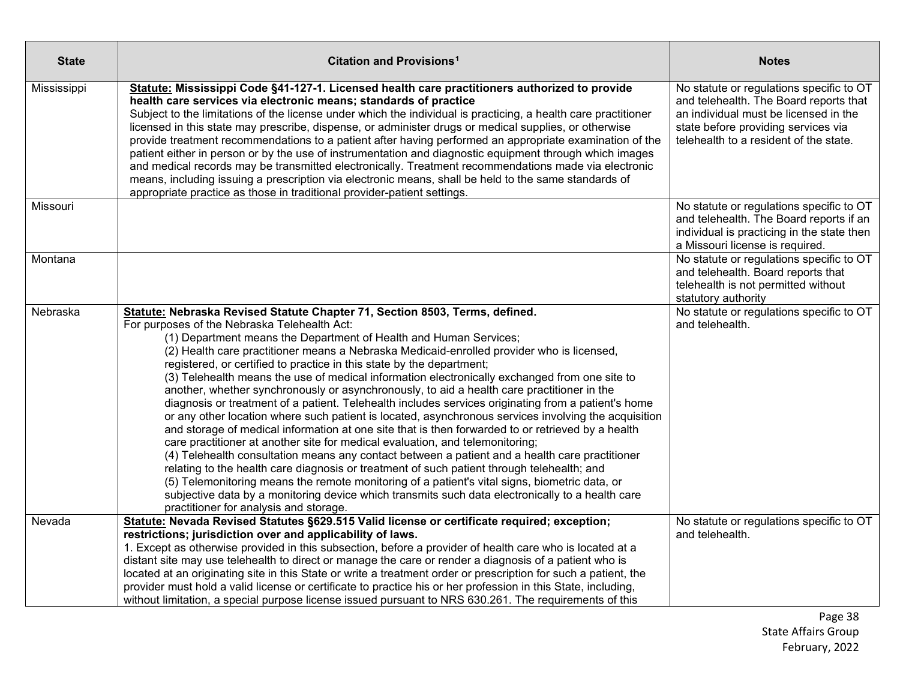| <b>State</b> | Citation and Provisions <sup>1</sup>                                                                                                                                                                                                                                                                                                                                                                                                                                                                                                                                                                                                                                                                                                                                                                                                                                                                                                                                                                                                                                                                                                                                                                                                                                                                                                                                                                                      | <b>Notes</b>                                                                                                                                                                                                 |
|--------------|---------------------------------------------------------------------------------------------------------------------------------------------------------------------------------------------------------------------------------------------------------------------------------------------------------------------------------------------------------------------------------------------------------------------------------------------------------------------------------------------------------------------------------------------------------------------------------------------------------------------------------------------------------------------------------------------------------------------------------------------------------------------------------------------------------------------------------------------------------------------------------------------------------------------------------------------------------------------------------------------------------------------------------------------------------------------------------------------------------------------------------------------------------------------------------------------------------------------------------------------------------------------------------------------------------------------------------------------------------------------------------------------------------------------------|--------------------------------------------------------------------------------------------------------------------------------------------------------------------------------------------------------------|
| Mississippi  | Statute: Mississippi Code §41-127-1. Licensed health care practitioners authorized to provide<br>health care services via electronic means; standards of practice<br>Subject to the limitations of the license under which the individual is practicing, a health care practitioner<br>licensed in this state may prescribe, dispense, or administer drugs or medical supplies, or otherwise<br>provide treatment recommendations to a patient after having performed an appropriate examination of the<br>patient either in person or by the use of instrumentation and diagnostic equipment through which images<br>and medical records may be transmitted electronically. Treatment recommendations made via electronic<br>means, including issuing a prescription via electronic means, shall be held to the same standards of<br>appropriate practice as those in traditional provider-patient settings.                                                                                                                                                                                                                                                                                                                                                                                                                                                                                                             | No statute or regulations specific to OT<br>and telehealth. The Board reports that<br>an individual must be licensed in the<br>state before providing services via<br>telehealth to a resident of the state. |
| Missouri     |                                                                                                                                                                                                                                                                                                                                                                                                                                                                                                                                                                                                                                                                                                                                                                                                                                                                                                                                                                                                                                                                                                                                                                                                                                                                                                                                                                                                                           | No statute or regulations specific to OT<br>and telehealth. The Board reports if an<br>individual is practicing in the state then<br>a Missouri license is required.                                         |
| Montana      |                                                                                                                                                                                                                                                                                                                                                                                                                                                                                                                                                                                                                                                                                                                                                                                                                                                                                                                                                                                                                                                                                                                                                                                                                                                                                                                                                                                                                           | No statute or regulations specific to OT<br>and telehealth. Board reports that<br>telehealth is not permitted without<br>statutory authority                                                                 |
| Nebraska     | Statute: Nebraska Revised Statute Chapter 71, Section 8503, Terms, defined.<br>For purposes of the Nebraska Telehealth Act:<br>(1) Department means the Department of Health and Human Services;<br>(2) Health care practitioner means a Nebraska Medicaid-enrolled provider who is licensed,<br>registered, or certified to practice in this state by the department;<br>(3) Telehealth means the use of medical information electronically exchanged from one site to<br>another, whether synchronously or asynchronously, to aid a health care practitioner in the<br>diagnosis or treatment of a patient. Telehealth includes services originating from a patient's home<br>or any other location where such patient is located, asynchronous services involving the acquisition<br>and storage of medical information at one site that is then forwarded to or retrieved by a health<br>care practitioner at another site for medical evaluation, and telemonitoring;<br>(4) Telehealth consultation means any contact between a patient and a health care practitioner<br>relating to the health care diagnosis or treatment of such patient through telehealth; and<br>(5) Telemonitoring means the remote monitoring of a patient's vital signs, biometric data, or<br>subjective data by a monitoring device which transmits such data electronically to a health care<br>practitioner for analysis and storage. | No statute or regulations specific to OT<br>and telehealth.                                                                                                                                                  |
| Nevada       | Statute: Nevada Revised Statutes §629.515 Valid license or certificate required; exception;<br>restrictions; jurisdiction over and applicability of laws.<br>1. Except as otherwise provided in this subsection, before a provider of health care who is located at a<br>distant site may use telehealth to direct or manage the care or render a diagnosis of a patient who is<br>located at an originating site in this State or write a treatment order or prescription for such a patient, the<br>provider must hold a valid license or certificate to practice his or her profession in this State, including,<br>without limitation, a special purpose license issued pursuant to NRS 630.261. The requirements of this                                                                                                                                                                                                                                                                                                                                                                                                                                                                                                                                                                                                                                                                                             | No statute or regulations specific to OT<br>and telehealth.                                                                                                                                                  |

Page 38 State Affairs Group February, 2022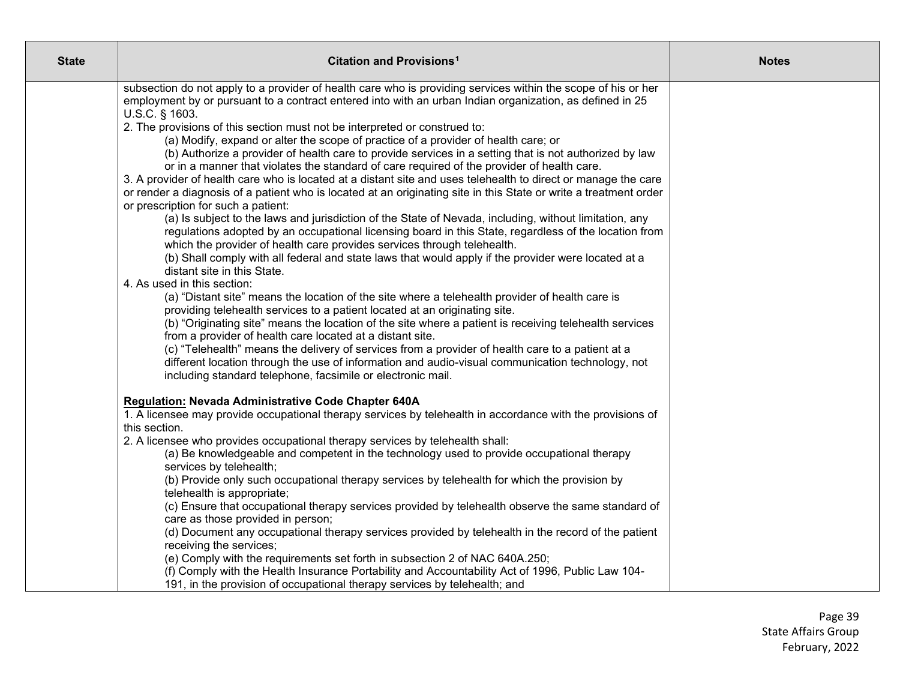| <b>State</b> | Citation and Provisions <sup>1</sup>                                                                                                                                           | <b>Notes</b> |
|--------------|--------------------------------------------------------------------------------------------------------------------------------------------------------------------------------|--------------|
|              | subsection do not apply to a provider of health care who is providing services within the scope of his or her                                                                  |              |
|              | employment by or pursuant to a contract entered into with an urban Indian organization, as defined in 25                                                                       |              |
|              | U.S.C. § 1603.<br>2. The provisions of this section must not be interpreted or construed to:                                                                                   |              |
|              | (a) Modify, expand or alter the scope of practice of a provider of health care; or                                                                                             |              |
|              | (b) Authorize a provider of health care to provide services in a setting that is not authorized by law                                                                         |              |
|              | or in a manner that violates the standard of care required of the provider of health care.                                                                                     |              |
|              | 3. A provider of health care who is located at a distant site and uses telehealth to direct or manage the care                                                                 |              |
|              | or render a diagnosis of a patient who is located at an originating site in this State or write a treatment order                                                              |              |
|              | or prescription for such a patient:                                                                                                                                            |              |
|              | (a) Is subject to the laws and jurisdiction of the State of Nevada, including, without limitation, any                                                                         |              |
|              | regulations adopted by an occupational licensing board in this State, regardless of the location from                                                                          |              |
|              | which the provider of health care provides services through telehealth.<br>(b) Shall comply with all federal and state laws that would apply if the provider were located at a |              |
|              | distant site in this State.                                                                                                                                                    |              |
|              | 4. As used in this section:                                                                                                                                                    |              |
|              | (a) "Distant site" means the location of the site where a telehealth provider of health care is                                                                                |              |
|              | providing telehealth services to a patient located at an originating site.                                                                                                     |              |
|              | (b) "Originating site" means the location of the site where a patient is receiving telehealth services                                                                         |              |
|              | from a provider of health care located at a distant site.                                                                                                                      |              |
|              | (c) "Telehealth" means the delivery of services from a provider of health care to a patient at a                                                                               |              |
|              | different location through the use of information and audio-visual communication technology, not<br>including standard telephone, facsimile or electronic mail.                |              |
|              |                                                                                                                                                                                |              |
|              | <b>Regulation: Nevada Administrative Code Chapter 640A</b>                                                                                                                     |              |
|              | 1. A licensee may provide occupational therapy services by telehealth in accordance with the provisions of                                                                     |              |
|              | this section.                                                                                                                                                                  |              |
|              | 2. A licensee who provides occupational therapy services by telehealth shall:                                                                                                  |              |
|              | (a) Be knowledgeable and competent in the technology used to provide occupational therapy                                                                                      |              |
|              | services by telehealth;                                                                                                                                                        |              |
|              | (b) Provide only such occupational therapy services by telehealth for which the provision by<br>telehealth is appropriate;                                                     |              |
|              | (c) Ensure that occupational therapy services provided by telehealth observe the same standard of                                                                              |              |
|              | care as those provided in person;                                                                                                                                              |              |
|              | (d) Document any occupational therapy services provided by telehealth in the record of the patient                                                                             |              |
|              | receiving the services;                                                                                                                                                        |              |
|              | (e) Comply with the requirements set forth in subsection 2 of NAC 640A.250;                                                                                                    |              |
|              | (f) Comply with the Health Insurance Portability and Accountability Act of 1996, Public Law 104-                                                                               |              |
|              | 191, in the provision of occupational therapy services by telehealth; and                                                                                                      |              |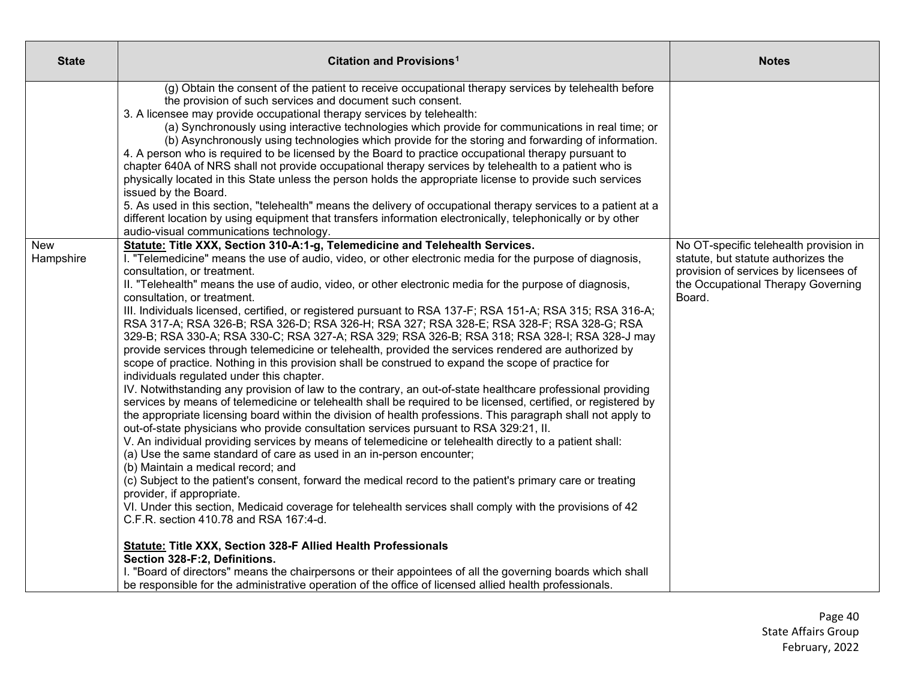| <b>State</b>            | Citation and Provisions <sup>1</sup>                                                                                                                                                                                                                                                                                                                                                                                                                                                                                                                                                                                                                                                                                                                                                                                                                                                                                                                                                                                                                                                                                                                                                                                                                                                                                                                                                                                                                                                                                                                                                                                                                                                                                                                                                                                                                                                                                                                                                                                                                                                                                                                                                                                                          | <b>Notes</b>                                                                                                                                                           |
|-------------------------|-----------------------------------------------------------------------------------------------------------------------------------------------------------------------------------------------------------------------------------------------------------------------------------------------------------------------------------------------------------------------------------------------------------------------------------------------------------------------------------------------------------------------------------------------------------------------------------------------------------------------------------------------------------------------------------------------------------------------------------------------------------------------------------------------------------------------------------------------------------------------------------------------------------------------------------------------------------------------------------------------------------------------------------------------------------------------------------------------------------------------------------------------------------------------------------------------------------------------------------------------------------------------------------------------------------------------------------------------------------------------------------------------------------------------------------------------------------------------------------------------------------------------------------------------------------------------------------------------------------------------------------------------------------------------------------------------------------------------------------------------------------------------------------------------------------------------------------------------------------------------------------------------------------------------------------------------------------------------------------------------------------------------------------------------------------------------------------------------------------------------------------------------------------------------------------------------------------------------------------------------|------------------------------------------------------------------------------------------------------------------------------------------------------------------------|
|                         | (g) Obtain the consent of the patient to receive occupational therapy services by telehealth before<br>the provision of such services and document such consent.<br>3. A licensee may provide occupational therapy services by telehealth:<br>(a) Synchronously using interactive technologies which provide for communications in real time; or<br>(b) Asynchronously using technologies which provide for the storing and forwarding of information.<br>4. A person who is required to be licensed by the Board to practice occupational therapy pursuant to<br>chapter 640A of NRS shall not provide occupational therapy services by telehealth to a patient who is<br>physically located in this State unless the person holds the appropriate license to provide such services<br>issued by the Board.<br>5. As used in this section, "telehealth" means the delivery of occupational therapy services to a patient at a<br>different location by using equipment that transfers information electronically, telephonically or by other<br>audio-visual communications technology.                                                                                                                                                                                                                                                                                                                                                                                                                                                                                                                                                                                                                                                                                                                                                                                                                                                                                                                                                                                                                                                                                                                                                      |                                                                                                                                                                        |
| <b>New</b><br>Hampshire | Statute: Title XXX, Section 310-A:1-g, Telemedicine and Telehealth Services.<br>I. "Telemedicine" means the use of audio, video, or other electronic media for the purpose of diagnosis,<br>consultation, or treatment.<br>II. "Telehealth" means the use of audio, video, or other electronic media for the purpose of diagnosis,<br>consultation, or treatment.<br>III. Individuals licensed, certified, or registered pursuant to RSA 137-F; RSA 151-A; RSA 315; RSA 316-A;<br>RSA 317-A; RSA 326-B; RSA 326-D; RSA 326-H; RSA 327; RSA 328-E; RSA 328-F; RSA 328-G; RSA<br>329-B; RSA 330-A; RSA 330-C; RSA 327-A; RSA 329; RSA 326-B; RSA 318; RSA 328-I; RSA 328-J may<br>provide services through telemedicine or telehealth, provided the services rendered are authorized by<br>scope of practice. Nothing in this provision shall be construed to expand the scope of practice for<br>individuals regulated under this chapter.<br>IV. Notwithstanding any provision of law to the contrary, an out-of-state healthcare professional providing<br>services by means of telemedicine or telehealth shall be required to be licensed, certified, or registered by<br>the appropriate licensing board within the division of health professions. This paragraph shall not apply to<br>out-of-state physicians who provide consultation services pursuant to RSA 329:21, II.<br>V. An individual providing services by means of telemedicine or telehealth directly to a patient shall:<br>(a) Use the same standard of care as used in an in-person encounter;<br>(b) Maintain a medical record; and<br>(c) Subject to the patient's consent, forward the medical record to the patient's primary care or treating<br>provider, if appropriate.<br>VI. Under this section, Medicaid coverage for telehealth services shall comply with the provisions of 42<br>C.F.R. section 410.78 and RSA 167:4-d.<br><b>Statute: Title XXX, Section 328-F Allied Health Professionals</b><br>Section 328-F:2, Definitions.<br>I. "Board of directors" means the chairpersons or their appointees of all the governing boards which shall<br>be responsible for the administrative operation of the office of licensed allied health professionals. | No OT-specific telehealth provision in<br>statute, but statute authorizes the<br>provision of services by licensees of<br>the Occupational Therapy Governing<br>Board. |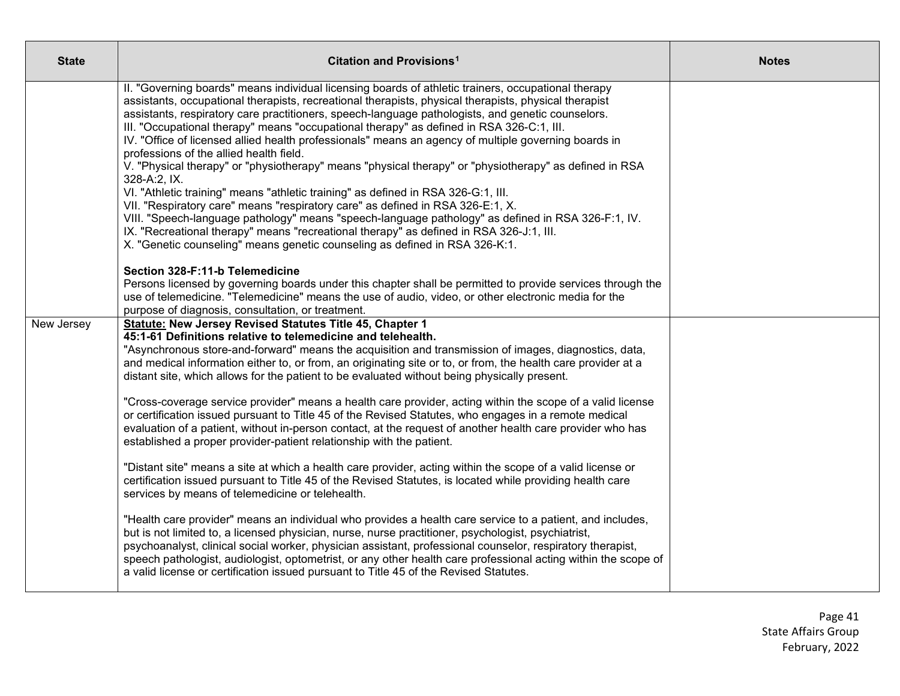| <b>State</b> | Citation and Provisions <sup>1</sup>                                                                                                                                                                                                                                                                                                                                                                                                                                                                                                                             | <b>Notes</b> |
|--------------|------------------------------------------------------------------------------------------------------------------------------------------------------------------------------------------------------------------------------------------------------------------------------------------------------------------------------------------------------------------------------------------------------------------------------------------------------------------------------------------------------------------------------------------------------------------|--------------|
|              | II. "Governing boards" means individual licensing boards of athletic trainers, occupational therapy<br>assistants, occupational therapists, recreational therapists, physical therapists, physical therapist<br>assistants, respiratory care practitioners, speech-language pathologists, and genetic counselors.<br>III. "Occupational therapy" means "occupational therapy" as defined in RSA 326-C:1, III.<br>IV. "Office of licensed allied health professionals" means an agency of multiple governing boards in<br>professions of the allied health field. |              |
|              | V. "Physical therapy" or "physiotherapy" means "physical therapy" or "physiotherapy" as defined in RSA<br>328-A:2, IX.                                                                                                                                                                                                                                                                                                                                                                                                                                           |              |
|              | VI. "Athletic training" means "athletic training" as defined in RSA 326-G:1, III.<br>VII. "Respiratory care" means "respiratory care" as defined in RSA 326-E:1, X.<br>VIII. "Speech-language pathology" means "speech-language pathology" as defined in RSA 326-F:1, IV.<br>IX. "Recreational therapy" means "recreational therapy" as defined in RSA 326-J:1, III.<br>X. "Genetic counseling" means genetic counseling as defined in RSA 326-K:1.                                                                                                              |              |
|              | Section 328-F:11-b Telemedicine<br>Persons licensed by governing boards under this chapter shall be permitted to provide services through the<br>use of telemedicine. "Telemedicine" means the use of audio, video, or other electronic media for the<br>purpose of diagnosis, consultation, or treatment.                                                                                                                                                                                                                                                       |              |
| New Jersey   | Statute: New Jersey Revised Statutes Title 45, Chapter 1<br>45:1-61 Definitions relative to telemedicine and telehealth.<br>"Asynchronous store-and-forward" means the acquisition and transmission of images, diagnostics, data,<br>and medical information either to, or from, an originating site or to, or from, the health care provider at a<br>distant site, which allows for the patient to be evaluated without being physically present.                                                                                                               |              |
|              | "Cross-coverage service provider" means a health care provider, acting within the scope of a valid license<br>or certification issued pursuant to Title 45 of the Revised Statutes, who engages in a remote medical<br>evaluation of a patient, without in-person contact, at the request of another health care provider who has<br>established a proper provider-patient relationship with the patient.                                                                                                                                                        |              |
|              | "Distant site" means a site at which a health care provider, acting within the scope of a valid license or<br>certification issued pursuant to Title 45 of the Revised Statutes, is located while providing health care<br>services by means of telemedicine or telehealth.                                                                                                                                                                                                                                                                                      |              |
|              | "Health care provider" means an individual who provides a health care service to a patient, and includes,<br>but is not limited to, a licensed physician, nurse, nurse practitioner, psychologist, psychiatrist,<br>psychoanalyst, clinical social worker, physician assistant, professional counselor, respiratory therapist,<br>speech pathologist, audiologist, optometrist, or any other health care professional acting within the scope of<br>a valid license or certification issued pursuant to Title 45 of the Revised Statutes.                        |              |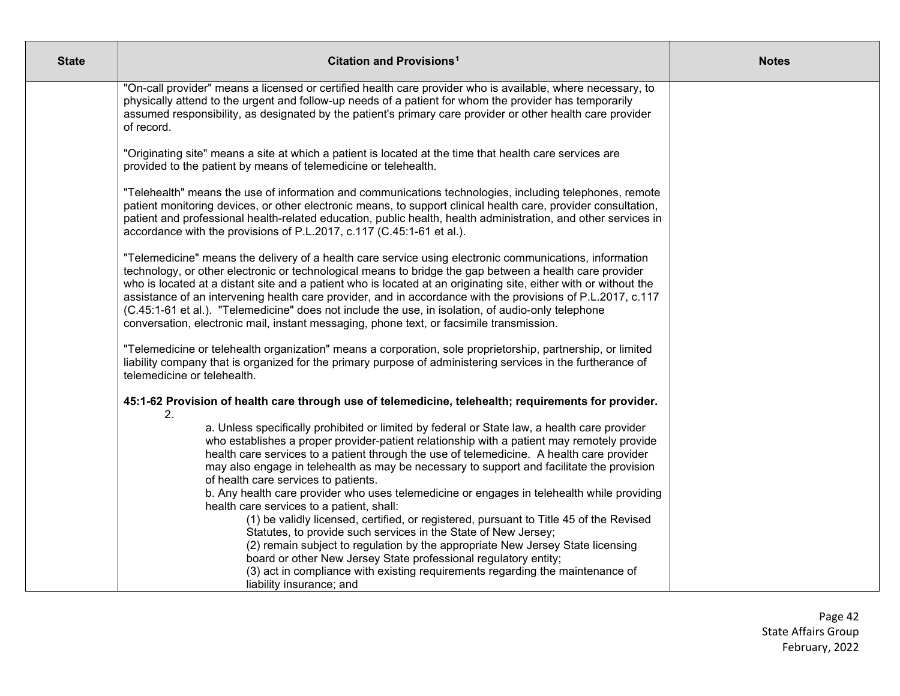| <b>State</b> | Citation and Provisions <sup>1</sup>                                                                                                                                                                                                                                                                                                                                                                                                                                                                                                                                                                                                                    | <b>Notes</b> |
|--------------|---------------------------------------------------------------------------------------------------------------------------------------------------------------------------------------------------------------------------------------------------------------------------------------------------------------------------------------------------------------------------------------------------------------------------------------------------------------------------------------------------------------------------------------------------------------------------------------------------------------------------------------------------------|--------------|
|              | "On-call provider" means a licensed or certified health care provider who is available, where necessary, to<br>physically attend to the urgent and follow-up needs of a patient for whom the provider has temporarily<br>assumed responsibility, as designated by the patient's primary care provider or other health care provider<br>of record.                                                                                                                                                                                                                                                                                                       |              |
|              | "Originating site" means a site at which a patient is located at the time that health care services are<br>provided to the patient by means of telemedicine or telehealth.                                                                                                                                                                                                                                                                                                                                                                                                                                                                              |              |
|              | "Telehealth" means the use of information and communications technologies, including telephones, remote<br>patient monitoring devices, or other electronic means, to support clinical health care, provider consultation,<br>patient and professional health-related education, public health, health administration, and other services in<br>accordance with the provisions of P.L.2017, c.117 (C.45:1-61 et al.).                                                                                                                                                                                                                                    |              |
|              | "Telemedicine" means the delivery of a health care service using electronic communications, information<br>technology, or other electronic or technological means to bridge the gap between a health care provider<br>who is located at a distant site and a patient who is located at an originating site, either with or without the<br>assistance of an intervening health care provider, and in accordance with the provisions of P.L.2017, c.117<br>(C.45:1-61 et al.). "Telemedicine" does not include the use, in isolation, of audio-only telephone<br>conversation, electronic mail, instant messaging, phone text, or facsimile transmission. |              |
|              | "Telemedicine or telehealth organization" means a corporation, sole proprietorship, partnership, or limited<br>liability company that is organized for the primary purpose of administering services in the furtherance of<br>telemedicine or telehealth.                                                                                                                                                                                                                                                                                                                                                                                               |              |
|              | 45:1-62 Provision of health care through use of telemedicine, telehealth; requirements for provider.<br>2.                                                                                                                                                                                                                                                                                                                                                                                                                                                                                                                                              |              |
|              | a. Unless specifically prohibited or limited by federal or State law, a health care provider<br>who establishes a proper provider-patient relationship with a patient may remotely provide<br>health care services to a patient through the use of telemedicine. A health care provider<br>may also engage in telehealth as may be necessary to support and facilitate the provision<br>of health care services to patients.<br>b. Any health care provider who uses telemedicine or engages in telehealth while providing                                                                                                                              |              |
|              | health care services to a patient, shall:<br>(1) be validly licensed, certified, or registered, pursuant to Title 45 of the Revised                                                                                                                                                                                                                                                                                                                                                                                                                                                                                                                     |              |
|              | Statutes, to provide such services in the State of New Jersey;<br>(2) remain subject to regulation by the appropriate New Jersey State licensing<br>board or other New Jersey State professional regulatory entity;<br>(3) act in compliance with existing requirements regarding the maintenance of                                                                                                                                                                                                                                                                                                                                                    |              |
|              | liability insurance; and                                                                                                                                                                                                                                                                                                                                                                                                                                                                                                                                                                                                                                |              |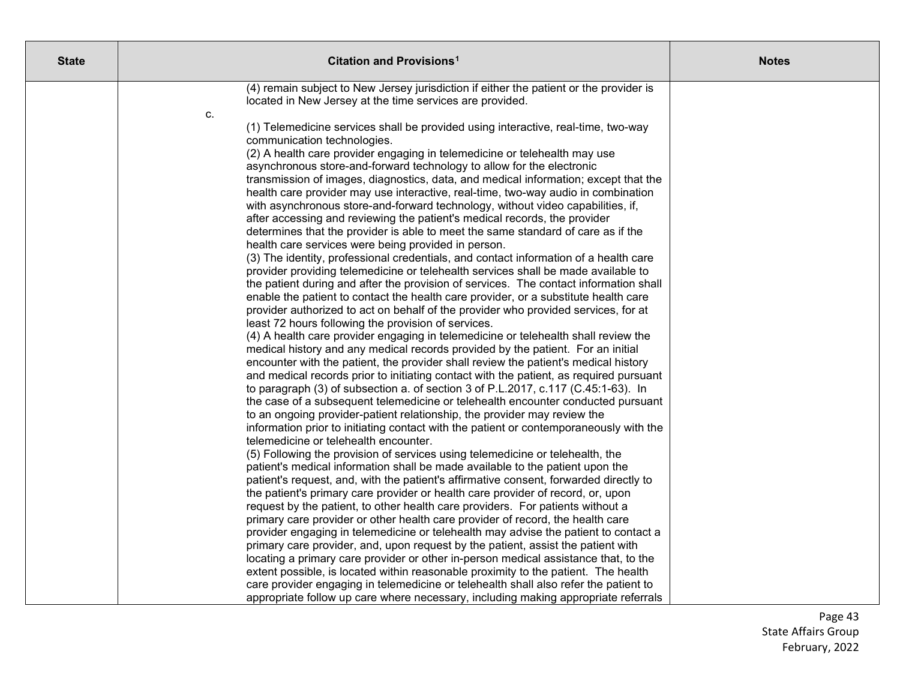| <b>State</b> | Citation and Provisions <sup>1</sup>                                                                                                                                                                                                                             | <b>Notes</b> |
|--------------|------------------------------------------------------------------------------------------------------------------------------------------------------------------------------------------------------------------------------------------------------------------|--------------|
|              | (4) remain subject to New Jersey jurisdiction if either the patient or the provider is<br>located in New Jersey at the time services are provided.<br>c.                                                                                                         |              |
|              | (1) Telemedicine services shall be provided using interactive, real-time, two-way<br>communication technologies.                                                                                                                                                 |              |
|              | (2) A health care provider engaging in telemedicine or telehealth may use<br>asynchronous store-and-forward technology to allow for the electronic<br>transmission of images, diagnostics, data, and medical information; except that the                        |              |
|              | health care provider may use interactive, real-time, two-way audio in combination<br>with asynchronous store-and-forward technology, without video capabilities, if,<br>after accessing and reviewing the patient's medical records, the provider                |              |
|              | determines that the provider is able to meet the same standard of care as if the<br>health care services were being provided in person.<br>(3) The identity, professional credentials, and contact information of a health care                                  |              |
|              | provider providing telemedicine or telehealth services shall be made available to<br>the patient during and after the provision of services. The contact information shall                                                                                       |              |
|              | enable the patient to contact the health care provider, or a substitute health care<br>provider authorized to act on behalf of the provider who provided services, for at<br>least 72 hours following the provision of services.                                 |              |
|              | (4) A health care provider engaging in telemedicine or telehealth shall review the<br>medical history and any medical records provided by the patient. For an initial<br>encounter with the patient, the provider shall review the patient's medical history     |              |
|              | and medical records prior to initiating contact with the patient, as required pursuant<br>to paragraph (3) of subsection a. of section 3 of P.L.2017, c.117 (C.45:1-63). In                                                                                      |              |
|              | the case of a subsequent telemedicine or telehealth encounter conducted pursuant<br>to an ongoing provider-patient relationship, the provider may review the<br>information prior to initiating contact with the patient or contemporaneously with the           |              |
|              | telemedicine or telehealth encounter.<br>(5) Following the provision of services using telemedicine or telehealth, the<br>patient's medical information shall be made available to the patient upon the                                                          |              |
|              | patient's request, and, with the patient's affirmative consent, forwarded directly to<br>the patient's primary care provider or health care provider of record, or, upon                                                                                         |              |
|              | request by the patient, to other health care providers. For patients without a<br>primary care provider or other health care provider of record, the health care<br>provider engaging in telemedicine or telehealth may advise the patient to contact a          |              |
|              | primary care provider, and, upon request by the patient, assist the patient with<br>locating a primary care provider or other in-person medical assistance that, to the                                                                                          |              |
|              | extent possible, is located within reasonable proximity to the patient. The health<br>care provider engaging in telemedicine or telehealth shall also refer the patient to<br>appropriate follow up care where necessary, including making appropriate referrals |              |

Page 43 State Affairs Group February, 202 2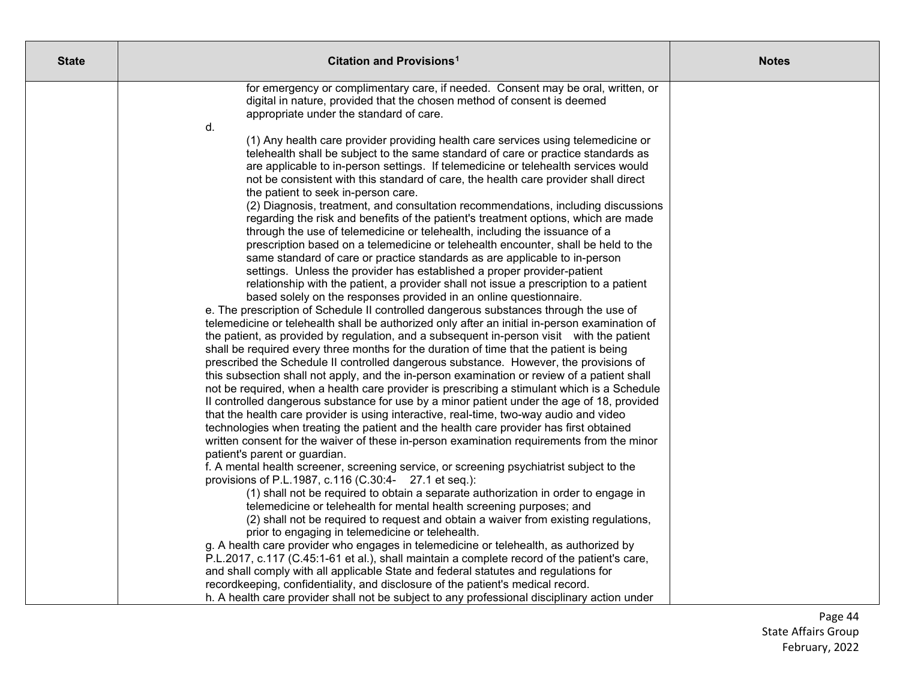| <b>State</b> | Citation and Provisions <sup>1</sup>                                                                                                                                                                                                                                                                                                                                                                                                                                                                                                                                                                                                                                                                                                                                                                                                                                                                                                                                                                                                                                                                                                                                                                                                                                                                                                                                                                                                                                                                                                                                                                                                                                                                                                                                                                                                                                                                                                                                                                                                                                                                                                                                                                                                                         | <b>Notes</b> |
|--------------|--------------------------------------------------------------------------------------------------------------------------------------------------------------------------------------------------------------------------------------------------------------------------------------------------------------------------------------------------------------------------------------------------------------------------------------------------------------------------------------------------------------------------------------------------------------------------------------------------------------------------------------------------------------------------------------------------------------------------------------------------------------------------------------------------------------------------------------------------------------------------------------------------------------------------------------------------------------------------------------------------------------------------------------------------------------------------------------------------------------------------------------------------------------------------------------------------------------------------------------------------------------------------------------------------------------------------------------------------------------------------------------------------------------------------------------------------------------------------------------------------------------------------------------------------------------------------------------------------------------------------------------------------------------------------------------------------------------------------------------------------------------------------------------------------------------------------------------------------------------------------------------------------------------------------------------------------------------------------------------------------------------------------------------------------------------------------------------------------------------------------------------------------------------------------------------------------------------------------------------------------------------|--------------|
|              | for emergency or complimentary care, if needed. Consent may be oral, written, or<br>digital in nature, provided that the chosen method of consent is deemed<br>appropriate under the standard of care.                                                                                                                                                                                                                                                                                                                                                                                                                                                                                                                                                                                                                                                                                                                                                                                                                                                                                                                                                                                                                                                                                                                                                                                                                                                                                                                                                                                                                                                                                                                                                                                                                                                                                                                                                                                                                                                                                                                                                                                                                                                       |              |
|              | d.<br>(1) Any health care provider providing health care services using telemedicine or<br>telehealth shall be subject to the same standard of care or practice standards as<br>are applicable to in-person settings. If telemedicine or telehealth services would<br>not be consistent with this standard of care, the health care provider shall direct<br>the patient to seek in-person care.<br>(2) Diagnosis, treatment, and consultation recommendations, including discussions<br>regarding the risk and benefits of the patient's treatment options, which are made<br>through the use of telemedicine or telehealth, including the issuance of a<br>prescription based on a telemedicine or telehealth encounter, shall be held to the<br>same standard of care or practice standards as are applicable to in-person<br>settings. Unless the provider has established a proper provider-patient<br>relationship with the patient, a provider shall not issue a prescription to a patient<br>based solely on the responses provided in an online questionnaire.<br>e. The prescription of Schedule II controlled dangerous substances through the use of<br>telemedicine or telehealth shall be authorized only after an initial in-person examination of<br>the patient, as provided by regulation, and a subsequent in-person visit with the patient<br>shall be required every three months for the duration of time that the patient is being<br>prescribed the Schedule II controlled dangerous substance. However, the provisions of<br>this subsection shall not apply, and the in-person examination or review of a patient shall<br>not be required, when a health care provider is prescribing a stimulant which is a Schedule<br>Il controlled dangerous substance for use by a minor patient under the age of 18, provided<br>that the health care provider is using interactive, real-time, two-way audio and video<br>technologies when treating the patient and the health care provider has first obtained<br>written consent for the waiver of these in-person examination requirements from the minor<br>patient's parent or guardian.<br>f. A mental health screener, screening service, or screening psychiatrist subject to the |              |
|              | provisions of P.L.1987, c.116 (C.30:4- 27.1 et seq.):<br>(1) shall not be required to obtain a separate authorization in order to engage in                                                                                                                                                                                                                                                                                                                                                                                                                                                                                                                                                                                                                                                                                                                                                                                                                                                                                                                                                                                                                                                                                                                                                                                                                                                                                                                                                                                                                                                                                                                                                                                                                                                                                                                                                                                                                                                                                                                                                                                                                                                                                                                  |              |
|              | telemedicine or telehealth for mental health screening purposes; and<br>(2) shall not be required to request and obtain a waiver from existing regulations,<br>prior to engaging in telemedicine or telehealth.<br>g. A health care provider who engages in telemedicine or telehealth, as authorized by                                                                                                                                                                                                                                                                                                                                                                                                                                                                                                                                                                                                                                                                                                                                                                                                                                                                                                                                                                                                                                                                                                                                                                                                                                                                                                                                                                                                                                                                                                                                                                                                                                                                                                                                                                                                                                                                                                                                                     |              |
|              | P.L.2017, c.117 (C.45:1-61 et al.), shall maintain a complete record of the patient's care,<br>and shall comply with all applicable State and federal statutes and regulations for<br>recordkeeping, confidentiality, and disclosure of the patient's medical record.<br>h. A health care provider shall not be subject to any professional disciplinary action under                                                                                                                                                                                                                                                                                                                                                                                                                                                                                                                                                                                                                                                                                                                                                                                                                                                                                                                                                                                                                                                                                                                                                                                                                                                                                                                                                                                                                                                                                                                                                                                                                                                                                                                                                                                                                                                                                        |              |

Page 44 State Affairs Group February, 202 2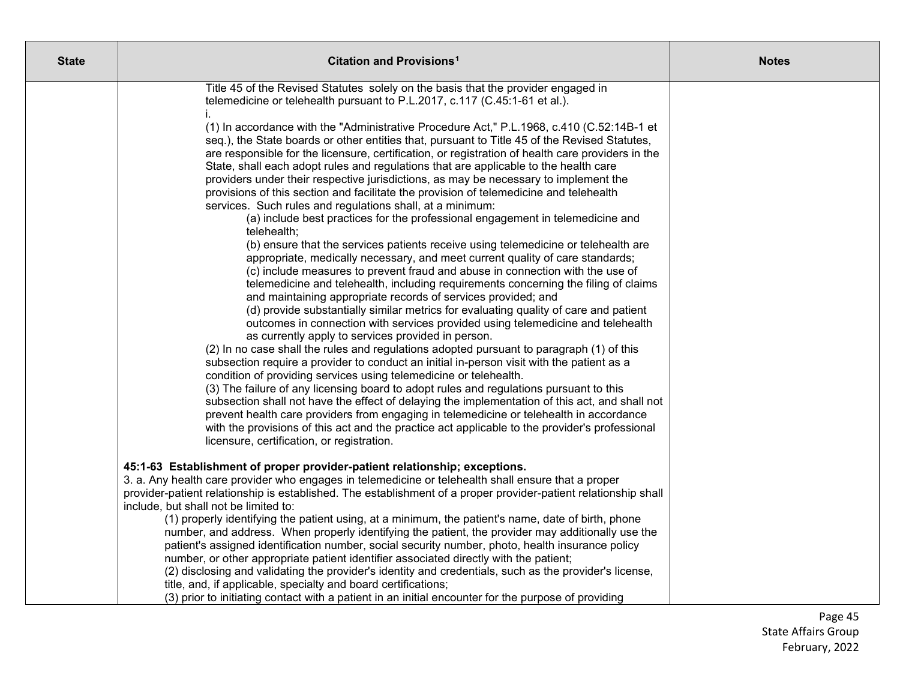| <b>State</b> | Citation and Provisions <sup>1</sup>                                                                                                                                                                                                                                                                                                                                                                                                                                                                                                                                                                                                                                                                                                                                                                                                                                                                                                                                                                                                                                                                                                                                                                                                                                                                                                                                                                                                                                                                                                                                                                                                                                                                                                                                                                                                                                                                                                                                                                                                                                                                                                                                                                                                                             | <b>Notes</b> |
|--------------|------------------------------------------------------------------------------------------------------------------------------------------------------------------------------------------------------------------------------------------------------------------------------------------------------------------------------------------------------------------------------------------------------------------------------------------------------------------------------------------------------------------------------------------------------------------------------------------------------------------------------------------------------------------------------------------------------------------------------------------------------------------------------------------------------------------------------------------------------------------------------------------------------------------------------------------------------------------------------------------------------------------------------------------------------------------------------------------------------------------------------------------------------------------------------------------------------------------------------------------------------------------------------------------------------------------------------------------------------------------------------------------------------------------------------------------------------------------------------------------------------------------------------------------------------------------------------------------------------------------------------------------------------------------------------------------------------------------------------------------------------------------------------------------------------------------------------------------------------------------------------------------------------------------------------------------------------------------------------------------------------------------------------------------------------------------------------------------------------------------------------------------------------------------------------------------------------------------------------------------------------------------|--------------|
|              | Title 45 of the Revised Statutes solely on the basis that the provider engaged in<br>telemedicine or telehealth pursuant to P.L.2017, c.117 (C.45:1-61 et al.).<br>(1) In accordance with the "Administrative Procedure Act," P.L.1968, c.410 (C.52:14B-1 et<br>seq.), the State boards or other entities that, pursuant to Title 45 of the Revised Statutes,<br>are responsible for the licensure, certification, or registration of health care providers in the<br>State, shall each adopt rules and regulations that are applicable to the health care<br>providers under their respective jurisdictions, as may be necessary to implement the<br>provisions of this section and facilitate the provision of telemedicine and telehealth<br>services. Such rules and regulations shall, at a minimum:<br>(a) include best practices for the professional engagement in telemedicine and<br>telehealth;<br>(b) ensure that the services patients receive using telemedicine or telehealth are<br>appropriate, medically necessary, and meet current quality of care standards;<br>(c) include measures to prevent fraud and abuse in connection with the use of<br>telemedicine and telehealth, including requirements concerning the filing of claims<br>and maintaining appropriate records of services provided; and<br>(d) provide substantially similar metrics for evaluating quality of care and patient<br>outcomes in connection with services provided using telemedicine and telehealth<br>as currently apply to services provided in person.<br>(2) In no case shall the rules and regulations adopted pursuant to paragraph (1) of this<br>subsection require a provider to conduct an initial in-person visit with the patient as a<br>condition of providing services using telemedicine or telehealth.<br>(3) The failure of any licensing board to adopt rules and regulations pursuant to this<br>subsection shall not have the effect of delaying the implementation of this act, and shall not<br>prevent health care providers from engaging in telemedicine or telehealth in accordance<br>with the provisions of this act and the practice act applicable to the provider's professional<br>licensure, certification, or registration. |              |
|              | 45:1-63 Establishment of proper provider-patient relationship; exceptions.<br>3. a. Any health care provider who engages in telemedicine or telehealth shall ensure that a proper<br>provider-patient relationship is established. The establishment of a proper provider-patient relationship shall<br>include, but shall not be limited to:<br>(1) properly identifying the patient using, at a minimum, the patient's name, date of birth, phone<br>number, and address. When properly identifying the patient, the provider may additionally use the<br>patient's assigned identification number, social security number, photo, health insurance policy<br>number, or other appropriate patient identifier associated directly with the patient;<br>(2) disclosing and validating the provider's identity and credentials, such as the provider's license,<br>title, and, if applicable, specialty and board certifications;<br>(3) prior to initiating contact with a patient in an initial encounter for the purpose of providing                                                                                                                                                                                                                                                                                                                                                                                                                                                                                                                                                                                                                                                                                                                                                                                                                                                                                                                                                                                                                                                                                                                                                                                                                         |              |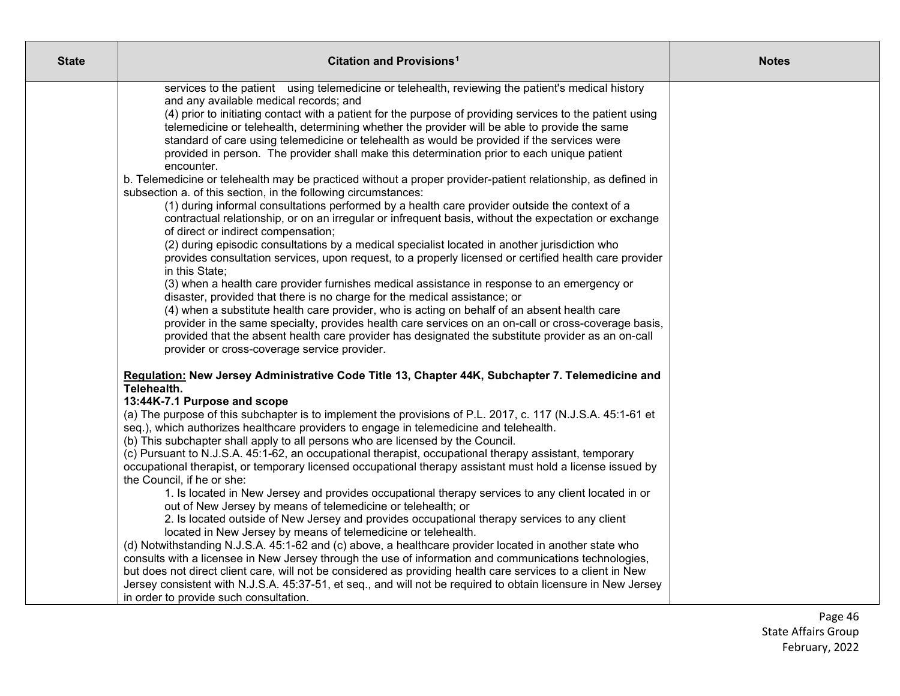| <b>State</b> | Citation and Provisions <sup>1</sup>                                                                                                                                                                                                                                                                                                                                                                                                                                                                                                                                                                                                                                                                                                                                                                                                                                                                                                                                                                                                                                                                                                                                                                                                                                                                                                                                                                                                                                                                                       | <b>Notes</b> |
|--------------|----------------------------------------------------------------------------------------------------------------------------------------------------------------------------------------------------------------------------------------------------------------------------------------------------------------------------------------------------------------------------------------------------------------------------------------------------------------------------------------------------------------------------------------------------------------------------------------------------------------------------------------------------------------------------------------------------------------------------------------------------------------------------------------------------------------------------------------------------------------------------------------------------------------------------------------------------------------------------------------------------------------------------------------------------------------------------------------------------------------------------------------------------------------------------------------------------------------------------------------------------------------------------------------------------------------------------------------------------------------------------------------------------------------------------------------------------------------------------------------------------------------------------|--------------|
|              | services to the patient using telemedicine or telehealth, reviewing the patient's medical history<br>and any available medical records; and<br>(4) prior to initiating contact with a patient for the purpose of providing services to the patient using<br>telemedicine or telehealth, determining whether the provider will be able to provide the same<br>standard of care using telemedicine or telehealth as would be provided if the services were<br>provided in person. The provider shall make this determination prior to each unique patient<br>encounter.<br>b. Telemedicine or telehealth may be practiced without a proper provider-patient relationship, as defined in<br>subsection a. of this section, in the following circumstances:<br>(1) during informal consultations performed by a health care provider outside the context of a<br>contractual relationship, or on an irregular or infrequent basis, without the expectation or exchange<br>of direct or indirect compensation;<br>(2) during episodic consultations by a medical specialist located in another jurisdiction who<br>provides consultation services, upon request, to a properly licensed or certified health care provider<br>in this State;<br>(3) when a health care provider furnishes medical assistance in response to an emergency or<br>disaster, provided that there is no charge for the medical assistance; or<br>(4) when a substitute health care provider, who is acting on behalf of an absent health care         |              |
|              | provider in the same specialty, provides health care services on an on-call or cross-coverage basis,<br>provided that the absent health care provider has designated the substitute provider as an on-call<br>provider or cross-coverage service provider.<br>Regulation: New Jersey Administrative Code Title 13, Chapter 44K, Subchapter 7. Telemedicine and<br>Telehealth.<br>13:44K-7.1 Purpose and scope<br>(a) The purpose of this subchapter is to implement the provisions of P.L. 2017, c. 117 (N.J.S.A. 45:1-61 et<br>seq.), which authorizes healthcare providers to engage in telemedicine and telehealth.<br>(b) This subchapter shall apply to all persons who are licensed by the Council.<br>(c) Pursuant to N.J.S.A. 45:1-62, an occupational therapist, occupational therapy assistant, temporary<br>occupational therapist, or temporary licensed occupational therapy assistant must hold a license issued by<br>the Council, if he or she:<br>1. Is located in New Jersey and provides occupational therapy services to any client located in or<br>out of New Jersey by means of telemedicine or telehealth; or<br>2. Is located outside of New Jersey and provides occupational therapy services to any client<br>located in New Jersey by means of telemedicine or telehealth.<br>(d) Notwithstanding N.J.S.A. 45:1-62 and (c) above, a healthcare provider located in another state who<br>consults with a licensee in New Jersey through the use of information and communications technologies, |              |
|              | but does not direct client care, will not be considered as providing health care services to a client in New<br>Jersey consistent with N.J.S.A. 45:37-51, et seq., and will not be required to obtain licensure in New Jersey<br>in order to provide such consultation.                                                                                                                                                                                                                                                                                                                                                                                                                                                                                                                                                                                                                                                                                                                                                                                                                                                                                                                                                                                                                                                                                                                                                                                                                                                    |              |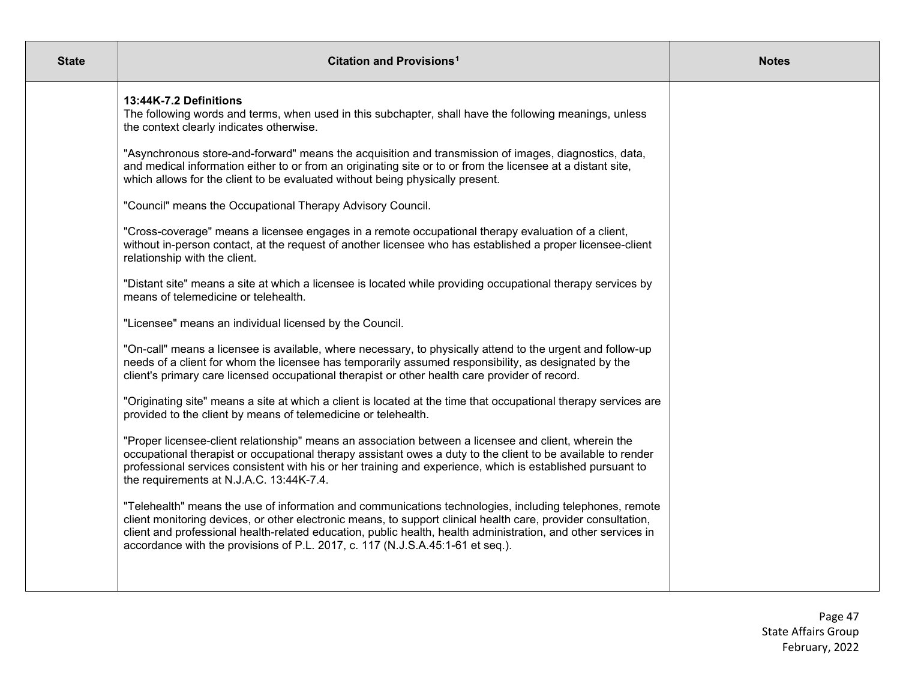| <b>State</b> | Citation and Provisions <sup>1</sup>                                                                                                                                                                                                                                                                                                                                                                                        | <b>Notes</b> |
|--------------|-----------------------------------------------------------------------------------------------------------------------------------------------------------------------------------------------------------------------------------------------------------------------------------------------------------------------------------------------------------------------------------------------------------------------------|--------------|
|              | 13:44K-7.2 Definitions<br>The following words and terms, when used in this subchapter, shall have the following meanings, unless<br>the context clearly indicates otherwise.                                                                                                                                                                                                                                                |              |
|              | "Asynchronous store-and-forward" means the acquisition and transmission of images, diagnostics, data,<br>and medical information either to or from an originating site or to or from the licensee at a distant site,<br>which allows for the client to be evaluated without being physically present.                                                                                                                       |              |
|              | "Council" means the Occupational Therapy Advisory Council.                                                                                                                                                                                                                                                                                                                                                                  |              |
|              | "Cross-coverage" means a licensee engages in a remote occupational therapy evaluation of a client,<br>without in-person contact, at the request of another licensee who has established a proper licensee-client<br>relationship with the client.                                                                                                                                                                           |              |
|              | "Distant site" means a site at which a licensee is located while providing occupational therapy services by<br>means of telemedicine or telehealth.                                                                                                                                                                                                                                                                         |              |
|              | "Licensee" means an individual licensed by the Council.                                                                                                                                                                                                                                                                                                                                                                     |              |
|              | "On-call" means a licensee is available, where necessary, to physically attend to the urgent and follow-up<br>needs of a client for whom the licensee has temporarily assumed responsibility, as designated by the<br>client's primary care licensed occupational therapist or other health care provider of record.                                                                                                        |              |
|              | "Originating site" means a site at which a client is located at the time that occupational therapy services are<br>provided to the client by means of telemedicine or telehealth.                                                                                                                                                                                                                                           |              |
|              | "Proper licensee-client relationship" means an association between a licensee and client, wherein the<br>occupational therapist or occupational therapy assistant owes a duty to the client to be available to render<br>professional services consistent with his or her training and experience, which is established pursuant to<br>the requirements at N.J.A.C. 13:44K-7.4.                                             |              |
|              | "Telehealth" means the use of information and communications technologies, including telephones, remote<br>client monitoring devices, or other electronic means, to support clinical health care, provider consultation,<br>client and professional health-related education, public health, health administration, and other services in<br>accordance with the provisions of P.L. 2017, c. 117 (N.J.S.A.45:1-61 et seq.). |              |
|              |                                                                                                                                                                                                                                                                                                                                                                                                                             |              |

Page 47 State Affairs Group February, 2022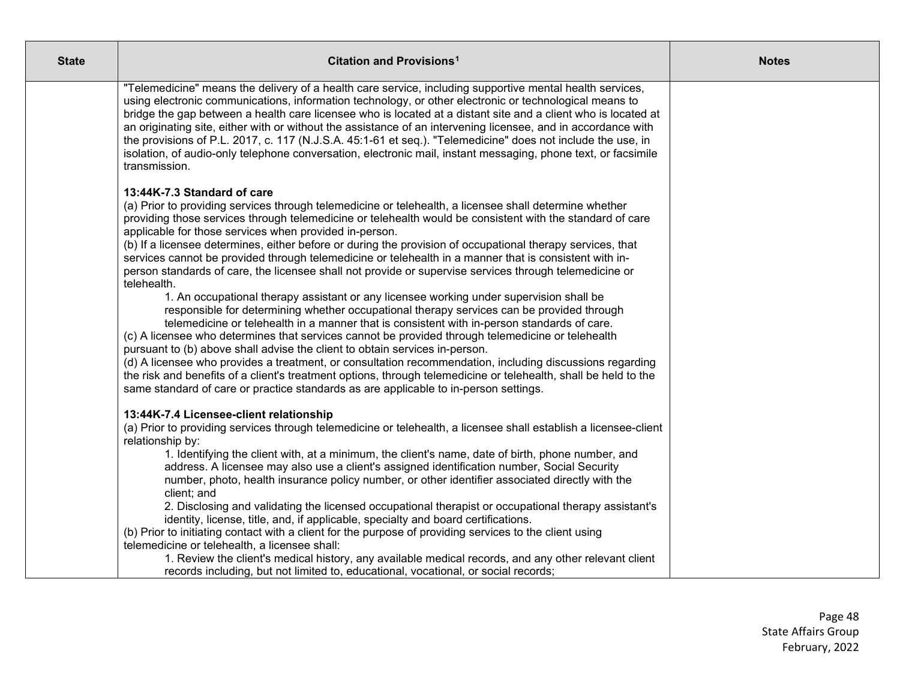| <b>State</b> | Citation and Provisions <sup>1</sup>                                                                                                                                                                                                                                                                                                                                                                                                                                                                                                                                                                                                                                                                                                                                                                                                                                                                                                                                                                                                                                                                                                                                                                                                                                                                                                                                                                                                                            | <b>Notes</b> |
|--------------|-----------------------------------------------------------------------------------------------------------------------------------------------------------------------------------------------------------------------------------------------------------------------------------------------------------------------------------------------------------------------------------------------------------------------------------------------------------------------------------------------------------------------------------------------------------------------------------------------------------------------------------------------------------------------------------------------------------------------------------------------------------------------------------------------------------------------------------------------------------------------------------------------------------------------------------------------------------------------------------------------------------------------------------------------------------------------------------------------------------------------------------------------------------------------------------------------------------------------------------------------------------------------------------------------------------------------------------------------------------------------------------------------------------------------------------------------------------------|--------------|
|              | "Telemedicine" means the delivery of a health care service, including supportive mental health services,<br>using electronic communications, information technology, or other electronic or technological means to<br>bridge the gap between a health care licensee who is located at a distant site and a client who is located at<br>an originating site, either with or without the assistance of an intervening licensee, and in accordance with<br>the provisions of P.L. 2017, c. 117 (N.J.S.A. 45:1-61 et seq.). "Telemedicine" does not include the use, in<br>isolation, of audio-only telephone conversation, electronic mail, instant messaging, phone text, or facsimile<br>transmission.                                                                                                                                                                                                                                                                                                                                                                                                                                                                                                                                                                                                                                                                                                                                                           |              |
|              | 13:44K-7.3 Standard of care<br>(a) Prior to providing services through telemedicine or telehealth, a licensee shall determine whether<br>providing those services through telemedicine or telehealth would be consistent with the standard of care<br>applicable for those services when provided in-person.<br>(b) If a licensee determines, either before or during the provision of occupational therapy services, that<br>services cannot be provided through telemedicine or telehealth in a manner that is consistent with in-<br>person standards of care, the licensee shall not provide or supervise services through telemedicine or<br>telehealth.<br>1. An occupational therapy assistant or any licensee working under supervision shall be<br>responsible for determining whether occupational therapy services can be provided through<br>telemedicine or telehealth in a manner that is consistent with in-person standards of care.<br>(c) A licensee who determines that services cannot be provided through telemedicine or telehealth<br>pursuant to (b) above shall advise the client to obtain services in-person.<br>(d) A licensee who provides a treatment, or consultation recommendation, including discussions regarding<br>the risk and benefits of a client's treatment options, through telemedicine or telehealth, shall be held to the<br>same standard of care or practice standards as are applicable to in-person settings. |              |
|              | 13:44K-7.4 Licensee-client relationship<br>(a) Prior to providing services through telemedicine or telehealth, a licensee shall establish a licensee-client<br>relationship by:<br>1. Identifying the client with, at a minimum, the client's name, date of birth, phone number, and<br>address. A licensee may also use a client's assigned identification number, Social Security<br>number, photo, health insurance policy number, or other identifier associated directly with the<br>client; and<br>2. Disclosing and validating the licensed occupational therapist or occupational therapy assistant's<br>identity, license, title, and, if applicable, specialty and board certifications.<br>(b) Prior to initiating contact with a client for the purpose of providing services to the client using<br>telemedicine or telehealth, a licensee shall:<br>1. Review the client's medical history, any available medical records, and any other relevant client<br>records including, but not limited to, educational, vocational, or social records;                                                                                                                                                                                                                                                                                                                                                                                                    |              |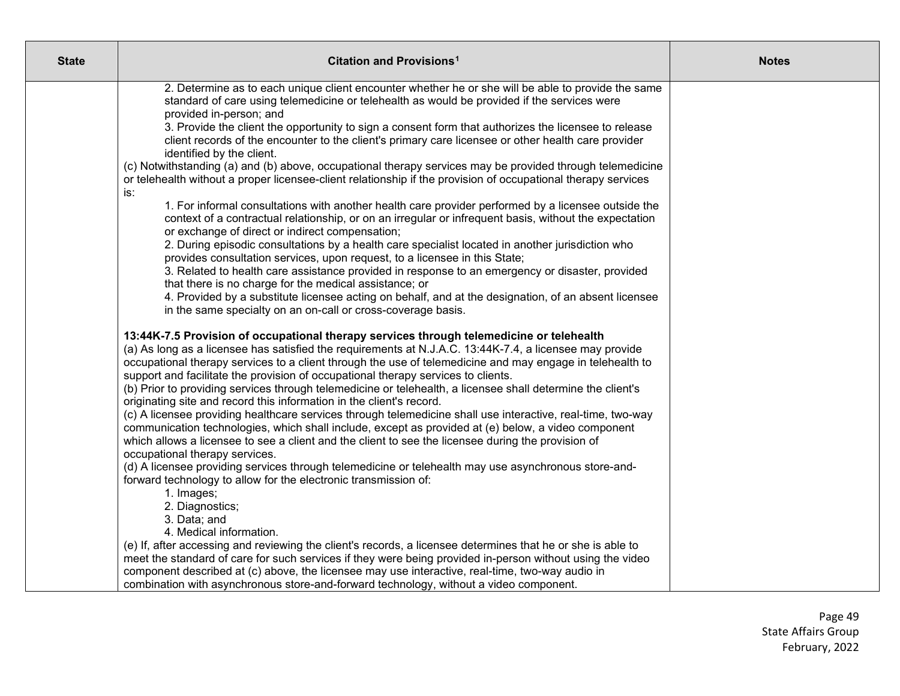| <b>State</b> | Citation and Provisions <sup>1</sup>                                                                                                                                                                                                                                                                                     | <b>Notes</b> |
|--------------|--------------------------------------------------------------------------------------------------------------------------------------------------------------------------------------------------------------------------------------------------------------------------------------------------------------------------|--------------|
|              | 2. Determine as to each unique client encounter whether he or she will be able to provide the same<br>standard of care using telemedicine or telehealth as would be provided if the services were<br>provided in-person; and                                                                                             |              |
|              | 3. Provide the client the opportunity to sign a consent form that authorizes the licensee to release<br>client records of the encounter to the client's primary care licensee or other health care provider<br>identified by the client.                                                                                 |              |
|              | (c) Notwithstanding (a) and (b) above, occupational therapy services may be provided through telemedicine<br>or telehealth without a proper licensee-client relationship if the provision of occupational therapy services<br>is:                                                                                        |              |
|              | 1. For informal consultations with another health care provider performed by a licensee outside the<br>context of a contractual relationship, or on an irregular or infrequent basis, without the expectation<br>or exchange of direct or indirect compensation;                                                         |              |
|              | 2. During episodic consultations by a health care specialist located in another jurisdiction who<br>provides consultation services, upon request, to a licensee in this State;                                                                                                                                           |              |
|              | 3. Related to health care assistance provided in response to an emergency or disaster, provided<br>that there is no charge for the medical assistance; or<br>4. Provided by a substitute licensee acting on behalf, and at the designation, of an absent licensee                                                        |              |
|              | in the same specialty on an on-call or cross-coverage basis.                                                                                                                                                                                                                                                             |              |
|              | 13:44K-7.5 Provision of occupational therapy services through telemedicine or telehealth<br>(a) As long as a licensee has satisfied the requirements at N.J.A.C. 13:44K-7.4, a licensee may provide<br>occupational therapy services to a client through the use of telemedicine and may engage in telehealth to         |              |
|              | support and facilitate the provision of occupational therapy services to clients.<br>(b) Prior to providing services through telemedicine or telehealth, a licensee shall determine the client's<br>originating site and record this information in the client's record.                                                 |              |
|              | (c) A licensee providing healthcare services through telemedicine shall use interactive, real-time, two-way<br>communication technologies, which shall include, except as provided at (e) below, a video component<br>which allows a licensee to see a client and the client to see the licensee during the provision of |              |
|              | occupational therapy services.<br>(d) A licensee providing services through telemedicine or telehealth may use asynchronous store-and-<br>forward technology to allow for the electronic transmission of:                                                                                                                |              |
|              | 1. Images;<br>2. Diagnostics;                                                                                                                                                                                                                                                                                            |              |
|              | 3. Data; and<br>4. Medical information.<br>(e) If, after accessing and reviewing the client's records, a licensee determines that he or she is able to                                                                                                                                                                   |              |
|              | meet the standard of care for such services if they were being provided in-person without using the video<br>component described at (c) above, the licensee may use interactive, real-time, two-way audio in                                                                                                             |              |
|              | combination with asynchronous store-and-forward technology, without a video component.                                                                                                                                                                                                                                   |              |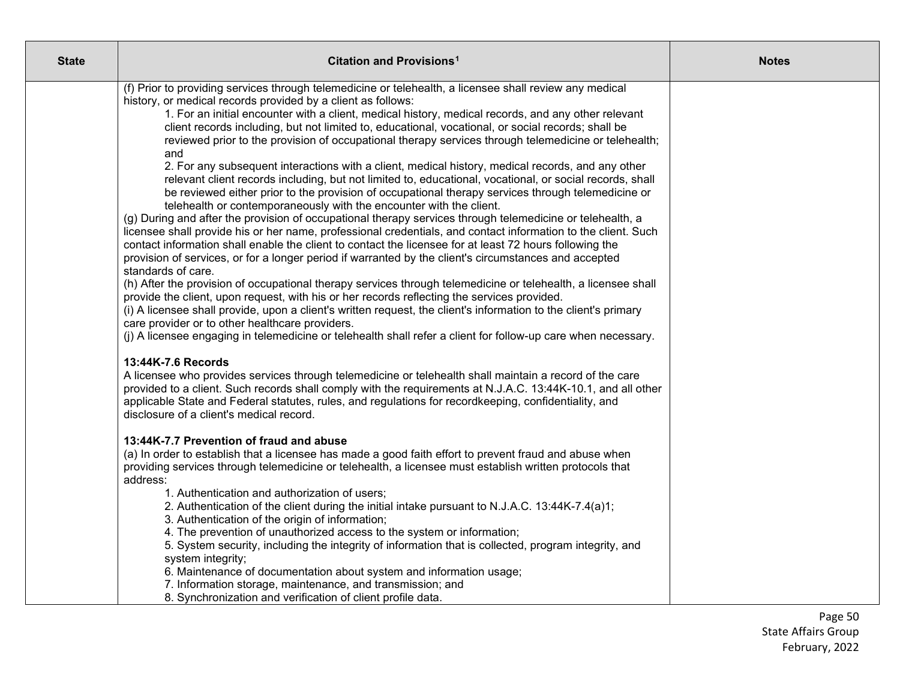| <b>State</b> | Citation and Provisions <sup>1</sup>                                                                                                                                                                         | <b>Notes</b> |
|--------------|--------------------------------------------------------------------------------------------------------------------------------------------------------------------------------------------------------------|--------------|
|              | (f) Prior to providing services through telemedicine or telehealth, a licensee shall review any medical                                                                                                      |              |
|              | history, or medical records provided by a client as follows:                                                                                                                                                 |              |
|              | 1. For an initial encounter with a client, medical history, medical records, and any other relevant                                                                                                          |              |
|              | client records including, but not limited to, educational, vocational, or social records; shall be                                                                                                           |              |
|              | reviewed prior to the provision of occupational therapy services through telemedicine or telehealth;<br>and                                                                                                  |              |
|              | 2. For any subsequent interactions with a client, medical history, medical records, and any other                                                                                                            |              |
|              | relevant client records including, but not limited to, educational, vocational, or social records, shall                                                                                                     |              |
|              | be reviewed either prior to the provision of occupational therapy services through telemedicine or                                                                                                           |              |
|              | telehealth or contemporaneously with the encounter with the client.                                                                                                                                          |              |
|              | (g) During and after the provision of occupational therapy services through telemedicine or telehealth, a                                                                                                    |              |
|              | licensee shall provide his or her name, professional credentials, and contact information to the client. Such                                                                                                |              |
|              | contact information shall enable the client to contact the licensee for at least 72 hours following the                                                                                                      |              |
|              | provision of services, or for a longer period if warranted by the client's circumstances and accepted                                                                                                        |              |
|              | standards of care.                                                                                                                                                                                           |              |
|              | (h) After the provision of occupational therapy services through telemedicine or telehealth, a licensee shall<br>provide the client, upon request, with his or her records reflecting the services provided. |              |
|              | (i) A licensee shall provide, upon a client's written request, the client's information to the client's primary                                                                                              |              |
|              | care provider or to other healthcare providers.                                                                                                                                                              |              |
|              | (j) A licensee engaging in telemedicine or telehealth shall refer a client for follow-up care when necessary.                                                                                                |              |
|              | 13:44K-7.6 Records                                                                                                                                                                                           |              |
|              | A licensee who provides services through telemedicine or telehealth shall maintain a record of the care                                                                                                      |              |
|              | provided to a client. Such records shall comply with the requirements at N.J.A.C. 13:44K-10.1, and all other                                                                                                 |              |
|              | applicable State and Federal statutes, rules, and regulations for recordkeeping, confidentiality, and                                                                                                        |              |
|              | disclosure of a client's medical record.                                                                                                                                                                     |              |
|              | 13:44K-7.7 Prevention of fraud and abuse                                                                                                                                                                     |              |
|              | (a) In order to establish that a licensee has made a good faith effort to prevent fraud and abuse when                                                                                                       |              |
|              | providing services through telemedicine or telehealth, a licensee must establish written protocols that                                                                                                      |              |
|              | address:                                                                                                                                                                                                     |              |
|              | 1. Authentication and authorization of users;                                                                                                                                                                |              |
|              | 2. Authentication of the client during the initial intake pursuant to N.J.A.C. 13:44K-7.4(a)1;                                                                                                               |              |
|              | 3. Authentication of the origin of information;                                                                                                                                                              |              |
|              | 4. The prevention of unauthorized access to the system or information;<br>5. System security, including the integrity of information that is collected, program integrity, and                               |              |
|              | system integrity;                                                                                                                                                                                            |              |
|              | 6. Maintenance of documentation about system and information usage;                                                                                                                                          |              |
|              | 7. Information storage, maintenance, and transmission; and                                                                                                                                                   |              |
|              | 8. Synchronization and verification of client profile data.                                                                                                                                                  |              |

Page 50 State Affairs Group February, 2022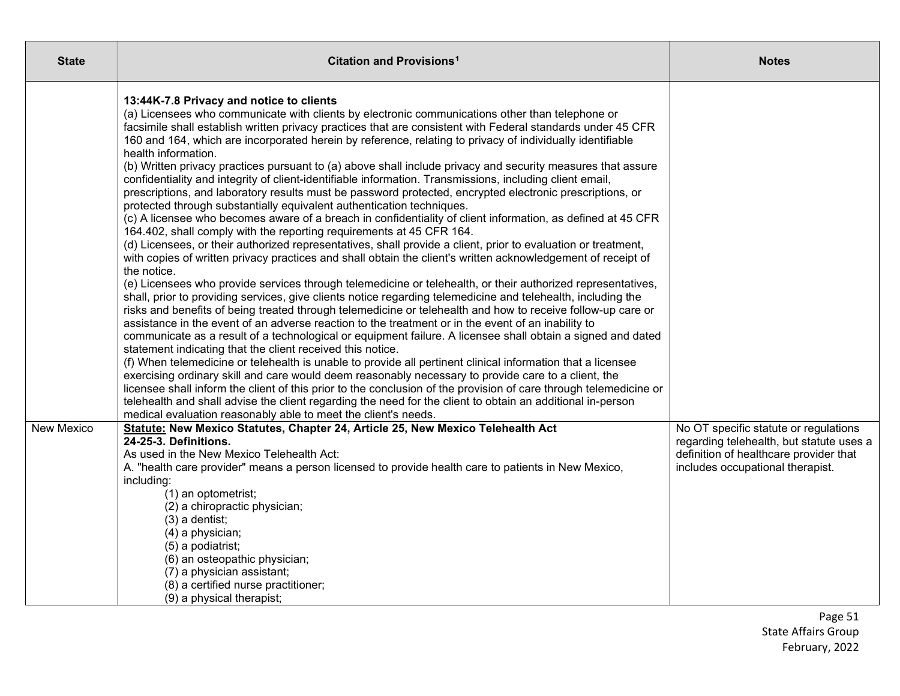| <b>State</b>      | Citation and Provisions <sup>1</sup>                                                                                                                                                                                                                                                                                                                                                                                                                                                                                                                                                                                                                                                                                                                                                                                                                                                                                                                                                                                                                                                                                                                                                                                                                                                                                                                                                                                                                                                                                                                                                                                                                                                                                                                                                                                                                                                                                                                                                                                                                                                                                                                                                                                                                                                                                                                                                                              | <b>Notes</b>                                                                                                                                                    |
|-------------------|-------------------------------------------------------------------------------------------------------------------------------------------------------------------------------------------------------------------------------------------------------------------------------------------------------------------------------------------------------------------------------------------------------------------------------------------------------------------------------------------------------------------------------------------------------------------------------------------------------------------------------------------------------------------------------------------------------------------------------------------------------------------------------------------------------------------------------------------------------------------------------------------------------------------------------------------------------------------------------------------------------------------------------------------------------------------------------------------------------------------------------------------------------------------------------------------------------------------------------------------------------------------------------------------------------------------------------------------------------------------------------------------------------------------------------------------------------------------------------------------------------------------------------------------------------------------------------------------------------------------------------------------------------------------------------------------------------------------------------------------------------------------------------------------------------------------------------------------------------------------------------------------------------------------------------------------------------------------------------------------------------------------------------------------------------------------------------------------------------------------------------------------------------------------------------------------------------------------------------------------------------------------------------------------------------------------------------------------------------------------------------------------------------------------|-----------------------------------------------------------------------------------------------------------------------------------------------------------------|
|                   | 13:44K-7.8 Privacy and notice to clients<br>(a) Licensees who communicate with clients by electronic communications other than telephone or<br>facsimile shall establish written privacy practices that are consistent with Federal standards under 45 CFR<br>160 and 164, which are incorporated herein by reference, relating to privacy of individually identifiable<br>health information.<br>(b) Written privacy practices pursuant to (a) above shall include privacy and security measures that assure<br>confidentiality and integrity of client-identifiable information. Transmissions, including client email,<br>prescriptions, and laboratory results must be password protected, encrypted electronic prescriptions, or<br>protected through substantially equivalent authentication techniques.<br>(c) A licensee who becomes aware of a breach in confidentiality of client information, as defined at 45 CFR<br>164.402, shall comply with the reporting requirements at 45 CFR 164.<br>(d) Licensees, or their authorized representatives, shall provide a client, prior to evaluation or treatment,<br>with copies of written privacy practices and shall obtain the client's written acknowledgement of receipt of<br>the notice.<br>(e) Licensees who provide services through telemedicine or telehealth, or their authorized representatives,<br>shall, prior to providing services, give clients notice regarding telemedicine and telehealth, including the<br>risks and benefits of being treated through telemedicine or telehealth and how to receive follow-up care or<br>assistance in the event of an adverse reaction to the treatment or in the event of an inability to<br>communicate as a result of a technological or equipment failure. A licensee shall obtain a signed and dated<br>statement indicating that the client received this notice.<br>(f) When telemedicine or telehealth is unable to provide all pertinent clinical information that a licensee<br>exercising ordinary skill and care would deem reasonably necessary to provide care to a client, the<br>licensee shall inform the client of this prior to the conclusion of the provision of care through telemedicine or<br>telehealth and shall advise the client regarding the need for the client to obtain an additional in-person<br>medical evaluation reasonably able to meet the client's needs. |                                                                                                                                                                 |
| <b>New Mexico</b> | Statute: New Mexico Statutes, Chapter 24, Article 25, New Mexico Telehealth Act<br>24-25-3. Definitions.<br>As used in the New Mexico Telehealth Act:<br>A. "health care provider" means a person licensed to provide health care to patients in New Mexico,<br>including:<br>(1) an optometrist;<br>(2) a chiropractic physician;<br>$(3)$ a dentist;<br>(4) a physician;<br>(5) a podiatrist;<br>(6) an osteopathic physician;<br>(7) a physician assistant;<br>(8) a certified nurse practitioner;                                                                                                                                                                                                                                                                                                                                                                                                                                                                                                                                                                                                                                                                                                                                                                                                                                                                                                                                                                                                                                                                                                                                                                                                                                                                                                                                                                                                                                                                                                                                                                                                                                                                                                                                                                                                                                                                                                             | No OT specific statute or regulations<br>regarding telehealth, but statute uses a<br>definition of healthcare provider that<br>includes occupational therapist. |
|                   | (9) a physical therapist;                                                                                                                                                                                                                                                                                                                                                                                                                                                                                                                                                                                                                                                                                                                                                                                                                                                                                                                                                                                                                                                                                                                                                                                                                                                                                                                                                                                                                                                                                                                                                                                                                                                                                                                                                                                                                                                                                                                                                                                                                                                                                                                                                                                                                                                                                                                                                                                         |                                                                                                                                                                 |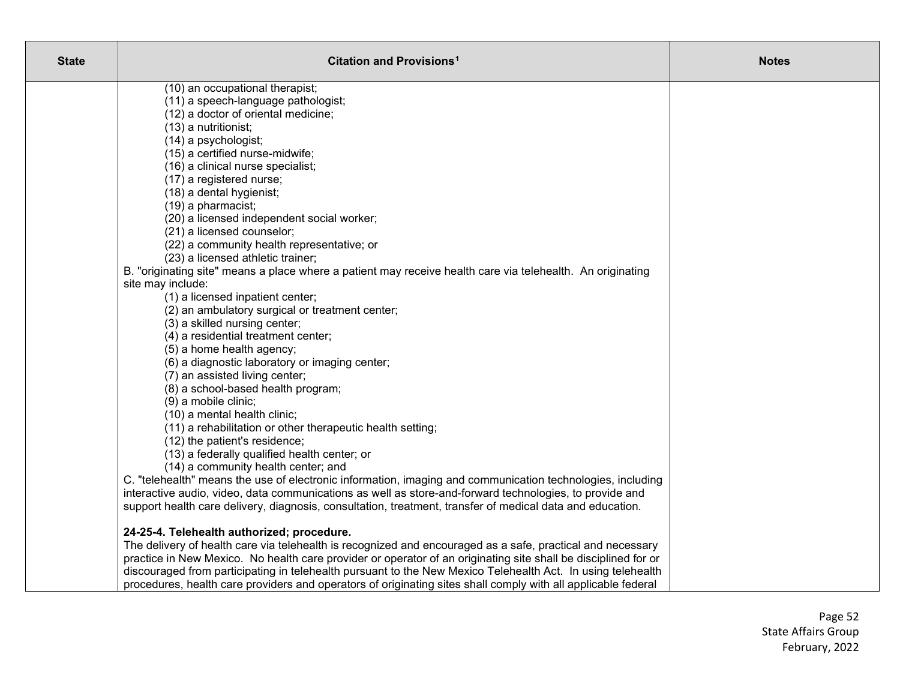| <b>State</b> | Citation and Provisions <sup>1</sup>                                                                           | <b>Notes</b> |
|--------------|----------------------------------------------------------------------------------------------------------------|--------------|
|              | (10) an occupational therapist;                                                                                |              |
|              | (11) a speech-language pathologist;                                                                            |              |
|              | (12) a doctor of oriental medicine;                                                                            |              |
|              | (13) a nutritionist;                                                                                           |              |
|              | (14) a psychologist;                                                                                           |              |
|              | (15) a certified nurse-midwife;                                                                                |              |
|              | (16) a clinical nurse specialist;                                                                              |              |
|              | (17) a registered nurse;                                                                                       |              |
|              | (18) a dental hygienist;                                                                                       |              |
|              | (19) a pharmacist;                                                                                             |              |
|              | (20) a licensed independent social worker;                                                                     |              |
|              | (21) a licensed counselor;                                                                                     |              |
|              | (22) a community health representative; or                                                                     |              |
|              | (23) a licensed athletic trainer;                                                                              |              |
|              | B. "originating site" means a place where a patient may receive health care via telehealth. An originating     |              |
|              | site may include:                                                                                              |              |
|              | (1) a licensed inpatient center;                                                                               |              |
|              | (2) an ambulatory surgical or treatment center;                                                                |              |
|              | (3) a skilled nursing center;                                                                                  |              |
|              | (4) a residential treatment center;                                                                            |              |
|              | (5) a home health agency;                                                                                      |              |
|              | (6) a diagnostic laboratory or imaging center;                                                                 |              |
|              | (7) an assisted living center;                                                                                 |              |
|              | (8) a school-based health program;                                                                             |              |
|              | (9) a mobile clinic;                                                                                           |              |
|              | (10) a mental health clinic;                                                                                   |              |
|              | (11) a rehabilitation or other therapeutic health setting;                                                     |              |
|              | (12) the patient's residence;                                                                                  |              |
|              | (13) a federally qualified health center; or                                                                   |              |
|              | (14) a community health center; and                                                                            |              |
|              | C. "telehealth" means the use of electronic information, imaging and communication technologies, including     |              |
|              | interactive audio, video, data communications as well as store-and-forward technologies, to provide and        |              |
|              | support health care delivery, diagnosis, consultation, treatment, transfer of medical data and education.      |              |
|              |                                                                                                                |              |
|              | 24-25-4. Telehealth authorized; procedure.                                                                     |              |
|              | The delivery of health care via telehealth is recognized and encouraged as a safe, practical and necessary     |              |
|              | practice in New Mexico. No health care provider or operator of an originating site shall be disciplined for or |              |
|              | discouraged from participating in telehealth pursuant to the New Mexico Telehealth Act. In using telehealth    |              |
|              | procedures, health care providers and operators of originating sites shall comply with all applicable federal  |              |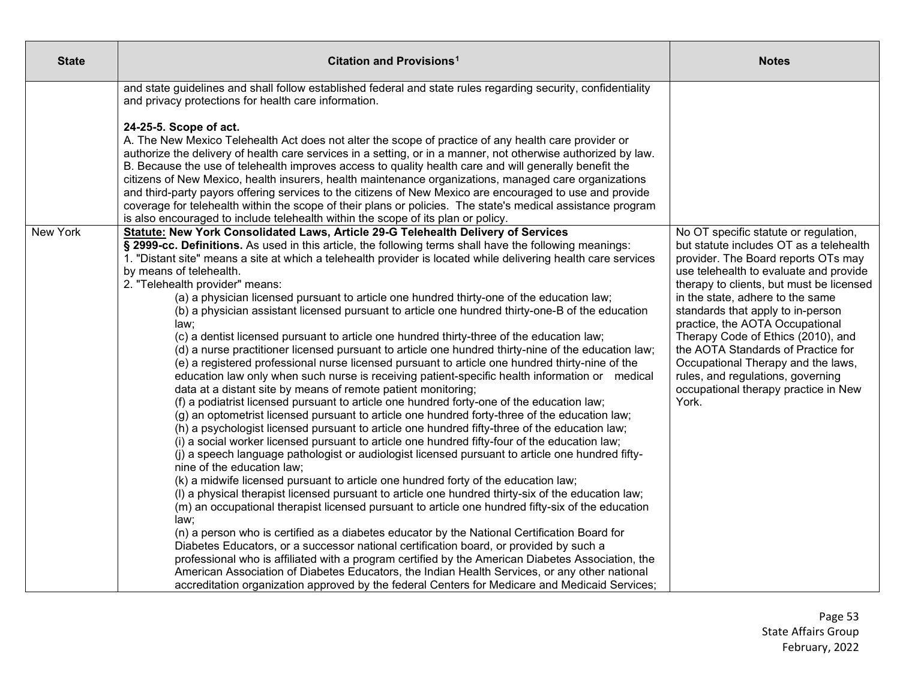| <b>State</b>    | Citation and Provisions <sup>1</sup>                                                                                                                                                                                                                                                                                                                                                                                                                                                                                                                                                                                                                                                                                                                                                                                                                                                                                                                                                                                                                                                                                                                                                                                                                                                                                                                                                                                                                                                                                                                                                                                                                                                                                                                                                                                                                                                                                                                                                                                                                                                                                                                                                                                                                                                                                                                                                                         | <b>Notes</b>                                                                                                                                                                                                                                                                                                                                                                                                                                                                                                                      |
|-----------------|--------------------------------------------------------------------------------------------------------------------------------------------------------------------------------------------------------------------------------------------------------------------------------------------------------------------------------------------------------------------------------------------------------------------------------------------------------------------------------------------------------------------------------------------------------------------------------------------------------------------------------------------------------------------------------------------------------------------------------------------------------------------------------------------------------------------------------------------------------------------------------------------------------------------------------------------------------------------------------------------------------------------------------------------------------------------------------------------------------------------------------------------------------------------------------------------------------------------------------------------------------------------------------------------------------------------------------------------------------------------------------------------------------------------------------------------------------------------------------------------------------------------------------------------------------------------------------------------------------------------------------------------------------------------------------------------------------------------------------------------------------------------------------------------------------------------------------------------------------------------------------------------------------------------------------------------------------------------------------------------------------------------------------------------------------------------------------------------------------------------------------------------------------------------------------------------------------------------------------------------------------------------------------------------------------------------------------------------------------------------------------------------------------------|-----------------------------------------------------------------------------------------------------------------------------------------------------------------------------------------------------------------------------------------------------------------------------------------------------------------------------------------------------------------------------------------------------------------------------------------------------------------------------------------------------------------------------------|
|                 | and state guidelines and shall follow established federal and state rules regarding security, confidentiality<br>and privacy protections for health care information.                                                                                                                                                                                                                                                                                                                                                                                                                                                                                                                                                                                                                                                                                                                                                                                                                                                                                                                                                                                                                                                                                                                                                                                                                                                                                                                                                                                                                                                                                                                                                                                                                                                                                                                                                                                                                                                                                                                                                                                                                                                                                                                                                                                                                                        |                                                                                                                                                                                                                                                                                                                                                                                                                                                                                                                                   |
|                 | 24-25-5. Scope of act.<br>A. The New Mexico Telehealth Act does not alter the scope of practice of any health care provider or<br>authorize the delivery of health care services in a setting, or in a manner, not otherwise authorized by law.<br>B. Because the use of telehealth improves access to quality health care and will generally benefit the<br>citizens of New Mexico, health insurers, health maintenance organizations, managed care organizations<br>and third-party payors offering services to the citizens of New Mexico are encouraged to use and provide<br>coverage for telehealth within the scope of their plans or policies. The state's medical assistance program<br>is also encouraged to include telehealth within the scope of its plan or policy.                                                                                                                                                                                                                                                                                                                                                                                                                                                                                                                                                                                                                                                                                                                                                                                                                                                                                                                                                                                                                                                                                                                                                                                                                                                                                                                                                                                                                                                                                                                                                                                                                            |                                                                                                                                                                                                                                                                                                                                                                                                                                                                                                                                   |
| <b>New York</b> | Statute: New York Consolidated Laws, Article 29-G Telehealth Delivery of Services<br>§ 2999-cc. Definitions. As used in this article, the following terms shall have the following meanings:<br>1. "Distant site" means a site at which a telehealth provider is located while delivering health care services<br>by means of telehealth.<br>2. "Telehealth provider" means:<br>(a) a physician licensed pursuant to article one hundred thirty-one of the education law;<br>(b) a physician assistant licensed pursuant to article one hundred thirty-one-B of the education<br>law:<br>(c) a dentist licensed pursuant to article one hundred thirty-three of the education law;<br>(d) a nurse practitioner licensed pursuant to article one hundred thirty-nine of the education law;<br>(e) a registered professional nurse licensed pursuant to article one hundred thirty-nine of the<br>education law only when such nurse is receiving patient-specific health information or medical<br>data at a distant site by means of remote patient monitoring;<br>(f) a podiatrist licensed pursuant to article one hundred forty-one of the education law;<br>(g) an optometrist licensed pursuant to article one hundred forty-three of the education law;<br>(h) a psychologist licensed pursuant to article one hundred fifty-three of the education law;<br>(i) a social worker licensed pursuant to article one hundred fifty-four of the education law;<br>(j) a speech language pathologist or audiologist licensed pursuant to article one hundred fifty-<br>nine of the education law;<br>(k) a midwife licensed pursuant to article one hundred forty of the education law;<br>(I) a physical therapist licensed pursuant to article one hundred thirty-six of the education law;<br>(m) an occupational therapist licensed pursuant to article one hundred fifty-six of the education<br>law:<br>(n) a person who is certified as a diabetes educator by the National Certification Board for<br>Diabetes Educators, or a successor national certification board, or provided by such a<br>professional who is affiliated with a program certified by the American Diabetes Association, the<br>American Association of Diabetes Educators, the Indian Health Services, or any other national<br>accreditation organization approved by the federal Centers for Medicare and Medicaid Services; | No OT specific statute or regulation,<br>but statute includes OT as a telehealth<br>provider. The Board reports OTs may<br>use telehealth to evaluate and provide<br>therapy to clients, but must be licensed<br>in the state, adhere to the same<br>standards that apply to in-person<br>practice, the AOTA Occupational<br>Therapy Code of Ethics (2010), and<br>the AOTA Standards of Practice for<br>Occupational Therapy and the laws,<br>rules, and regulations, governing<br>occupational therapy practice in New<br>York. |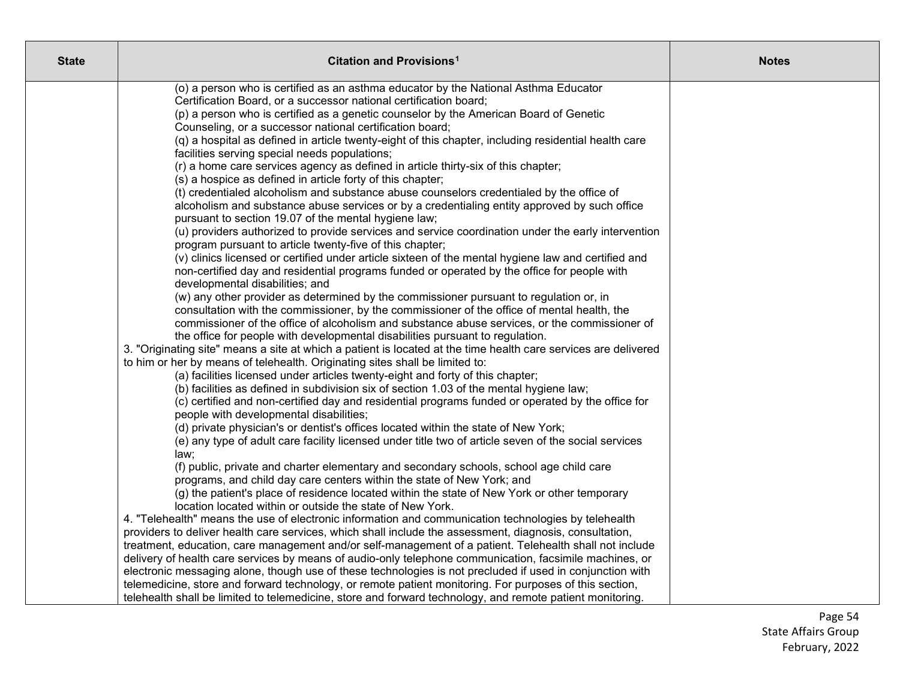| <b>State</b> | <b>Citation and Provisions<sup>1</sup></b>                                                                                                                                            | <b>Notes</b> |
|--------------|---------------------------------------------------------------------------------------------------------------------------------------------------------------------------------------|--------------|
|              | (o) a person who is certified as an asthma educator by the National Asthma Educator                                                                                                   |              |
|              | Certification Board, or a successor national certification board;                                                                                                                     |              |
|              | (p) a person who is certified as a genetic counselor by the American Board of Genetic                                                                                                 |              |
|              | Counseling, or a successor national certification board;<br>(q) a hospital as defined in article twenty-eight of this chapter, including residential health care                      |              |
|              | facilities serving special needs populations;                                                                                                                                         |              |
|              | (r) a home care services agency as defined in article thirty-six of this chapter;                                                                                                     |              |
|              | (s) a hospice as defined in article forty of this chapter;                                                                                                                            |              |
|              | (t) credentialed alcoholism and substance abuse counselors credentialed by the office of                                                                                              |              |
|              | alcoholism and substance abuse services or by a credentialing entity approved by such office                                                                                          |              |
|              | pursuant to section 19.07 of the mental hygiene law;                                                                                                                                  |              |
|              | (u) providers authorized to provide services and service coordination under the early intervention                                                                                    |              |
|              | program pursuant to article twenty-five of this chapter;                                                                                                                              |              |
|              | (v) clinics licensed or certified under article sixteen of the mental hygiene law and certified and                                                                                   |              |
|              | non-certified day and residential programs funded or operated by the office for people with                                                                                           |              |
|              | developmental disabilities; and                                                                                                                                                       |              |
|              | (w) any other provider as determined by the commissioner pursuant to regulation or, in<br>consultation with the commissioner, by the commissioner of the office of mental health, the |              |
|              | commissioner of the office of alcoholism and substance abuse services, or the commissioner of                                                                                         |              |
|              | the office for people with developmental disabilities pursuant to regulation.                                                                                                         |              |
|              | 3. "Originating site" means a site at which a patient is located at the time health care services are delivered                                                                       |              |
|              | to him or her by means of telehealth. Originating sites shall be limited to:                                                                                                          |              |
|              | (a) facilities licensed under articles twenty-eight and forty of this chapter;                                                                                                        |              |
|              | (b) facilities as defined in subdivision six of section 1.03 of the mental hygiene law;                                                                                               |              |
|              | (c) certified and non-certified day and residential programs funded or operated by the office for                                                                                     |              |
|              | people with developmental disabilities;                                                                                                                                               |              |
|              | (d) private physician's or dentist's offices located within the state of New York;                                                                                                    |              |
|              | (e) any type of adult care facility licensed under title two of article seven of the social services                                                                                  |              |
|              | law;                                                                                                                                                                                  |              |
|              | (f) public, private and charter elementary and secondary schools, school age child care                                                                                               |              |
|              | programs, and child day care centers within the state of New York; and<br>(g) the patient's place of residence located within the state of New York or other temporary                |              |
|              | location located within or outside the state of New York.                                                                                                                             |              |
|              | 4. "Telehealth" means the use of electronic information and communication technologies by telehealth                                                                                  |              |
|              | providers to deliver health care services, which shall include the assessment, diagnosis, consultation,                                                                               |              |
|              | treatment, education, care management and/or self-management of a patient. Telehealth shall not include                                                                               |              |
|              | delivery of health care services by means of audio-only telephone communication, facsimile machines, or                                                                               |              |
|              | electronic messaging alone, though use of these technologies is not precluded if used in conjunction with                                                                             |              |
|              | telemedicine, store and forward technology, or remote patient monitoring. For purposes of this section,                                                                               |              |
|              | telehealth shall be limited to telemedicine, store and forward technology, and remote patient monitoring.                                                                             |              |

Page 54 State Affairs Group February, 2022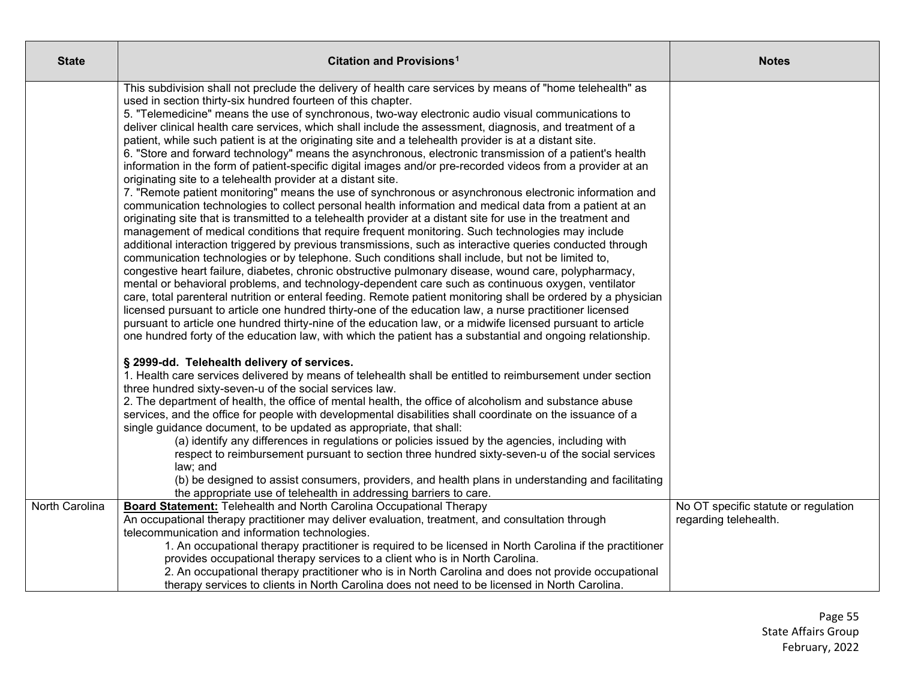| <b>State</b>   | Citation and Provisions <sup>1</sup>                                                                                                                                                                                                                                                                                                                                                                                                                                                                                                                                                                                                                                                                                                                                                                                                                                                                                                                                                                                                                                                                                                                                                                                                                                                                                                                                                                                                                                                                                                                                                                                                                                                                                                                                                                                                                                                                                                                                                                                                                                                                                              | <b>Notes</b>                                                  |
|----------------|-----------------------------------------------------------------------------------------------------------------------------------------------------------------------------------------------------------------------------------------------------------------------------------------------------------------------------------------------------------------------------------------------------------------------------------------------------------------------------------------------------------------------------------------------------------------------------------------------------------------------------------------------------------------------------------------------------------------------------------------------------------------------------------------------------------------------------------------------------------------------------------------------------------------------------------------------------------------------------------------------------------------------------------------------------------------------------------------------------------------------------------------------------------------------------------------------------------------------------------------------------------------------------------------------------------------------------------------------------------------------------------------------------------------------------------------------------------------------------------------------------------------------------------------------------------------------------------------------------------------------------------------------------------------------------------------------------------------------------------------------------------------------------------------------------------------------------------------------------------------------------------------------------------------------------------------------------------------------------------------------------------------------------------------------------------------------------------------------------------------------------------|---------------------------------------------------------------|
|                | This subdivision shall not preclude the delivery of health care services by means of "home telehealth" as<br>used in section thirty-six hundred fourteen of this chapter.<br>5. "Telemedicine" means the use of synchronous, two-way electronic audio visual communications to<br>deliver clinical health care services, which shall include the assessment, diagnosis, and treatment of a<br>patient, while such patient is at the originating site and a telehealth provider is at a distant site.<br>6. "Store and forward technology" means the asynchronous, electronic transmission of a patient's health<br>information in the form of patient-specific digital images and/or pre-recorded videos from a provider at an<br>originating site to a telehealth provider at a distant site.<br>7. "Remote patient monitoring" means the use of synchronous or asynchronous electronic information and<br>communication technologies to collect personal health information and medical data from a patient at an<br>originating site that is transmitted to a telehealth provider at a distant site for use in the treatment and<br>management of medical conditions that require frequent monitoring. Such technologies may include<br>additional interaction triggered by previous transmissions, such as interactive queries conducted through<br>communication technologies or by telephone. Such conditions shall include, but not be limited to,<br>congestive heart failure, diabetes, chronic obstructive pulmonary disease, wound care, polypharmacy,<br>mental or behavioral problems, and technology-dependent care such as continuous oxygen, ventilator<br>care, total parenteral nutrition or enteral feeding. Remote patient monitoring shall be ordered by a physician<br>licensed pursuant to article one hundred thirty-one of the education law, a nurse practitioner licensed<br>pursuant to article one hundred thirty-nine of the education law, or a midwife licensed pursuant to article<br>one hundred forty of the education law, with which the patient has a substantial and ongoing relationship. |                                                               |
|                | § 2999-dd. Telehealth delivery of services.<br>1. Health care services delivered by means of telehealth shall be entitled to reimbursement under section<br>three hundred sixty-seven-u of the social services law.<br>2. The department of health, the office of mental health, the office of alcoholism and substance abuse<br>services, and the office for people with developmental disabilities shall coordinate on the issuance of a<br>single guidance document, to be updated as appropriate, that shall:<br>(a) identify any differences in regulations or policies issued by the agencies, including with<br>respect to reimbursement pursuant to section three hundred sixty-seven-u of the social services<br>law; and<br>(b) be designed to assist consumers, providers, and health plans in understanding and facilitating<br>the appropriate use of telehealth in addressing barriers to care.                                                                                                                                                                                                                                                                                                                                                                                                                                                                                                                                                                                                                                                                                                                                                                                                                                                                                                                                                                                                                                                                                                                                                                                                                     |                                                               |
| North Carolina | <b>Board Statement:</b> Telehealth and North Carolina Occupational Therapy<br>An occupational therapy practitioner may deliver evaluation, treatment, and consultation through<br>telecommunication and information technologies.<br>1. An occupational therapy practitioner is required to be licensed in North Carolina if the practitioner<br>provides occupational therapy services to a client who is in North Carolina.<br>2. An occupational therapy practitioner who is in North Carolina and does not provide occupational<br>therapy services to clients in North Carolina does not need to be licensed in North Carolina.                                                                                                                                                                                                                                                                                                                                                                                                                                                                                                                                                                                                                                                                                                                                                                                                                                                                                                                                                                                                                                                                                                                                                                                                                                                                                                                                                                                                                                                                                              | No OT specific statute or regulation<br>regarding telehealth. |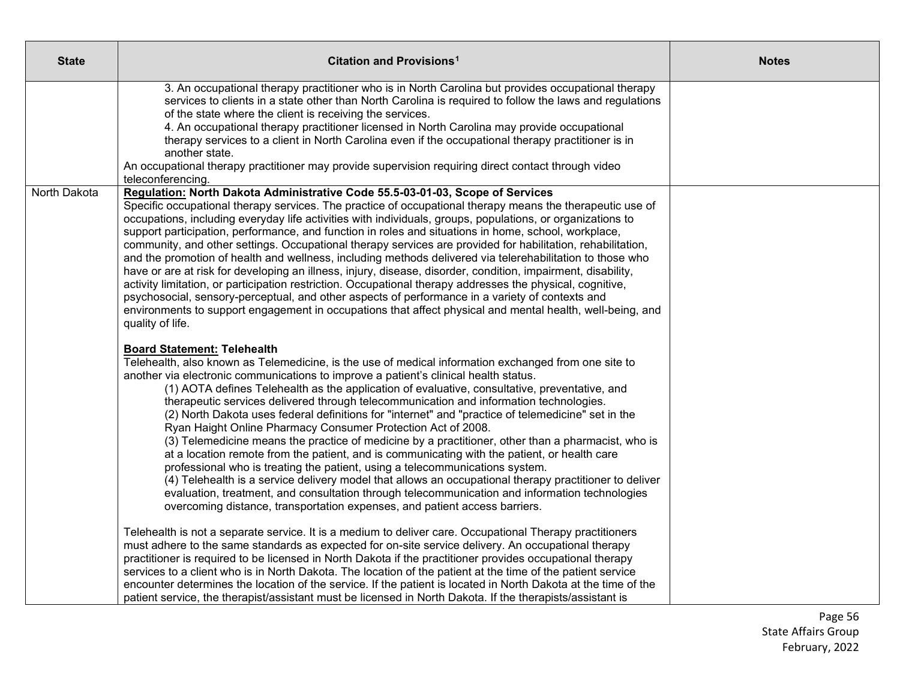| <b>State</b> | Citation and Provisions <sup>1</sup>                                                                                                                                                                                                                                                                                                                                                                                                                                                                                                                                                                                                                                                                                                                                                                                                                                                                                                                                                                                                                                                                                                                                                                                                                                                                                                                                                                                                                                                                                                                                                                                                                                                                                                                                                                                                                                                                                                                                                                                                                                                                                                                                                                                                                                                                  | <b>Notes</b> |
|--------------|-------------------------------------------------------------------------------------------------------------------------------------------------------------------------------------------------------------------------------------------------------------------------------------------------------------------------------------------------------------------------------------------------------------------------------------------------------------------------------------------------------------------------------------------------------------------------------------------------------------------------------------------------------------------------------------------------------------------------------------------------------------------------------------------------------------------------------------------------------------------------------------------------------------------------------------------------------------------------------------------------------------------------------------------------------------------------------------------------------------------------------------------------------------------------------------------------------------------------------------------------------------------------------------------------------------------------------------------------------------------------------------------------------------------------------------------------------------------------------------------------------------------------------------------------------------------------------------------------------------------------------------------------------------------------------------------------------------------------------------------------------------------------------------------------------------------------------------------------------------------------------------------------------------------------------------------------------------------------------------------------------------------------------------------------------------------------------------------------------------------------------------------------------------------------------------------------------------------------------------------------------------------------------------------------------|--------------|
|              | 3. An occupational therapy practitioner who is in North Carolina but provides occupational therapy<br>services to clients in a state other than North Carolina is required to follow the laws and regulations<br>of the state where the client is receiving the services.<br>4. An occupational therapy practitioner licensed in North Carolina may provide occupational<br>therapy services to a client in North Carolina even if the occupational therapy practitioner is in<br>another state.<br>An occupational therapy practitioner may provide supervision requiring direct contact through video<br>teleconferencing.                                                                                                                                                                                                                                                                                                                                                                                                                                                                                                                                                                                                                                                                                                                                                                                                                                                                                                                                                                                                                                                                                                                                                                                                                                                                                                                                                                                                                                                                                                                                                                                                                                                                          |              |
| North Dakota | Regulation: North Dakota Administrative Code 55.5-03-01-03, Scope of Services<br>Specific occupational therapy services. The practice of occupational therapy means the therapeutic use of<br>occupations, including everyday life activities with individuals, groups, populations, or organizations to<br>support participation, performance, and function in roles and situations in home, school, workplace,<br>community, and other settings. Occupational therapy services are provided for habilitation, rehabilitation,<br>and the promotion of health and wellness, including methods delivered via telerehabilitation to those who<br>have or are at risk for developing an illness, injury, disease, disorder, condition, impairment, disability,<br>activity limitation, or participation restriction. Occupational therapy addresses the physical, cognitive,<br>psychosocial, sensory-perceptual, and other aspects of performance in a variety of contexts and<br>environments to support engagement in occupations that affect physical and mental health, well-being, and<br>quality of life.<br><b>Board Statement: Telehealth</b><br>Telehealth, also known as Telemedicine, is the use of medical information exchanged from one site to<br>another via electronic communications to improve a patient's clinical health status.<br>(1) AOTA defines Telehealth as the application of evaluative, consultative, preventative, and<br>therapeutic services delivered through telecommunication and information technologies.<br>(2) North Dakota uses federal definitions for "internet" and "practice of telemedicine" set in the<br>Ryan Haight Online Pharmacy Consumer Protection Act of 2008.<br>(3) Telemedicine means the practice of medicine by a practitioner, other than a pharmacist, who is<br>at a location remote from the patient, and is communicating with the patient, or health care<br>professional who is treating the patient, using a telecommunications system.<br>(4) Telehealth is a service delivery model that allows an occupational therapy practitioner to deliver<br>evaluation, treatment, and consultation through telecommunication and information technologies<br>overcoming distance, transportation expenses, and patient access barriers. |              |
|              | Telehealth is not a separate service. It is a medium to deliver care. Occupational Therapy practitioners<br>must adhere to the same standards as expected for on-site service delivery. An occupational therapy<br>practitioner is required to be licensed in North Dakota if the practitioner provides occupational therapy<br>services to a client who is in North Dakota. The location of the patient at the time of the patient service<br>encounter determines the location of the service. If the patient is located in North Dakota at the time of the<br>patient service, the therapist/assistant must be licensed in North Dakota. If the therapists/assistant is                                                                                                                                                                                                                                                                                                                                                                                                                                                                                                                                                                                                                                                                                                                                                                                                                                                                                                                                                                                                                                                                                                                                                                                                                                                                                                                                                                                                                                                                                                                                                                                                                            |              |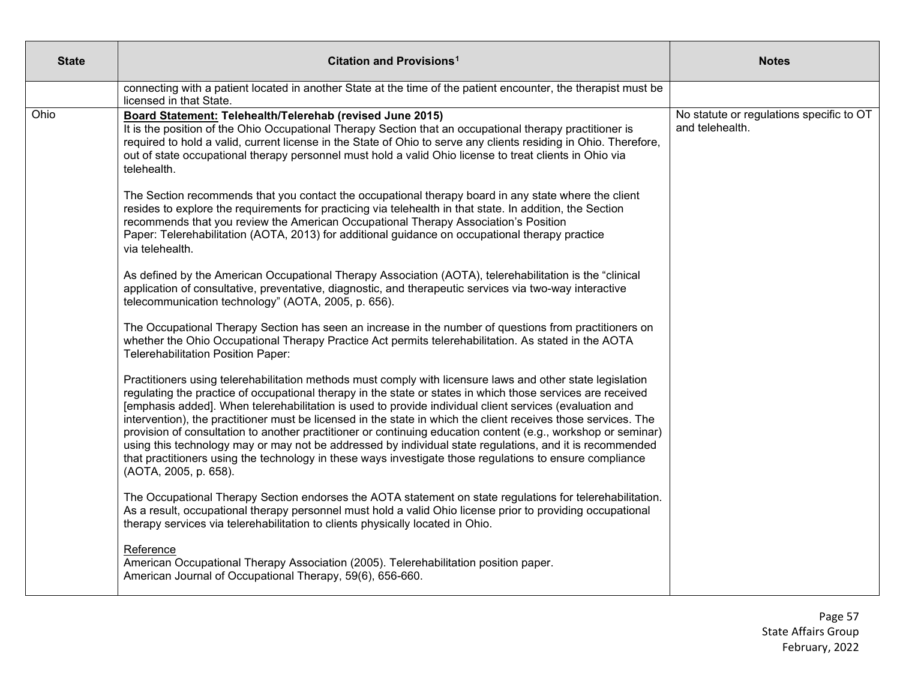| <b>State</b> | <b>Citation and Provisions<sup>1</sup></b>                                                                                                                                                                                                                                                                                                                                                                                                                                                                                                                                                                                                                                                                                                                                                                               | <b>Notes</b>                                                |
|--------------|--------------------------------------------------------------------------------------------------------------------------------------------------------------------------------------------------------------------------------------------------------------------------------------------------------------------------------------------------------------------------------------------------------------------------------------------------------------------------------------------------------------------------------------------------------------------------------------------------------------------------------------------------------------------------------------------------------------------------------------------------------------------------------------------------------------------------|-------------------------------------------------------------|
|              | connecting with a patient located in another State at the time of the patient encounter, the therapist must be<br>licensed in that State.                                                                                                                                                                                                                                                                                                                                                                                                                                                                                                                                                                                                                                                                                |                                                             |
| Ohio         | Board Statement: Telehealth/Telerehab (revised June 2015)<br>It is the position of the Ohio Occupational Therapy Section that an occupational therapy practitioner is<br>required to hold a valid, current license in the State of Ohio to serve any clients residing in Ohio. Therefore,<br>out of state occupational therapy personnel must hold a valid Ohio license to treat clients in Ohio via<br>telehealth.                                                                                                                                                                                                                                                                                                                                                                                                      | No statute or regulations specific to OT<br>and telehealth. |
|              | The Section recommends that you contact the occupational therapy board in any state where the client<br>resides to explore the requirements for practicing via telehealth in that state. In addition, the Section<br>recommends that you review the American Occupational Therapy Association's Position<br>Paper: Telerehabilitation (AOTA, 2013) for additional guidance on occupational therapy practice<br>via telehealth.                                                                                                                                                                                                                                                                                                                                                                                           |                                                             |
|              | As defined by the American Occupational Therapy Association (AOTA), telerehabilitation is the "clinical<br>application of consultative, preventative, diagnostic, and therapeutic services via two-way interactive<br>telecommunication technology" (AOTA, 2005, p. 656).                                                                                                                                                                                                                                                                                                                                                                                                                                                                                                                                                |                                                             |
|              | The Occupational Therapy Section has seen an increase in the number of questions from practitioners on<br>whether the Ohio Occupational Therapy Practice Act permits telerehabilitation. As stated in the AOTA<br>Telerehabilitation Position Paper:                                                                                                                                                                                                                                                                                                                                                                                                                                                                                                                                                                     |                                                             |
|              | Practitioners using telerehabilitation methods must comply with licensure laws and other state legislation<br>regulating the practice of occupational therapy in the state or states in which those services are received<br>[emphasis added]. When telerehabilitation is used to provide individual client services (evaluation and<br>intervention), the practitioner must be licensed in the state in which the client receives those services. The<br>provision of consultation to another practitioner or continuing education content (e.g., workshop or seminar)<br>using this technology may or may not be addressed by individual state regulations, and it is recommended<br>that practitioners using the technology in these ways investigate those regulations to ensure compliance<br>(AOTA, 2005, p. 658). |                                                             |
|              | The Occupational Therapy Section endorses the AOTA statement on state regulations for telerehabilitation.<br>As a result, occupational therapy personnel must hold a valid Ohio license prior to providing occupational<br>therapy services via telerehabilitation to clients physically located in Ohio.                                                                                                                                                                                                                                                                                                                                                                                                                                                                                                                |                                                             |
|              | Reference<br>American Occupational Therapy Association (2005). Telerehabilitation position paper.<br>American Journal of Occupational Therapy, 59(6), 656-660.                                                                                                                                                                                                                                                                                                                                                                                                                                                                                                                                                                                                                                                           |                                                             |

Page 57 State Affairs Group February, 2022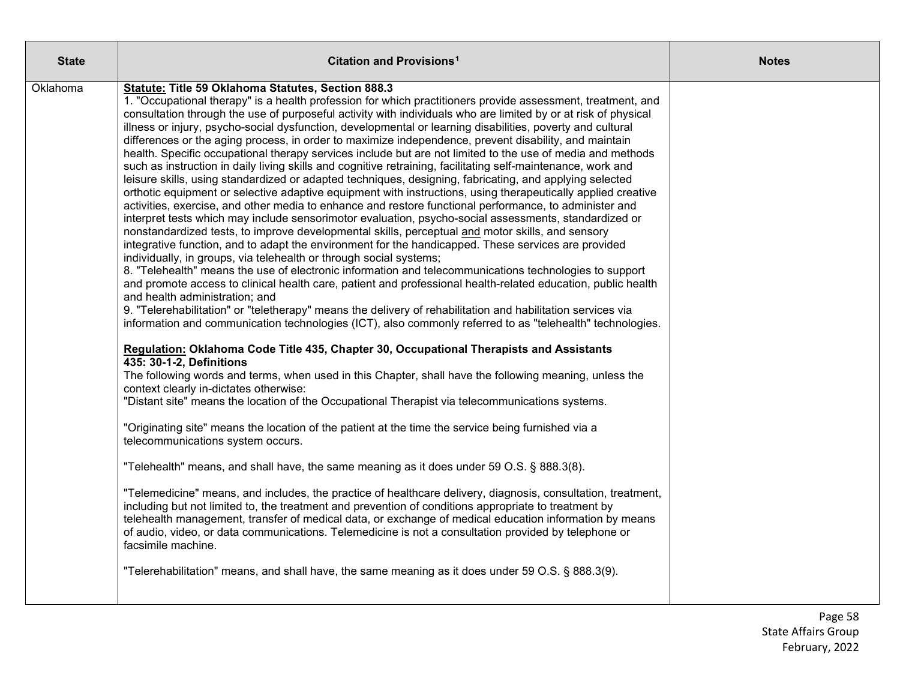| <b>State</b> | Citation and Provisions <sup>1</sup>                                                                                                                                                                                                                                                                                                                                                                                                                                                                                                                                                                                                                                                                                                                                                                                                                                                                                                                                                                                                                                                                                                                                                                                                                                                                                                                                                                                                                                                                                                                                                                                                                                                                                                                                                                                                                                                                                                                                                                                                                                                                                                                                                                                                                                                                                                                                                                                                                                                                                                                                                                                                                                                                                                                                                                                                                                                                                                                                                                                                                                                                                                                       | <b>Notes</b> |
|--------------|------------------------------------------------------------------------------------------------------------------------------------------------------------------------------------------------------------------------------------------------------------------------------------------------------------------------------------------------------------------------------------------------------------------------------------------------------------------------------------------------------------------------------------------------------------------------------------------------------------------------------------------------------------------------------------------------------------------------------------------------------------------------------------------------------------------------------------------------------------------------------------------------------------------------------------------------------------------------------------------------------------------------------------------------------------------------------------------------------------------------------------------------------------------------------------------------------------------------------------------------------------------------------------------------------------------------------------------------------------------------------------------------------------------------------------------------------------------------------------------------------------------------------------------------------------------------------------------------------------------------------------------------------------------------------------------------------------------------------------------------------------------------------------------------------------------------------------------------------------------------------------------------------------------------------------------------------------------------------------------------------------------------------------------------------------------------------------------------------------------------------------------------------------------------------------------------------------------------------------------------------------------------------------------------------------------------------------------------------------------------------------------------------------------------------------------------------------------------------------------------------------------------------------------------------------------------------------------------------------------------------------------------------------------------------------------------------------------------------------------------------------------------------------------------------------------------------------------------------------------------------------------------------------------------------------------------------------------------------------------------------------------------------------------------------------------------------------------------------------------------------------------------------------|--------------|
| Oklahoma     | Statute: Title 59 Oklahoma Statutes, Section 888.3<br>1. "Occupational therapy" is a health profession for which practitioners provide assessment, treatment, and<br>consultation through the use of purposeful activity with individuals who are limited by or at risk of physical<br>illness or injury, psycho-social dysfunction, developmental or learning disabilities, poverty and cultural<br>differences or the aging process, in order to maximize independence, prevent disability, and maintain<br>health. Specific occupational therapy services include but are not limited to the use of media and methods<br>such as instruction in daily living skills and cognitive retraining, facilitating self-maintenance, work and<br>leisure skills, using standardized or adapted techniques, designing, fabricating, and applying selected<br>orthotic equipment or selective adaptive equipment with instructions, using therapeutically applied creative<br>activities, exercise, and other media to enhance and restore functional performance, to administer and<br>interpret tests which may include sensorimotor evaluation, psycho-social assessments, standardized or<br>nonstandardized tests, to improve developmental skills, perceptual and motor skills, and sensory<br>integrative function, and to adapt the environment for the handicapped. These services are provided<br>individually, in groups, via telehealth or through social systems;<br>8. "Telehealth" means the use of electronic information and telecommunications technologies to support<br>and promote access to clinical health care, patient and professional health-related education, public health<br>and health administration; and<br>9. "Telerehabilitation" or "teletherapy" means the delivery of rehabilitation and habilitation services via<br>information and communication technologies (ICT), also commonly referred to as "telehealth" technologies.<br>Regulation: Oklahoma Code Title 435, Chapter 30, Occupational Therapists and Assistants<br>435: 30-1-2, Definitions<br>The following words and terms, when used in this Chapter, shall have the following meaning, unless the<br>context clearly in-dictates otherwise:<br>"Distant site" means the location of the Occupational Therapist via telecommunications systems.<br>"Originating site" means the location of the patient at the time the service being furnished via a<br>telecommunications system occurs.<br>"Telehealth" means, and shall have, the same meaning as it does under 59 O.S. § 888.3(8).<br>"Telemedicine" means, and includes, the practice of healthcare delivery, diagnosis, consultation, treatment,<br>including but not limited to, the treatment and prevention of conditions appropriate to treatment by<br>telehealth management, transfer of medical data, or exchange of medical education information by means<br>of audio, video, or data communications. Telemedicine is not a consultation provided by telephone or<br>facsimile machine.<br>"Telerehabilitation" means, and shall have, the same meaning as it does under 59 O.S. § 888.3(9). |              |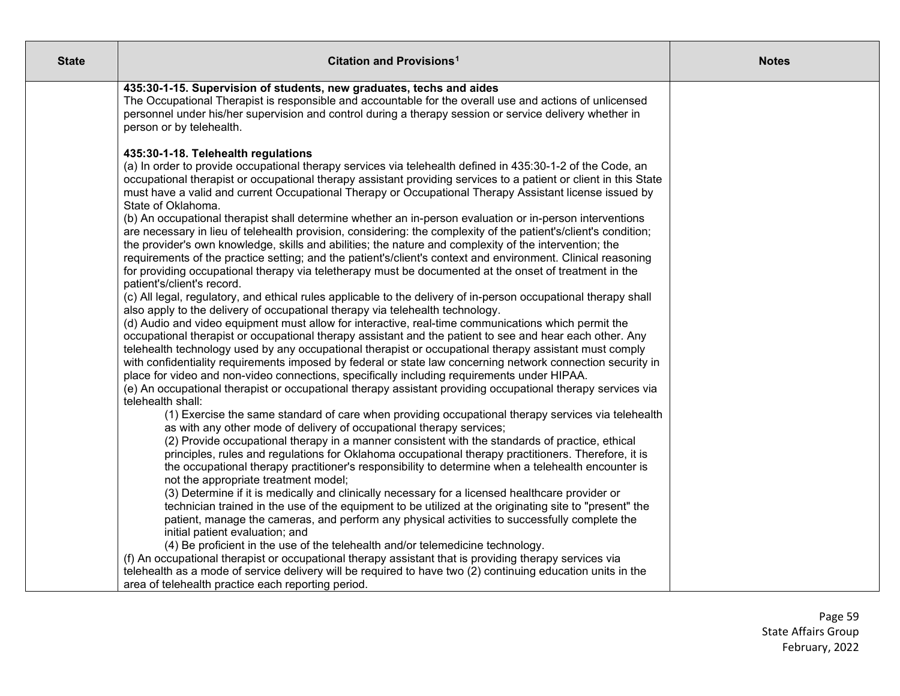| <b>State</b> | Citation and Provisions <sup>1</sup>                                                                                                                                                                                                                                                                                                                                                                                                                                                                                                                                                                                                                                                                                                                                                                                                                                                                                                                                                                                                                                                                                                                                                                                                                                                                                                                                                                                                                                                                                                                                                                                                                                                                                                                                                                                                                                                                                                                                                                                                                                                                                                                                                                                                                                                                                                                                                                                                                                                                                                                                                                                                                                                                                                                                                                                                                                                                                                                                         | <b>Notes</b> |
|--------------|------------------------------------------------------------------------------------------------------------------------------------------------------------------------------------------------------------------------------------------------------------------------------------------------------------------------------------------------------------------------------------------------------------------------------------------------------------------------------------------------------------------------------------------------------------------------------------------------------------------------------------------------------------------------------------------------------------------------------------------------------------------------------------------------------------------------------------------------------------------------------------------------------------------------------------------------------------------------------------------------------------------------------------------------------------------------------------------------------------------------------------------------------------------------------------------------------------------------------------------------------------------------------------------------------------------------------------------------------------------------------------------------------------------------------------------------------------------------------------------------------------------------------------------------------------------------------------------------------------------------------------------------------------------------------------------------------------------------------------------------------------------------------------------------------------------------------------------------------------------------------------------------------------------------------------------------------------------------------------------------------------------------------------------------------------------------------------------------------------------------------------------------------------------------------------------------------------------------------------------------------------------------------------------------------------------------------------------------------------------------------------------------------------------------------------------------------------------------------------------------------------------------------------------------------------------------------------------------------------------------------------------------------------------------------------------------------------------------------------------------------------------------------------------------------------------------------------------------------------------------------------------------------------------------------------------------------------------------------|--------------|
|              | 435:30-1-15. Supervision of students, new graduates, techs and aides<br>The Occupational Therapist is responsible and accountable for the overall use and actions of unlicensed<br>personnel under his/her supervision and control during a therapy session or service delivery whether in<br>person or by telehealth.                                                                                                                                                                                                                                                                                                                                                                                                                                                                                                                                                                                                                                                                                                                                                                                                                                                                                                                                                                                                                                                                                                                                                                                                                                                                                                                                                                                                                                                                                                                                                                                                                                                                                                                                                                                                                                                                                                                                                                                                                                                                                                                                                                                                                                                                                                                                                                                                                                                                                                                                                                                                                                                       |              |
|              | 435:30-1-18. Telehealth regulations<br>(a) In order to provide occupational therapy services via telehealth defined in 435:30-1-2 of the Code, an<br>occupational therapist or occupational therapy assistant providing services to a patient or client in this State<br>must have a valid and current Occupational Therapy or Occupational Therapy Assistant license issued by<br>State of Oklahoma.<br>(b) An occupational therapist shall determine whether an in-person evaluation or in-person interventions<br>are necessary in lieu of telehealth provision, considering: the complexity of the patient's/client's condition;<br>the provider's own knowledge, skills and abilities; the nature and complexity of the intervention; the<br>requirements of the practice setting; and the patient's/client's context and environment. Clinical reasoning<br>for providing occupational therapy via teletherapy must be documented at the onset of treatment in the<br>patient's/client's record.<br>(c) All legal, regulatory, and ethical rules applicable to the delivery of in-person occupational therapy shall<br>also apply to the delivery of occupational therapy via telehealth technology.<br>(d) Audio and video equipment must allow for interactive, real-time communications which permit the<br>occupational therapist or occupational therapy assistant and the patient to see and hear each other. Any<br>telehealth technology used by any occupational therapist or occupational therapy assistant must comply<br>with confidentiality requirements imposed by federal or state law concerning network connection security in<br>place for video and non-video connections, specifically including requirements under HIPAA.<br>(e) An occupational therapist or occupational therapy assistant providing occupational therapy services via<br>telehealth shall:<br>(1) Exercise the same standard of care when providing occupational therapy services via telehealth<br>as with any other mode of delivery of occupational therapy services;<br>(2) Provide occupational therapy in a manner consistent with the standards of practice, ethical<br>principles, rules and regulations for Oklahoma occupational therapy practitioners. Therefore, it is<br>the occupational therapy practitioner's responsibility to determine when a telehealth encounter is<br>not the appropriate treatment model;<br>(3) Determine if it is medically and clinically necessary for a licensed healthcare provider or<br>technician trained in the use of the equipment to be utilized at the originating site to "present" the<br>patient, manage the cameras, and perform any physical activities to successfully complete the<br>initial patient evaluation; and<br>(4) Be proficient in the use of the telehealth and/or telemedicine technology.<br>(f) An occupational therapist or occupational therapy assistant that is providing therapy services via |              |
|              | telehealth as a mode of service delivery will be required to have two (2) continuing education units in the<br>area of telehealth practice each reporting period.                                                                                                                                                                                                                                                                                                                                                                                                                                                                                                                                                                                                                                                                                                                                                                                                                                                                                                                                                                                                                                                                                                                                                                                                                                                                                                                                                                                                                                                                                                                                                                                                                                                                                                                                                                                                                                                                                                                                                                                                                                                                                                                                                                                                                                                                                                                                                                                                                                                                                                                                                                                                                                                                                                                                                                                                            |              |

Page 59 State Affairs Group February, 2022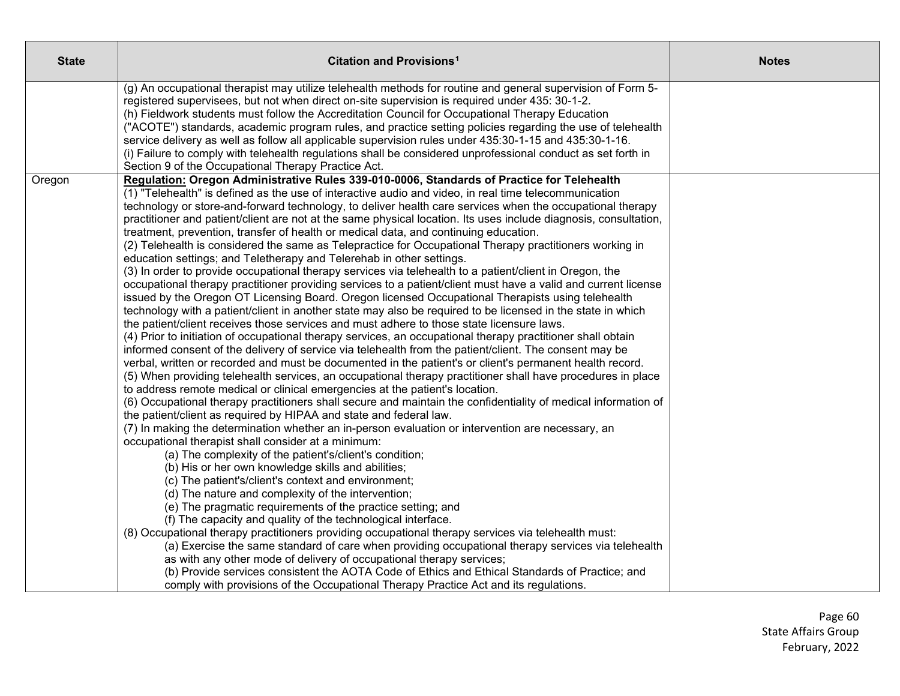| <b>State</b> | Citation and Provisions <sup>1</sup>                                                                                                                                                                                                                                                                             | <b>Notes</b> |
|--------------|------------------------------------------------------------------------------------------------------------------------------------------------------------------------------------------------------------------------------------------------------------------------------------------------------------------|--------------|
|              | (g) An occupational therapist may utilize telehealth methods for routine and general supervision of Form 5-<br>registered supervisees, but not when direct on-site supervision is required under 435: 30-1-2.<br>(h) Fieldwork students must follow the Accreditation Council for Occupational Therapy Education |              |
|              | ("ACOTE") standards, academic program rules, and practice setting policies regarding the use of telehealth                                                                                                                                                                                                       |              |
|              | service delivery as well as follow all applicable supervision rules under 435:30-1-15 and 435:30-1-16.<br>(i) Failure to comply with telehealth regulations shall be considered unprofessional conduct as set forth in                                                                                           |              |
|              | Section 9 of the Occupational Therapy Practice Act.                                                                                                                                                                                                                                                              |              |
| Oregon       | Regulation: Oregon Administrative Rules 339-010-0006, Standards of Practice for Telehealth<br>(1) "Telehealth" is defined as the use of interactive audio and video, in real time telecommunication                                                                                                              |              |
|              | technology or store-and-forward technology, to deliver health care services when the occupational therapy                                                                                                                                                                                                        |              |
|              | practitioner and patient/client are not at the same physical location. Its uses include diagnosis, consultation,<br>treatment, prevention, transfer of health or medical data, and continuing education.                                                                                                         |              |
|              | (2) Telehealth is considered the same as Telepractice for Occupational Therapy practitioners working in                                                                                                                                                                                                          |              |
|              | education settings; and Teletherapy and Telerehab in other settings.                                                                                                                                                                                                                                             |              |
|              | (3) In order to provide occupational therapy services via telehealth to a patient/client in Oregon, the                                                                                                                                                                                                          |              |
|              | occupational therapy practitioner providing services to a patient/client must have a valid and current license<br>issued by the Oregon OT Licensing Board. Oregon licensed Occupational Therapists using telehealth                                                                                              |              |
|              | technology with a patient/client in another state may also be required to be licensed in the state in which                                                                                                                                                                                                      |              |
|              | the patient/client receives those services and must adhere to those state licensure laws.                                                                                                                                                                                                                        |              |
|              | (4) Prior to initiation of occupational therapy services, an occupational therapy practitioner shall obtain<br>informed consent of the delivery of service via telehealth from the patient/client. The consent may be                                                                                            |              |
|              | verbal, written or recorded and must be documented in the patient's or client's permanent health record.                                                                                                                                                                                                         |              |
|              | (5) When providing telehealth services, an occupational therapy practitioner shall have procedures in place                                                                                                                                                                                                      |              |
|              | to address remote medical or clinical emergencies at the patient's location.                                                                                                                                                                                                                                     |              |
|              | (6) Occupational therapy practitioners shall secure and maintain the confidentiality of medical information of                                                                                                                                                                                                   |              |
|              | the patient/client as required by HIPAA and state and federal law.<br>(7) In making the determination whether an in-person evaluation or intervention are necessary, an                                                                                                                                          |              |
|              | occupational therapist shall consider at a minimum:                                                                                                                                                                                                                                                              |              |
|              | (a) The complexity of the patient's/client's condition;                                                                                                                                                                                                                                                          |              |
|              | (b) His or her own knowledge skills and abilities;                                                                                                                                                                                                                                                               |              |
|              | (c) The patient's/client's context and environment;                                                                                                                                                                                                                                                              |              |
|              | (d) The nature and complexity of the intervention;<br>(e) The pragmatic requirements of the practice setting; and                                                                                                                                                                                                |              |
|              | (f) The capacity and quality of the technological interface.                                                                                                                                                                                                                                                     |              |
|              | (8) Occupational therapy practitioners providing occupational therapy services via telehealth must:                                                                                                                                                                                                              |              |
|              | (a) Exercise the same standard of care when providing occupational therapy services via telehealth                                                                                                                                                                                                               |              |
|              | as with any other mode of delivery of occupational therapy services;                                                                                                                                                                                                                                             |              |
|              | (b) Provide services consistent the AOTA Code of Ethics and Ethical Standards of Practice; and<br>comply with provisions of the Occupational Therapy Practice Act and its regulations.                                                                                                                           |              |
|              |                                                                                                                                                                                                                                                                                                                  |              |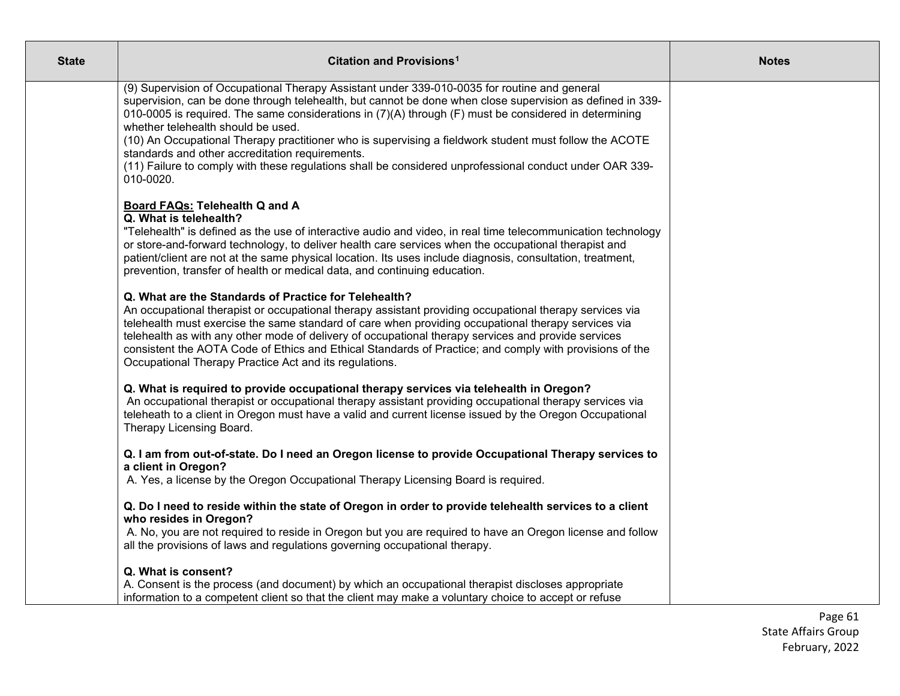| <b>State</b> | Citation and Provisions <sup>1</sup>                                                                                                                                                                                                                                                                                                                                                                                                                                                                                                                                                                                                          | <b>Notes</b> |
|--------------|-----------------------------------------------------------------------------------------------------------------------------------------------------------------------------------------------------------------------------------------------------------------------------------------------------------------------------------------------------------------------------------------------------------------------------------------------------------------------------------------------------------------------------------------------------------------------------------------------------------------------------------------------|--------------|
|              | (9) Supervision of Occupational Therapy Assistant under 339-010-0035 for routine and general<br>supervision, can be done through telehealth, but cannot be done when close supervision as defined in 339-<br>010-0005 is required. The same considerations in (7)(A) through (F) must be considered in determining<br>whether telehealth should be used.<br>(10) An Occupational Therapy practitioner who is supervising a fieldwork student must follow the ACOTE<br>standards and other accreditation requirements.<br>(11) Failure to comply with these regulations shall be considered unprofessional conduct under OAR 339-<br>010-0020. |              |
|              | <b>Board FAQs: Telehealth Q and A</b><br>Q. What is telehealth?<br>"Telehealth" is defined as the use of interactive audio and video, in real time telecommunication technology<br>or store-and-forward technology, to deliver health care services when the occupational therapist and<br>patient/client are not at the same physical location. Its uses include diagnosis, consultation, treatment,<br>prevention, transfer of health or medical data, and continuing education.                                                                                                                                                            |              |
|              | Q. What are the Standards of Practice for Telehealth?<br>An occupational therapist or occupational therapy assistant providing occupational therapy services via<br>telehealth must exercise the same standard of care when providing occupational therapy services via<br>telehealth as with any other mode of delivery of occupational therapy services and provide services<br>consistent the AOTA Code of Ethics and Ethical Standards of Practice; and comply with provisions of the<br>Occupational Therapy Practice Act and its regulations.                                                                                           |              |
|              | Q. What is required to provide occupational therapy services via telehealth in Oregon?<br>An occupational therapist or occupational therapy assistant providing occupational therapy services via<br>teleheath to a client in Oregon must have a valid and current license issued by the Oregon Occupational<br>Therapy Licensing Board.                                                                                                                                                                                                                                                                                                      |              |
|              | Q. I am from out-of-state. Do I need an Oregon license to provide Occupational Therapy services to<br>a client in Oregon?<br>A. Yes, a license by the Oregon Occupational Therapy Licensing Board is required.                                                                                                                                                                                                                                                                                                                                                                                                                                |              |
|              | Q. Do I need to reside within the state of Oregon in order to provide telehealth services to a client<br>who resides in Oregon?<br>A. No, you are not required to reside in Oregon but you are required to have an Oregon license and follow<br>all the provisions of laws and regulations governing occupational therapy.                                                                                                                                                                                                                                                                                                                    |              |
|              | Q. What is consent?<br>A. Consent is the process (and document) by which an occupational therapist discloses appropriate<br>information to a competent client so that the client may make a voluntary choice to accept or refuse                                                                                                                                                                                                                                                                                                                                                                                                              |              |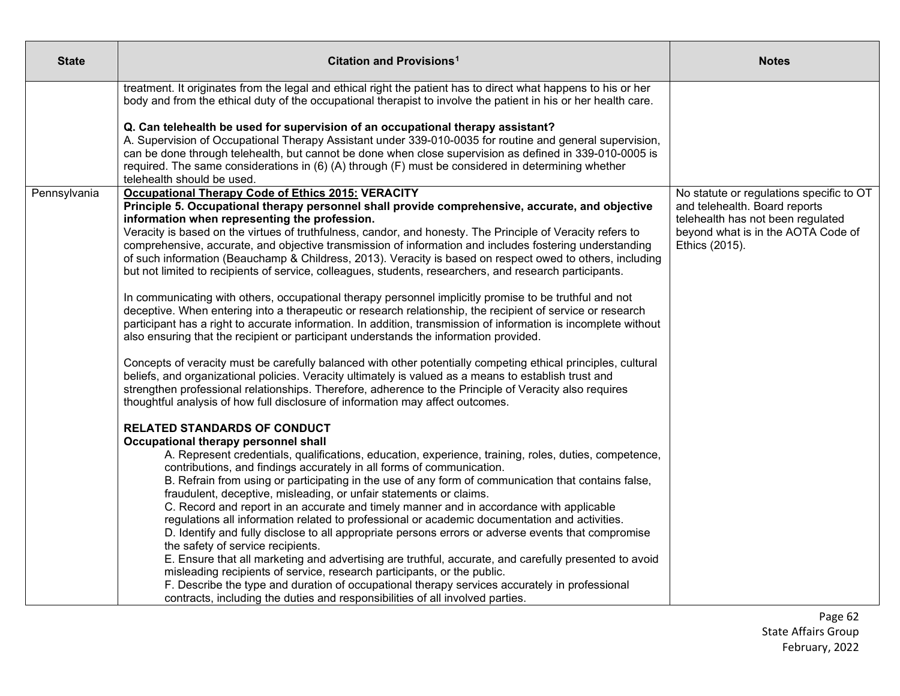| <b>State</b> | Citation and Provisions <sup>1</sup>                                                                                                                                                                                                                                                                                                                                                                                                                                                                                                                                                                                                                                                                                                                                                                                                                                                                                                                                                                                                                                                                                                                                                                                                                                                                                                                                                                                                                                                                                                                                                                                                                                                                                                                                                                                                                                                                                                                                                                                                                                                                                                                                                                                                                                                                                                                                                                                                                                                               | <b>Notes</b>                                                                                                                                                           |
|--------------|----------------------------------------------------------------------------------------------------------------------------------------------------------------------------------------------------------------------------------------------------------------------------------------------------------------------------------------------------------------------------------------------------------------------------------------------------------------------------------------------------------------------------------------------------------------------------------------------------------------------------------------------------------------------------------------------------------------------------------------------------------------------------------------------------------------------------------------------------------------------------------------------------------------------------------------------------------------------------------------------------------------------------------------------------------------------------------------------------------------------------------------------------------------------------------------------------------------------------------------------------------------------------------------------------------------------------------------------------------------------------------------------------------------------------------------------------------------------------------------------------------------------------------------------------------------------------------------------------------------------------------------------------------------------------------------------------------------------------------------------------------------------------------------------------------------------------------------------------------------------------------------------------------------------------------------------------------------------------------------------------------------------------------------------------------------------------------------------------------------------------------------------------------------------------------------------------------------------------------------------------------------------------------------------------------------------------------------------------------------------------------------------------------------------------------------------------------------------------------------------------|------------------------------------------------------------------------------------------------------------------------------------------------------------------------|
|              | treatment. It originates from the legal and ethical right the patient has to direct what happens to his or her<br>body and from the ethical duty of the occupational therapist to involve the patient in his or her health care.                                                                                                                                                                                                                                                                                                                                                                                                                                                                                                                                                                                                                                                                                                                                                                                                                                                                                                                                                                                                                                                                                                                                                                                                                                                                                                                                                                                                                                                                                                                                                                                                                                                                                                                                                                                                                                                                                                                                                                                                                                                                                                                                                                                                                                                                   |                                                                                                                                                                        |
|              | Q. Can telehealth be used for supervision of an occupational therapy assistant?<br>A. Supervision of Occupational Therapy Assistant under 339-010-0035 for routine and general supervision,<br>can be done through telehealth, but cannot be done when close supervision as defined in 339-010-0005 is<br>required. The same considerations in (6) (A) through (F) must be considered in determining whether<br>telehealth should be used.                                                                                                                                                                                                                                                                                                                                                                                                                                                                                                                                                                                                                                                                                                                                                                                                                                                                                                                                                                                                                                                                                                                                                                                                                                                                                                                                                                                                                                                                                                                                                                                                                                                                                                                                                                                                                                                                                                                                                                                                                                                         |                                                                                                                                                                        |
| Pennsylvania | <b>Occupational Therapy Code of Ethics 2015: VERACITY</b><br>Principle 5. Occupational therapy personnel shall provide comprehensive, accurate, and objective<br>information when representing the profession.<br>Veracity is based on the virtues of truthfulness, candor, and honesty. The Principle of Veracity refers to<br>comprehensive, accurate, and objective transmission of information and includes fostering understanding<br>of such information (Beauchamp & Childress, 2013). Veracity is based on respect owed to others, including<br>but not limited to recipients of service, colleagues, students, researchers, and research participants.<br>In communicating with others, occupational therapy personnel implicitly promise to be truthful and not<br>deceptive. When entering into a therapeutic or research relationship, the recipient of service or research<br>participant has a right to accurate information. In addition, transmission of information is incomplete without<br>also ensuring that the recipient or participant understands the information provided.<br>Concepts of veracity must be carefully balanced with other potentially competing ethical principles, cultural<br>beliefs, and organizational policies. Veracity ultimately is valued as a means to establish trust and<br>strengthen professional relationships. Therefore, adherence to the Principle of Veracity also requires<br>thoughtful analysis of how full disclosure of information may affect outcomes.<br><b>RELATED STANDARDS OF CONDUCT</b><br>Occupational therapy personnel shall<br>A. Represent credentials, qualifications, education, experience, training, roles, duties, competence,<br>contributions, and findings accurately in all forms of communication.<br>B. Refrain from using or participating in the use of any form of communication that contains false,<br>fraudulent, deceptive, misleading, or unfair statements or claims.<br>C. Record and report in an accurate and timely manner and in accordance with applicable<br>regulations all information related to professional or academic documentation and activities.<br>D. Identify and fully disclose to all appropriate persons errors or adverse events that compromise<br>the safety of service recipients.<br>E. Ensure that all marketing and advertising are truthful, accurate, and carefully presented to avoid<br>misleading recipients of service, research participants, or the public. | No statute or regulations specific to OT<br>and telehealth. Board reports<br>telehealth has not been regulated<br>beyond what is in the AOTA Code of<br>Ethics (2015). |
|              | F. Describe the type and duration of occupational therapy services accurately in professional<br>contracts, including the duties and responsibilities of all involved parties.                                                                                                                                                                                                                                                                                                                                                                                                                                                                                                                                                                                                                                                                                                                                                                                                                                                                                                                                                                                                                                                                                                                                                                                                                                                                                                                                                                                                                                                                                                                                                                                                                                                                                                                                                                                                                                                                                                                                                                                                                                                                                                                                                                                                                                                                                                                     |                                                                                                                                                                        |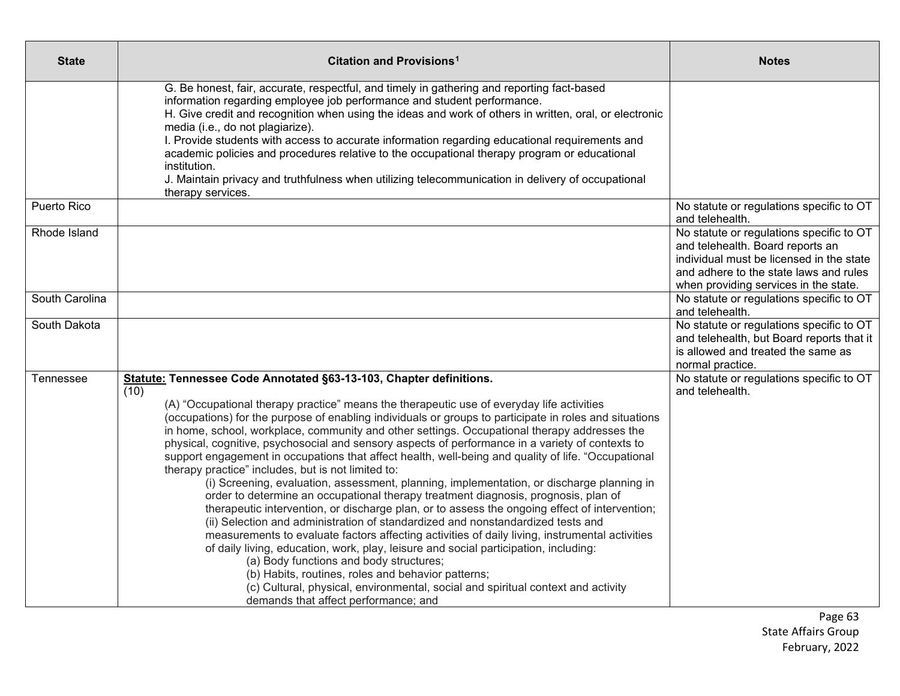| <b>State</b>   | <b>Citation and Provisions<sup>1</sup></b>                                                                                                                                                                                                                                                                                                                                                                                                                                                                                                                                                                                                                                                                                                                                                                                                                                                                                                                                                                                                                                                                                                                                                                                                                                                                                                                                                                                                       | <b>Notes</b>                                                                                                                                                                                                |
|----------------|--------------------------------------------------------------------------------------------------------------------------------------------------------------------------------------------------------------------------------------------------------------------------------------------------------------------------------------------------------------------------------------------------------------------------------------------------------------------------------------------------------------------------------------------------------------------------------------------------------------------------------------------------------------------------------------------------------------------------------------------------------------------------------------------------------------------------------------------------------------------------------------------------------------------------------------------------------------------------------------------------------------------------------------------------------------------------------------------------------------------------------------------------------------------------------------------------------------------------------------------------------------------------------------------------------------------------------------------------------------------------------------------------------------------------------------------------|-------------------------------------------------------------------------------------------------------------------------------------------------------------------------------------------------------------|
|                | G. Be honest, fair, accurate, respectful, and timely in gathering and reporting fact-based<br>information regarding employee job performance and student performance.<br>H. Give credit and recognition when using the ideas and work of others in written, oral, or electronic<br>media (i.e., do not plagiarize).<br>I. Provide students with access to accurate information regarding educational requirements and<br>academic policies and procedures relative to the occupational therapy program or educational<br>institution.<br>J. Maintain privacy and truthfulness when utilizing telecommunication in delivery of occupational<br>therapy services.                                                                                                                                                                                                                                                                                                                                                                                                                                                                                                                                                                                                                                                                                                                                                                                  |                                                                                                                                                                                                             |
| Puerto Rico    |                                                                                                                                                                                                                                                                                                                                                                                                                                                                                                                                                                                                                                                                                                                                                                                                                                                                                                                                                                                                                                                                                                                                                                                                                                                                                                                                                                                                                                                  | No statute or regulations specific to OT<br>and telehealth.                                                                                                                                                 |
| Rhode Island   |                                                                                                                                                                                                                                                                                                                                                                                                                                                                                                                                                                                                                                                                                                                                                                                                                                                                                                                                                                                                                                                                                                                                                                                                                                                                                                                                                                                                                                                  | No statute or regulations specific to OT<br>and telehealth. Board reports an<br>individual must be licensed in the state<br>and adhere to the state laws and rules<br>when providing services in the state. |
| South Carolina |                                                                                                                                                                                                                                                                                                                                                                                                                                                                                                                                                                                                                                                                                                                                                                                                                                                                                                                                                                                                                                                                                                                                                                                                                                                                                                                                                                                                                                                  | No statute or regulations specific to OT<br>and telehealth.                                                                                                                                                 |
| South Dakota   |                                                                                                                                                                                                                                                                                                                                                                                                                                                                                                                                                                                                                                                                                                                                                                                                                                                                                                                                                                                                                                                                                                                                                                                                                                                                                                                                                                                                                                                  | No statute or regulations specific to OT<br>and telehealth, but Board reports that it<br>is allowed and treated the same as<br>normal practice.                                                             |
| Tennessee      | Statute: Tennessee Code Annotated §63-13-103, Chapter definitions.<br>(10)<br>(A) "Occupational therapy practice" means the therapeutic use of everyday life activities<br>(occupations) for the purpose of enabling individuals or groups to participate in roles and situations<br>in home, school, workplace, community and other settings. Occupational therapy addresses the<br>physical, cognitive, psychosocial and sensory aspects of performance in a variety of contexts to<br>support engagement in occupations that affect health, well-being and quality of life. "Occupational<br>therapy practice" includes, but is not limited to:<br>(i) Screening, evaluation, assessment, planning, implementation, or discharge planning in<br>order to determine an occupational therapy treatment diagnosis, prognosis, plan of<br>therapeutic intervention, or discharge plan, or to assess the ongoing effect of intervention;<br>(ii) Selection and administration of standardized and nonstandardized tests and<br>measurements to evaluate factors affecting activities of daily living, instrumental activities<br>of daily living, education, work, play, leisure and social participation, including:<br>(a) Body functions and body structures;<br>(b) Habits, routines, roles and behavior patterns;<br>(c) Cultural, physical, environmental, social and spiritual context and activity<br>demands that affect performance; and | No statute or regulations specific to OT<br>and telehealth.                                                                                                                                                 |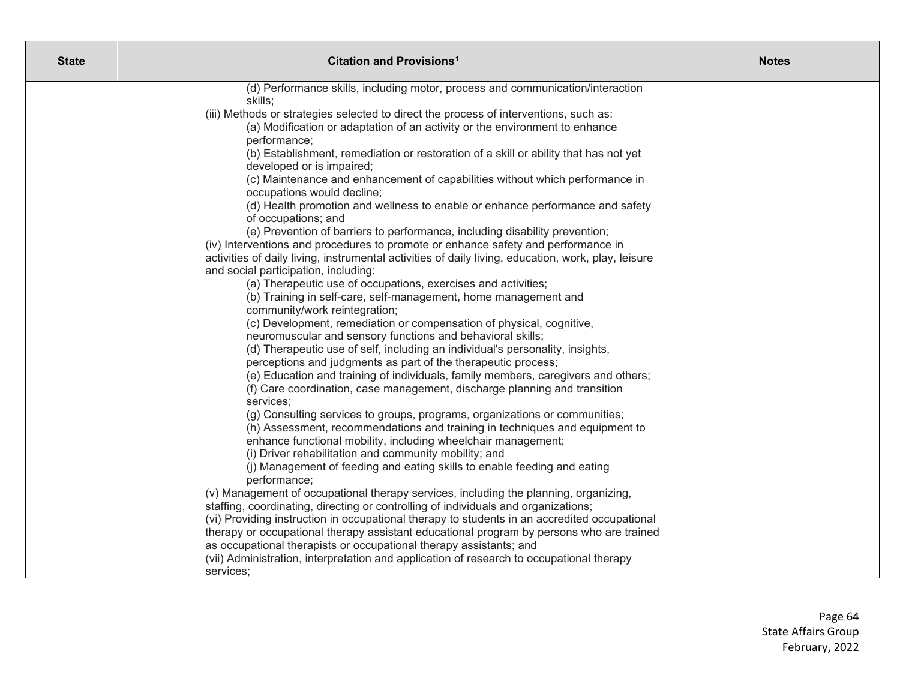| <b>State</b> | Citation and Provisions <sup>1</sup>                                                                                                                                                     | <b>Notes</b> |
|--------------|------------------------------------------------------------------------------------------------------------------------------------------------------------------------------------------|--------------|
|              | (d) Performance skills, including motor, process and communication/interaction                                                                                                           |              |
|              | skills;                                                                                                                                                                                  |              |
|              | (iii) Methods or strategies selected to direct the process of interventions, such as:                                                                                                    |              |
|              | (a) Modification or adaptation of an activity or the environment to enhance                                                                                                              |              |
|              | performance;                                                                                                                                                                             |              |
|              | (b) Establishment, remediation or restoration of a skill or ability that has not yet                                                                                                     |              |
|              | developed or is impaired;                                                                                                                                                                |              |
|              | (c) Maintenance and enhancement of capabilities without which performance in                                                                                                             |              |
|              | occupations would decline;                                                                                                                                                               |              |
|              | (d) Health promotion and wellness to enable or enhance performance and safety                                                                                                            |              |
|              | of occupations; and                                                                                                                                                                      |              |
|              | (e) Prevention of barriers to performance, including disability prevention;                                                                                                              |              |
|              | (iv) Interventions and procedures to promote or enhance safety and performance in<br>activities of daily living, instrumental activities of daily living, education, work, play, leisure |              |
|              | and social participation, including:                                                                                                                                                     |              |
|              | (a) Therapeutic use of occupations, exercises and activities;                                                                                                                            |              |
|              | (b) Training in self-care, self-management, home management and                                                                                                                          |              |
|              | community/work reintegration;                                                                                                                                                            |              |
|              | (c) Development, remediation or compensation of physical, cognitive,                                                                                                                     |              |
|              | neuromuscular and sensory functions and behavioral skills;                                                                                                                               |              |
|              | (d) Therapeutic use of self, including an individual's personality, insights,                                                                                                            |              |
|              | perceptions and judgments as part of the therapeutic process;                                                                                                                            |              |
|              | (e) Education and training of individuals, family members, caregivers and others;                                                                                                        |              |
|              | (f) Care coordination, case management, discharge planning and transition                                                                                                                |              |
|              | services;                                                                                                                                                                                |              |
|              | (g) Consulting services to groups, programs, organizations or communities;                                                                                                               |              |
|              | (h) Assessment, recommendations and training in techniques and equipment to                                                                                                              |              |
|              | enhance functional mobility, including wheelchair management;                                                                                                                            |              |
|              | (i) Driver rehabilitation and community mobility; and                                                                                                                                    |              |
|              | (j) Management of feeding and eating skills to enable feeding and eating                                                                                                                 |              |
|              | performance;                                                                                                                                                                             |              |
|              | (v) Management of occupational therapy services, including the planning, organizing,                                                                                                     |              |
|              | staffing, coordinating, directing or controlling of individuals and organizations;                                                                                                       |              |
|              | (vi) Providing instruction in occupational therapy to students in an accredited occupational                                                                                             |              |
|              | therapy or occupational therapy assistant educational program by persons who are trained                                                                                                 |              |
|              | as occupational therapists or occupational therapy assistants; and                                                                                                                       |              |
|              | (vii) Administration, interpretation and application of research to occupational therapy                                                                                                 |              |
|              | services;                                                                                                                                                                                |              |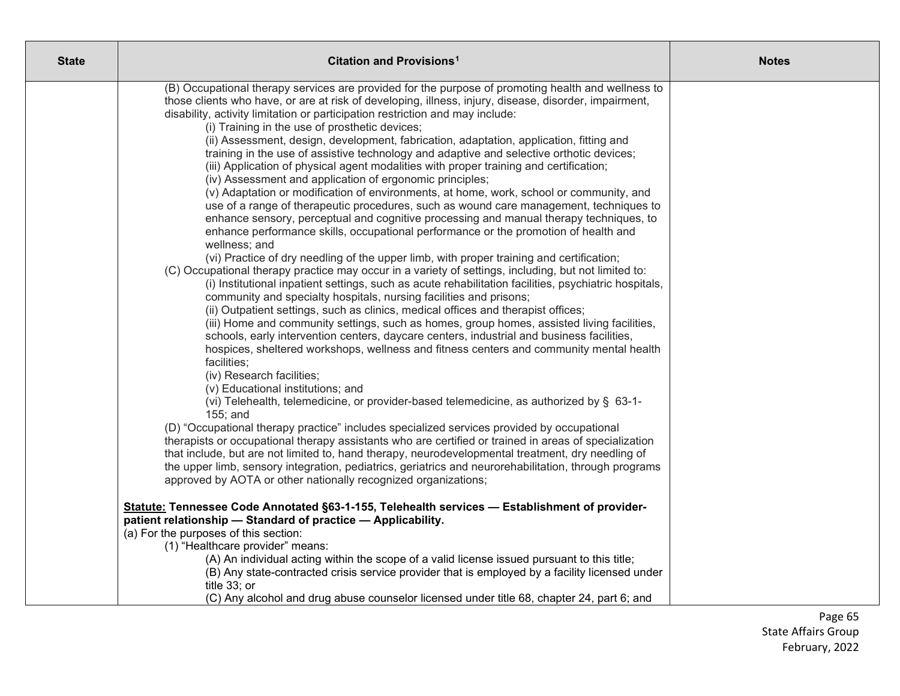| <b>State</b> | Citation and Provisions <sup>1</sup>                                                                                                                                                   | <b>Notes</b> |
|--------------|----------------------------------------------------------------------------------------------------------------------------------------------------------------------------------------|--------------|
|              | (B) Occupational therapy services are provided for the purpose of promoting health and wellness to                                                                                     |              |
|              | those clients who have, or are at risk of developing, illness, injury, disease, disorder, impairment,<br>disability, activity limitation or participation restriction and may include: |              |
|              | (i) Training in the use of prosthetic devices;                                                                                                                                         |              |
|              | (ii) Assessment, design, development, fabrication, adaptation, application, fitting and                                                                                                |              |
|              | training in the use of assistive technology and adaptive and selective orthotic devices;                                                                                               |              |
|              | (iii) Application of physical agent modalities with proper training and certification;                                                                                                 |              |
|              | (iv) Assessment and application of ergonomic principles;                                                                                                                               |              |
|              | (v) Adaptation or modification of environments, at home, work, school or community, and                                                                                                |              |
|              | use of a range of therapeutic procedures, such as wound care management, techniques to<br>enhance sensory, perceptual and cognitive processing and manual therapy techniques, to       |              |
|              | enhance performance skills, occupational performance or the promotion of health and                                                                                                    |              |
|              | wellness; and                                                                                                                                                                          |              |
|              | (vi) Practice of dry needling of the upper limb, with proper training and certification;                                                                                               |              |
|              | (C) Occupational therapy practice may occur in a variety of settings, including, but not limited to:                                                                                   |              |
|              | (i) Institutional inpatient settings, such as acute rehabilitation facilities, psychiatric hospitals,                                                                                  |              |
|              | community and specialty hospitals, nursing facilities and prisons;                                                                                                                     |              |
|              | (ii) Outpatient settings, such as clinics, medical offices and therapist offices;<br>(iii) Home and community settings, such as homes, group homes, assisted living facilities,        |              |
|              | schools, early intervention centers, daycare centers, industrial and business facilities,                                                                                              |              |
|              | hospices, sheltered workshops, wellness and fitness centers and community mental health                                                                                                |              |
|              | facilities;                                                                                                                                                                            |              |
|              | (iv) Research facilities;                                                                                                                                                              |              |
|              | (v) Educational institutions; and                                                                                                                                                      |              |
|              | (vi) Telehealth, telemedicine, or provider-based telemedicine, as authorized by § 63-1-                                                                                                |              |
|              | 155; and<br>(D) "Occupational therapy practice" includes specialized services provided by occupational                                                                                 |              |
|              | therapists or occupational therapy assistants who are certified or trained in areas of specialization                                                                                  |              |
|              | that include, but are not limited to, hand therapy, neurodevelopmental treatment, dry needling of                                                                                      |              |
|              | the upper limb, sensory integration, pediatrics, geriatrics and neurorehabilitation, through programs                                                                                  |              |
|              | approved by AOTA or other nationally recognized organizations;                                                                                                                         |              |
|              | Statute: Tennessee Code Annotated §63-1-155, Telehealth services - Establishment of provider-                                                                                          |              |
|              | patient relationship - Standard of practice - Applicability.                                                                                                                           |              |
|              | (a) For the purposes of this section:                                                                                                                                                  |              |
|              | (1) "Healthcare provider" means:<br>(A) An individual acting within the scope of a valid license issued pursuant to this title;                                                        |              |
|              | (B) Any state-contracted crisis service provider that is employed by a facility licensed under                                                                                         |              |
|              | title 33; or                                                                                                                                                                           |              |
|              | (C) Any alcohol and drug abuse counselor licensed under title 68, chapter 24, part 6; and                                                                                              |              |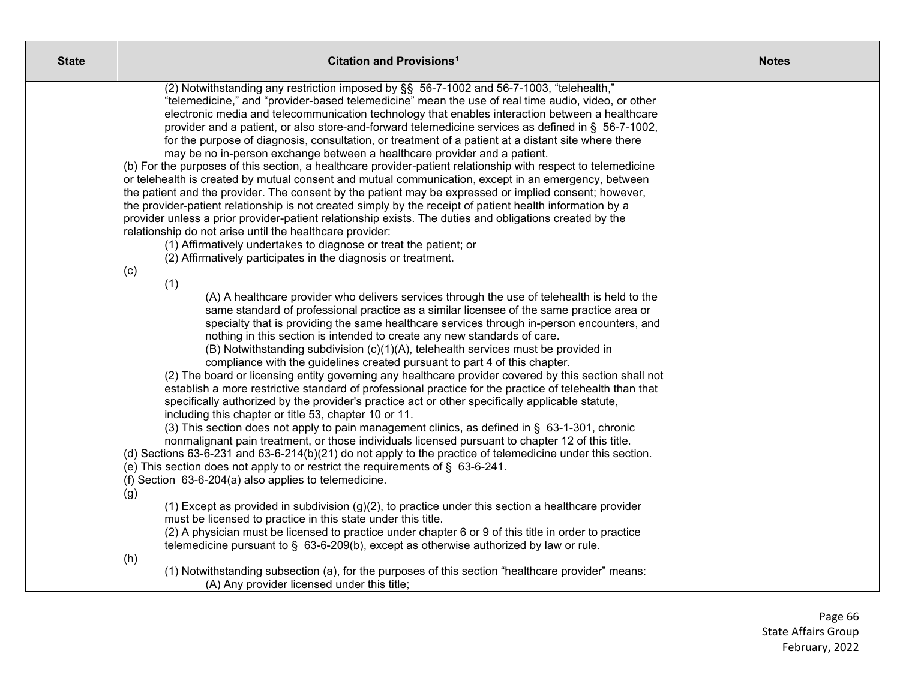| <b>State</b> | Citation and Provisions <sup>1</sup>                                                                                                                                                                                                                                                                                                                                                                                                                                                                                                                                                                                                                                                                                                                                                                                                                                                                                                                                                                                                                                                                                                                                                                                                                                                                                                                                                                                                                                                                                                                                                                                                                                                                                                                                                                                                                                                                                                                                                                                                                                                                                                                                                                                                                                                                                                                                                                                                                                                                                                                                                                                                                                                                    | <b>Notes</b> |
|--------------|---------------------------------------------------------------------------------------------------------------------------------------------------------------------------------------------------------------------------------------------------------------------------------------------------------------------------------------------------------------------------------------------------------------------------------------------------------------------------------------------------------------------------------------------------------------------------------------------------------------------------------------------------------------------------------------------------------------------------------------------------------------------------------------------------------------------------------------------------------------------------------------------------------------------------------------------------------------------------------------------------------------------------------------------------------------------------------------------------------------------------------------------------------------------------------------------------------------------------------------------------------------------------------------------------------------------------------------------------------------------------------------------------------------------------------------------------------------------------------------------------------------------------------------------------------------------------------------------------------------------------------------------------------------------------------------------------------------------------------------------------------------------------------------------------------------------------------------------------------------------------------------------------------------------------------------------------------------------------------------------------------------------------------------------------------------------------------------------------------------------------------------------------------------------------------------------------------------------------------------------------------------------------------------------------------------------------------------------------------------------------------------------------------------------------------------------------------------------------------------------------------------------------------------------------------------------------------------------------------------------------------------------------------------------------------------------------------|--------------|
|              | (2) Notwithstanding any restriction imposed by §§ 56-7-1002 and 56-7-1003, "telehealth,"<br>"telemedicine," and "provider-based telemedicine" mean the use of real time audio, video, or other<br>electronic media and telecommunication technology that enables interaction between a healthcare<br>provider and a patient, or also store-and-forward telemedicine services as defined in § 56-7-1002,<br>for the purpose of diagnosis, consultation, or treatment of a patient at a distant site where there<br>may be no in-person exchange between a healthcare provider and a patient.<br>(b) For the purposes of this section, a healthcare provider-patient relationship with respect to telemedicine<br>or telehealth is created by mutual consent and mutual communication, except in an emergency, between<br>the patient and the provider. The consent by the patient may be expressed or implied consent; however,<br>the provider-patient relationship is not created simply by the receipt of patient health information by a<br>provider unless a prior provider-patient relationship exists. The duties and obligations created by the<br>relationship do not arise until the healthcare provider:<br>(1) Affirmatively undertakes to diagnose or treat the patient; or<br>(2) Affirmatively participates in the diagnosis or treatment.<br>(c)<br>(1)<br>(A) A healthcare provider who delivers services through the use of telehealth is held to the<br>same standard of professional practice as a similar licensee of the same practice area or<br>specialty that is providing the same healthcare services through in-person encounters, and<br>nothing in this section is intended to create any new standards of care.<br>(B) Notwithstanding subdivision (c)(1)(A), telehealth services must be provided in<br>compliance with the guidelines created pursuant to part 4 of this chapter.<br>(2) The board or licensing entity governing any healthcare provider covered by this section shall not<br>establish a more restrictive standard of professional practice for the practice of telehealth than that<br>specifically authorized by the provider's practice act or other specifically applicable statute,<br>including this chapter or title 53, chapter 10 or 11.<br>(3) This section does not apply to pain management clinics, as defined in § 63-1-301, chronic<br>nonmalignant pain treatment, or those individuals licensed pursuant to chapter 12 of this title.<br>(d) Sections 63-6-231 and 63-6-214(b)(21) do not apply to the practice of telemedicine under this section.<br>(e) This section does not apply to or restrict the requirements of § 63-6-241. |              |
|              | (f) Section 63-6-204(a) also applies to telemedicine.<br>(g)                                                                                                                                                                                                                                                                                                                                                                                                                                                                                                                                                                                                                                                                                                                                                                                                                                                                                                                                                                                                                                                                                                                                                                                                                                                                                                                                                                                                                                                                                                                                                                                                                                                                                                                                                                                                                                                                                                                                                                                                                                                                                                                                                                                                                                                                                                                                                                                                                                                                                                                                                                                                                                            |              |
|              | $(1)$ Except as provided in subdivision $(g)(2)$ , to practice under this section a healthcare provider<br>must be licensed to practice in this state under this title.<br>(2) A physician must be licensed to practice under chapter 6 or 9 of this title in order to practice<br>telemedicine pursuant to $\S$ 63-6-209(b), except as otherwise authorized by law or rule.<br>(h)                                                                                                                                                                                                                                                                                                                                                                                                                                                                                                                                                                                                                                                                                                                                                                                                                                                                                                                                                                                                                                                                                                                                                                                                                                                                                                                                                                                                                                                                                                                                                                                                                                                                                                                                                                                                                                                                                                                                                                                                                                                                                                                                                                                                                                                                                                                     |              |
|              | (1) Notwithstanding subsection (a), for the purposes of this section "healthcare provider" means:<br>(A) Any provider licensed under this title;                                                                                                                                                                                                                                                                                                                                                                                                                                                                                                                                                                                                                                                                                                                                                                                                                                                                                                                                                                                                                                                                                                                                                                                                                                                                                                                                                                                                                                                                                                                                                                                                                                                                                                                                                                                                                                                                                                                                                                                                                                                                                                                                                                                                                                                                                                                                                                                                                                                                                                                                                        |              |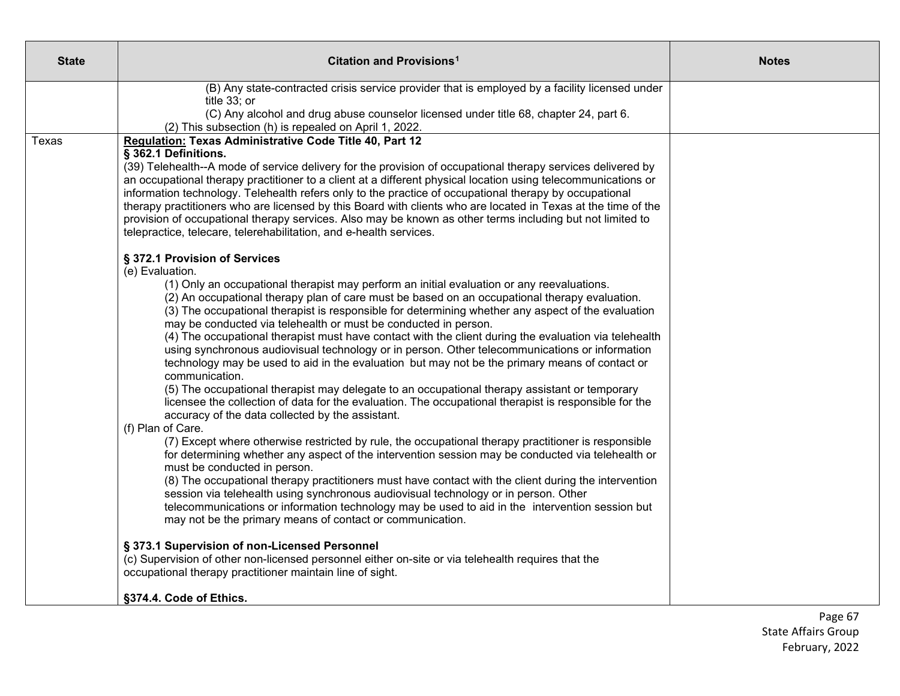| <b>State</b> | Citation and Provisions <sup>1</sup>                                                                                                                                                                                                                                                                                                                                                                                                                                                                                                                                                                                                                                                                                                                                                                                                                                                                                                                                                                                                                                                                                                                                                                                                                                                                                                                                                           | <b>Notes</b> |
|--------------|------------------------------------------------------------------------------------------------------------------------------------------------------------------------------------------------------------------------------------------------------------------------------------------------------------------------------------------------------------------------------------------------------------------------------------------------------------------------------------------------------------------------------------------------------------------------------------------------------------------------------------------------------------------------------------------------------------------------------------------------------------------------------------------------------------------------------------------------------------------------------------------------------------------------------------------------------------------------------------------------------------------------------------------------------------------------------------------------------------------------------------------------------------------------------------------------------------------------------------------------------------------------------------------------------------------------------------------------------------------------------------------------|--------------|
|              | (B) Any state-contracted crisis service provider that is employed by a facility licensed under<br>title 33; or<br>(C) Any alcohol and drug abuse counselor licensed under title 68, chapter 24, part 6.<br>(2) This subsection (h) is repealed on April 1, 2022.                                                                                                                                                                                                                                                                                                                                                                                                                                                                                                                                                                                                                                                                                                                                                                                                                                                                                                                                                                                                                                                                                                                               |              |
| Texas        | Regulation: Texas Administrative Code Title 40, Part 12<br>§ 362.1 Definitions.<br>(39) Telehealth--A mode of service delivery for the provision of occupational therapy services delivered by<br>an occupational therapy practitioner to a client at a different physical location using telecommunications or<br>information technology. Telehealth refers only to the practice of occupational therapy by occupational<br>therapy practitioners who are licensed by this Board with clients who are located in Texas at the time of the<br>provision of occupational therapy services. Also may be known as other terms including but not limited to<br>telepractice, telecare, telerehabilitation, and e-health services.                                                                                                                                                                                                                                                                                                                                                                                                                                                                                                                                                                                                                                                                  |              |
|              | § 372.1 Provision of Services<br>(e) Evaluation.<br>(1) Only an occupational therapist may perform an initial evaluation or any reevaluations.<br>(2) An occupational therapy plan of care must be based on an occupational therapy evaluation.<br>(3) The occupational therapist is responsible for determining whether any aspect of the evaluation<br>may be conducted via telehealth or must be conducted in person.<br>(4) The occupational therapist must have contact with the client during the evaluation via telehealth<br>using synchronous audiovisual technology or in person. Other telecommunications or information<br>technology may be used to aid in the evaluation but may not be the primary means of contact or<br>communication.<br>(5) The occupational therapist may delegate to an occupational therapy assistant or temporary<br>licensee the collection of data for the evaluation. The occupational therapist is responsible for the<br>accuracy of the data collected by the assistant.<br>(f) Plan of Care.<br>(7) Except where otherwise restricted by rule, the occupational therapy practitioner is responsible<br>for determining whether any aspect of the intervention session may be conducted via telehealth or<br>must be conducted in person.<br>(8) The occupational therapy practitioners must have contact with the client during the intervention |              |
|              | session via telehealth using synchronous audiovisual technology or in person. Other<br>telecommunications or information technology may be used to aid in the intervention session but<br>may not be the primary means of contact or communication.<br>§ 373.1 Supervision of non-Licensed Personnel<br>(c) Supervision of other non-licensed personnel either on-site or via telehealth requires that the                                                                                                                                                                                                                                                                                                                                                                                                                                                                                                                                                                                                                                                                                                                                                                                                                                                                                                                                                                                     |              |
|              | occupational therapy practitioner maintain line of sight.<br>§374.4. Code of Ethics.                                                                                                                                                                                                                                                                                                                                                                                                                                                                                                                                                                                                                                                                                                                                                                                                                                                                                                                                                                                                                                                                                                                                                                                                                                                                                                           |              |

Page 67 State Affairs Group February, 2022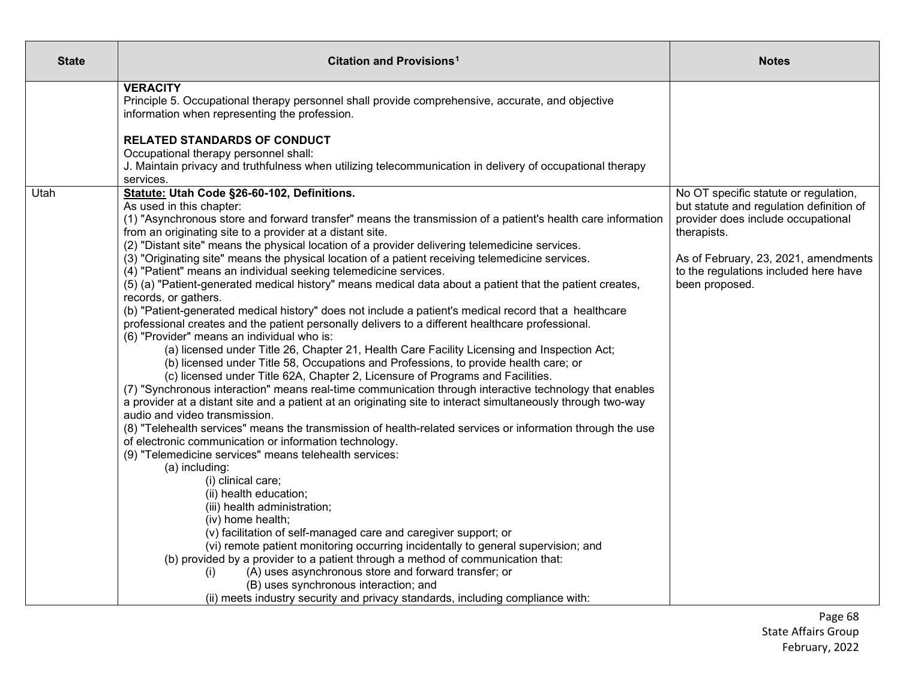| <b>State</b> | Citation and Provisions <sup>1</sup>                                                                                                                                                                                                                                                                                                                                                                                                                                                                                                                                                                                                                                                                                                                                                                                                                                                                                                                                                                                                                                                                                                                                                                                                                                                                                                                                                                                                                                                                                                                                                                                                                                                                                                                                                                                                                                                                                                                                                                                                                                                                                                 | <b>Notes</b>                                                                                                                                                                                                                              |
|--------------|--------------------------------------------------------------------------------------------------------------------------------------------------------------------------------------------------------------------------------------------------------------------------------------------------------------------------------------------------------------------------------------------------------------------------------------------------------------------------------------------------------------------------------------------------------------------------------------------------------------------------------------------------------------------------------------------------------------------------------------------------------------------------------------------------------------------------------------------------------------------------------------------------------------------------------------------------------------------------------------------------------------------------------------------------------------------------------------------------------------------------------------------------------------------------------------------------------------------------------------------------------------------------------------------------------------------------------------------------------------------------------------------------------------------------------------------------------------------------------------------------------------------------------------------------------------------------------------------------------------------------------------------------------------------------------------------------------------------------------------------------------------------------------------------------------------------------------------------------------------------------------------------------------------------------------------------------------------------------------------------------------------------------------------------------------------------------------------------------------------------------------------|-------------------------------------------------------------------------------------------------------------------------------------------------------------------------------------------------------------------------------------------|
|              | <b>VERACITY</b><br>Principle 5. Occupational therapy personnel shall provide comprehensive, accurate, and objective<br>information when representing the profession.                                                                                                                                                                                                                                                                                                                                                                                                                                                                                                                                                                                                                                                                                                                                                                                                                                                                                                                                                                                                                                                                                                                                                                                                                                                                                                                                                                                                                                                                                                                                                                                                                                                                                                                                                                                                                                                                                                                                                                 |                                                                                                                                                                                                                                           |
|              | <b>RELATED STANDARDS OF CONDUCT</b><br>Occupational therapy personnel shall:<br>J. Maintain privacy and truthfulness when utilizing telecommunication in delivery of occupational therapy<br>services.                                                                                                                                                                                                                                                                                                                                                                                                                                                                                                                                                                                                                                                                                                                                                                                                                                                                                                                                                                                                                                                                                                                                                                                                                                                                                                                                                                                                                                                                                                                                                                                                                                                                                                                                                                                                                                                                                                                               |                                                                                                                                                                                                                                           |
| Utah         | Statute: Utah Code §26-60-102, Definitions.<br>As used in this chapter:<br>(1) "Asynchronous store and forward transfer" means the transmission of a patient's health care information<br>from an originating site to a provider at a distant site.<br>(2) "Distant site" means the physical location of a provider delivering telemedicine services.<br>(3) "Originating site" means the physical location of a patient receiving telemedicine services.<br>(4) "Patient" means an individual seeking telemedicine services.<br>(5) (a) "Patient-generated medical history" means medical data about a patient that the patient creates,<br>records, or gathers.<br>(b) "Patient-generated medical history" does not include a patient's medical record that a healthcare<br>professional creates and the patient personally delivers to a different healthcare professional.<br>(6) "Provider" means an individual who is:<br>(a) licensed under Title 26, Chapter 21, Health Care Facility Licensing and Inspection Act;<br>(b) licensed under Title 58, Occupations and Professions, to provide health care; or<br>(c) licensed under Title 62A, Chapter 2, Licensure of Programs and Facilities.<br>(7) "Synchronous interaction" means real-time communication through interactive technology that enables<br>a provider at a distant site and a patient at an originating site to interact simultaneously through two-way<br>audio and video transmission.<br>(8) "Telehealth services" means the transmission of health-related services or information through the use<br>of electronic communication or information technology.<br>(9) "Telemedicine services" means telehealth services:<br>(a) including:<br>(i) clinical care;<br>(ii) health education;<br>(iii) health administration;<br>(iv) home health;<br>(v) facilitation of self-managed care and caregiver support; or<br>(vi) remote patient monitoring occurring incidentally to general supervision; and<br>(b) provided by a provider to a patient through a method of communication that:<br>(A) uses asynchronous store and forward transfer; or<br>(i) | No OT specific statute or regulation,<br>but statute and regulation definition of<br>provider does include occupational<br>therapists.<br>As of February, 23, 2021, amendments<br>to the regulations included here have<br>been proposed. |
|              | (B) uses synchronous interaction; and<br>(ii) meets industry security and privacy standards, including compliance with:                                                                                                                                                                                                                                                                                                                                                                                                                                                                                                                                                                                                                                                                                                                                                                                                                                                                                                                                                                                                                                                                                                                                                                                                                                                                                                                                                                                                                                                                                                                                                                                                                                                                                                                                                                                                                                                                                                                                                                                                              |                                                                                                                                                                                                                                           |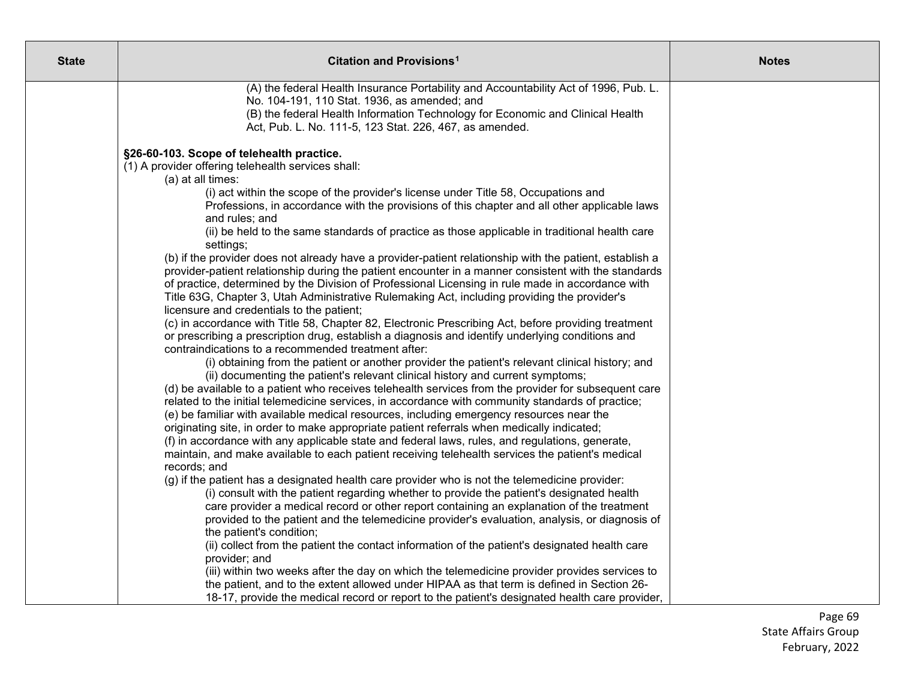| <b>State</b> | Citation and Provisions <sup>1</sup>                                                                                                                                                       | <b>Notes</b> |
|--------------|--------------------------------------------------------------------------------------------------------------------------------------------------------------------------------------------|--------------|
|              | (A) the federal Health Insurance Portability and Accountability Act of 1996, Pub. L.                                                                                                       |              |
|              | No. 104-191, 110 Stat. 1936, as amended; and                                                                                                                                               |              |
|              | (B) the federal Health Information Technology for Economic and Clinical Health<br>Act, Pub. L. No. 111-5, 123 Stat. 226, 467, as amended.                                                  |              |
|              |                                                                                                                                                                                            |              |
|              | §26-60-103. Scope of telehealth practice.                                                                                                                                                  |              |
|              | (1) A provider offering telehealth services shall:                                                                                                                                         |              |
|              | (a) at all times:                                                                                                                                                                          |              |
|              | (i) act within the scope of the provider's license under Title 58, Occupations and                                                                                                         |              |
|              | Professions, in accordance with the provisions of this chapter and all other applicable laws                                                                                               |              |
|              | and rules; and                                                                                                                                                                             |              |
|              | (ii) be held to the same standards of practice as those applicable in traditional health care<br>settings;                                                                                 |              |
|              | (b) if the provider does not already have a provider-patient relationship with the patient, establish a                                                                                    |              |
|              | provider-patient relationship during the patient encounter in a manner consistent with the standards                                                                                       |              |
|              | of practice, determined by the Division of Professional Licensing in rule made in accordance with                                                                                          |              |
|              | Title 63G, Chapter 3, Utah Administrative Rulemaking Act, including providing the provider's                                                                                               |              |
|              | licensure and credentials to the patient;<br>(c) in accordance with Title 58, Chapter 82, Electronic Prescribing Act, before providing treatment                                           |              |
|              | or prescribing a prescription drug, establish a diagnosis and identify underlying conditions and                                                                                           |              |
|              | contraindications to a recommended treatment after:                                                                                                                                        |              |
|              | (i) obtaining from the patient or another provider the patient's relevant clinical history; and                                                                                            |              |
|              | (ii) documenting the patient's relevant clinical history and current symptoms;                                                                                                             |              |
|              | (d) be available to a patient who receives telehealth services from the provider for subsequent care                                                                                       |              |
|              | related to the initial telemedicine services, in accordance with community standards of practice;                                                                                          |              |
|              | (e) be familiar with available medical resources, including emergency resources near the                                                                                                   |              |
|              | originating site, in order to make appropriate patient referrals when medically indicated;                                                                                                 |              |
|              | (f) in accordance with any applicable state and federal laws, rules, and regulations, generate,                                                                                            |              |
|              | maintain, and make available to each patient receiving telehealth services the patient's medical<br>records; and                                                                           |              |
|              | (g) if the patient has a designated health care provider who is not the telemedicine provider:                                                                                             |              |
|              | (i) consult with the patient regarding whether to provide the patient's designated health                                                                                                  |              |
|              | care provider a medical record or other report containing an explanation of the treatment                                                                                                  |              |
|              | provided to the patient and the telemedicine provider's evaluation, analysis, or diagnosis of                                                                                              |              |
|              | the patient's condition;                                                                                                                                                                   |              |
|              | (ii) collect from the patient the contact information of the patient's designated health care                                                                                              |              |
|              | provider; and                                                                                                                                                                              |              |
|              | (iii) within two weeks after the day on which the telemedicine provider provides services to                                                                                               |              |
|              | the patient, and to the extent allowed under HIPAA as that term is defined in Section 26-<br>18-17, provide the medical record or report to the patient's designated health care provider, |              |
|              |                                                                                                                                                                                            |              |

Page 69 State Affairs Group February, 2022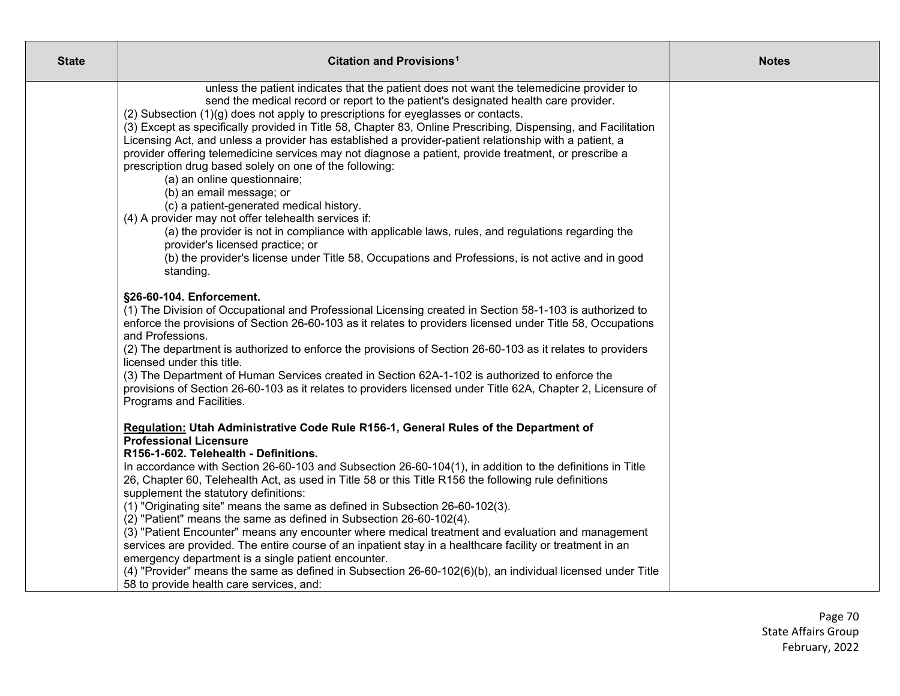| <b>State</b> | Citation and Provisions <sup>1</sup>                                                                                                                                                                                                                                                                                                                                                                                                                                                                                                                                                                                                                                                                                                                                                                                                                                                                                                                                                                                                                                                          | <b>Notes</b> |
|--------------|-----------------------------------------------------------------------------------------------------------------------------------------------------------------------------------------------------------------------------------------------------------------------------------------------------------------------------------------------------------------------------------------------------------------------------------------------------------------------------------------------------------------------------------------------------------------------------------------------------------------------------------------------------------------------------------------------------------------------------------------------------------------------------------------------------------------------------------------------------------------------------------------------------------------------------------------------------------------------------------------------------------------------------------------------------------------------------------------------|--------------|
|              | unless the patient indicates that the patient does not want the telemedicine provider to<br>send the medical record or report to the patient's designated health care provider.<br>(2) Subsection (1)(g) does not apply to prescriptions for eyeglasses or contacts.<br>(3) Except as specifically provided in Title 58, Chapter 83, Online Prescribing, Dispensing, and Facilitation<br>Licensing Act, and unless a provider has established a provider-patient relationship with a patient, a<br>provider offering telemedicine services may not diagnose a patient, provide treatment, or prescribe a<br>prescription drug based solely on one of the following:<br>(a) an online questionnaire;<br>(b) an email message; or<br>(c) a patient-generated medical history.<br>(4) A provider may not offer telehealth services if:<br>(a) the provider is not in compliance with applicable laws, rules, and regulations regarding the<br>provider's licensed practice; or<br>(b) the provider's license under Title 58, Occupations and Professions, is not active and in good<br>standing. |              |
|              | §26-60-104. Enforcement.<br>(1) The Division of Occupational and Professional Licensing created in Section 58-1-103 is authorized to<br>enforce the provisions of Section 26-60-103 as it relates to providers licensed under Title 58, Occupations<br>and Professions.<br>(2) The department is authorized to enforce the provisions of Section 26-60-103 as it relates to providers<br>licensed under this title.<br>(3) The Department of Human Services created in Section 62A-1-102 is authorized to enforce the<br>provisions of Section 26-60-103 as it relates to providers licensed under Title 62A, Chapter 2, Licensure of<br>Programs and Facilities.                                                                                                                                                                                                                                                                                                                                                                                                                             |              |
|              | Regulation: Utah Administrative Code Rule R156-1, General Rules of the Department of<br><b>Professional Licensure</b><br>R156-1-602. Telehealth - Definitions.<br>In accordance with Section 26-60-103 and Subsection 26-60-104(1), in addition to the definitions in Title<br>26, Chapter 60, Telehealth Act, as used in Title 58 or this Title R156 the following rule definitions<br>supplement the statutory definitions:<br>(1) "Originating site" means the same as defined in Subsection 26-60-102(3).<br>(2) "Patient" means the same as defined in Subsection 26-60-102(4).<br>(3) "Patient Encounter" means any encounter where medical treatment and evaluation and management<br>services are provided. The entire course of an inpatient stay in a healthcare facility or treatment in an<br>emergency department is a single patient encounter.<br>(4) "Provider" means the same as defined in Subsection 26-60-102(6)(b), an individual licensed under Title<br>58 to provide health care services, and:                                                                       |              |

Page 70 State Affairs Group February, 2022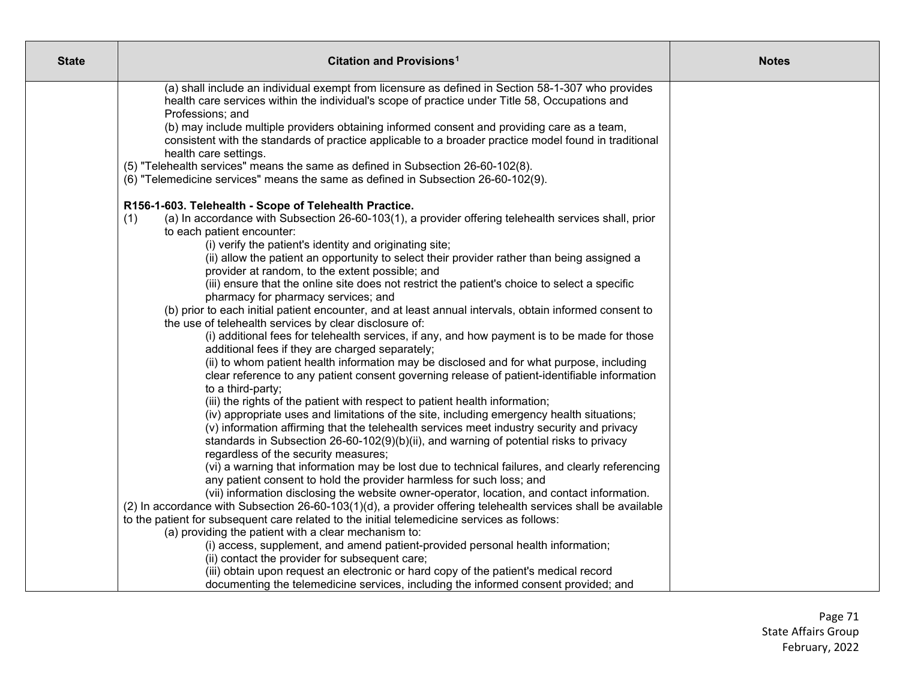| <b>State</b> | <b>Citation and Provisions<sup>1</sup></b>                                                                                                                                          | <b>Notes</b> |
|--------------|-------------------------------------------------------------------------------------------------------------------------------------------------------------------------------------|--------------|
|              | (a) shall include an individual exempt from licensure as defined in Section 58-1-307 who provides                                                                                   |              |
|              | health care services within the individual's scope of practice under Title 58, Occupations and                                                                                      |              |
|              | Professions; and                                                                                                                                                                    |              |
|              | (b) may include multiple providers obtaining informed consent and providing care as a team,                                                                                         |              |
|              | consistent with the standards of practice applicable to a broader practice model found in traditional                                                                               |              |
|              | health care settings.                                                                                                                                                               |              |
|              | (5) "Telehealth services" means the same as defined in Subsection 26-60-102(8).<br>(6) "Telemedicine services" means the same as defined in Subsection 26-60-102(9).                |              |
|              |                                                                                                                                                                                     |              |
|              | R156-1-603. Telehealth - Scope of Telehealth Practice.                                                                                                                              |              |
|              | (a) In accordance with Subsection 26-60-103(1), a provider offering telehealth services shall, prior<br>(1)                                                                         |              |
|              | to each patient encounter:                                                                                                                                                          |              |
|              | (i) verify the patient's identity and originating site;                                                                                                                             |              |
|              | (ii) allow the patient an opportunity to select their provider rather than being assigned a                                                                                         |              |
|              | provider at random, to the extent possible; and                                                                                                                                     |              |
|              | (iii) ensure that the online site does not restrict the patient's choice to select a specific<br>pharmacy for pharmacy services; and                                                |              |
|              | (b) prior to each initial patient encounter, and at least annual intervals, obtain informed consent to                                                                              |              |
|              | the use of telehealth services by clear disclosure of:                                                                                                                              |              |
|              | (i) additional fees for telehealth services, if any, and how payment is to be made for those                                                                                        |              |
|              | additional fees if they are charged separately;                                                                                                                                     |              |
|              | (ii) to whom patient health information may be disclosed and for what purpose, including                                                                                            |              |
|              | clear reference to any patient consent governing release of patient-identifiable information                                                                                        |              |
|              | to a third-party;                                                                                                                                                                   |              |
|              | (iii) the rights of the patient with respect to patient health information;                                                                                                         |              |
|              | (iv) appropriate uses and limitations of the site, including emergency health situations;                                                                                           |              |
|              | (v) information affirming that the telehealth services meet industry security and privacy<br>standards in Subsection 26-60-102(9)(b)(ii), and warning of potential risks to privacy |              |
|              | regardless of the security measures;                                                                                                                                                |              |
|              | (vi) a warning that information may be lost due to technical failures, and clearly referencing                                                                                      |              |
|              | any patient consent to hold the provider harmless for such loss; and                                                                                                                |              |
|              | (vii) information disclosing the website owner-operator, location, and contact information.                                                                                         |              |
|              | (2) In accordance with Subsection 26-60-103(1)(d), a provider offering telehealth services shall be available                                                                       |              |
|              | to the patient for subsequent care related to the initial telemedicine services as follows:                                                                                         |              |
|              | (a) providing the patient with a clear mechanism to:                                                                                                                                |              |
|              | (i) access, supplement, and amend patient-provided personal health information;                                                                                                     |              |
|              | (ii) contact the provider for subsequent care;                                                                                                                                      |              |
|              | (iii) obtain upon request an electronic or hard copy of the patient's medical record<br>documenting the telemedicine services, including the informed consent provided; and         |              |
|              |                                                                                                                                                                                     |              |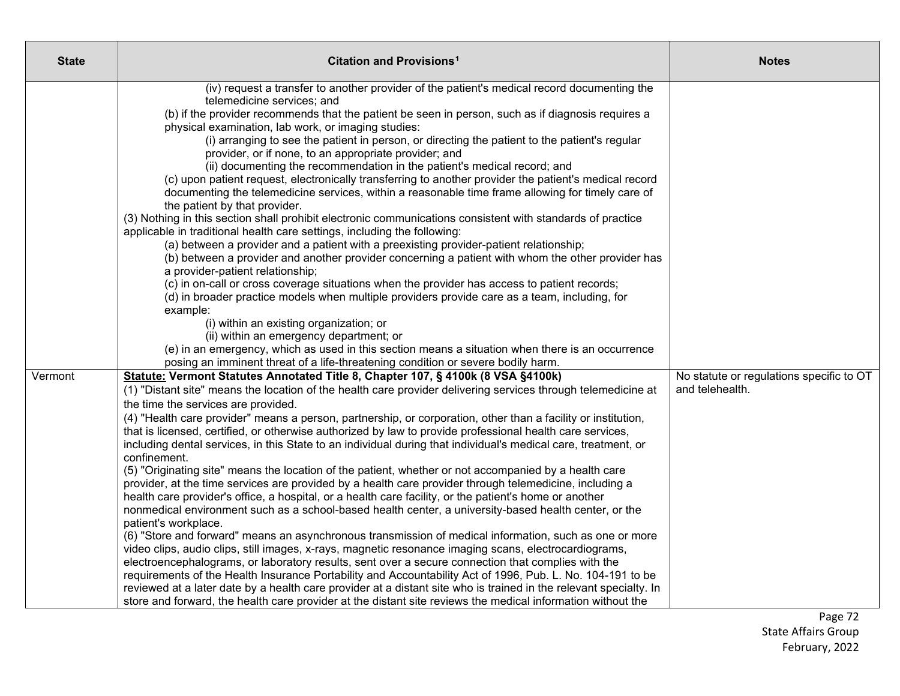| <b>State</b> | <b>Citation and Provisions<sup>1</sup></b>                                                                                                                                         | <b>Notes</b>                             |
|--------------|------------------------------------------------------------------------------------------------------------------------------------------------------------------------------------|------------------------------------------|
|              | (iv) request a transfer to another provider of the patient's medical record documenting the                                                                                        |                                          |
|              | telemedicine services; and                                                                                                                                                         |                                          |
|              | (b) if the provider recommends that the patient be seen in person, such as if diagnosis requires a                                                                                 |                                          |
|              | physical examination, lab work, or imaging studies:                                                                                                                                |                                          |
|              | (i) arranging to see the patient in person, or directing the patient to the patient's regular                                                                                      |                                          |
|              | provider, or if none, to an appropriate provider; and                                                                                                                              |                                          |
|              | (ii) documenting the recommendation in the patient's medical record; and<br>(c) upon patient request, electronically transferring to another provider the patient's medical record |                                          |
|              | documenting the telemedicine services, within a reasonable time frame allowing for timely care of                                                                                  |                                          |
|              | the patient by that provider.                                                                                                                                                      |                                          |
|              | (3) Nothing in this section shall prohibit electronic communications consistent with standards of practice                                                                         |                                          |
|              | applicable in traditional health care settings, including the following:                                                                                                           |                                          |
|              | (a) between a provider and a patient with a preexisting provider-patient relationship;                                                                                             |                                          |
|              | (b) between a provider and another provider concerning a patient with whom the other provider has                                                                                  |                                          |
|              | a provider-patient relationship;                                                                                                                                                   |                                          |
|              | (c) in on-call or cross coverage situations when the provider has access to patient records;                                                                                       |                                          |
|              | (d) in broader practice models when multiple providers provide care as a team, including, for                                                                                      |                                          |
|              | example:                                                                                                                                                                           |                                          |
|              | (i) within an existing organization; or                                                                                                                                            |                                          |
|              | (ii) within an emergency department; or                                                                                                                                            |                                          |
|              | (e) in an emergency, which as used in this section means a situation when there is an occurrence                                                                                   |                                          |
|              | posing an imminent threat of a life-threatening condition or severe bodily harm.<br>Statute: Vermont Statutes Annotated Title 8, Chapter 107, § 4100k (8 VSA §4100k)               | No statute or regulations specific to OT |
| Vermont      | (1) "Distant site" means the location of the health care provider delivering services through telemedicine at                                                                      | and telehealth.                          |
|              | the time the services are provided.                                                                                                                                                |                                          |
|              | (4) "Health care provider" means a person, partnership, or corporation, other than a facility or institution,                                                                      |                                          |
|              | that is licensed, certified, or otherwise authorized by law to provide professional health care services,                                                                          |                                          |
|              | including dental services, in this State to an individual during that individual's medical care, treatment, or                                                                     |                                          |
|              | confinement.                                                                                                                                                                       |                                          |
|              | (5) "Originating site" means the location of the patient, whether or not accompanied by a health care                                                                              |                                          |
|              | provider, at the time services are provided by a health care provider through telemedicine, including a                                                                            |                                          |
|              | health care provider's office, a hospital, or a health care facility, or the patient's home or another                                                                             |                                          |
|              | nonmedical environment such as a school-based health center, a university-based health center, or the                                                                              |                                          |
|              | patient's workplace.                                                                                                                                                               |                                          |
|              | (6) "Store and forward" means an asynchronous transmission of medical information, such as one or more                                                                             |                                          |
|              | video clips, audio clips, still images, x-rays, magnetic resonance imaging scans, electrocardiograms,                                                                              |                                          |
|              | electroencephalograms, or laboratory results, sent over a secure connection that complies with the                                                                                 |                                          |
|              | requirements of the Health Insurance Portability and Accountability Act of 1996, Pub. L. No. 104-191 to be                                                                         |                                          |
|              | reviewed at a later date by a health care provider at a distant site who is trained in the relevant specialty. In                                                                  |                                          |
|              | store and forward, the health care provider at the distant site reviews the medical information without the                                                                        |                                          |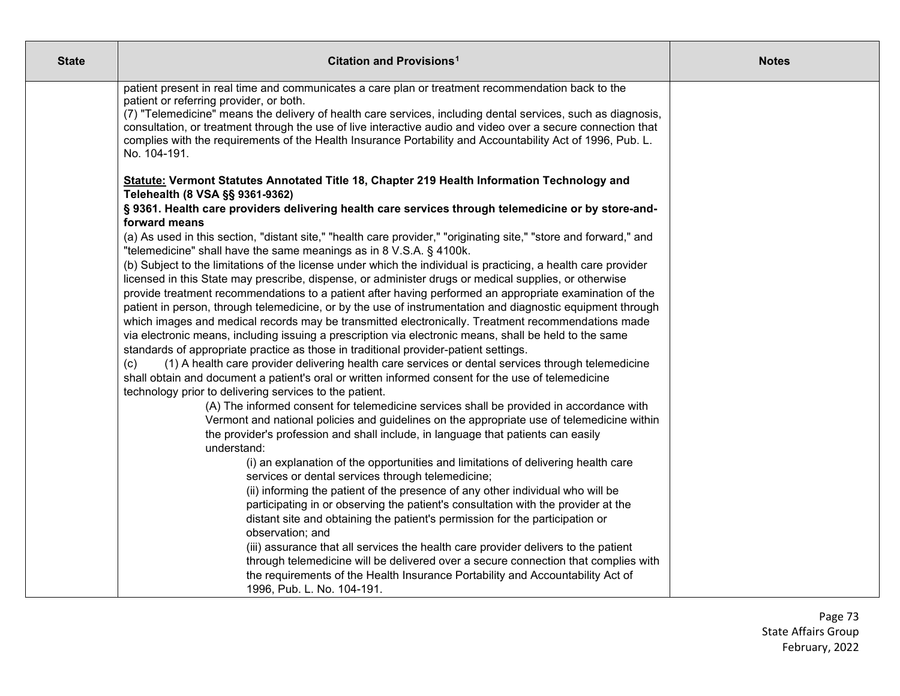| <b>State</b> | Citation and Provisions <sup>1</sup>                                                                                                                                                                                                                                                                                                                                                                                                                                                                                                                                                                                                                                                                                                                                                                                                                                                                                                                                                                                                                                                                                                                                                                                                                                                                                                                                                                                                                                                                                                                                                                                                                                                                                                                                                                                                                                                                                                                                                                                                                                                                                                                                                       | <b>Notes</b> |
|--------------|--------------------------------------------------------------------------------------------------------------------------------------------------------------------------------------------------------------------------------------------------------------------------------------------------------------------------------------------------------------------------------------------------------------------------------------------------------------------------------------------------------------------------------------------------------------------------------------------------------------------------------------------------------------------------------------------------------------------------------------------------------------------------------------------------------------------------------------------------------------------------------------------------------------------------------------------------------------------------------------------------------------------------------------------------------------------------------------------------------------------------------------------------------------------------------------------------------------------------------------------------------------------------------------------------------------------------------------------------------------------------------------------------------------------------------------------------------------------------------------------------------------------------------------------------------------------------------------------------------------------------------------------------------------------------------------------------------------------------------------------------------------------------------------------------------------------------------------------------------------------------------------------------------------------------------------------------------------------------------------------------------------------------------------------------------------------------------------------------------------------------------------------------------------------------------------------|--------------|
|              | patient present in real time and communicates a care plan or treatment recommendation back to the<br>patient or referring provider, or both.<br>(7) "Telemedicine" means the delivery of health care services, including dental services, such as diagnosis,<br>consultation, or treatment through the use of live interactive audio and video over a secure connection that<br>complies with the requirements of the Health Insurance Portability and Accountability Act of 1996, Pub. L.<br>No. 104-191.                                                                                                                                                                                                                                                                                                                                                                                                                                                                                                                                                                                                                                                                                                                                                                                                                                                                                                                                                                                                                                                                                                                                                                                                                                                                                                                                                                                                                                                                                                                                                                                                                                                                                 |              |
|              | Statute: Vermont Statutes Annotated Title 18, Chapter 219 Health Information Technology and<br>Telehealth (8 VSA §§ 9361-9362)<br>§ 9361. Health care providers delivering health care services through telemedicine or by store-and-<br>forward means<br>(a) As used in this section, "distant site," "health care provider," "originating site," "store and forward," and<br>"telemedicine" shall have the same meanings as in 8 V.S.A. § 4100k.<br>(b) Subject to the limitations of the license under which the individual is practicing, a health care provider<br>licensed in this State may prescribe, dispense, or administer drugs or medical supplies, or otherwise<br>provide treatment recommendations to a patient after having performed an appropriate examination of the<br>patient in person, through telemedicine, or by the use of instrumentation and diagnostic equipment through<br>which images and medical records may be transmitted electronically. Treatment recommendations made<br>via electronic means, including issuing a prescription via electronic means, shall be held to the same<br>standards of appropriate practice as those in traditional provider-patient settings.<br>(1) A health care provider delivering health care services or dental services through telemedicine<br>(c)<br>shall obtain and document a patient's oral or written informed consent for the use of telemedicine<br>technology prior to delivering services to the patient.<br>(A) The informed consent for telemedicine services shall be provided in accordance with<br>Vermont and national policies and guidelines on the appropriate use of telemedicine within<br>the provider's profession and shall include, in language that patients can easily<br>understand:<br>(i) an explanation of the opportunities and limitations of delivering health care<br>services or dental services through telemedicine;<br>(ii) informing the patient of the presence of any other individual who will be<br>participating in or observing the patient's consultation with the provider at the<br>distant site and obtaining the patient's permission for the participation or |              |
|              | observation; and<br>(iii) assurance that all services the health care provider delivers to the patient<br>through telemedicine will be delivered over a secure connection that complies with<br>the requirements of the Health Insurance Portability and Accountability Act of<br>1996, Pub. L. No. 104-191.                                                                                                                                                                                                                                                                                                                                                                                                                                                                                                                                                                                                                                                                                                                                                                                                                                                                                                                                                                                                                                                                                                                                                                                                                                                                                                                                                                                                                                                                                                                                                                                                                                                                                                                                                                                                                                                                               |              |

Page 73 State Affairs Group February, 2022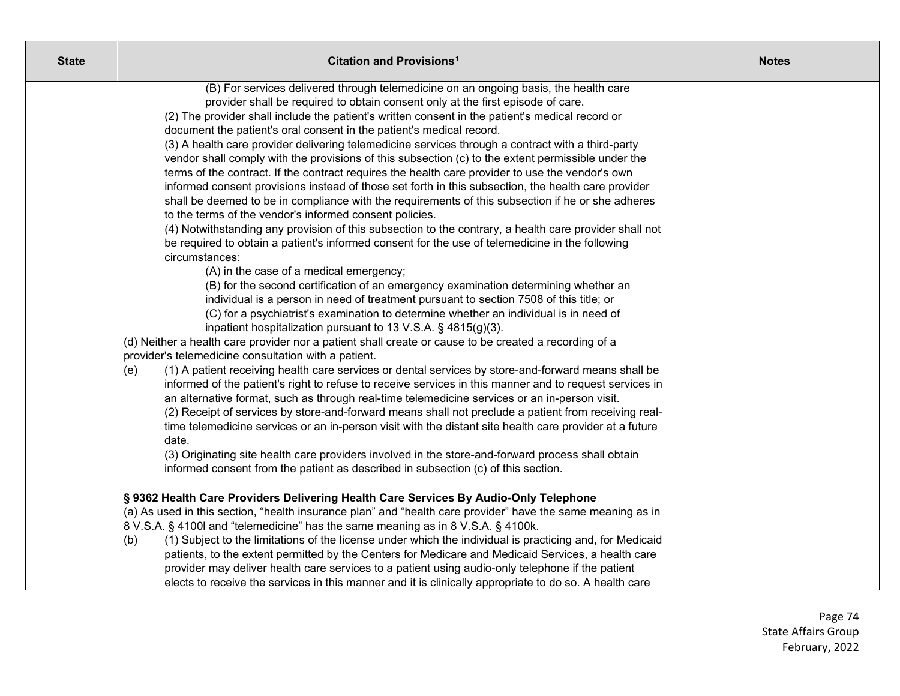| <b>State</b> | Citation and Provisions <sup>1</sup>                                                                                                                          | <b>Notes</b> |
|--------------|---------------------------------------------------------------------------------------------------------------------------------------------------------------|--------------|
|              | (B) For services delivered through telemedicine on an ongoing basis, the health care                                                                          |              |
|              | provider shall be required to obtain consent only at the first episode of care.                                                                               |              |
|              | (2) The provider shall include the patient's written consent in the patient's medical record or                                                               |              |
|              | document the patient's oral consent in the patient's medical record.                                                                                          |              |
|              | (3) A health care provider delivering telemedicine services through a contract with a third-party                                                             |              |
|              | vendor shall comply with the provisions of this subsection (c) to the extent permissible under the                                                            |              |
|              | terms of the contract. If the contract requires the health care provider to use the vendor's own                                                              |              |
|              | informed consent provisions instead of those set forth in this subsection, the health care provider                                                           |              |
|              | shall be deemed to be in compliance with the requirements of this subsection if he or she adheres                                                             |              |
|              | to the terms of the vendor's informed consent policies.                                                                                                       |              |
|              | (4) Notwithstanding any provision of this subsection to the contrary, a health care provider shall not                                                        |              |
|              | be required to obtain a patient's informed consent for the use of telemedicine in the following                                                               |              |
|              | circumstances:                                                                                                                                                |              |
|              | (A) in the case of a medical emergency;                                                                                                                       |              |
|              | (B) for the second certification of an emergency examination determining whether an                                                                           |              |
|              | individual is a person in need of treatment pursuant to section 7508 of this title; or                                                                        |              |
|              | (C) for a psychiatrist's examination to determine whether an individual is in need of                                                                         |              |
|              | inpatient hospitalization pursuant to 13 V.S.A. $\S$ 4815(g)(3).                                                                                              |              |
|              | (d) Neither a health care provider nor a patient shall create or cause to be created a recording of a<br>provider's telemedicine consultation with a patient. |              |
|              | (1) A patient receiving health care services or dental services by store-and-forward means shall be<br>(e)                                                    |              |
|              | informed of the patient's right to refuse to receive services in this manner and to request services in                                                       |              |
|              | an alternative format, such as through real-time telemedicine services or an in-person visit.                                                                 |              |
|              | (2) Receipt of services by store-and-forward means shall not preclude a patient from receiving real-                                                          |              |
|              | time telemedicine services or an in-person visit with the distant site health care provider at a future                                                       |              |
|              | date.                                                                                                                                                         |              |
|              | (3) Originating site health care providers involved in the store-and-forward process shall obtain                                                             |              |
|              | informed consent from the patient as described in subsection (c) of this section.                                                                             |              |
|              | § 9362 Health Care Providers Delivering Health Care Services By Audio-Only Telephone                                                                          |              |
|              | (a) As used in this section, "health insurance plan" and "health care provider" have the same meaning as in                                                   |              |
|              | 8 V.S.A. § 4100l and "telemedicine" has the same meaning as in 8 V.S.A. § 4100k.                                                                              |              |
|              | (1) Subject to the limitations of the license under which the individual is practicing and, for Medicaid<br>(b)                                               |              |
|              | patients, to the extent permitted by the Centers for Medicare and Medicaid Services, a health care                                                            |              |
|              | provider may deliver health care services to a patient using audio-only telephone if the patient                                                              |              |
|              | elects to receive the services in this manner and it is clinically appropriate to do so. A health care                                                        |              |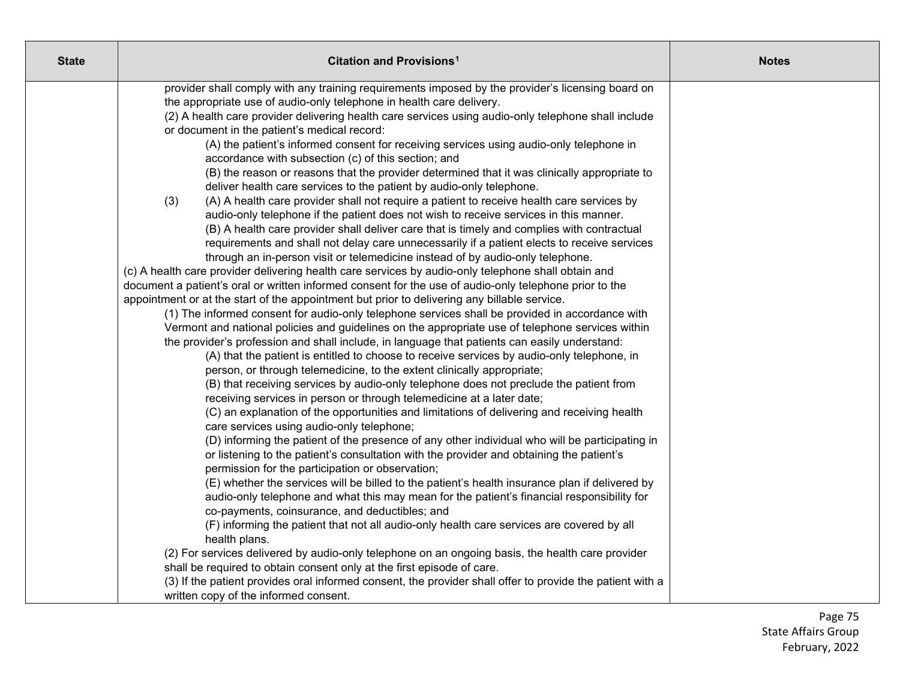| <b>State</b> | Citation and Provisions <sup>1</sup>                                                                                                                                                        | <b>Notes</b> |
|--------------|---------------------------------------------------------------------------------------------------------------------------------------------------------------------------------------------|--------------|
|              | provider shall comply with any training requirements imposed by the provider's licensing board on                                                                                           |              |
|              | the appropriate use of audio-only telephone in health care delivery.                                                                                                                        |              |
|              | (2) A health care provider delivering health care services using audio-only telephone shall include                                                                                         |              |
|              | or document in the patient's medical record:                                                                                                                                                |              |
|              | (A) the patient's informed consent for receiving services using audio-only telephone in                                                                                                     |              |
|              | accordance with subsection (c) of this section; and                                                                                                                                         |              |
|              | (B) the reason or reasons that the provider determined that it was clinically appropriate to                                                                                                |              |
|              | deliver health care services to the patient by audio-only telephone.                                                                                                                        |              |
|              | (3)<br>(A) A health care provider shall not require a patient to receive health care services by                                                                                            |              |
|              | audio-only telephone if the patient does not wish to receive services in this manner.                                                                                                       |              |
|              | (B) A health care provider shall deliver care that is timely and complies with contractual                                                                                                  |              |
|              | requirements and shall not delay care unnecessarily if a patient elects to receive services                                                                                                 |              |
|              | through an in-person visit or telemedicine instead of by audio-only telephone.                                                                                                              |              |
|              | (c) A health care provider delivering health care services by audio-only telephone shall obtain and                                                                                         |              |
|              | document a patient's oral or written informed consent for the use of audio-only telephone prior to the                                                                                      |              |
|              | appointment or at the start of the appointment but prior to delivering any billable service.                                                                                                |              |
|              | (1) The informed consent for audio-only telephone services shall be provided in accordance with                                                                                             |              |
|              | Vermont and national policies and guidelines on the appropriate use of telephone services within                                                                                            |              |
|              | the provider's profession and shall include, in language that patients can easily understand:<br>(A) that the patient is entitled to choose to receive services by audio-only telephone, in |              |
|              | person, or through telemedicine, to the extent clinically appropriate;                                                                                                                      |              |
|              | (B) that receiving services by audio-only telephone does not preclude the patient from                                                                                                      |              |
|              | receiving services in person or through telemedicine at a later date;                                                                                                                       |              |
|              | (C) an explanation of the opportunities and limitations of delivering and receiving health                                                                                                  |              |
|              | care services using audio-only telephone;                                                                                                                                                   |              |
|              | (D) informing the patient of the presence of any other individual who will be participating in                                                                                              |              |
|              | or listening to the patient's consultation with the provider and obtaining the patient's                                                                                                    |              |
|              | permission for the participation or observation;                                                                                                                                            |              |
|              | (E) whether the services will be billed to the patient's health insurance plan if delivered by                                                                                              |              |
|              | audio-only telephone and what this may mean for the patient's financial responsibility for                                                                                                  |              |
|              | co-payments, coinsurance, and deductibles; and                                                                                                                                              |              |
|              | (F) informing the patient that not all audio-only health care services are covered by all                                                                                                   |              |
|              | health plans.                                                                                                                                                                               |              |
|              | (2) For services delivered by audio-only telephone on an ongoing basis, the health care provider                                                                                            |              |
|              | shall be required to obtain consent only at the first episode of care.                                                                                                                      |              |
|              | (3) If the patient provides oral informed consent, the provider shall offer to provide the patient with a                                                                                   |              |
|              | written copy of the informed consent.                                                                                                                                                       |              |

Page 75 State Affairs Group February, 2022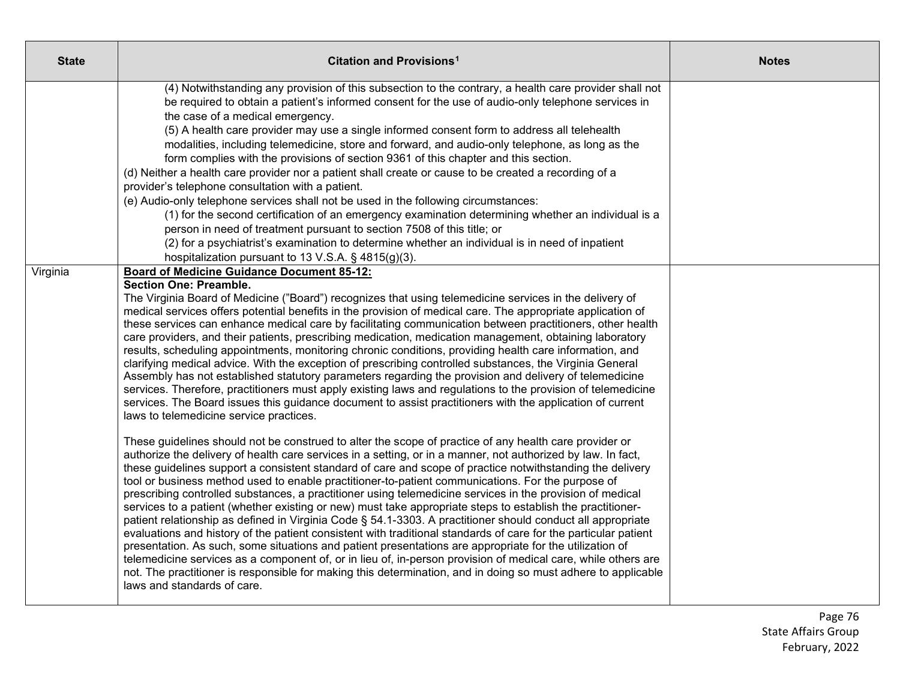| <b>State</b> | <b>Citation and Provisions<sup>1</sup></b>                                                                                                                                                                                                                                                                                                                                                                                                                                                                                                                                                                                                                                                                                                                                                                                                                                                                                                                                                                                                                                                                                                                                                                                                                                                                                                                                                                                                                                                                                                                                                                                                                                                                                                                                                                                                                                                                                                                                                                                                                                                                                                                                                                                                                                                                                                                                                                                         | <b>Notes</b> |
|--------------|------------------------------------------------------------------------------------------------------------------------------------------------------------------------------------------------------------------------------------------------------------------------------------------------------------------------------------------------------------------------------------------------------------------------------------------------------------------------------------------------------------------------------------------------------------------------------------------------------------------------------------------------------------------------------------------------------------------------------------------------------------------------------------------------------------------------------------------------------------------------------------------------------------------------------------------------------------------------------------------------------------------------------------------------------------------------------------------------------------------------------------------------------------------------------------------------------------------------------------------------------------------------------------------------------------------------------------------------------------------------------------------------------------------------------------------------------------------------------------------------------------------------------------------------------------------------------------------------------------------------------------------------------------------------------------------------------------------------------------------------------------------------------------------------------------------------------------------------------------------------------------------------------------------------------------------------------------------------------------------------------------------------------------------------------------------------------------------------------------------------------------------------------------------------------------------------------------------------------------------------------------------------------------------------------------------------------------------------------------------------------------------------------------------------------------|--------------|
|              | (4) Notwithstanding any provision of this subsection to the contrary, a health care provider shall not<br>be required to obtain a patient's informed consent for the use of audio-only telephone services in<br>the case of a medical emergency.<br>(5) A health care provider may use a single informed consent form to address all telehealth<br>modalities, including telemedicine, store and forward, and audio-only telephone, as long as the<br>form complies with the provisions of section 9361 of this chapter and this section.<br>(d) Neither a health care provider nor a patient shall create or cause to be created a recording of a<br>provider's telephone consultation with a patient.<br>(e) Audio-only telephone services shall not be used in the following circumstances:<br>(1) for the second certification of an emergency examination determining whether an individual is a<br>person in need of treatment pursuant to section 7508 of this title; or<br>(2) for a psychiatrist's examination to determine whether an individual is in need of inpatient<br>hospitalization pursuant to 13 V.S.A. § 4815(g)(3).                                                                                                                                                                                                                                                                                                                                                                                                                                                                                                                                                                                                                                                                                                                                                                                                                                                                                                                                                                                                                                                                                                                                                                                                                                                                                          |              |
| Virginia     | <b>Board of Medicine Guidance Document 85-12:</b><br><b>Section One: Preamble.</b><br>The Virginia Board of Medicine ("Board") recognizes that using telemedicine services in the delivery of<br>medical services offers potential benefits in the provision of medical care. The appropriate application of<br>these services can enhance medical care by facilitating communication between practitioners, other health<br>care providers, and their patients, prescribing medication, medication management, obtaining laboratory<br>results, scheduling appointments, monitoring chronic conditions, providing health care information, and<br>clarifying medical advice. With the exception of prescribing controlled substances, the Virginia General<br>Assembly has not established statutory parameters regarding the provision and delivery of telemedicine<br>services. Therefore, practitioners must apply existing laws and regulations to the provision of telemedicine<br>services. The Board issues this guidance document to assist practitioners with the application of current<br>laws to telemedicine service practices.<br>These guidelines should not be construed to alter the scope of practice of any health care provider or<br>authorize the delivery of health care services in a setting, or in a manner, not authorized by law. In fact,<br>these guidelines support a consistent standard of care and scope of practice notwithstanding the delivery<br>tool or business method used to enable practitioner-to-patient communications. For the purpose of<br>prescribing controlled substances, a practitioner using telemedicine services in the provision of medical<br>services to a patient (whether existing or new) must take appropriate steps to establish the practitioner-<br>patient relationship as defined in Virginia Code § 54.1-3303. A practitioner should conduct all appropriate<br>evaluations and history of the patient consistent with traditional standards of care for the particular patient<br>presentation. As such, some situations and patient presentations are appropriate for the utilization of<br>telemedicine services as a component of, or in lieu of, in-person provision of medical care, while others are<br>not. The practitioner is responsible for making this determination, and in doing so must adhere to applicable<br>laws and standards of care. |              |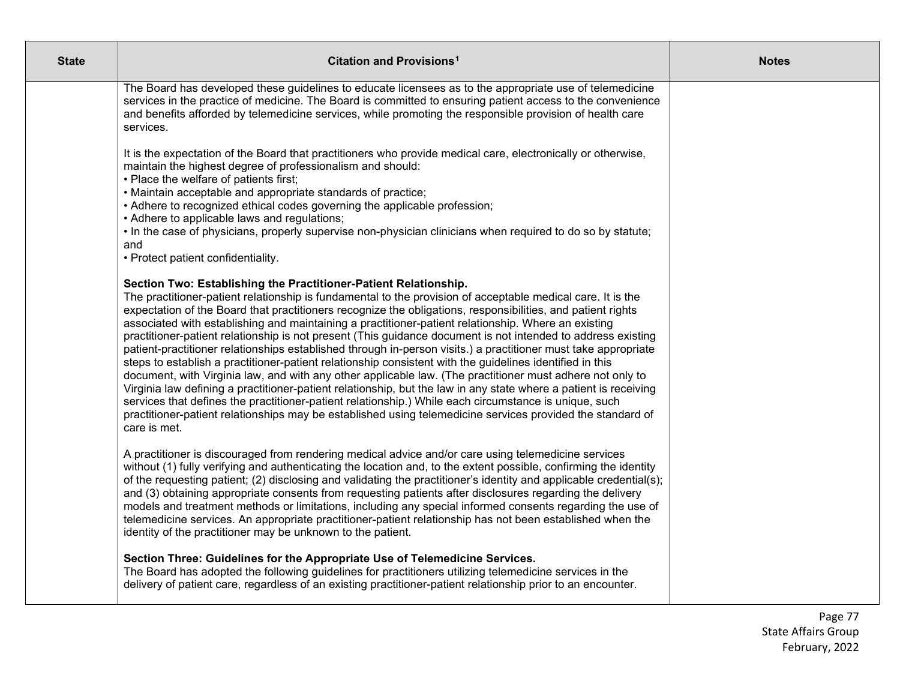| <b>State</b> | Citation and Provisions <sup>1</sup>                                                                                                                                                                                                                                                                                                                                                                                                                                                                                                                                                                                                                                                                                                                                                                                                                                                                                                                                                                                                                                                                                                                                                                                        | <b>Notes</b> |
|--------------|-----------------------------------------------------------------------------------------------------------------------------------------------------------------------------------------------------------------------------------------------------------------------------------------------------------------------------------------------------------------------------------------------------------------------------------------------------------------------------------------------------------------------------------------------------------------------------------------------------------------------------------------------------------------------------------------------------------------------------------------------------------------------------------------------------------------------------------------------------------------------------------------------------------------------------------------------------------------------------------------------------------------------------------------------------------------------------------------------------------------------------------------------------------------------------------------------------------------------------|--------------|
|              | The Board has developed these guidelines to educate licensees as to the appropriate use of telemedicine<br>services in the practice of medicine. The Board is committed to ensuring patient access to the convenience<br>and benefits afforded by telemedicine services, while promoting the responsible provision of health care<br>services.                                                                                                                                                                                                                                                                                                                                                                                                                                                                                                                                                                                                                                                                                                                                                                                                                                                                              |              |
|              | It is the expectation of the Board that practitioners who provide medical care, electronically or otherwise,<br>maintain the highest degree of professionalism and should:<br>• Place the welfare of patients first;<br>• Maintain acceptable and appropriate standards of practice;                                                                                                                                                                                                                                                                                                                                                                                                                                                                                                                                                                                                                                                                                                                                                                                                                                                                                                                                        |              |
|              | • Adhere to recognized ethical codes governing the applicable profession;<br>• Adhere to applicable laws and regulations;<br>. In the case of physicians, properly supervise non-physician clinicians when required to do so by statute;<br>and<br>• Protect patient confidentiality.                                                                                                                                                                                                                                                                                                                                                                                                                                                                                                                                                                                                                                                                                                                                                                                                                                                                                                                                       |              |
|              | Section Two: Establishing the Practitioner-Patient Relationship.<br>The practitioner-patient relationship is fundamental to the provision of acceptable medical care. It is the<br>expectation of the Board that practitioners recognize the obligations, responsibilities, and patient rights<br>associated with establishing and maintaining a practitioner-patient relationship. Where an existing<br>practitioner-patient relationship is not present (This guidance document is not intended to address existing<br>patient-practitioner relationships established through in-person visits.) a practitioner must take appropriate<br>steps to establish a practitioner-patient relationship consistent with the guidelines identified in this<br>document, with Virginia law, and with any other applicable law. (The practitioner must adhere not only to<br>Virginia law defining a practitioner-patient relationship, but the law in any state where a patient is receiving<br>services that defines the practitioner-patient relationship.) While each circumstance is unique, such<br>practitioner-patient relationships may be established using telemedicine services provided the standard of<br>care is met. |              |
|              | A practitioner is discouraged from rendering medical advice and/or care using telemedicine services<br>without (1) fully verifying and authenticating the location and, to the extent possible, confirming the identity<br>of the requesting patient; (2) disclosing and validating the practitioner's identity and applicable credential(s);<br>and (3) obtaining appropriate consents from requesting patients after disclosures regarding the delivery<br>models and treatment methods or limitations, including any special informed consents regarding the use of<br>telemedicine services. An appropriate practitioner-patient relationship has not been established when the<br>identity of the practitioner may be unknown to the patient.                                                                                                                                                                                                                                                                                                                                                                                                                                                                          |              |
|              | Section Three: Guidelines for the Appropriate Use of Telemedicine Services.<br>The Board has adopted the following guidelines for practitioners utilizing telemedicine services in the<br>delivery of patient care, regardless of an existing practitioner-patient relationship prior to an encounter.                                                                                                                                                                                                                                                                                                                                                                                                                                                                                                                                                                                                                                                                                                                                                                                                                                                                                                                      |              |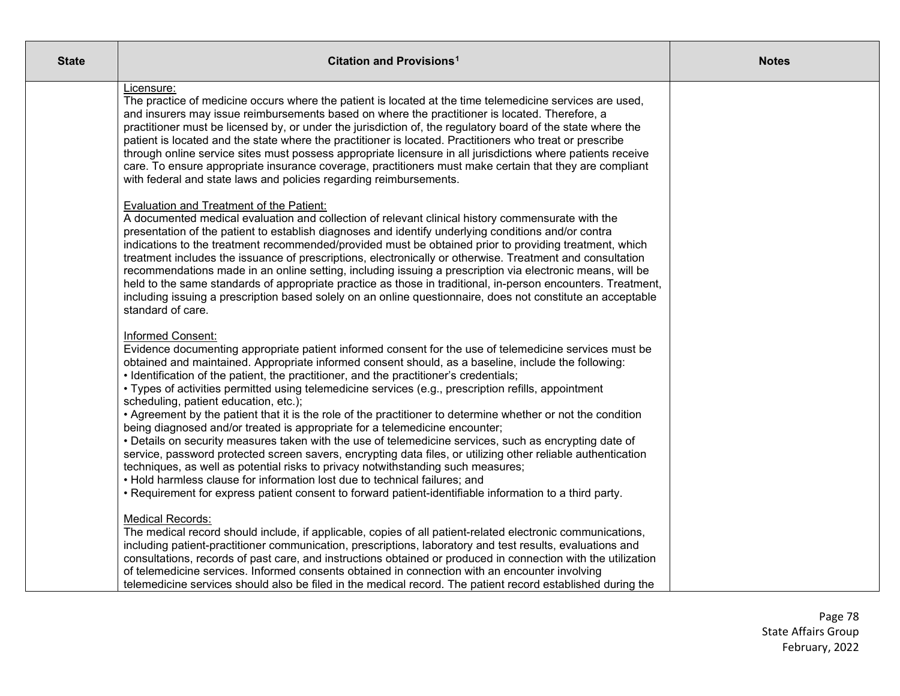| <b>State</b> | Citation and Provisions <sup>1</sup>                                                                                                                                                                                                                                                                                                                                                                                                                                                                                                                                                                                                                                                                                                                                                                                                                                                                                                                                                                                                                                                                                                                                                | <b>Notes</b> |
|--------------|-------------------------------------------------------------------------------------------------------------------------------------------------------------------------------------------------------------------------------------------------------------------------------------------------------------------------------------------------------------------------------------------------------------------------------------------------------------------------------------------------------------------------------------------------------------------------------------------------------------------------------------------------------------------------------------------------------------------------------------------------------------------------------------------------------------------------------------------------------------------------------------------------------------------------------------------------------------------------------------------------------------------------------------------------------------------------------------------------------------------------------------------------------------------------------------|--------------|
|              | Licensure:<br>The practice of medicine occurs where the patient is located at the time telemedicine services are used,<br>and insurers may issue reimbursements based on where the practitioner is located. Therefore, a<br>practitioner must be licensed by, or under the jurisdiction of, the regulatory board of the state where the<br>patient is located and the state where the practitioner is located. Practitioners who treat or prescribe<br>through online service sites must possess appropriate licensure in all jurisdictions where patients receive<br>care. To ensure appropriate insurance coverage, practitioners must make certain that they are compliant<br>with federal and state laws and policies regarding reimbursements.                                                                                                                                                                                                                                                                                                                                                                                                                                 |              |
|              | <b>Evaluation and Treatment of the Patient:</b><br>A documented medical evaluation and collection of relevant clinical history commensurate with the<br>presentation of the patient to establish diagnoses and identify underlying conditions and/or contra<br>indications to the treatment recommended/provided must be obtained prior to providing treatment, which<br>treatment includes the issuance of prescriptions, electronically or otherwise. Treatment and consultation<br>recommendations made in an online setting, including issuing a prescription via electronic means, will be<br>held to the same standards of appropriate practice as those in traditional, in-person encounters. Treatment,<br>including issuing a prescription based solely on an online questionnaire, does not constitute an acceptable<br>standard of care.                                                                                                                                                                                                                                                                                                                                 |              |
|              | Informed Consent:<br>Evidence documenting appropriate patient informed consent for the use of telemedicine services must be<br>obtained and maintained. Appropriate informed consent should, as a baseline, include the following:<br>• Identification of the patient, the practitioner, and the practitioner's credentials;<br>• Types of activities permitted using telemedicine services (e.g., prescription refills, appointment<br>scheduling, patient education, etc.);<br>• Agreement by the patient that it is the role of the practitioner to determine whether or not the condition<br>being diagnosed and/or treated is appropriate for a telemedicine encounter;<br>• Details on security measures taken with the use of telemedicine services, such as encrypting date of<br>service, password protected screen savers, encrypting data files, or utilizing other reliable authentication<br>techniques, as well as potential risks to privacy notwithstanding such measures;<br>• Hold harmless clause for information lost due to technical failures; and<br>. Requirement for express patient consent to forward patient-identifiable information to a third party. |              |
|              | <b>Medical Records:</b><br>The medical record should include, if applicable, copies of all patient-related electronic communications,<br>including patient-practitioner communication, prescriptions, laboratory and test results, evaluations and<br>consultations, records of past care, and instructions obtained or produced in connection with the utilization<br>of telemedicine services. Informed consents obtained in connection with an encounter involving<br>telemedicine services should also be filed in the medical record. The patient record established during the                                                                                                                                                                                                                                                                                                                                                                                                                                                                                                                                                                                                |              |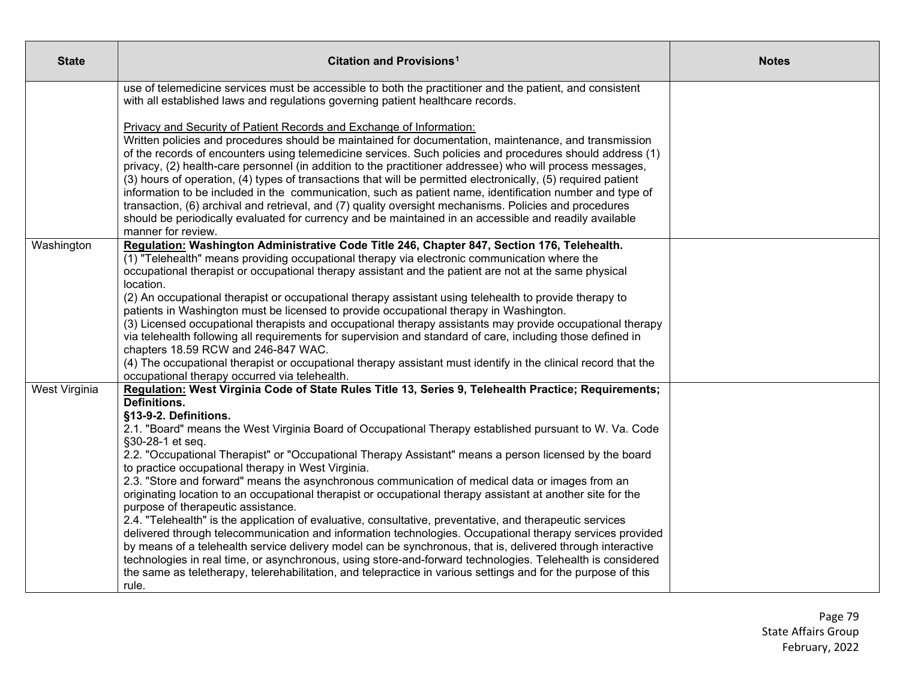| <b>State</b>  | Citation and Provisions <sup>1</sup>                                                                                                                                                                                                                                                                                                                                                                                                                                                                                                                                                                                                                                                                                                                                                                                                                                           | <b>Notes</b> |
|---------------|--------------------------------------------------------------------------------------------------------------------------------------------------------------------------------------------------------------------------------------------------------------------------------------------------------------------------------------------------------------------------------------------------------------------------------------------------------------------------------------------------------------------------------------------------------------------------------------------------------------------------------------------------------------------------------------------------------------------------------------------------------------------------------------------------------------------------------------------------------------------------------|--------------|
|               | use of telemedicine services must be accessible to both the practitioner and the patient, and consistent<br>with all established laws and regulations governing patient healthcare records.                                                                                                                                                                                                                                                                                                                                                                                                                                                                                                                                                                                                                                                                                    |              |
|               | Privacy and Security of Patient Records and Exchange of Information:<br>Written policies and procedures should be maintained for documentation, maintenance, and transmission<br>of the records of encounters using telemedicine services. Such policies and procedures should address (1)<br>privacy, (2) health-care personnel (in addition to the practitioner addressee) who will process messages,<br>(3) hours of operation, (4) types of transactions that will be permitted electronically, (5) required patient<br>information to be included in the communication, such as patient name, identification number and type of<br>transaction, (6) archival and retrieval, and (7) quality oversight mechanisms. Policies and procedures<br>should be periodically evaluated for currency and be maintained in an accessible and readily available<br>manner for review. |              |
| Washington    | Regulation: Washington Administrative Code Title 246, Chapter 847, Section 176, Telehealth.<br>(1) "Telehealth" means providing occupational therapy via electronic communication where the<br>occupational therapist or occupational therapy assistant and the patient are not at the same physical<br>location.                                                                                                                                                                                                                                                                                                                                                                                                                                                                                                                                                              |              |
|               | (2) An occupational therapist or occupational therapy assistant using telehealth to provide therapy to<br>patients in Washington must be licensed to provide occupational therapy in Washington.<br>(3) Licensed occupational therapists and occupational therapy assistants may provide occupational therapy<br>via telehealth following all requirements for supervision and standard of care, including those defined in                                                                                                                                                                                                                                                                                                                                                                                                                                                    |              |
|               | chapters 18.59 RCW and 246-847 WAC.<br>(4) The occupational therapist or occupational therapy assistant must identify in the clinical record that the<br>occupational therapy occurred via telehealth.                                                                                                                                                                                                                                                                                                                                                                                                                                                                                                                                                                                                                                                                         |              |
| West Virginia | Regulation: West Virginia Code of State Rules Title 13, Series 9, Telehealth Practice; Requirements;<br>Definitions.<br>§13-9-2. Definitions.<br>2.1. "Board" means the West Virginia Board of Occupational Therapy established pursuant to W. Va. Code<br>§30-28-1 et seq.                                                                                                                                                                                                                                                                                                                                                                                                                                                                                                                                                                                                    |              |
|               | 2.2. "Occupational Therapist" or "Occupational Therapy Assistant" means a person licensed by the board<br>to practice occupational therapy in West Virginia.<br>2.3. "Store and forward" means the asynchronous communication of medical data or images from an<br>originating location to an occupational therapist or occupational therapy assistant at another site for the<br>purpose of therapeutic assistance.                                                                                                                                                                                                                                                                                                                                                                                                                                                           |              |
|               | 2.4. "Telehealth" is the application of evaluative, consultative, preventative, and therapeutic services<br>delivered through telecommunication and information technologies. Occupational therapy services provided<br>by means of a telehealth service delivery model can be synchronous, that is, delivered through interactive<br>technologies in real time, or asynchronous, using store-and-forward technologies. Telehealth is considered<br>the same as teletherapy, telerehabilitation, and telepractice in various settings and for the purpose of this<br>rule.                                                                                                                                                                                                                                                                                                     |              |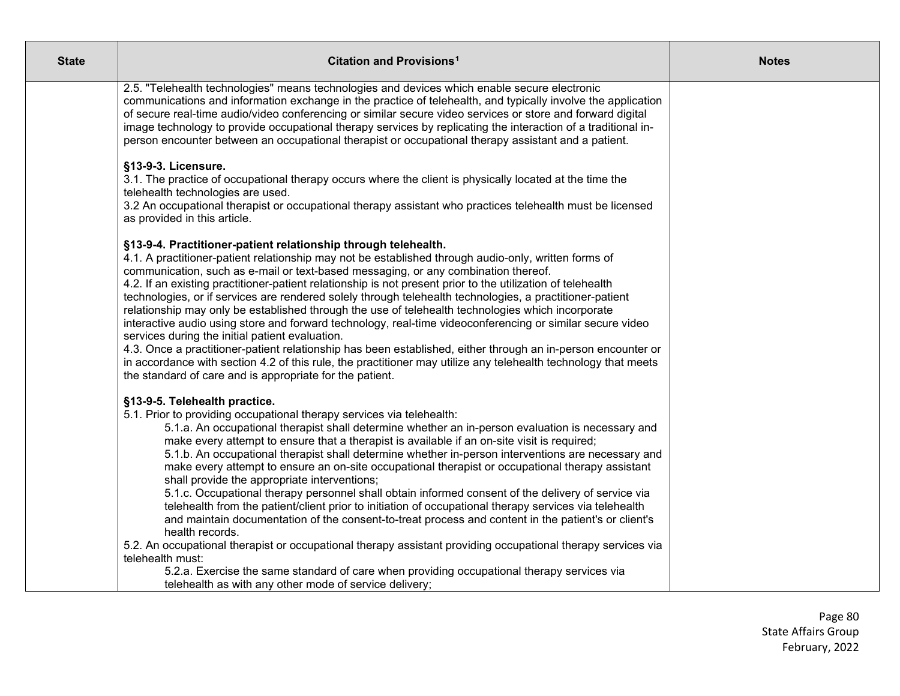| Citation and Provisions <sup>1</sup>                                                                                                                                                                                                                                                                                                                                                                                                                                                                                                                                                                                                                                                                                                                                                                                                                                                                                                                                                                                                                                                                                                             | <b>Notes</b>                                           |
|--------------------------------------------------------------------------------------------------------------------------------------------------------------------------------------------------------------------------------------------------------------------------------------------------------------------------------------------------------------------------------------------------------------------------------------------------------------------------------------------------------------------------------------------------------------------------------------------------------------------------------------------------------------------------------------------------------------------------------------------------------------------------------------------------------------------------------------------------------------------------------------------------------------------------------------------------------------------------------------------------------------------------------------------------------------------------------------------------------------------------------------------------|--------------------------------------------------------|
| 2.5. "Telehealth technologies" means technologies and devices which enable secure electronic<br>communications and information exchange in the practice of telehealth, and typically involve the application<br>of secure real-time audio/video conferencing or similar secure video services or store and forward digital<br>image technology to provide occupational therapy services by replicating the interaction of a traditional in-<br>person encounter between an occupational therapist or occupational therapy assistant and a patient.                                                                                                                                                                                                                                                                                                                                                                                                                                                                                                                                                                                               |                                                        |
| §13-9-3. Licensure.<br>3.1. The practice of occupational therapy occurs where the client is physically located at the time the<br>telehealth technologies are used.<br>3.2 An occupational therapist or occupational therapy assistant who practices telehealth must be licensed<br>as provided in this article.                                                                                                                                                                                                                                                                                                                                                                                                                                                                                                                                                                                                                                                                                                                                                                                                                                 |                                                        |
| §13-9-4. Practitioner-patient relationship through telehealth.<br>4.1. A practitioner-patient relationship may not be established through audio-only, written forms of<br>communication, such as e-mail or text-based messaging, or any combination thereof.<br>4.2. If an existing practitioner-patient relationship is not present prior to the utilization of telehealth<br>technologies, or if services are rendered solely through telehealth technologies, a practitioner-patient<br>relationship may only be established through the use of telehealth technologies which incorporate<br>interactive audio using store and forward technology, real-time videoconferencing or similar secure video<br>services during the initial patient evaluation.<br>4.3. Once a practitioner-patient relationship has been established, either through an in-person encounter or<br>in accordance with section 4.2 of this rule, the practitioner may utilize any telehealth technology that meets<br>the standard of care and is appropriate for the patient.                                                                                       |                                                        |
| §13-9-5. Telehealth practice.<br>5.1. Prior to providing occupational therapy services via telehealth:<br>5.1.a. An occupational therapist shall determine whether an in-person evaluation is necessary and<br>make every attempt to ensure that a therapist is available if an on-site visit is required;<br>5.1.b. An occupational therapist shall determine whether in-person interventions are necessary and<br>make every attempt to ensure an on-site occupational therapist or occupational therapy assistant<br>shall provide the appropriate interventions;<br>5.1.c. Occupational therapy personnel shall obtain informed consent of the delivery of service via<br>telehealth from the patient/client prior to initiation of occupational therapy services via telehealth<br>and maintain documentation of the consent-to-treat process and content in the patient's or client's<br>health records.<br>5.2. An occupational therapist or occupational therapy assistant providing occupational therapy services via<br>telehealth must:<br>5.2.a. Exercise the same standard of care when providing occupational therapy services via |                                                        |
|                                                                                                                                                                                                                                                                                                                                                                                                                                                                                                                                                                                                                                                                                                                                                                                                                                                                                                                                                                                                                                                                                                                                                  | telehealth as with any other mode of service delivery; |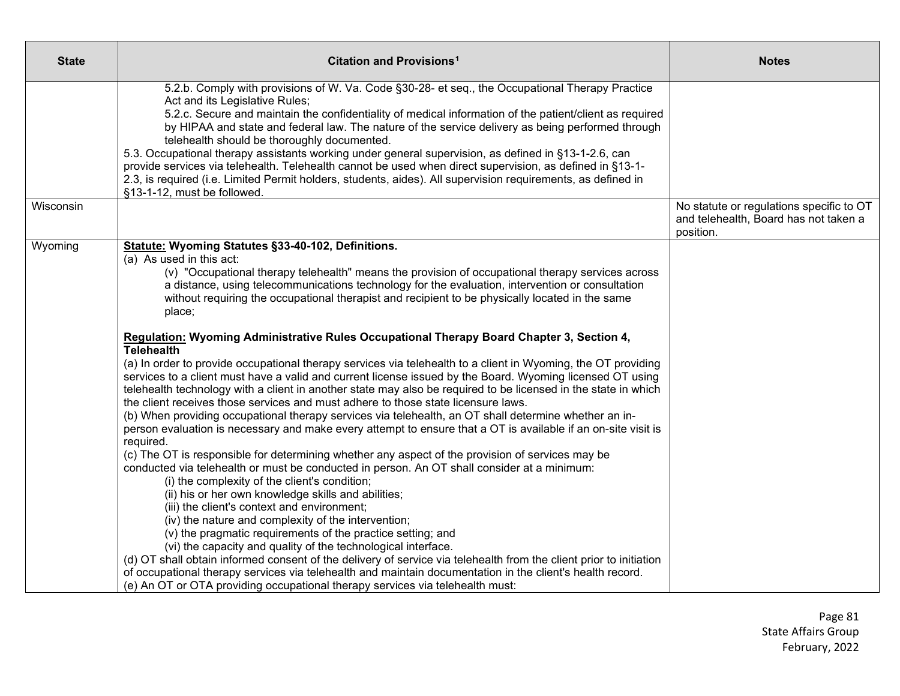| <b>State</b> | <b>Citation and Provisions<sup>1</sup></b>                                                                                                                                                                                                                                                                                                                                                                                                                                                                                                                                                                                                                                                                                                                                                                                                                                                                                                                                                                                                                                                                                                                                                                                                                                                                                                                                                                                                                                                                                                                                                                                                                                                                                                                                                                                                                                                                                                                                                                                                                              | <b>Notes</b>                                                                                   |
|--------------|-------------------------------------------------------------------------------------------------------------------------------------------------------------------------------------------------------------------------------------------------------------------------------------------------------------------------------------------------------------------------------------------------------------------------------------------------------------------------------------------------------------------------------------------------------------------------------------------------------------------------------------------------------------------------------------------------------------------------------------------------------------------------------------------------------------------------------------------------------------------------------------------------------------------------------------------------------------------------------------------------------------------------------------------------------------------------------------------------------------------------------------------------------------------------------------------------------------------------------------------------------------------------------------------------------------------------------------------------------------------------------------------------------------------------------------------------------------------------------------------------------------------------------------------------------------------------------------------------------------------------------------------------------------------------------------------------------------------------------------------------------------------------------------------------------------------------------------------------------------------------------------------------------------------------------------------------------------------------------------------------------------------------------------------------------------------------|------------------------------------------------------------------------------------------------|
|              | 5.2.b. Comply with provisions of W. Va. Code §30-28- et seq., the Occupational Therapy Practice<br>Act and its Legislative Rules;<br>5.2.c. Secure and maintain the confidentiality of medical information of the patient/client as required<br>by HIPAA and state and federal law. The nature of the service delivery as being performed through<br>telehealth should be thoroughly documented.<br>5.3. Occupational therapy assistants working under general supervision, as defined in §13-1-2.6, can<br>provide services via telehealth. Telehealth cannot be used when direct supervision, as defined in §13-1-<br>2.3, is required (i.e. Limited Permit holders, students, aides). All supervision requirements, as defined in<br>§13-1-12, must be followed.                                                                                                                                                                                                                                                                                                                                                                                                                                                                                                                                                                                                                                                                                                                                                                                                                                                                                                                                                                                                                                                                                                                                                                                                                                                                                                     |                                                                                                |
| Wisconsin    |                                                                                                                                                                                                                                                                                                                                                                                                                                                                                                                                                                                                                                                                                                                                                                                                                                                                                                                                                                                                                                                                                                                                                                                                                                                                                                                                                                                                                                                                                                                                                                                                                                                                                                                                                                                                                                                                                                                                                                                                                                                                         | No statute or regulations specific to OT<br>and telehealth, Board has not taken a<br>position. |
| Wyoming      | Statute: Wyoming Statutes §33-40-102, Definitions.<br>(a) As used in this act:<br>(v) "Occupational therapy telehealth" means the provision of occupational therapy services across<br>a distance, using telecommunications technology for the evaluation, intervention or consultation<br>without requiring the occupational therapist and recipient to be physically located in the same<br>place;<br>Regulation: Wyoming Administrative Rules Occupational Therapy Board Chapter 3, Section 4,<br><b>Telehealth</b><br>(a) In order to provide occupational therapy services via telehealth to a client in Wyoming, the OT providing<br>services to a client must have a valid and current license issued by the Board. Wyoming licensed OT using<br>telehealth technology with a client in another state may also be required to be licensed in the state in which<br>the client receives those services and must adhere to those state licensure laws.<br>(b) When providing occupational therapy services via telehealth, an OT shall determine whether an in-<br>person evaluation is necessary and make every attempt to ensure that a OT is available if an on-site visit is<br>required.<br>(c) The OT is responsible for determining whether any aspect of the provision of services may be<br>conducted via telehealth or must be conducted in person. An OT shall consider at a minimum:<br>(i) the complexity of the client's condition;<br>(ii) his or her own knowledge skills and abilities;<br>(iii) the client's context and environment;<br>(iv) the nature and complexity of the intervention;<br>(v) the pragmatic requirements of the practice setting; and<br>(vi) the capacity and quality of the technological interface.<br>(d) OT shall obtain informed consent of the delivery of service via telehealth from the client prior to initiation<br>of occupational therapy services via telehealth and maintain documentation in the client's health record.<br>(e) An OT or OTA providing occupational therapy services via telehealth must: |                                                                                                |